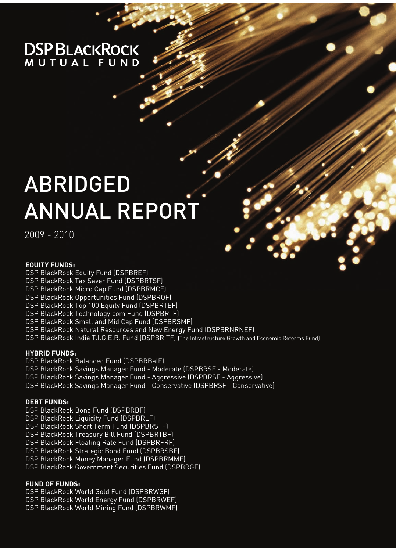# **DSP BLACKROCK**

# ABRIDGED ANNUAL REPORT

2009 - 2010

## **EQUITY FUNDS:**

- DSP BlackRock Equity Fund (DSPBREF)
- DSP BlackRock Tax Saver Fund (DSPBRTSF)
- DSP BlackRock Micro Cap Fund (DSPBRMCF)
- DSP BlackRock Opportunities Fund (DSPBROF)
- DSP BlackRock Top 100 Equity Fund (DSPBRTEF)
- DSP BlackRock Technology.com Fund (DSPBRTF)
- DSP BlackRock Small and Mid Cap Fund (DSPBRSMF)
- DSP BlackRock Natural Resources and New Energy Fund (DSPBRNRNEF)
- DSP BlackRock India T.I.G.E.R. Fund (DSPBRITF) (The Infrastructure Growth and Economic Reforms Fund)

## **HYBRID FUNDS:**

- DSP BlackRock Balanced Fund (DSPBRBalF)
- DSP BlackRock Savings Manager Fund Moderate (DSPBRSF Moderate)
- DSP BlackRock Savings Manager Fund Aggressive (DSPBRSF Aggressive)
- DSP BlackRock Savings Manager Fund Conservative (DSPBRSF Conservative)

## **DEBT FUNDS:**

- DSP BlackRock Bond Fund (DSPBRBF)
- DSP BlackRock Liquidity Fund (DSPBRLF)
- DSP BlackRock Short Term Fund (DSPBRSTF)
- DSP BlackRock Treasury Bill Fund (DSPBRTBF)
- DSP BlackRock Floating Rate Fund (DSPBRFRF)
- DSP BlackRock Strategic Bond Fund (DSPBRSBF)
- DSP BlackRock Money Manager Fund (DSPBRMMF)
- DSP BlackRock Government Securities Fund (DSPBRGF)

## **FUND OF FUNDS:**

DSP BlackRock World Gold Fund (DSPBRWGF) DSP BlackRock World Energy Fund (DSPBRWEF) DSP BlackRock World Mining Fund (DSPBRWMF)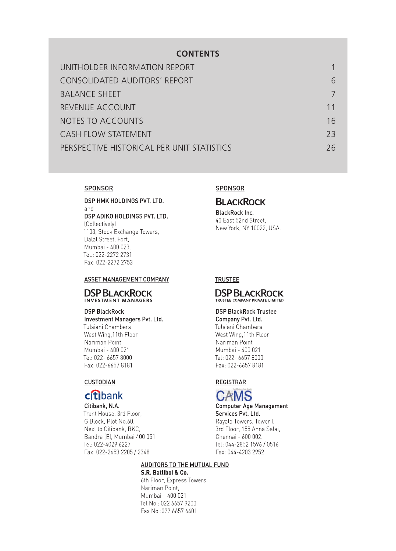## **CONTENTS**

| UNITHOLDER INFORMATION REPORT              |    |
|--------------------------------------------|----|
| CONSOLIDATED AUDITORS' REPORT              | 6  |
| <b>BALANCE SHEET</b>                       |    |
| REVENUE ACCOUNT                            | 11 |
| <b>NOTES TO ACCOUNTS</b>                   | 16 |
| <b>CASH FLOW STATEMENT</b>                 | 73 |
| PERSPECTIVE HISTORICAL PER UNIT STATISTICS | 26 |
|                                            |    |

## **SPONSOR**

DSP HMK HOLDINGS PVT. LTD. and DSP ADIKO HOLDINGS PVT. LTD. (Collectively) 1103, Stock Exchange Towers, Dalal Street, Fort, Mumbai - 400 023. Tel.: 022-2272 2731 Fax: 022-2272 2753

#### ASSET MANAGEMENT COMPANY

### **DSP BLACKROCK** INVESTMENT MANAGERS

#### **DSP BlackRock**

Investment Managers Pvt. Ltd. Tulsiani Chambers West Wing, 11th Floor Nariman Point Mumbai - 400 021 Tel: 022- 6657 8000 Fax: 022-6657 8181

#### **CUSTODIAN**

## **citibank**

Citibank, N.A. Trent House, 3rd Floor, G Block, Plot No.60, Next to Citibank, BKC, Bandra (E), Mumbai 400 051 Tel: 022-4029 6227 Fax: 022-2653 2205 / 2348

## SPONSOR

## **BLACKROCK**

**BlackRock Inc.** 40 East 52nd Street. New York, NY 10022, USA.

## **TRUSTEE**

#### **DSP BLACKROCK** TRUSTEE COMPANY PRIVATE LIMITED

## **DSP BlackRock Trustee**

Company Pvt. Ltd. Tulsiani Chambers West Wing, 11th Floor Nariman Point Mumbai - 400 021 Tel: 022- 6657 8000 Fax: 022-6657 8181

## **REGISTRAR**



**Computer Age Management** Services Pvt. Ltd. Rayala Towers, Tower I, 3rd Floor, 158 Anna Salai, Chennai - 600 002. Tel: 044-2852 1596 / 0516 Fax: 044-4203 2952

### **AUDITORS TO THE MUTUAL FUND**

S.R. Batliboi & Co. 6th Floor, Express Towers Nariman Point, Mumbai - 400 021 Tel No: 022 6657 9200 Fax No :022 6657 6401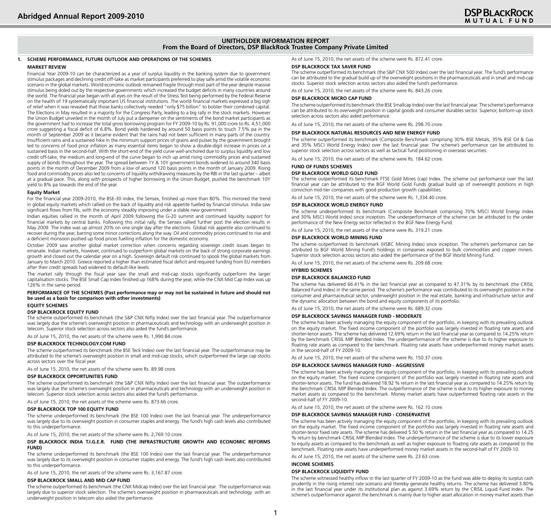#### **UNITHOLDER INFORMATION REPORT From the Board of Directors, DSP BlackRock Trustee Company Private Limited**

#### **1. SCHEME PERFORMANCE, FUTURE OUTLOOK AND OPERATIONS OF THE SCHEMES**

#### **MARKET REVIEW**

Financial Year 2009-10 can be characterized as a year of surplus liquidity in the banking system due to government stimulus packages and declining credit off-take as market participants preferred to play safe amid the volatile economic scenario in the global markets. World economic outlook remained fragile through most part of the year despite massive stimulus being doled out by the respective governments which increased the budget deficits in many countries around the world. The financial year began with all eyes on the result of the Stress Test being performed by the Federal Reserve on the health of 19 systematically important US financial institutions. The world financial markets expressed a big sigh of relief when it was revealed that those banks collectively needed "only \$75 billion" to bolster their combined capital. The Elections in May resulted in a majority for the Congress Party, leading to a big rally in the stock markets. However the Union Budget unveiled in the month of July put a dampener on the sentiments of the bond market participants as the government had to increase the total gross borrowing program for FY 2009-10 by Rs. 91,000 crore to Rs. 4,51,000 crore suggesting a fiscal deficit of 6.8%. Bond yields hardened by around 50 basis points to touch 7.5% pa in the month of September 2009 as it became evident that the rains had not been sufficient in many parts of the country. Insufficient rains and a sustained hike in the minimum support prices of grains and pulses by the government brought led to concerns of food price inflation as many essential items began to show a double-digit increase in prices on a sustained basis in the second-half. With the short-end of the yield curve well-anchored due to surplus liquidity and low credit off-take, the medium and long-end of the curve began to inch up amid rising commodity prices and sustained supply of bonds throughout the year. The spread between 1Y & 10Y government bonds widened to around 340 basis points in the month of December 2009 from a low of around 120 basis points in the month of January 2009. Rising food and commodity prices also led to concerns of liquidity withdrawing measures by the RBI in the last quarter – albeit at a gradual pace. This, along with prospects of higher borrowing in the Union Budget, pushed the benchmark 10Y yield to 8% pa towards the end of the year.

#### **Equity Market**

For the financial year 2009-2010, the BSE-30 index, the Sensex, finished up more than 80%. This mirrored the trend in global equity markets which rallied on the back of liquidity and risk appetite fuelled by financial stimulus. India saw significant flows from FIIs, with the economy steadily improving under a stable new government.

Indian equities rallied in the month of April 2009 following the G-20 summit and continued liquidity support for financial markets by central banks. Following this initial rally, the Sensex rallied further post the election results in May 2009. The index was up almost 20% on one single day after the elections. Global risk appetite also continued to recover during the year, barring some minor corrections along the way. Oil and commodity prices continued to rise and a deficient monsoon pushed up food prices fuelling inflation for the domestic economy.

October 2009 saw another global market correction when concerns regarding sovereign credit issues began to emanate. Indian markets, however, continued to outperform global markets on the back of strong corporate earnings growth and closed out the calendar year on a high. Sovereign default risk continued to spook the global markets from January to March 2010. Greece reported a higher than estimated fiscal deficit and required funding from EU members after their credit spreads had widened to default-like levels.

The market rally through the fiscal year saw the small and mid-cap stocks significantly outperform the larger capitalisation stocks. The BSE Small Cap Index finished up 168% during the year, while the CNX Mid Cap Index was up 126% in the same period.

#### **PERFORMANCE OF THE SCHEMES (Past performance may or may not be sustained in future and should not be used as a basis for comparison with other investments)**

#### **EQUITY SCHEMES**

#### **DSP BLACKROCK EQUITY FUND**

The scheme outperformed its benchmark (the S&P CNX Nifty Index) over the last financial year. The outperformance was largely due the scheme's overweight position in pharmaceuticals and technology with an underweight position in telecom. Superior stock selection across sectors also aided the fund's performance.

As of June 15, 2010, the net assets of the scheme were Rs. 1,990.84 crore.

#### **DSP BLACKROCK TECHNOLOGY.COM FUND**

The scheme outperformed its benchmark (the BSE Teck Index) over the last financial year. The outperformance may be attributed to the scheme's overweight position in small and mid-cap stocks, which outperformed the large cap stocks across sectors over the fiscal year.

As of June 15, 2010, the net assets of the scheme were Rs. 89.98 crore.

#### **DSP BLACKROCK OPPORTUNITIES FUND**

The scheme outperformed its benchmark (the S&P CNX Nifty Index) over the last financial year. The outperformance was largely due the scheme's overweight position in pharmaceuticals and technology with an underweight position in telecom. Superior stock selection across sectors also aided the fund's performance.

As of June 15, 2010, the net assets of the scheme were Rs. 873.66 crore.

#### **DSP BLACKROCK TOP 100 EQUITY FUND**

The scheme underperformed its benchmark (the BSE 100 Index) over the last financial year. The underperformance was largely due to its overweight position in consumer staples and energy. The fund's high cash levels also contributed to this underperformance.

As of June 15, 2010, the net assets of the scheme were Rs. 2,769.10 crore.

#### **DSP BLACKROCK INDIA T.I.G.E.R. FUND (THE INFRASTRUCTURE GROWTH AND ECONOMIC REFORMS FUND)**

The scheme underperformed its benchmark (the BSE 100 Index) over the last financial year. The underperformance was largely due to its overweight position in consumer staples and energy. The fund's high cash levels also contributed to this underperformance.

As of June 15, 2010, the net assets of the scheme were Rs. 3,167.87 crore.

#### **DSP BLACKROCK SMALL AND MID CAP FUND**

The scheme outperformed its benchmark (the CNX Midcap Index) over the last financial year. The outperformance was largely due to superior stock selection. The scheme's overweight position in pharmaceuticals and technology with an underweight position in telecom also aided the performance.

As of June 15, 2010, the net assets of the scheme were Rs. 872.41 crore.

#### **DSP BLACKROCK TAX SAVER FUND**

The scheme outperformed its benchmark (the S&P CNX 500 Index) over the last financial year. The fund's performance can be attributed to the gradual build up of the overweight positions in the pharmaceuticals and in small and mid-cap stocks. Superior stock selection across sectors also aided the fund's performance.

As of June 15, 2010, the net assets of the scheme were Rs. 843.26 crore.

#### **DSP BLACKROCK MICRO CAP FUND**

The scheme outperformed its benchmark (the BSE Smallcap Index) over the last financial year. The scheme's performance can be attributed to its overweight position in capital goods and consumer durables sector. Superior, bottom-up stock selection across sectors also aided performance.

As of June 15, 2010, the net assets of the scheme were Rs. 298.70 crore.

#### **DSP BLACKROCK NATURAL RESOURCES AND NEW ENERGY FUND**

The scheme outperformed its benchmark (Composite Benchmark comprising 30% BSE Metals, 35% BSE Oil & Gas and 35% MSCI World Energy Index) over the last financial year. The scheme's performance can be attributed to superior stock selection across sectors as well as tactical fund positioning in overseas securities.

As of June 15, 2010, the net assets of the scheme were Rs. 184.62 crore.

#### **FUND OF FUNDS SCHEMES**

#### **DSP BLACKROCK WORLD GOLD FUND**

The scheme outperformed its benchmark FTSE Gold Mines (cap) Index. The scheme out performance over the last financial year can be attributed to the BGF World Gold Funds gradual build up of overweight positions in high conviction mid-tier companies with good production growth capabilities.

As of June 15, 2010, the net assets of the scheme were Rs. 1,334.40 crore.

#### **DSP BLACKROCK World ENERGY Fund**

The scheme underperformed its benchmark (Composite Benchmark comprising 70% MSCI World Energy Index and 30% MSCI World Index) since inception. The underperformance of the scheme can be attributed to the under performance of the New Energy sector reflected in the BGF New Energy Fund.

As of June 15, 2010, the net assets of the scheme were Rs. 319.21 crore.

#### **DSP BLACKROCK World MINING Fund**

The scheme outperformed its benchmark (HSBC Mining Index) since inception. The scheme's performance can be attributed to BGF World Mining Fund's holdings in companies exposed to bulk commodities and copper miners. Superior stock selection across sectors also aided the performance of the BGF World Mining Fund.

As of June 15, 2010, the net assets of the scheme were Rs. 209.68 crore.

## **HYBRID SCHEMES**

#### **DSP BLACKROCK BALANCED FUND**

The scheme has delivered 66.41% in the last financial year as compared to 47.31% by its benchmark (the CRISIL Balanced Fund Index) in the same period. The scheme's performance was contributed to its overweight position in the consumer and pharmaceutical sector, underweight position in the real estate, banking and infrastructure sector and the dynamic allocation between the bond and equity components of its portfolio.

As of June 15, 2010, the net assets of the scheme were Rs. 689.32 crore.

#### **DSP BLACKROCK SAVINGS MANAGER FUND - MODERATE**

The scheme has been actively managing the equity component of the portfolio, in keeping with its prevailing outlook on the equity market. The fixed income component of the portfolio was largely invested in floating rate assets and shorter-tenor assets. The scheme has delivered 12.69% return in the last financial year as compared to 14.25% return by the benchmark CRISIL MIP Blended Index. The underperformance of the scheme is due to its higher exposure to floating rate assets as compared to the benchmark. Floating rate assets have underperformed money market assets in the second-half of FY 2009-10.

As of June 15, 2010, the net assets of the scheme were Rs. 150.37 crore.

#### **DSP BLACKROCK SAVINGS MANAGER FUND - AGGRESSIVE**

The scheme has been actively managing the equity component of the portfolio, in keeping with its prevailing outlook on the equity market. The fixed income component of the portfolio was largely invested in floating rate assets and shorter-tenor assets. The fund has delivered 18.92 % return in the last financial year as compared to 14.25% return by the benchmark CRISIL MIP Blended Index. The outperformance of the scheme is due to its higher exposure to money market assets as compared to the benchmark. Money market assets have outperformed floating rate assets in the second-half of FY 2009-10.

As of June 15, 2010, the net assets of the scheme were Rs. 162.10 crore.

#### **DSP BLACKROCK SAVINGS MANAGER FUND - CONSERVATIVE**

The scheme has been actively managing the equity component of the portfolio, in keeping with its prevailing outlook on the equity market. The fixed income component of the portfolio was largely invested in floating rate assets and shorter-tenor fixed rate assets. The scheme has delivered 5.50 % return in the last financial year as compared to 14.25 % return by benchmark CRISIL MIP Blended Index. The underperformance of the scheme is due to its lower exposure to equity assets as compared to the benchmark as well as higher exposure to floating rate assets as compared to the benchmark. Floating rate assets have underperformed money market assets in the second-half of FY 2009-10.

As of June 15, 2010, the net assets of the scheme were Rs. 23.63 crore.

## **INCOME SCHEMES**

#### **DSP BLACKROCK LIQUIDITY FUND**

The scheme witnessed healthy inflow in the last quarter of FY 2009-10 as the fund was able to deploy its surplus cash prudently in the rising interest rate scenario and thereby generate healthy returns. The scheme has delivered 3.80% in the last financial year under its institutional plan as against 3.69% return by the CRISIL Liquid Fund Index. The scheme's outperformance against the benchmark is mainly due to higher asset allocation in money market assets than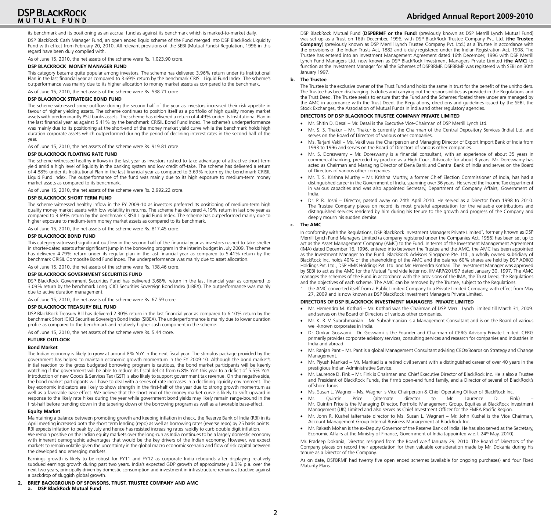## **DSP BLACKROCK** MUTUAL FUND

its benchmark and its positioning as an accrual fund as against its benchmark which is marked-to-market daily.

DSP BlackRock Cash Manager Fund, an open ended liquid scheme of the Fund merged into DSP BlackRock Liquidity Fund with effect from February 20, 2010. All relevant provisions of the SEBI (Mutual Funds) Regulation, 1996 in this regard have been duly complied with.

As of June 15, 2010, the net assets of the scheme were Rs. 1,023.90 crore.

#### **DSP BLACKROCK MONEY MANAGER FUND**

This category became quite popular among investors. The scheme has delivered 3.96% return under its Institutional Plan in the last financial year as compared to 3.69% return by the benchmark CRISIL Liquid Fund Index. The scheme's outperformance was mainly due to its higher allocation to money market assets as compared to the benchmark.

As of June 15, 2010, the net assets of the scheme were Rs. 538.71 crore.

#### **DSP BLACKROCK STRATEGIC BOND FUND**

The scheme witnessed some outflow during the second-half of the year as investors increased their risk appetite in favour of higher yielding assets. The scheme continues to position itself as a portfolio of high quality money market assets with predominantly PSU banks assets. The scheme has delivered a return of 4.49% under its Institutional Plan in the last financial year as against 5.41% by the benchmark CRISIL Bond Fund Index. The scheme's underperformance was mainly due to its positioning at the short-end of the money market yield curve while the benchmark holds high duration corporate assets which outperformed during the period of declining interest rates in the second-half of the year.

As of June 15, 2010, the net assets of the scheme were Rs. 919.81 crore.

#### **DSP BLACKROCK FLOATING RATE FUND**

The scheme witnessed healthy inflows in the last year as investors rushed to take advantage of attractive short-term yield amid a high level of liquidity in the banking system and low credit off-take. The scheme has delivered a return of 4.88% under its Institutional Plan in the last financial year as compared to 3.69% return by the benchmark CRISIL Liquid Fund Index. The outperformance of the fund was mainly due to its high exposure to medium-term money market assets as compared to its benchmark.

As of June 15, 2010, the net assets of the scheme were Rs. 2,992.22 crore.

#### **DSP BLACKROCK SHORT TERM FUND**

The scheme witnessed healthy inflow in the FY 2009-10 as investors preferred its positioning of medium-term high quality money market assets with low volatility in returns. The scheme has delivered 4.19% return in last one year as compared to 3.69% return by the benchmark CRISIL Liquid Fund Index. The scheme has outperformed mainly due to higher exposure to medium-term money market assets as compared to its benchmark.

As of June 15, 2010, the net assets of the scheme were Rs. 817.45 crore.

#### **DSP BLACKROCK BOND FUND**

This category witnessed significant outflow in the second-half of the financial year as investors rushed to take shelter in shorter-dated assets after significant jump in the borrowing program in the interim budget in July 2009. The scheme has delivered 4.79% return under its regular plan in the last financial year as compared to 5.41% return by the benchmark CRISIL Composite Bond Fund Index. The underperformance was mainly due to asset allocation.

As of June 15, 2010, the net assets of the scheme were Rs. 138.46 crore.

#### **DSP BLACKROCK GOVERNMENT SECURITIES FUND**

DSP BlackRock Government Securities Fund has delivered 3.68% return in the last financial year as compared to 3.09% return by the benchmark Long ICICI Securities Sovereign Bond Index (LIBEX). The outperformance was mainly due to active duration management.

As of June 15, 2010, the net assets of the scheme were Rs. 67.59 crore.

#### **DSP BLACKROCK TREASURY BILL Fund**

DSP BlackRock Treasury Bill has delivered 2.30% return in the last financial year as compared to 6.10% return by the benchmark Short ICICI Securities Sovereign Bond Index (SIBEX). The underperformance is mainly due to lower duration profile as compared to the benchmark and relatively higher cash component in the scheme.

As of June 15, 2010, the net assets of the scheme were Rs. 5.44 crore.

#### **FUTURE OUTLOOK**

#### **Bond Market**

The Indian economy is likely to grow at around 8% YoY in the next fiscal year. The stimulus package provided by the government has helped to maintain economic growth momentum in the FY 2009-10. Although the bond market's initial reaction to the gross budgeted borrowing program is cautious, the bond market participants will be keenly watching if the government will be able to reduce its fiscal deficit from 6.8% YoY this year to a deficit of 5.5% YoY. Introduction of new Goods & Services Tax (GST) is also likely to support government tax revenue. On the negative side, the bond market participants will have to deal with a series of rate increases in a declining liquidity environment. The key economic indicators are likely to show strength in the first-half of the year due to strong growth momentum as well as a favorable base effect. We believe that the short-end of the money market curve is likely to shift upward in response to the likely rate hikes during the year while government bond yields may likely remain range-bound in the first-half before trending down in the tapering down of the borrowing program as well as a favorable base-effect.

#### **Equity Market**

Maintaining a balance between promoting growth and keeping inflation in check, the Reserve Bank of India (RBI) in its April meeting increased both the short term lending (repo) as well as borrowing rates (reverse repo) by 25 basis points. RBI expects inflation to peak by July and hence has resisted increasing rates rapidly to curb double digit inflation.

We remain positive on the Indian equity markets over the long-run as India continues to be a largely domestic economy with inherent demographic advantages that would be the key drivers of the Indian economy. However, we expect markets to remain volatile given the uncertainty in the global macro economic scenario and flow of risk capital between the developed and emerging markets.

Earnings growth is likely to be robust for FY11 and FY12 as corporate India rebounds after displaying relatively subdued earnings growth during past two years. India's expected GDP growth of approximately 8.0% p.a. over the next two years, principally driven by domestic consumption and investment in infrastructure remains attractive against a backdrop of sluggish global growth.

**2. BRIEF BACKGROUND OF SPONSORS, TRUST, TRUSTEE COMPANY AND AMC a. DSP BlackRock Mutual Fund**

DSP BlackRock Mutual Fund (**DSPBRMF or the Fund**) (previously known as DSP Merrill Lynch Mutual Fund) was set up as a Trust on 16th December, 1996, with DSP BlackRock Trustee Company Pvt. Ltd. (**the Trustee Company**) (previously known as DSP Merrill Lynch Trustee Company Pvt. Ltd.) as a Trustee in accordance with the provisions of the Indian Trusts Act, 1882 and is duly registered under the Indian Registration Act, 1908. The Trustee has entered into an Investment Management Agreement dated 16th December, 1996 with DSP Merrill Lynch Fund Managers Ltd. now known as DSP BlackRock Investment Managers Private Limited (**the AMC**) to function as the Investment Manager for all the Schemes of DSPBRMF. DSPBRMF was registered with SEBI on 30th January 1997.

#### **b. The Trustee**

The Trustee is the exclusive owner of the Trust Fund and holds the same in trust for the benefit of the unitholders. The Trustee has been discharging its duties and carrying out the responsibilities as provided in the Regulations and the Trust Deed. The Trustee seeks to ensure that the Fund and the Schemes floated there under are managed by the AMC in accordance with the Trust Deed, the Regulations, directions and guidelines issued by the SEBI, the Stock Exchanges, the Association of Mutual Funds in India and other regulatory agencies.

#### **DIRECTORS OF DSP BLACKROCK TRUSTEE COMPANY PRIVATE LIMITED**

- Mr. Shitin D. Desai Mr. Desai is the Executive Vice-Chairman of DSP Merrill Lynch Ltd.
- Mr. S. S. Thakur Mr. Thakur is currently the Chairman of the Central Depository Services (India) Ltd. and serves on the Board of Directors of various other companies.
- Ms. Tarjani Vakil Ms. Vakil was the Chairperson and Managing Director of Export Import Bank of India from 1993 to 1996 and serves on the Board of Directors of various other companies.
- Mr. S. Doreswamy Mr. Doreswamy is a financial consultant, with an experience of about 35 years in commercial banking, preceded by practice as a High court Advocate for about 3 years. Mr. Doreswamy has acted as Chairman and Managing Director of Dena Bank and Central Bank of India and serves on the Board of Directors of various other companies.
- Mr. T. S. Krishna Murthy Mr. Krishna Murthy, a former Chief Election Commissioner of India, has had a distinguished career in the Government of India, spanning over 36 years. He served the Income Tax department in various capacities and was also appointed Secretary, Department of Company Affairs, Government of India.
- Dr. P. R. Joshi Director, passed away on 24th April 2010. He served as a Director from 1998 to 2010. The Trustee Company places on record its most grateful appreciation for the valuable contributions and distinguished services rendered by him during his tenure to the growth and progress of the Company and deeply mourn his sudden demise.

#### **c. The amc**

In conformity with the Regulations, DSP BlackRock Investment Managers Private Limited\* , formerly known as DSP Merrill Lynch Fund Managers Limited (a company registered under the Companies Act, 1956) has been set up to act as the Asset Management Company (AMC) to the Fund. In terms of the Investment Management Agreement (IMA) dated December 16, 1996, entered into between the Trustee and the AMC, the AMC has been appointed as the Investment Manager to the Fund. BlackRock Advisors Singapore Pte. Ltd., a wholly owned subsidiary of BlackRock Inc. holds 40% of the shareholding of the AMC and the balance 60% shares are held by DSP ADIKO Holdings Pvt. Ltd., DSP HMK Holdings Pvt. Ltd. and Mr. Hemendra Kothari. The Investment Manager was approved by SEBI to act as the AMC for the Mutual Fund vide letter no. IIMARP/201/97 dated January 30, 1997. The AMC manages the schemes of the Fund in accordance with the provisions of the IMA, the Trust Deed, the Regulations and the objectives of each scheme. The AMC can be removed by the Trustee, subject to the Regulations.

the AMC converted itself from a Public Limited Company to a Private Limited Company, with effect from May 27, 2009 and is now known as DSP BlackRock Investment Managers Private Limited.

#### **Directors of DSP BLACKROCK INVESTMENT Managers PRIVATE LIMITED**

- Mr. Hemendra M. Kothari Mr. Kothari was the Chairman of DSP Merrill Lynch Limited till March 31, 2009. and serves on the Board of Directors of various other companies.
- • Mr. K. R. V. Subrahmanian Mr. Subrahmanian is a Management Consultant and is on the Board of various well-known corporates in India.
- Dr. Omkar Goswami Dr. Goswami is the Founder and Chairman of CERG Advisory Private Limited. CERG primarily provides corporate advisory services, consulting services and research for companies and industries in India and abroad.
- Mr. Ranjan Pant Mr. Pant is a global Management Consultant advising CEOs/Boards on Strategy and Change Management.
- Mr. Piyush Mankad Mr. Mankad is a retired civil servant with a distinguished career of over 40 years in the prestigious Indian Administrative Service.
- Mr. Laurence D. Fink Mr. Fink is Chairman and Chief Executive Director of BlackRock Inc. He is also a Trustee and President of BlackRock Funds, the firm's open-end fund family, and a Director of several of BlackRock's offshore funds.
- Ms. Susan L. Wagner Ms. Wagner is Vice Chairperson & Chief Operating Officer of BlackRock Inc.
- Quintin Price (alternate director to Mr. Laurence D. Mr. Quintin Price is the Managing Director, Portfolio Management Group, Equities at BlackRock Investment Management (UK) Limited and also serves as Chief Investment Officer for the EMEA Pacific Region.
- Mr. John R. Kushel (alternate director to Ms. Susan L. Wagner) Mr. John Kushel is the Vice Chairman, Account Management Group Internal Business Management at BlackRock Inc.
- Mr. Rakesh Mohan is the ex-Deputy Governor of the Reserve Bank of India. He has also served as the Secretary, Economic Affairs at the Ministry of Finance, Government of India (appointed w.e.f. 24<sup>th</sup> May, 2010).

Mr. Pradeep Dokania, Director, resigned from the Board w.e.f January 29, 2010. The Board of Directors of the Company places on record their appreciation for then valuable consideration made by Mr. Dokania during his tenure as a Director of the Company.

As on date, DSPBRMF had twenty five open ended schemes (available for ongoing purchases) and four Fixed Maturity Plans.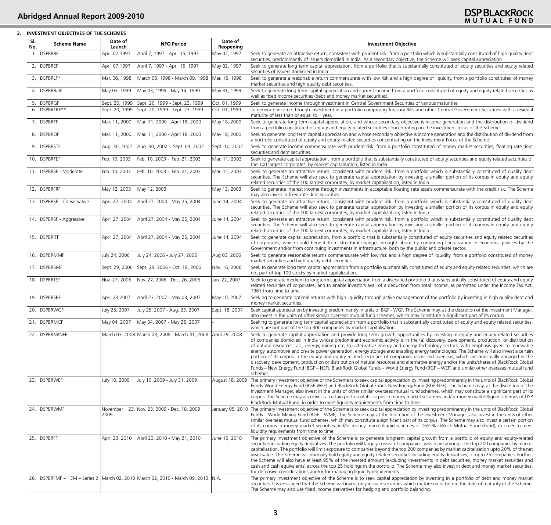## **3. INVESTMENT OBJECTIVES OF THE SCHEMES**

| SI.<br>No. | <b>Scheme Name</b>         | Date of<br>Launch | <b>NFO Period</b>                                                                                                     | Date of<br>Reopening | <b>Investment Objective</b>                                                                                                                                                                                                                                                                                                                                                                                                                                                                                                                                                                                                                                                                                                                                                                                                                                                                                                                                                                                                                                                          |
|------------|----------------------------|-------------------|-----------------------------------------------------------------------------------------------------------------------|----------------------|--------------------------------------------------------------------------------------------------------------------------------------------------------------------------------------------------------------------------------------------------------------------------------------------------------------------------------------------------------------------------------------------------------------------------------------------------------------------------------------------------------------------------------------------------------------------------------------------------------------------------------------------------------------------------------------------------------------------------------------------------------------------------------------------------------------------------------------------------------------------------------------------------------------------------------------------------------------------------------------------------------------------------------------------------------------------------------------|
|            | 1. DSPBRBF                 | April 07,1997     | April 7, 1997 - April 15, 1997                                                                                        | May 02, 1997         | Seek to generate an attractive return, consistent with prudent risk, from a portfolio which is substantially constituted of high quality debt<br>securities, predominantly of issuers domiciled in India. As a secondary objective, the Scheme will seek capital appreciation.                                                                                                                                                                                                                                                                                                                                                                                                                                                                                                                                                                                                                                                                                                                                                                                                       |
|            | 2. DSPBREF                 | April 07,1997     | April 7, 1997 - April 15, 1997                                                                                        | May 02, 1997         | Seek to generate long term capital appreciation, from a portfolio that is substantially constituted of equity securities and equity related<br>securities of issuers domiciled in India.                                                                                                                                                                                                                                                                                                                                                                                                                                                                                                                                                                                                                                                                                                                                                                                                                                                                                             |
|            | 3. DSPBRLF*                | Mar. 06, 1998     | March 06, 1998 - March 09, 1998                                                                                       | Mar. 16, 1998        | Seek to generate a reasonable return commensurate with low risk and a high degree of liquidity, from a portfolio constituted of money<br>market securities and high quality debt securities.                                                                                                                                                                                                                                                                                                                                                                                                                                                                                                                                                                                                                                                                                                                                                                                                                                                                                         |
|            | 4. DSPBRBalF               | May 03, 1999      | May 03, 1999 - May 14, 1999                                                                                           | May 31, 1999         | Seek to generate long term capital appreciation and current income from a portfolio constituted of equity and equity related securities as<br>well as fixed income securities (debt and money market securities).                                                                                                                                                                                                                                                                                                                                                                                                                                                                                                                                                                                                                                                                                                                                                                                                                                                                    |
|            | 5. DSPBRGF                 | Sept. 20, 1999    | Sept. 20, 1999 - Sept. 23, 1999                                                                                       | Oct. 01, 1999        | Seek to generate income through investment in Central Government Securities of various maturities                                                                                                                                                                                                                                                                                                                                                                                                                                                                                                                                                                                                                                                                                                                                                                                                                                                                                                                                                                                    |
| 6.         | DSPBRTBF**                 | Sept. 20, 1999    | Sept. 20, 1999 - Sept. 23, 1999                                                                                       | Oct. 01, 1999        | To generate income through investment in a portfolio comprising Treasury Bills and other Central Government Securities with a residual<br>maturity of less than or equal to 1 year.                                                                                                                                                                                                                                                                                                                                                                                                                                                                                                                                                                                                                                                                                                                                                                                                                                                                                                  |
|            | 7. DSPBRTF                 | Mar. 11, 2000     | Mar. 11, 2000 - April 18, 2000                                                                                        | May 18, 2000         | Seek to generate long term capital appreciation, and whose secondary objective is income generation and the distribution of dividend<br>from a portfolio constituted of equity and equity related securities concentrating on the investment focus of the Scheme.                                                                                                                                                                                                                                                                                                                                                                                                                                                                                                                                                                                                                                                                                                                                                                                                                    |
|            | 8. DSPBROF                 | Mar. 11, 2000     | Mar. 11, 2000 - April 18, 2000                                                                                        | May 18, 2000         | Seek to generate long term capital appreciation and whose secondary objective is income generation and the distribution of dividend from<br>a portfolio constituted of equity and equity related securities concentrating on the Investment Focus of the Scheme.                                                                                                                                                                                                                                                                                                                                                                                                                                                                                                                                                                                                                                                                                                                                                                                                                     |
|            | 9. DSPBRSTF                | Aug. 30, 2002     | Aug. 30, 2002 - Sept. 04, 2002                                                                                        | Sept. 10, 2002       | Seek to generate income commensurate with prudent risk, from a portfolio constituted of money market securities, floating rate debt<br>securities and debt securities.                                                                                                                                                                                                                                                                                                                                                                                                                                                                                                                                                                                                                                                                                                                                                                                                                                                                                                               |
|            | 10. <b>DSPBRTEF</b>        | Feb. 10, 2003     | Feb. 10, 2003 - Feb. 21, 2003                                                                                         | Mar. 11, 2003        | Seek to generate capital appreciation, from a portfolio that is substantially constituted of equity securities and equity related securities of<br>the 100 largest corporates, by market capitalisation, listed in India.                                                                                                                                                                                                                                                                                                                                                                                                                                                                                                                                                                                                                                                                                                                                                                                                                                                            |
|            | 11. DSPBRSF - Moderate     | Feb. 10, 2003     | Feb. 10, 2003 - Feb. 21, 2003                                                                                         | Mar. 11, 2003        | Seek to generate an attractive return, consistent with prudent risk, from a portfolio which is substantially constituted of quality debt<br>securities. The Scheme will also seek to generate capital appreciation by investing a smaller portion of its corpus in equity and equity<br>related securities of the 100 largest corporates, by market capitalization, listed in India.                                                                                                                                                                                                                                                                                                                                                                                                                                                                                                                                                                                                                                                                                                 |
|            | 12. DSPBRFRF               | May 12, 2003      | May 12, 2003                                                                                                          | May 13, 2003         | Seek to generate interest income through investments in acceptable floating rate assets commensurate with the credit risk. The Scheme<br>may also invest in fixed rate debt securities.                                                                                                                                                                                                                                                                                                                                                                                                                                                                                                                                                                                                                                                                                                                                                                                                                                                                                              |
|            | 13. DSPBRSF - Conservative | April 27, 2004    | April 27, 2004 - May 25, 2004                                                                                         | June 14, 2004        | Seek to generate an attractive return, consistent with prudent risk, from a portfolio which is substantially constituted of quality debt<br>securities. The Scheme will also seek to generate capital appreciation by investing a smaller portion of its corpus in equity and equity<br>related securities of the 100 largest corporates, by market capitalization, listed in India.                                                                                                                                                                                                                                                                                                                                                                                                                                                                                                                                                                                                                                                                                                 |
|            | 14. DSPBRSF - Aggressive   | April 27, 2004    | April 27, 2004 - May 25, 2004                                                                                         | June 14, 2004        | Seek to generate an attractive return, consistent with prudent risk, from a portfolio which is substantially constituted of quality debt<br>securities. The Scheme will also seek to generate capital appreciation by investing a smaller portion of its corpus in equity and equity<br>related securities of the 100 largest corporates, by market capitalization, listed in India.                                                                                                                                                                                                                                                                                                                                                                                                                                                                                                                                                                                                                                                                                                 |
|            | 15. DSPBRITF               | April 27, 2004    | April 27, 2004 - May 25, 2004                                                                                         | June 14, 2004        | Seek to generate capital appreciation, from a portfolio that is substantially constituted of equity securities and equity related securities<br>of corporates, which could benefit from structural changes brought about by continuing liberalization in economic policies by the<br>Government and/or from continuing investments in infrastructure, both by the public and private sector.                                                                                                                                                                                                                                                                                                                                                                                                                                                                                                                                                                                                                                                                                         |
|            | 16. DSPBRMMF               | July 24, 2006     | July 24, 2006 - July 27, 2006                                                                                         | Aug 03, 2006         | Seek to generate reasonable returns commensurate with low risk and a high degree of liquidity, from a portfolio constituted of money<br>market securities and high quality debt securities.                                                                                                                                                                                                                                                                                                                                                                                                                                                                                                                                                                                                                                                                                                                                                                                                                                                                                          |
|            | 17. DSPBRSMF               | Sept. 29, 2006    | Sept. 29, 2006 - Oct. 18, 2006                                                                                        | Nov. 16, 2006        | Seek to generate long term capital appreciation from a portfolio substantially constituted of equity and equity related securities, which are<br>not part of top 100 stocks by market capitalization.                                                                                                                                                                                                                                                                                                                                                                                                                                                                                                                                                                                                                                                                                                                                                                                                                                                                                |
|            | 18. DSPBRTSF               | Nov. 27, 2006     | Nov. 27, 2006 - Dec. 26, 2006                                                                                         | Jan. 22, 2007        | Seek to generate medium to longterm capital appreciation from a diversified portfolio that is substantially constituted of equity and equity<br>related securities of corporates, and to enable investors avail of a deduction from total income, as permitted under the Income Tax Act,<br>1961 from time to time.                                                                                                                                                                                                                                                                                                                                                                                                                                                                                                                                                                                                                                                                                                                                                                  |
|            | 19. DSPBRSBF               | April 23,2007     | April 23, 2007 - May 03, 2007                                                                                         | May 10, 2007         | Seeking to generate optimal returns with high liquidity through active management of the portfolio by investing in high quality debt and<br>money market securities.                                                                                                                                                                                                                                                                                                                                                                                                                                                                                                                                                                                                                                                                                                                                                                                                                                                                                                                 |
|            | 20. DSPBRWGF               | July 25, 2007     | July 25, 2007 - Aug. 23, 2007                                                                                         | Sept. 18, 2007       | Seek capital appreciation by investing predominantly in units of BGF - WGF. The Scheme may, at the discretion of the Investment Manager,<br>also invest in the units of other similar overseas mutual fund schemes, which may constitute a significant part of its corpus.                                                                                                                                                                                                                                                                                                                                                                                                                                                                                                                                                                                                                                                                                                                                                                                                           |
|            | 21. DSPBRMCF               | May 04, 2007      | May 04, 2007 - May 25, 2007                                                                                           |                      | Seeking to generate long term capital appreciation from a portfolio that is substantially constituted of equity and equity related securities,<br>which are not part of the top 300 companies by market capitalisation.                                                                                                                                                                                                                                                                                                                                                                                                                                                                                                                                                                                                                                                                                                                                                                                                                                                              |
|            | 22. DSPBRNRNEF             |                   | March 03, 2008 March 03, 2008 - March 31, 2008 April 29, 2008                                                         |                      | Seek to generate capital appreciation and provide long term growth opportunities by investing in equity and equity related securities<br>of companies domiciled in India whose predominant economic activity is in the (a) discovery, development, production, or distribution<br>of natural resources, viz., energy, mining etc; (b) alternative energy and energy technology sectors, with emphasis given to renewable<br>energy, automotive and on-site power generation, energy storage and enabling energy technologies. The Scheme will also invest a certain<br>portion of its corpus in the equity and equity related securities of companies domiciled overseas, which are principally engaged in the<br>discovery, development, production or distribution of natural resources and alternative energy and/or the units/shares of BlackRock Global<br>Funds – New Energy Fund (BGF – NEF), BlackRock Global Funds – World Energy Fund (BGF – WEF) and similar other overseas mutual fund<br>schemes.                                                                       |
| 23.        | DSPBRWEF                   | July 10, 2009     | July 10, 2009 - July 31, 2009                                                                                         | August 18, 2009      | The primary investment objective of the Scheme is to seek capital appreciation by investing predominantly in the units of BlackRock Global<br>Funds-World Energy Fund (BGF-WEF) and BlackRock Global Funds-New Energy Fund (BGF-NEF). The Scheme may, at the discretion of the<br>Investment Manager, also invest in the units of other similar overseas mutual fund schemes, which may constitute a significant part of its<br>corpus. The Scheme may also invest a certain portion of its corpus in money market securities and/or money market/liquid schemes of DSP<br>BlackRock Mutual Fund, in order to meet liquidity requirements from time to time.                                                                                                                                                                                                                                                                                                                                                                                                                         |
|            | 24. DSPBRWMF               | November<br>2009  | 23, Nov. 23, 2009 - Dec. 18, 2009                                                                                     | January 05, 2010     | The primary investment objective of the Scheme is to seek capital appreciation by investing predominantly in the units of BlackRock Global<br>Funds – World Mining Fund (BGF – WMF). The Scheme may, at the discretion of the Investment Manager, also invest in the units of other<br>similar overseas mutual fund schemes, which may constitute a significant part of its corpus. The Scheme may also invest a certain portion<br>of its corpus in money market securities and/or money market/liquid schemes of DSP BlackRock Mutual Fund (Fund), in order to meet<br>liquidity requirements from time to time.                                                                                                                                                                                                                                                                                                                                                                                                                                                                   |
| 25.        | <b>DSPBRFF</b>             | April 23, 2010    | April 23, 2010 - May 21, 2010<br> DSPBRFMP – 13M – Series 2   March 02, 2010   March 02, 2010 - March 09, 2010   N.A. | June 15, 2010        | The primary investment objective of the Scheme is to generate longterm capital growth from a portfolio of equity and equity-related<br>securities including equity derivatives. The portfolio will largely consist of companies, which are amongst the top 200 companies by market<br>capitalisation. The portfolio will limit exposure to companies beyond the top 200 companies by market capitalization upto 20% of the net<br>asset value. The Scheme will normally hold equity and equity-related securities including equity derivatives, of upto 25 companies. Further,<br>the Scheme will also have at least 95% of the invested amount (excluding investments in debt securities, money market securities and<br>cash and cash equivalents) across the top 25 holdings in the portfolio. The Scheme may also invest in debt and money market securities,<br>for defensive considerations and/or for managing liquidity requirements.<br>The primary investment objective of the Scheme is to seek capital appreciation by investing in a portfolio of debt and money market |
| 26.        |                            |                   |                                                                                                                       |                      | securities. It is envisaged that the Scheme will invest only in such securities which mature on or before the date of maturity of the Scheme.<br>The Scheme may also use fixed income derivatives for hedging and portfolio balancing.                                                                                                                                                                                                                                                                                                                                                                                                                                                                                                                                                                                                                                                                                                                                                                                                                                               |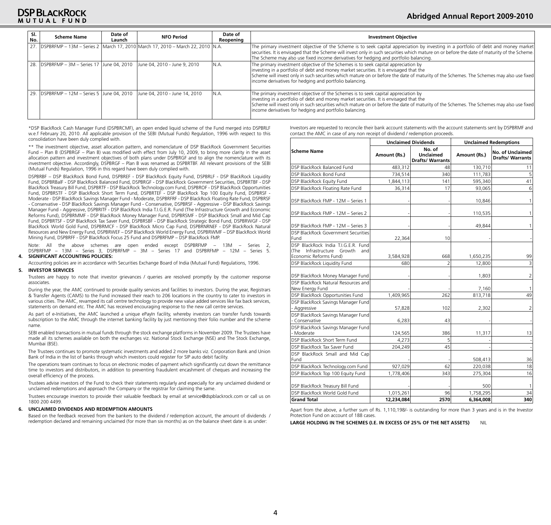| SI.<br>No. | <b>Scheme Name</b> | Date of<br>Launch | <b>NFO Period</b>                                                                 | Date of<br>Reopening | <b>Investment Objective</b>                                                                                                                                                                                                                                                                                                                                                         |
|------------|--------------------|-------------------|-----------------------------------------------------------------------------------|----------------------|-------------------------------------------------------------------------------------------------------------------------------------------------------------------------------------------------------------------------------------------------------------------------------------------------------------------------------------------------------------------------------------|
|            |                    |                   | 27. DSPBRFMP - 13M - Series 2 March 17, 2010 March 17, 2010 - March 22, 2010 N.A. |                      | The primary investment objective of the Scheme is to seek capital appreciation by investing in a portfolio of debt and money market<br>securities. It is envisaged that the Scheme will invest only in such securities which mature on or before the date of maturity of the Scheme.<br>The Scheme may also use fixed income derivatives for hedging and portfolio balancing.       |
|            |                    |                   | 28. DSPBRFMP - 3M - Series 17 June 04, 2010 June 04, 2010 - June 9, 2010          | IN.A.                | The primary investment objective of the Schemes is to seek capital appreciation by<br>investing in a portfolio of debt and money market securities. It is envisaged that the<br>Scheme will invest only in such securities which mature on or before the date of maturity of the Schemes. The Schemes may also use fixed<br>income derivatives for hedging and portfolio balancing. |
|            |                    |                   | 29. DSPBRFMP - 12M - Series 5 June 04, 2010 June 04, 2010 - June 14, 2010         | IN.A.                | The primary investment objective of the Schemes is to seek capital appreciation by<br>investing in a portfolio of debt and money market securities. It is envisaged that the<br>Scheme will invest only in such securities which mature on or before the date of maturity of the Schemes. The Schemes may also use fixed<br>income derivatives for hedging and portfolio balancing. |

\*DSP BlackRock Cash Manager Fund (DSPBRCMF), an open ended liquid scheme of the Fund merged into DSPBRLF w.e.f February 20, 2010. All applicable provision of the SEBI (Mutual Funds) Regulation, 1996 with respect to this consolidation have been duly complied with.

\*\* The investment objective, asset allocation pattern, and nomenclature of DSP BlackRock Government Securities Fund – Plan B (DSPBRGF – Plan B) was modified with effect from July 10, 2009, to bring more clarity in the asset allocation pattern and investment objectives of both plans under DSPBRGF and to align the nomenclature with its investment objective. Accordingly, DSPBRGF – Plan B was renamed as DSPBRTBF. All relevant provisions of the SEBI (Mutual Funds) Regulation, 1996 in this regard have been duly complied with.

DSPBRBF – DSP BlackRock Bond Fund, DSPBREF - DSP BlackRock Equity Fund, DSPBRLF - DSP BlackRock Liquidity Fund, DSPBRBalF - DSP BlackRock Balanced Fund, DSPBRGF - DSP BlackRock Government Securities, DSPBRTBF - DSP BlackRock Treasury Bill Fund, DSPBRTF - DSP BlackRock Technology.com Fund, DSPBROF - DSP BlackRock Opportunities Fund, DSPBRSTF - DSP BlackRock Short Term Fund, DSPBRTEF - DSP BlackRock Top 100 Equity Fund, DSPBRSF - Moderate - DSP BlackRock Savings Manager Fund - Moderate, DSPBRFRF - DSP BlackRock Floating Rate Fund, DSPBRSF - Conservative - DSP BlackRock Savings Manager Fund - Conservative, DSPBRSF - Aggressive - DSP BlackRock Savings Manager Fund - Aggressive, DSPBRITF - DSP BlackRock India T.I.G.E.R. Fund (The Infrastructure Growth and Economic Reforms Fund), DSPBRMMF - DSP BlackRock Money Manager Fund, DSPBRSMF - DSP BlackRock Small and Mid Cap Fund, DSPBRTSF - DSP BlackRock Tax Saver Fund, DSPBRSBF - DSP BlackRock Strategic Bond Fund, DSPBRWGF - DSP BlackRock World Gold Fund, DSPBRMCF - DSP BlackRock Micro Cap Fund, DSPBRNRNEF - DSP BlackRock Natural Resources and New Energy Fund, DSPBRWEF – DSP BlackRock World Energy Fund, DSPBRWMF – DSP BlackRock World Mining Fund, DSPBRFF - DSP BlackRock Focus 25 Fund and DSPBRFMP – DSP BlackRock FMP.

Note: All the above schemes are open ended except DSPBRFMP – 13M – Series 2, DSPBRFMP – 13M – Series 3, DSPBRFMP – 3M – Series 17 and DSPBRFMP – 12M – Series 5. **4. SIGNIFICANT ACCOUNTING POLICIES:**

Accounting policies are in accordance with Securities Exchange Board of India (Mutual Fund) Regulations, 1996.

#### **5. INVESTOR SERVICES**

Trustees are happy to note that investor grievances / queries are resolved promptly by the customer response associates.

During the year, the AMC continued to provide quality services and facilities to investors. During the year, Registrars & Transfer Agents (CAMS) to the Fund increased their reach to 206 locations in the country to cater to investors in various cities. The AMC, revamped its call centre technology to provide new value added services like fax back services, statements on demand etc. The AMC has received encouraging response to the new call centre services.

As part of e-Initiatives, the AMC launched a unique ePayIn facility, whereby investors can transfer funds towards subscription to the AMC through the internet banking facility by just mentioning their folio number and the scheme name.

SEBI enabled transactions in mutual funds through the stock exchange platforms in November 2009. The Trustees have made all its schemes available on both the exchanges viz. National Stock Exchange (NSE) and The Stock Exchange, Mumbai (BSE).

The Trustees continues to promote systematic investments and added 2 more banks viz. Corporation Bank and Union Bank of India in the list of banks through which investors could register for SIP auto debit facility.

The operations team continues to focus on electronic modes of payment which significantly cut down the remittance time to investors and distributors, in addition to preventing fraudulent encashment of cheques and increasing the overall efficiency of the process.

Trustees advise investors of the Fund to check their statements regularly and especially for any unclaimed dividend or unclaimed redemptions and approach the Company or the registrar for claiming the same.

Trustees encourage investors to provide their valuable feedback by email at service@dspblackrock.com or call us on 1800 200 4499.

#### **6. UNCLAIMED DIVIDENDS AND REDEMPTION AMOUNTS**

Based on the feedback received from the bankers to the dividend / redemption account, the amount of dividends / redemption declared and remaining unclaimed (for more than six months) as on the balance sheet date is as under:

Investors are requested to reconcile their bank account statements with the account statements sent by DSPBRMF and contact the AMC in case of any non receipt of dividend / redemption proceeds.

|                                                                                                       |              | <b>Unclaimed Dividends</b>                            |              | <b>Unclaimed Redemptions</b>                       |  |  |  |
|-------------------------------------------------------------------------------------------------------|--------------|-------------------------------------------------------|--------------|----------------------------------------------------|--|--|--|
| <b>Scheme Name</b>                                                                                    | Amount (Rs.) | No. of<br><b>Unclaimed</b><br><b>Drafts/ Warrants</b> | Amount (Rs.) | <b>No. of Unclaimed</b><br><b>Drafts/ Warrants</b> |  |  |  |
| DSP BlackRock Balanced Fund                                                                           | 483,312      | 48                                                    | 130,710      | 11                                                 |  |  |  |
| DSP BlackRock Bond Fund                                                                               | 734,514      | 340                                                   | 111,783      | 5                                                  |  |  |  |
| DSP BlackRock Equity Fund                                                                             | 1,844,113    | 141                                                   | 595,340      | 41                                                 |  |  |  |
| DSP BlackRock Floating Rate Fund                                                                      | 36,314       | 17                                                    | 93,065       | 6                                                  |  |  |  |
| DSP BlackRock FMP - 12M - Series 1                                                                    |              |                                                       | 10,846       | 1                                                  |  |  |  |
| DSP BlackRock FMP - 12M - Series 2                                                                    |              |                                                       | 110,535      | 1                                                  |  |  |  |
| DSP BlackRock FMP - 12M - Series 3                                                                    |              |                                                       | 49,844       | 1                                                  |  |  |  |
| DSP BlackRock Government Securities<br>Fund                                                           | 22,364       | 10                                                    |              |                                                    |  |  |  |
| DSP BlackRock India T.I.G.E.R. Fund<br>Infrastructure Growth<br>(The<br>and<br>Economic Reforms Fund) | 3,584,928    | 668                                                   | 1,650,235    | 99                                                 |  |  |  |
| DSP BlackRock Liquidity Fund                                                                          | 680          | 2                                                     | 12,800       | 3                                                  |  |  |  |
| DSP BlackRock Money Manager Fund                                                                      |              |                                                       | 1,803        | 2                                                  |  |  |  |
| DSP BlackRock Natural Resources and<br>New Energy Fund                                                |              |                                                       | 7,160        | 1                                                  |  |  |  |
| DSP BlackRock Opportunities Fund                                                                      | 1,409,965    | 262                                                   | 813,718      | 49                                                 |  |  |  |
| DSP BlackRock Savings Manager Fund<br>- Aggressive                                                    | 57,828       | 102                                                   | 2,302        | 2                                                  |  |  |  |
| DSP BlackRock Savings Manager Fund<br>- Conservative                                                  | 6,283        | 43                                                    |              |                                                    |  |  |  |
| DSP BlackRock Savings Manager Fund<br>- Moderate                                                      | 124,565      | 386                                                   | 11,317       | 13                                                 |  |  |  |
| DSP BlackRock Short Term Fund                                                                         | 4,273        | 5                                                     |              |                                                    |  |  |  |
| DSP BlackRock Tax Saver Fund                                                                          | 204,249      | 45                                                    |              |                                                    |  |  |  |
| DSP BlackRock Small and Mid Cap<br>Fund                                                               |              |                                                       | 508,413      | 36                                                 |  |  |  |
| DSP BlackRock Technology.com Fund                                                                     | 927,029      | 62                                                    | 220,038      | 18                                                 |  |  |  |
| DSP BlackRock Top 100 Equity Fund                                                                     | 1,778,406    | 343                                                   | 275,304      | 16                                                 |  |  |  |
| DSP BlackRock Treasury Bill Fund                                                                      |              |                                                       | 500          | 1                                                  |  |  |  |
| DSP BlackRock World Gold Fund                                                                         | 1,015,261    | 96                                                    | 1,758,295    | 34                                                 |  |  |  |
| <b>Grand Total</b>                                                                                    | 12,234,084   | 2570                                                  | 6,364,008    | 340                                                |  |  |  |

Apart from the above, a further sum of Rs. 1,110,198/- is outstanding for more than 3 years and is in the Investor Protection Fund on account of 188 cases.

**LARGE HOLDING IN THE SCHEMES (I.E. IN EXCESS OF 25% OF THE NET ASSETS)** NIL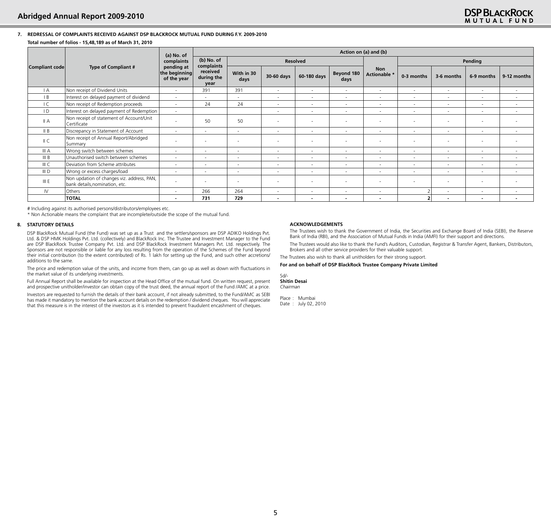#### **7. REDRESSAL OF COMPLAINTS RECEIVED AGAINST DSP BLACKROCK MUTUAL FUND DURING F.Y. 2009-2010 Total number of folios - 15,48,189 as of March 31, 2010**

|                  |                                                                              | (a) No. of                                 |                                              | Action on (a) and (b)    |                          |                          |                          |                            |                          |                          |                          |                          |  |
|------------------|------------------------------------------------------------------------------|--------------------------------------------|----------------------------------------------|--------------------------|--------------------------|--------------------------|--------------------------|----------------------------|--------------------------|--------------------------|--------------------------|--------------------------|--|
|                  |                                                                              | complaints                                 | (b) No. of                                   |                          |                          | <b>Resolved</b>          |                          |                            |                          | Pending                  |                          |                          |  |
| Compliant code   | <b>Type of Compliant #</b>                                                   | pending at<br>the beginning<br>of the year | complaints<br>received<br>during the<br>year | With in 30<br>days       | 30-60 days               | 60-180 days              | Beyond 180<br>days       | <b>Non</b><br>Actionable * | 0-3 months               | 3-6 months               | 6-9 months               | 9-12 months              |  |
| $\mathsf{A}$     | Non receipt of Dividend Units                                                | $\sim$                                     | 391                                          | 391                      | $\sim$                   | $\sim$                   | $\overline{\phantom{a}}$ | $\sim$                     | $\sim$                   | $\sim$                   | $\sim$                   | $\sim$                   |  |
| B                | Interest on delayed payment of dividend                                      | $\sim$                                     | $\sim$                                       | $\sim$                   | $\sim$                   | $\sim$                   | $\overline{\phantom{a}}$ | $\sim$                     | $\overline{\phantom{a}}$ | $\sim$                   | $\sim$                   | $\sim$                   |  |
| IC               | Non receipt of Redemption proceeds                                           | $\sim$                                     | 24                                           | 24                       | $\sim$                   | $\sim$                   | $\sim$                   | $\sim$                     | $\overline{\phantom{a}}$ | $\sim$                   | $\overline{\phantom{a}}$ | $\sim$                   |  |
| ID               | Interest on delayed payment of Redemption                                    | $\sim$                                     |                                              |                          | $\sim$                   | $\sim$                   | $\sim$                   | $\overline{\phantom{a}}$   | $\overline{\phantom{a}}$ | $\sim$                   | $\sim$                   | $\sim$                   |  |
| II A             | Non receipt of statement of Account/Unit<br>Certificate                      |                                            | 50                                           | 50                       |                          |                          |                          | $\overline{\phantom{a}}$   | $\overline{\phantom{a}}$ |                          | $\sim$                   |                          |  |
| II B             | Discrepancy in Statement of Account                                          | $\sim$                                     | $\sim$                                       | $\overline{\phantom{a}}$ | $\sim$                   | $\sim$                   | $\sim$                   | $\overline{\phantom{a}}$   | $\overline{\phantom{a}}$ | $\sim$                   | $\sim$                   | $\sim$                   |  |
| II C             | Non receipt of Annual Report/Abridged<br>Summary                             | $\overline{\phantom{a}}$                   | $\overline{\phantom{a}}$                     | $\overline{\phantom{a}}$ | $\overline{a}$           | $\overline{a}$           |                          | $\blacksquare$             | $\overline{\phantom{a}}$ | $\overline{\phantom{a}}$ | $\sim$                   |                          |  |
| III A            | Wrong switch between schemes                                                 | $\sim$                                     | $\sim$                                       | $\sim$                   | $\sim$                   | $\sim$                   | $\sim$                   | $\overline{\phantom{a}}$   | $\overline{\phantom{a}}$ | ٠                        | $\sim$                   | $\sim$                   |  |
| III B            | Unauthorised switch between schemes                                          | $\sim$                                     | $\sim$                                       | $\sim$                   | $\sim$                   | $\sim$                   | $\sim$                   | $\overline{\phantom{a}}$   | $\overline{\phantom{a}}$ | $\sim$                   | $\sim$                   | $\sim$                   |  |
| III C            | Deviation from Scheme attributes                                             | $\sim$                                     | $\sim$                                       | $\sim$                   | $\sim$                   | $\overline{\phantom{a}}$ | $\sim$                   | $\sim$                     | $\overline{\phantom{a}}$ | $\sim$                   | $\sim$                   | $\sim$                   |  |
| III <sub>D</sub> | Wrong or excess charges/load                                                 | ٠                                          | $\sim$                                       | $\sim$                   | $\sim$                   | $\overline{\phantom{a}}$ | $\overline{\phantom{a}}$ | $\overline{\phantom{a}}$   | ٠                        | $\overline{\phantom{a}}$ | ٠                        | $\sim$                   |  |
| III E            | Non updation of changes viz. address, PAN,<br>bank details, nomination, etc. |                                            | $\overline{\phantom{a}}$                     | $\overline{\phantom{a}}$ | $\overline{a}$           |                          |                          | $\sim$                     | $\sim$                   | $\overline{\phantom{a}}$ | $\overline{\phantom{a}}$ |                          |  |
| IV.              | Others                                                                       | ٠                                          | 266                                          | 264                      | $\sim$                   | $\overline{\phantom{a}}$ | $\sim$                   | $\overline{\phantom{a}}$   |                          | $\sim$                   | $\sim$                   | $\sim$                   |  |
|                  | <b>TOTAL</b>                                                                 | $\overline{\phantom{0}}$                   | 731                                          | 729                      | $\overline{\phantom{a}}$ |                          |                          | $\blacksquare$             |                          | $\blacksquare$           | -                        | $\overline{\phantom{a}}$ |  |

# Including against its authorised persons/distributors/employees etc.

\* Non Actionable means the complaint that are incomplete/outside the scope of the mutual fund.

#### **8. STATUTORY DETAILS**

DSP BlackRock Mutual Fund (the Fund) was set up as a Trust and the settlers/sponsors are DSP ADIKO Holdings Pvt. Ltd. & DSP HMK Holdings Pvt. Ltd. (collectively) and BlackRock Inc. The Trustee and Investment Manager to the Fund are DSP BlackRock Trustee Company Pvt. Ltd. and DSP BlackRock Investment Managers Pvt. Ltd. respectively. The Sponsors are not responsible or liable for any loss resulting from the operation of the Schemes of the Fund beyond their initial contribution (to the extent contributed) of Rs. 1 lakh for setting up the Fund, and such other accretions/ additions to the same.

The price and redemption value of the units, and income from them, can go up as well as down with fluctuations in the market value of its underlying investments.

Full Annual Report shall be available for inspection at the Head Office of the mutual fund. On written request, present and prospective unitholder/investor can obtain copy of the trust deed, the annual report of the Fund /AMC at a price.

Investors are requested to furnish the details of their bank account, if not already submitted, to the Fund/AMC as SEBI has made it mandatory to mention the bank account details on the redemption / dividend cheques. You will appreciate that this measure is in the interest of the investors as it is intended to prevent fraudulent encashment of cheques.

#### **ACKNOWLEDGEMENTS**

The Trustees wish to thank the Government of India, the Securities and Exchange Board of India (SEBI), the Reserve Bank of India (RBI), and the Association of Mutual Funds in India (AMFI) for their support and directions.

The Trustees would also like to thank the Fund's Auditors, Custodian, Registrar & Transfer Agent, Bankers, Distributors, Brokers and all other service providers for their valuable support.

The Trustees also wish to thank all unitholders for their strong support.

#### **For and on behalf of DSP BlackRock Trustee Company Private Limited**

Sd/- **Shitin Desai** *Chairman*

Place : Mumbai Date : July 02, 2010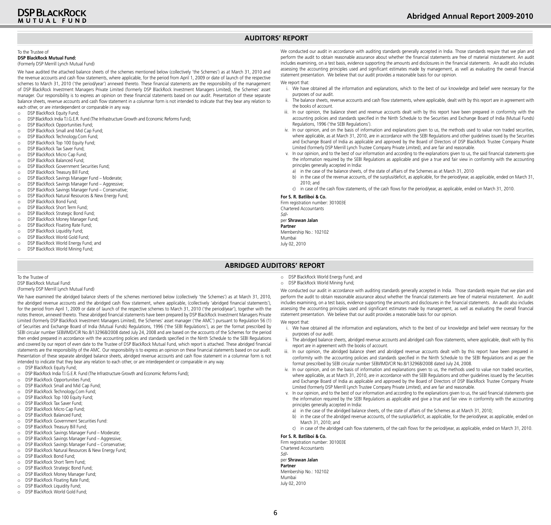## **Auditors' Report**

#### To the Trustee of **DSP BlackRock Mutual Fund:**

#### (Formerly DSP Merrill Lynch Mutual Fund)

We have audited the attached balance sheets of the schemes mentioned below (collectively 'the Schemes') as at March 31, 2010 and the revenue accounts and cash flow statements, where applicable, for the period from April 1, 2009 or date of launch of the respective schemes to March 31, 2010 ('the period/year') annexed thereto. These financial statements are the responsibility of the management of DSP BlackRock Investment Managers Private Limited (formerly DSP BlackRock Investment Managers Limited), the Schemes' asset manager. Our responsibility is to express an opinion on these financial statements based on our audit. Presentation of these separate balance sheets, revenue accounts and cash flow statement in a columnar form is not intended to indicate that they bear any relation to each other, or are interdependent or comparable in any way.

- o DSP BlackRock Equity Fund;
- o DSP BlackRock India T.I.G.E.R. Fund (The Infrastructure Growth and Economic Reforms Fund);<br>O DSP BlackRock Opportunities Fund:
- o DSP BlackRock Opportunities Fund;
- DSP BlackRock Small and Mid Cap Fund;
- o DSP BlackRock Technology.Com Fund;
- o DSP BlackRock Top 100 Equity Fund;
- o DSP BlackRock Tax Saver Fund;
- o DSP BlackRock Micro Cap Fund;<br>o DSP BlackRock Balanced Fund:
- 
- o DSP BlackRock Balanced Fund; DSP BlackRock Government Securities Fund;
- o DSP BlackRock Treasury Bill Fund;<br>
o DSP BlackRock Savings Manager I
- DSP BlackRock Savings Manager Fund Moderate;
- o DSP BlackRock Savings Manager Fund Aggressive;
- 
- o DSP BlackRock Savings Manager Fund Conservative; o DSP BlackRock Natural Resources & New Energy Fund;
- 
- o DSP BlackRock Bond Fund;<br>
o DSP BlackRock Short Term I
- o DSP BlackRock Short Term Fund;<br>o DSP BlackRock Strategic Bond Fu DSP BlackRock Strategic Bond Fund
- 
- o DSP BlackRock Money Manager Fund;<br>
o DSP BlackRock Floating Rate Fund:
- DSP BlackRock Floating Rate Fund;
- o DSP BlackRock Liquidity Fund;
- o DSP BlackRock World Gold Fund;<br>o DSP BlackRock World Energy Fun
- o DSP BlackRock World Energy Fund; and<br>
o DSP BlackRock World Mining Fund:
- DSP BlackRock World Mining Fund;

We conducted our audit in accordance with auditing standards generally accepted in India. Those standards require that we plan and perform the audit to obtain reasonable assurance about whether the financial statements are free of material misstatement. An audit includes examining, on a test basis, evidence supporting the amounts and disclosures in the financial statements. An audit also includes assessing the accounting principles used and significant estimates made by management, as well as evaluating the overall financial statement presentation. We believe that our audit provides a reasonable basis for our opinion.

#### We report that:

- i. We have obtained all the information and explanations, which to the best of our knowledge and belief were necessary for the purposes of our audit.
- ii. The balance sheets, revenue accounts and cash flow statements, where applicable, dealt with by this report are in agreement with the books of account.
- iii. In our opinion, the balance sheet and revenue accounts dealt with by this report have been prepared in conformity with the accounting policies and standards specified in the Ninth Schedule to the Securities and Exchange Board of India (Mutual Funds) Regulations, 1996 ('the SEBI Regulations').
- iv. In our opinion, and on the basis of information and explanations given to us, the methods used to value non traded securities, where applicable, as at March 31, 2010, are in accordance with the SEBI Regulations and other guidelines issued by the Securities and Exchange Board of India as applicable and approved by the Board of Directors of DSP BlackRock Trustee Company Private Limited (formerly DSP Merrill Lynch Trustee Company Private Limited), and are fair and reasonable.
- v. In our opinion, and to the best of our information and according to the explanations given to us, the said financial statements give the information required by the SEBI Regulations as applicable and give a true and fair view in conformity with the accounting principles generally accepted in India:
- in the case of the balance sheets, of the state of affairs of the Schemes as at March 31, 2010
- b) in the case of the revenue accounts, of the surplus/deficit, as applicable, for the period/year, as applicable, ended on March 31, 2010; and
- c) in case of the cash flow statements, of the cash flows for the period/year, as applicable, ended on March 31, 2010.

#### **For S. R. Batliboi & Co.**

Firm registration number: 301003E

Chartered Accountants

*Sd/-*

#### per **Shrawan Jalan Partner**

Membership No.: 102102

Mumbai

July 02, 2010

#### **Abridged Auditors' Report**

To the Trustee of DSP BlackRock Mutual Fund: (Formerly DSP Merrill Lynch Mutual Fund)

We have examined the abridged balance sheets of the schemes mentioned below (collectively 'the Schemes') as at March 31, 2010, the abridged revenue accounts and the abridged cash flow statement, where applicable, (collectively 'abridged financial statements'), for the period from April 1, 2009 or date of launch of the respective schemes to March 31, 2010 ('the period/year'), together with the notes thereon, annexed thereto. These abridged financial statements have been prepared by DSP BlackRock Investment Managers Private Limited (formerly DSP BlackRock Investment Managers Limited), the Schemes' asset manager ('the AMC') pursuant to Regulation 56 (1) of Securities and Exchange Board of India (Mutual Funds) Regulations, 1996 ('the SEBI Regulations'), as per the format prescribed by SEBI circular number SEBI/IMD/CIR No.8/132968/2008 dated July 24, 2008 and are based on the accounts of the Schemes for the period then ended prepared in accordance with the accounting policies and standards specified in the Ninth Schedule to the SEBI Regulations and covered by our report of even date to the Trustee of DSP BlackRock Mutual Fund, which report is attached. These abridged financial statements are the responsibility of the AMC. Our responsibility is to express an opinion on these financial statements based on our audit. Presentation of these separate abridged balance sheets, abridged revenue accounts and cash flow statement in a columnar form is not intended to indicate that they bear any relation to each other, or are interdependent or comparable in any way.

- o DSP BlackRock Equity Fund;<br>
o DSP BlackRock India TJ G F R
- DSP BlackRock India T.I.G.E.R. Fund (The Infrastructure Growth and Economic Reforms Fund);
- o DSP BlackRock Opportunities Fund;
- o DSP BlackRock Small and Mid Cap Fund;<br>
o DSP BlackRock Technology.Com Fund;
- DSP BlackRock Technology.Com Fund;
- o DSP BlackRock Top 100 Equity Fund;
- o DSP BlackRock Tax Saver Fund;
- DSP BlackRock Micro Cap Fund;
- 
- o DSP BlackRock Balanced Fund; DSP BlackRock Government Securities Fund:
- 
- o DSP BlackRock Treasury Bill Fund;
- o DSP BlackRock Savings Manager Fund Moderate;
- o DSP BlackRock Savings Manager Fund Aggressive;
- DSP BlackRock Savings Manager Fund Conservative;
- o DSP BlackRock Natural Resources & New Energy Fund;
- o DSP BlackRock Bond Fund;
- o DSP BlackRock Short Term Fund;
- o DSP BlackRock Strategic Bond Fund;
- 
- o DSP BlackRock Money Manager Fund;<br>
o DSP BlackRock Floating Rate Fund:
- o DSP BlackRock Floating Rate Fund;<br>
o DSP BlackRock Liquidity Fund: DSP BlackRock Liquidity Fund;
- o DSP BlackRock World Gold Fund;

6

- o DSP BlackRock World Energy Fund; and
- o DSP BlackRock World Mining Fund;

We conducted our audit in accordance with auditing standards generally accepted in India. Those standards require that we plan and perform the audit to obtain reasonable assurance about whether the financial statements are free of material misstatement. An audit includes examining, on a test basis, evidence supporting the amounts and disclosures in the financial statements. An audit also includes assessing the accounting principles used and significant estimates made by management, as well as evaluating the overall financial statement presentation. We believe that our audit provides a reasonable basis for our opinion.

#### We report that:

- i. We have obtained all the information and explanations, which to the best of our knowledge and belief were necessary for the purposes of our audit.
- ii. The abridged balance sheets, abridged revenue accounts and abridged cash flow statements, where applicable, dealt with by this report are in agreement with the books of account.
- iii. In our opinion, the abridged balance sheet and abridged revenue accounts dealt with by this report have been prepared in conformity with the accounting policies and standards specified in the Ninth Schedule to the SEBI Regulations and as per the format prescribed by SEBI circular number SEBI/IMD/CIR No.8/132968/2008 dated July 24, 2008.
- iv. In our opinion, and on the basis of information and explanations given to us, the methods used to value non traded securities, where applicable, as at March 31, 2010, are in accordance with the SEBI Regulations and other guidelines issued by the Securities and Exchange Board of India as applicable and approved by the Board of Directors of DSP BlackRock Trustee Company Private Limited (formerly DSP Merrill Lynch Trustee Company Private Limited), and are fair and reasonable.
- v. In our opinion, and to the best of our information and according to the explanations given to us, the said financial statements give the information required by the SEBI Regulations as applicable and give a true and fair view in conformity with the accounting principles generally accepted in India:
	- a) in the case of the abridged balance sheets, of the state of affairs of the Schemes as at March 31, 2010;
	- in the case of the abridged revenue accounts, of the surplus/deficit, as applicable, for the period/year, as applicable, ended on March 31, 2010; and
- c) in case of the abridged cash flow statements, of the cash flows for the period/year, as applicable, ended on March 31, 2010.

#### **For S. R. Batliboi & Co.**

Firm registration number: 301003E Chartered Accountants *Sd/* per **Shrawan Jalan Partner**  Membership No.: 102102 Mumbai July 02, 2010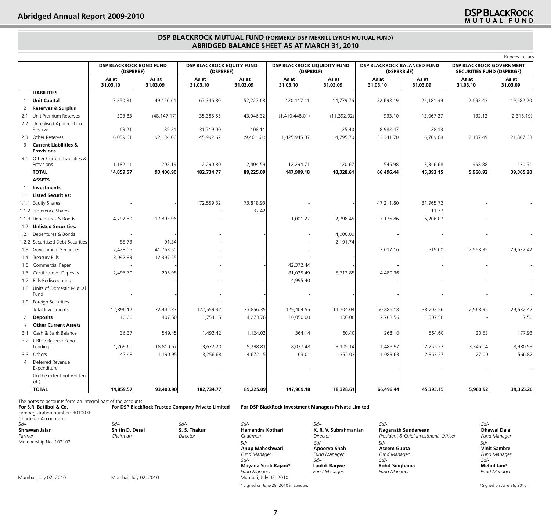## **DSP BLACKROCK MUTUAL FUND (FORMERLY DSP MERRILL LYNCH MUTUAL FUND) Abridged Balance Sheet as at March 31, 2010**

|                |                                                       |                                             |                   |                                               |                   |                                                  |                   |                                            | Rupees in Lacs    |                                                                     |                   |
|----------------|-------------------------------------------------------|---------------------------------------------|-------------------|-----------------------------------------------|-------------------|--------------------------------------------------|-------------------|--------------------------------------------|-------------------|---------------------------------------------------------------------|-------------------|
|                |                                                       | <b>DSP BLACKROCK BOND FUND</b><br>(DSPBRBF) |                   | <b>DSP BLACKROCK EQUITY FUND</b><br>(DSPBREF) |                   | <b>DSP BLACKROCK LIQUIDITY FUND</b><br>(DSPBRLF) |                   | DSP BLACKROCK BALANCED FUND<br>(DSPBRBalF) |                   | <b>DSP BLACKROCK GOVERNMENT</b><br><b>SECURITIES FUND (DSPBRGF)</b> |                   |
|                |                                                       | As at<br>31.03.10                           | As at<br>31.03.09 | As at<br>31.03.10                             | As at<br>31.03.09 | As at<br>31.03.10                                | As at<br>31.03.09 | As at<br>31.03.10                          | As at<br>31.03.09 | As at<br>31.03.10                                                   | As at<br>31.03.09 |
|                | <b>LIABILITIES</b>                                    |                                             |                   |                                               |                   |                                                  |                   |                                            |                   |                                                                     |                   |
| - 1            | <b>Unit Capital</b>                                   | 7,250.81                                    | 49,126.61         | 67,346.80                                     | 52,227.68         | 120,117.11                                       | 14,779.76         | 22,693.19                                  | 22,181.39         | 2,692.43                                                            | 19,582.20         |
| $\overline{2}$ | <b>Reserves &amp; Surplus</b>                         |                                             |                   |                                               |                   |                                                  |                   |                                            |                   |                                                                     |                   |
| 2.1            | Unit Premium Reserves                                 | 303.83                                      | (48, 147.17)      | 35,385.55                                     | 43,946.32         | (1,410,448.01)                                   | (11, 392.92)      | 933.10                                     | 13,067.27         | 132.12                                                              | (2,315.19)        |
| 2.2            | Unrealised Appreciation                               |                                             |                   |                                               |                   |                                                  |                   |                                            |                   |                                                                     |                   |
|                | Reserve                                               | 63.21                                       | 85.21             | 31,719.00                                     | 108.11            |                                                  | 25.40             | 8,982.47                                   | 28.13             |                                                                     |                   |
| 2.3            | Other Reserves                                        | 6,059.61                                    | 92,134.06         | 45,992.62                                     | (9,461.61)        | 1,425,945.37                                     | 14,795.70         | 33,341.70                                  | 6,769.68          | 2,137.49                                                            | 21,867.68         |
| $\overline{3}$ | <b>Current Liabilities &amp;</b><br><b>Provisions</b> |                                             |                   |                                               |                   |                                                  |                   |                                            |                   |                                                                     |                   |
| 3.1            | Other Current Liabilities &<br>Provisions             | 1,182.11                                    | 202.19            | 2,290.80                                      | 2,404.59          | 12,294.71                                        | 120.67            | 545.98                                     | 3,346.68          | 998.88                                                              | 230.51            |
|                | <b>TOTAL</b>                                          | 14,859.57                                   | 93,400.90         | 182,734.77                                    | 89,225.09         | 147,909.18                                       | 18,328.61         | 66,496.44                                  | 45,393.15         | 5.960.92                                                            | 39,365,20         |
|                | <b>ASSETS</b>                                         |                                             |                   |                                               |                   |                                                  |                   |                                            |                   |                                                                     |                   |
|                | <b>Investments</b>                                    |                                             |                   |                                               |                   |                                                  |                   |                                            |                   |                                                                     |                   |
| 1.1            | <b>Listed Securities:</b>                             |                                             |                   |                                               |                   |                                                  |                   |                                            |                   |                                                                     |                   |
|                | 1.1.1 Equity Shares                                   |                                             |                   | 172,559.32                                    | 73,818.93         |                                                  |                   | 47,211.80                                  | 31,965.72         |                                                                     |                   |
|                | 1.1.2 Preference Shares                               |                                             |                   |                                               | 37.42             |                                                  |                   |                                            | 11.77             |                                                                     |                   |
|                | 1.1.3 Debentures & Bonds                              | 4,792.80                                    | 17,893.96         |                                               |                   | 1,001.22                                         | 2,798.45          | 7,176.86                                   | 6,206.07          |                                                                     |                   |
| 1.2            | <b>Unlisted Securities:</b>                           |                                             |                   |                                               |                   |                                                  |                   |                                            |                   |                                                                     |                   |
| 1.2.1          | Debentures & Bonds                                    |                                             |                   |                                               |                   |                                                  | 4,000.00          |                                            |                   |                                                                     |                   |
| 1.2.2          | Securitised Debt Securities                           | 85.73                                       | 91.34             |                                               |                   |                                                  | 2,191.74          |                                            |                   |                                                                     |                   |
| 1.3            | Government Securities                                 | 2,428.06                                    | 41,763.50         |                                               |                   |                                                  |                   | 2,017.16                                   | 519.00            | 2,568.35                                                            | 29,632.42         |
| 1.4            | <b>Treasury Bills</b>                                 | 3,092.83                                    | 12,397.55         |                                               |                   |                                                  |                   |                                            |                   |                                                                     |                   |
| 1.5            | Commercial Paper                                      |                                             |                   |                                               |                   | 42,372.44                                        |                   |                                            |                   |                                                                     |                   |
| 1.6            | Certificate of Deposits                               | 2,496.70                                    | 295.98            |                                               |                   | 81,035.49                                        | 5,713.85          | 4,480.36                                   |                   |                                                                     |                   |
| 1.7            | <b>Bills Rediscounting</b>                            |                                             |                   |                                               |                   | 4,995.40                                         |                   |                                            |                   |                                                                     |                   |
| 1.8            | Units of Domestic Mutual<br>Fund                      |                                             |                   |                                               |                   |                                                  |                   |                                            |                   |                                                                     |                   |
| 1.9            | Foreign Securities                                    |                                             |                   |                                               |                   |                                                  |                   |                                            |                   |                                                                     |                   |
|                | Total Investments                                     | 12,896.12                                   | 72,442.33         | 172,559.32                                    | 73,856.35         | 129,404.55                                       | 14,704.04         | 60,886.18                                  | 38,702.56         | 2,568.35                                                            | 29,632.42         |
| 2              | Deposits                                              | 10.00                                       | 407.50            | 1,754.15                                      | 4,273.76          | 10,050.00                                        | 100.00            | 2,768.56                                   | 1,507.50          |                                                                     | 7.50              |
| $\overline{3}$ | <b>Other Current Assets</b>                           |                                             |                   |                                               |                   |                                                  |                   |                                            |                   |                                                                     |                   |
| 3.1            | Cash & Bank Balance                                   | 36.37                                       | 549.45            | 1,492.42                                      | 1,124.02          | 364.14                                           | 60.40             | 268.10                                     | 564.60            | 20.53                                                               | 177.93            |
| 3.2            | CBLO/ Reverse Repo                                    | 1,769.60                                    | 18,810.67         | 3,672.20                                      | 5,298.81          | 8,027.48                                         | 3,109.14          | 1,489.97                                   | 2,255.22          | 3,345.04                                                            | 8,980.53          |
| 3.3            | Lending                                               | 147.48                                      | 1,190.95          |                                               |                   |                                                  | 355.03            |                                            |                   | 27.00                                                               | 566.82            |
| $\overline{4}$ | Others<br>Deferred Revenue                            |                                             |                   | 3,256.68                                      | 4,672.15          | 63.01                                            |                   | 1,083.63                                   | 2,363.27          |                                                                     |                   |
|                | Expenditure                                           |                                             |                   |                                               |                   |                                                  |                   |                                            |                   |                                                                     |                   |
|                | (to the extent not written<br>off)                    |                                             |                   |                                               |                   |                                                  |                   |                                            |                   |                                                                     |                   |
|                | <b>TOTAL</b>                                          | 14,859.57                                   | 93,400.90         | 182,734.77                                    | 89,225.09         | 147,909.18                                       | 18,328.61         | 66,496.44                                  | 45,393.15         | 5,960.92                                                            | 39,365.20         |

The notes to accounts form an integral part of the accounts.

| For S.R. Batliboi & Co.<br>Firm registration number: 301003E<br>Chartered Accountants |                       | For DSP BlackRock Trustee Company Private Limited | For DSP BlackRock Investment Managers Private Limited |                       |                                      |                     |
|---------------------------------------------------------------------------------------|-----------------------|---------------------------------------------------|-------------------------------------------------------|-----------------------|--------------------------------------|---------------------|
| Sd/-                                                                                  | Sd/-                  | $Sd$ -                                            | Sd/-                                                  | Sd/-                  | Sd/-                                 | Sd/-                |
| Shrawan Jalan                                                                         | Shitin D. Desai       | S. S. Thakur                                      | Hemendra Kothari                                      | K. R. V. Subrahmanian | Naganath Sundaresan                  | <b>Dhawal Dalal</b> |
| Partner                                                                               | Chairman              | Director                                          | Chairman                                              | Director              | President & Chief Investment Officer | <b>Fund Manager</b> |
| Membership No. 102102                                                                 |                       |                                                   | $Sd$ -                                                | Sd/-                  | Sd/-                                 | Sd/-                |
|                                                                                       |                       |                                                   | Anup Maheshwari                                       | Apoorva Shah          | Aseem Gupta                          | <b>Vinit Sambre</b> |
|                                                                                       |                       |                                                   | <b>Fund Manager</b>                                   | <b>Fund Manager</b>   | <b>Fund Manager</b>                  | <b>Fund Manager</b> |
|                                                                                       |                       |                                                   | Sd/-                                                  | Sd/-                  | $Sd$ -                               | Sd/-                |
|                                                                                       |                       |                                                   | Mayana Sobti Rajani*                                  | Laukik Bagwe          | <b>Rohit Singhania</b>               | Mehul Jani#         |
| Mumbai, July 02, 2010                                                                 | Mumbai, July 02, 2010 |                                                   | <b>Fund Manager</b><br>Mumbai, July 02, 2010          | <b>Fund Manager</b>   | <b>Fund Manager</b>                  | <b>Fund Manager</b> |
|                                                                                       |                       |                                                   |                                                       |                       |                                      |                     |

\* Signed on June 28, 2010 in London. #

# Signed on June 26, 2010.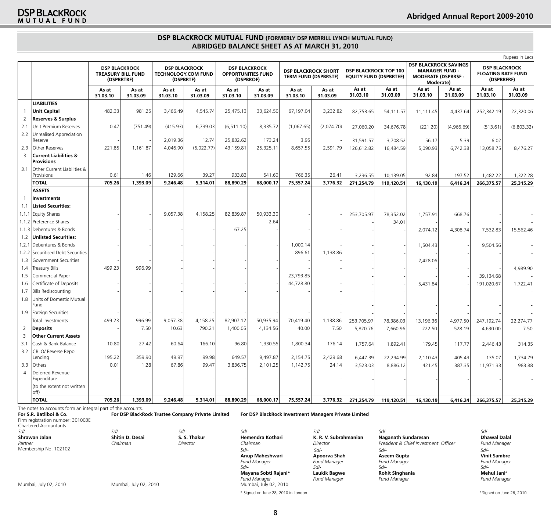## **DSP BLACKROCK MUTUAL FUND (FORMERLY DSP MERRILL LYNCH MUTUAL FUND) Abridged Balance Sheet as at March 31, 2010**

| <b>DSP BLACKROCK SAVINGS</b><br><b>DSP BLACKROCK</b><br><b>DSP BLACKROCK</b><br><b>DSP BLACKROCK</b><br><b>DSP BLACKROCK SHORT</b><br><b>DSP BLACKROCK TOP 100</b><br><b>MANAGER FUND -</b><br><b>TECHNOLOGY.COM FUND</b><br><b>TREASURY BILL FUND</b><br><b>OPPORTUNITIES FUND</b><br><b>TERM FUND (DSPBRSTF)</b><br><b>EQUITY FUND (DSPBRTEF)</b><br><b>MODERATE (DSPBRSF -</b><br>(DSPBRTBF)<br>(DSPBRTF)<br>(DSPBROF)<br>Moderate)<br>As at<br>As at<br>As at<br>As at<br>As at<br>As at<br>As at<br>As at<br>As at<br>As at<br>As at<br>As at<br>As at<br>31.03.09<br>31.03.10<br>31.03.10<br>31.03.09<br>31.03.10<br>31.03.10<br>31.03.09<br>31.03.10<br>31.03.09<br>31.03.10<br>31.03.09<br>31.03.10<br>31.03.09<br><b>LIABILITIES</b><br><b>Unit Capital</b><br>482.33<br>981.25<br>4,545.74<br>25,475.13<br>33,624.50<br>67,197.04<br>3,232.82<br>3,466.49<br>82,753.65<br>54,111.57<br>11,111.45<br>4,437.64<br>$\overline{2}$<br><b>Reserves &amp; Surplus</b><br>Unit Premium Reserves<br>0.47<br>(751.49)<br>(415.93)<br>6,739.03<br>(6, 511.10)<br>8,335.72<br>(1,067.65)<br>(2,074.70)<br>2.1<br>34,676.78<br>27,060.20<br>(221.20)<br>(4,966.69)<br>2.2<br>Unrealised Appreciation<br>25,832.62<br>3.95<br>2,019.36<br>12.74<br>173.24<br>31,591.57<br>3,708.52<br>56.17<br>5.39<br>Reserve<br>(6,022.77)<br>Other Reserves<br>221.85<br>1,161.87<br>4,046.90<br>43,159.81<br>25,325.11<br>8,657.55<br>2,591.79<br>2.3<br>16,484.59<br>5,090.93<br>6,742.38<br>126,612.82<br><b>Current Liabilities &amp;</b><br>3<br><b>Provisions</b><br>Other Current Liabilities &<br>3.1<br>0.61<br>1.46<br>129.66<br>39.27<br>933.83<br>541.60<br>766.35<br>26.41<br>Provisions<br>3,236.55<br>10,139.05<br>92.84<br>197.52<br>1,482.22<br><b>TOTAL</b><br>705.26<br>9,246.48<br>75,557.24<br>1,393.09<br>5,314.01<br>88,890.29<br>68,000.17<br>3,776.32<br>271,254.79<br>16,130.19<br>266,375.57<br>119,120.51<br>6,416.24<br><b>ASSETS</b><br>Investments<br><b>Listed Securities:</b><br>1.1<br>1.1.1 Equity Shares<br>82,839.87<br>50,933.30<br>9,057.38<br>4,158.25<br>253,705.97<br>78,352.02<br>1,757.91<br>668.76<br>2.64<br>1.1.2 Preference Shares<br>34.01<br>1.1.3 Debentures & Bonds<br>67.25<br>2,074.12<br>4,308.74<br><b>Unlisted Securities:</b><br>1.2<br>Debentures & Bonds<br>1,000.14<br>1.2.1<br>1,504.43<br>1.2.2 Securitised Debt Securities<br>896.61<br>1,138.86<br>Government Securities<br>2,428.06<br>1.3<br>499.23<br><b>Treasury Bills</b><br>996.99<br>1.4<br>Commercial Paper<br>23,793.85<br>1.5<br>44,728.80<br>Certificate of Deposits<br>1.6<br>5,431.84<br><b>Bills Rediscounting</b><br>1.7<br>Units of Domestic Mutual<br>1.8<br>Fund<br>1.9<br>Foreign Securities<br>Total Investments<br>499.23<br>996.99<br>9,057.38<br>4,158.25<br>82,907.12<br>50,935.94<br>70,419.40<br>4,977.50<br>1,138.86<br>253,705.97<br>78,386.03<br>13,196.36<br>790.21<br>40.00<br>$\overline{2}$<br>7.50<br>10.63<br>1,400.05<br>4,134.56<br>7.50<br><b>Deposits</b><br>5,820.76<br>7,660.96<br>222.50<br>528.19<br>$\overline{\mathbf{3}}$<br><b>Other Current Assets</b><br>3.1<br>Cash & Bank Balance<br>10.80<br>27.42<br>60.64<br>166.10<br>96.80<br>1,330.55<br>1,800.34<br>176.14<br>1,892.41<br>179.45<br>117.77<br>1,757.64<br>3.2<br>CBLO/ Reverse Repo<br>195.22<br>359.90<br>99.98<br>649.57<br>9,497.87<br>Lending<br>49.97<br>2,154.75<br>2,429.68<br>6,447.39<br>22,294.99<br>405.43<br>2,110.43<br>0.01<br>Others<br>1.28<br>67.86<br>99.47<br>3,836.75<br>1,142.75<br>421.45<br>3.3<br>2,101.25<br>24.14<br>3,523.03<br>8,886.12<br>387.35<br>Deferred Revenue<br>$\overline{4}$<br>Expenditure<br>(to the extent not written<br>off) |              |        |          |          |          |           |           |           |          |            |            |           |          |                                                                 | Rupees in Lacs    |
|-------------------------------------------------------------------------------------------------------------------------------------------------------------------------------------------------------------------------------------------------------------------------------------------------------------------------------------------------------------------------------------------------------------------------------------------------------------------------------------------------------------------------------------------------------------------------------------------------------------------------------------------------------------------------------------------------------------------------------------------------------------------------------------------------------------------------------------------------------------------------------------------------------------------------------------------------------------------------------------------------------------------------------------------------------------------------------------------------------------------------------------------------------------------------------------------------------------------------------------------------------------------------------------------------------------------------------------------------------------------------------------------------------------------------------------------------------------------------------------------------------------------------------------------------------------------------------------------------------------------------------------------------------------------------------------------------------------------------------------------------------------------------------------------------------------------------------------------------------------------------------------------------------------------------------------------------------------------------------------------------------------------------------------------------------------------------------------------------------------------------------------------------------------------------------------------------------------------------------------------------------------------------------------------------------------------------------------------------------------------------------------------------------------------------------------------------------------------------------------------------------------------------------------------------------------------------------------------------------------------------------------------------------------------------------------------------------------------------------------------------------------------------------------------------------------------------------------------------------------------------------------------------------------------------------------------------------------------------------------------------------------------------------------------------------------------------------------------------------------------------------------------------------------------------------------------------------------------------------------------------------------------------------------------------------------------------------------------------------------------------------------------------------------------------------------------------------------------------------------------------------------------------------------------------------------------------------------------------------------------------------------------------------------------------------------|--------------|--------|----------|----------|----------|-----------|-----------|-----------|----------|------------|------------|-----------|----------|-----------------------------------------------------------------|-------------------|
|                                                                                                                                                                                                                                                                                                                                                                                                                                                                                                                                                                                                                                                                                                                                                                                                                                                                                                                                                                                                                                                                                                                                                                                                                                                                                                                                                                                                                                                                                                                                                                                                                                                                                                                                                                                                                                                                                                                                                                                                                                                                                                                                                                                                                                                                                                                                                                                                                                                                                                                                                                                                                                                                                                                                                                                                                                                                                                                                                                                                                                                                                                                                                                                                                                                                                                                                                                                                                                                                                                                                                                                                                                                                                     |              |        |          |          |          |           |           |           |          |            |            |           |          | <b>DSP BLACKROCK</b><br><b>FLOATING RATE FUND</b><br>(DSPBRFRF) |                   |
|                                                                                                                                                                                                                                                                                                                                                                                                                                                                                                                                                                                                                                                                                                                                                                                                                                                                                                                                                                                                                                                                                                                                                                                                                                                                                                                                                                                                                                                                                                                                                                                                                                                                                                                                                                                                                                                                                                                                                                                                                                                                                                                                                                                                                                                                                                                                                                                                                                                                                                                                                                                                                                                                                                                                                                                                                                                                                                                                                                                                                                                                                                                                                                                                                                                                                                                                                                                                                                                                                                                                                                                                                                                                                     |              |        |          |          |          |           |           |           |          |            |            |           |          |                                                                 | As at<br>31.03.09 |
|                                                                                                                                                                                                                                                                                                                                                                                                                                                                                                                                                                                                                                                                                                                                                                                                                                                                                                                                                                                                                                                                                                                                                                                                                                                                                                                                                                                                                                                                                                                                                                                                                                                                                                                                                                                                                                                                                                                                                                                                                                                                                                                                                                                                                                                                                                                                                                                                                                                                                                                                                                                                                                                                                                                                                                                                                                                                                                                                                                                                                                                                                                                                                                                                                                                                                                                                                                                                                                                                                                                                                                                                                                                                                     |              |        |          |          |          |           |           |           |          |            |            |           |          |                                                                 |                   |
|                                                                                                                                                                                                                                                                                                                                                                                                                                                                                                                                                                                                                                                                                                                                                                                                                                                                                                                                                                                                                                                                                                                                                                                                                                                                                                                                                                                                                                                                                                                                                                                                                                                                                                                                                                                                                                                                                                                                                                                                                                                                                                                                                                                                                                                                                                                                                                                                                                                                                                                                                                                                                                                                                                                                                                                                                                                                                                                                                                                                                                                                                                                                                                                                                                                                                                                                                                                                                                                                                                                                                                                                                                                                                     |              |        |          |          |          |           |           |           |          |            |            |           |          | 252,342.19                                                      | 22,320.06         |
|                                                                                                                                                                                                                                                                                                                                                                                                                                                                                                                                                                                                                                                                                                                                                                                                                                                                                                                                                                                                                                                                                                                                                                                                                                                                                                                                                                                                                                                                                                                                                                                                                                                                                                                                                                                                                                                                                                                                                                                                                                                                                                                                                                                                                                                                                                                                                                                                                                                                                                                                                                                                                                                                                                                                                                                                                                                                                                                                                                                                                                                                                                                                                                                                                                                                                                                                                                                                                                                                                                                                                                                                                                                                                     |              |        |          |          |          |           |           |           |          |            |            |           |          |                                                                 |                   |
|                                                                                                                                                                                                                                                                                                                                                                                                                                                                                                                                                                                                                                                                                                                                                                                                                                                                                                                                                                                                                                                                                                                                                                                                                                                                                                                                                                                                                                                                                                                                                                                                                                                                                                                                                                                                                                                                                                                                                                                                                                                                                                                                                                                                                                                                                                                                                                                                                                                                                                                                                                                                                                                                                                                                                                                                                                                                                                                                                                                                                                                                                                                                                                                                                                                                                                                                                                                                                                                                                                                                                                                                                                                                                     |              |        |          |          |          |           |           |           |          |            |            |           |          | (513.61)                                                        | (6,803.32)        |
|                                                                                                                                                                                                                                                                                                                                                                                                                                                                                                                                                                                                                                                                                                                                                                                                                                                                                                                                                                                                                                                                                                                                                                                                                                                                                                                                                                                                                                                                                                                                                                                                                                                                                                                                                                                                                                                                                                                                                                                                                                                                                                                                                                                                                                                                                                                                                                                                                                                                                                                                                                                                                                                                                                                                                                                                                                                                                                                                                                                                                                                                                                                                                                                                                                                                                                                                                                                                                                                                                                                                                                                                                                                                                     |              |        |          |          |          |           |           |           |          |            |            |           |          | 6.02                                                            |                   |
|                                                                                                                                                                                                                                                                                                                                                                                                                                                                                                                                                                                                                                                                                                                                                                                                                                                                                                                                                                                                                                                                                                                                                                                                                                                                                                                                                                                                                                                                                                                                                                                                                                                                                                                                                                                                                                                                                                                                                                                                                                                                                                                                                                                                                                                                                                                                                                                                                                                                                                                                                                                                                                                                                                                                                                                                                                                                                                                                                                                                                                                                                                                                                                                                                                                                                                                                                                                                                                                                                                                                                                                                                                                                                     |              |        |          |          |          |           |           |           |          |            |            |           |          | 13,058.75                                                       | 8,476.27          |
|                                                                                                                                                                                                                                                                                                                                                                                                                                                                                                                                                                                                                                                                                                                                                                                                                                                                                                                                                                                                                                                                                                                                                                                                                                                                                                                                                                                                                                                                                                                                                                                                                                                                                                                                                                                                                                                                                                                                                                                                                                                                                                                                                                                                                                                                                                                                                                                                                                                                                                                                                                                                                                                                                                                                                                                                                                                                                                                                                                                                                                                                                                                                                                                                                                                                                                                                                                                                                                                                                                                                                                                                                                                                                     |              |        |          |          |          |           |           |           |          |            |            |           |          |                                                                 |                   |
|                                                                                                                                                                                                                                                                                                                                                                                                                                                                                                                                                                                                                                                                                                                                                                                                                                                                                                                                                                                                                                                                                                                                                                                                                                                                                                                                                                                                                                                                                                                                                                                                                                                                                                                                                                                                                                                                                                                                                                                                                                                                                                                                                                                                                                                                                                                                                                                                                                                                                                                                                                                                                                                                                                                                                                                                                                                                                                                                                                                                                                                                                                                                                                                                                                                                                                                                                                                                                                                                                                                                                                                                                                                                                     |              |        |          |          |          |           |           |           |          |            |            |           |          |                                                                 | 1,322.28          |
|                                                                                                                                                                                                                                                                                                                                                                                                                                                                                                                                                                                                                                                                                                                                                                                                                                                                                                                                                                                                                                                                                                                                                                                                                                                                                                                                                                                                                                                                                                                                                                                                                                                                                                                                                                                                                                                                                                                                                                                                                                                                                                                                                                                                                                                                                                                                                                                                                                                                                                                                                                                                                                                                                                                                                                                                                                                                                                                                                                                                                                                                                                                                                                                                                                                                                                                                                                                                                                                                                                                                                                                                                                                                                     |              |        |          |          |          |           |           |           |          |            |            |           |          |                                                                 | 25,315.29         |
|                                                                                                                                                                                                                                                                                                                                                                                                                                                                                                                                                                                                                                                                                                                                                                                                                                                                                                                                                                                                                                                                                                                                                                                                                                                                                                                                                                                                                                                                                                                                                                                                                                                                                                                                                                                                                                                                                                                                                                                                                                                                                                                                                                                                                                                                                                                                                                                                                                                                                                                                                                                                                                                                                                                                                                                                                                                                                                                                                                                                                                                                                                                                                                                                                                                                                                                                                                                                                                                                                                                                                                                                                                                                                     |              |        |          |          |          |           |           |           |          |            |            |           |          |                                                                 |                   |
|                                                                                                                                                                                                                                                                                                                                                                                                                                                                                                                                                                                                                                                                                                                                                                                                                                                                                                                                                                                                                                                                                                                                                                                                                                                                                                                                                                                                                                                                                                                                                                                                                                                                                                                                                                                                                                                                                                                                                                                                                                                                                                                                                                                                                                                                                                                                                                                                                                                                                                                                                                                                                                                                                                                                                                                                                                                                                                                                                                                                                                                                                                                                                                                                                                                                                                                                                                                                                                                                                                                                                                                                                                                                                     |              |        |          |          |          |           |           |           |          |            |            |           |          |                                                                 |                   |
|                                                                                                                                                                                                                                                                                                                                                                                                                                                                                                                                                                                                                                                                                                                                                                                                                                                                                                                                                                                                                                                                                                                                                                                                                                                                                                                                                                                                                                                                                                                                                                                                                                                                                                                                                                                                                                                                                                                                                                                                                                                                                                                                                                                                                                                                                                                                                                                                                                                                                                                                                                                                                                                                                                                                                                                                                                                                                                                                                                                                                                                                                                                                                                                                                                                                                                                                                                                                                                                                                                                                                                                                                                                                                     |              |        |          |          |          |           |           |           |          |            |            |           |          |                                                                 |                   |
|                                                                                                                                                                                                                                                                                                                                                                                                                                                                                                                                                                                                                                                                                                                                                                                                                                                                                                                                                                                                                                                                                                                                                                                                                                                                                                                                                                                                                                                                                                                                                                                                                                                                                                                                                                                                                                                                                                                                                                                                                                                                                                                                                                                                                                                                                                                                                                                                                                                                                                                                                                                                                                                                                                                                                                                                                                                                                                                                                                                                                                                                                                                                                                                                                                                                                                                                                                                                                                                                                                                                                                                                                                                                                     |              |        |          |          |          |           |           |           |          |            |            |           |          |                                                                 |                   |
|                                                                                                                                                                                                                                                                                                                                                                                                                                                                                                                                                                                                                                                                                                                                                                                                                                                                                                                                                                                                                                                                                                                                                                                                                                                                                                                                                                                                                                                                                                                                                                                                                                                                                                                                                                                                                                                                                                                                                                                                                                                                                                                                                                                                                                                                                                                                                                                                                                                                                                                                                                                                                                                                                                                                                                                                                                                                                                                                                                                                                                                                                                                                                                                                                                                                                                                                                                                                                                                                                                                                                                                                                                                                                     |              |        |          |          |          |           |           |           |          |            |            |           |          |                                                                 |                   |
|                                                                                                                                                                                                                                                                                                                                                                                                                                                                                                                                                                                                                                                                                                                                                                                                                                                                                                                                                                                                                                                                                                                                                                                                                                                                                                                                                                                                                                                                                                                                                                                                                                                                                                                                                                                                                                                                                                                                                                                                                                                                                                                                                                                                                                                                                                                                                                                                                                                                                                                                                                                                                                                                                                                                                                                                                                                                                                                                                                                                                                                                                                                                                                                                                                                                                                                                                                                                                                                                                                                                                                                                                                                                                     |              |        |          |          |          |           |           |           |          |            |            |           |          | 7,532.83                                                        | 15,562.46         |
|                                                                                                                                                                                                                                                                                                                                                                                                                                                                                                                                                                                                                                                                                                                                                                                                                                                                                                                                                                                                                                                                                                                                                                                                                                                                                                                                                                                                                                                                                                                                                                                                                                                                                                                                                                                                                                                                                                                                                                                                                                                                                                                                                                                                                                                                                                                                                                                                                                                                                                                                                                                                                                                                                                                                                                                                                                                                                                                                                                                                                                                                                                                                                                                                                                                                                                                                                                                                                                                                                                                                                                                                                                                                                     |              |        |          |          |          |           |           |           |          |            |            |           |          |                                                                 |                   |
|                                                                                                                                                                                                                                                                                                                                                                                                                                                                                                                                                                                                                                                                                                                                                                                                                                                                                                                                                                                                                                                                                                                                                                                                                                                                                                                                                                                                                                                                                                                                                                                                                                                                                                                                                                                                                                                                                                                                                                                                                                                                                                                                                                                                                                                                                                                                                                                                                                                                                                                                                                                                                                                                                                                                                                                                                                                                                                                                                                                                                                                                                                                                                                                                                                                                                                                                                                                                                                                                                                                                                                                                                                                                                     |              |        |          |          |          |           |           |           |          |            |            |           |          | 9,504.56                                                        |                   |
|                                                                                                                                                                                                                                                                                                                                                                                                                                                                                                                                                                                                                                                                                                                                                                                                                                                                                                                                                                                                                                                                                                                                                                                                                                                                                                                                                                                                                                                                                                                                                                                                                                                                                                                                                                                                                                                                                                                                                                                                                                                                                                                                                                                                                                                                                                                                                                                                                                                                                                                                                                                                                                                                                                                                                                                                                                                                                                                                                                                                                                                                                                                                                                                                                                                                                                                                                                                                                                                                                                                                                                                                                                                                                     |              |        |          |          |          |           |           |           |          |            |            |           |          |                                                                 |                   |
|                                                                                                                                                                                                                                                                                                                                                                                                                                                                                                                                                                                                                                                                                                                                                                                                                                                                                                                                                                                                                                                                                                                                                                                                                                                                                                                                                                                                                                                                                                                                                                                                                                                                                                                                                                                                                                                                                                                                                                                                                                                                                                                                                                                                                                                                                                                                                                                                                                                                                                                                                                                                                                                                                                                                                                                                                                                                                                                                                                                                                                                                                                                                                                                                                                                                                                                                                                                                                                                                                                                                                                                                                                                                                     |              |        |          |          |          |           |           |           |          |            |            |           |          |                                                                 |                   |
|                                                                                                                                                                                                                                                                                                                                                                                                                                                                                                                                                                                                                                                                                                                                                                                                                                                                                                                                                                                                                                                                                                                                                                                                                                                                                                                                                                                                                                                                                                                                                                                                                                                                                                                                                                                                                                                                                                                                                                                                                                                                                                                                                                                                                                                                                                                                                                                                                                                                                                                                                                                                                                                                                                                                                                                                                                                                                                                                                                                                                                                                                                                                                                                                                                                                                                                                                                                                                                                                                                                                                                                                                                                                                     |              |        |          |          |          |           |           |           |          |            |            |           |          |                                                                 | 4,989.90          |
|                                                                                                                                                                                                                                                                                                                                                                                                                                                                                                                                                                                                                                                                                                                                                                                                                                                                                                                                                                                                                                                                                                                                                                                                                                                                                                                                                                                                                                                                                                                                                                                                                                                                                                                                                                                                                                                                                                                                                                                                                                                                                                                                                                                                                                                                                                                                                                                                                                                                                                                                                                                                                                                                                                                                                                                                                                                                                                                                                                                                                                                                                                                                                                                                                                                                                                                                                                                                                                                                                                                                                                                                                                                                                     |              |        |          |          |          |           |           |           |          |            |            |           |          | 39,134.68                                                       |                   |
|                                                                                                                                                                                                                                                                                                                                                                                                                                                                                                                                                                                                                                                                                                                                                                                                                                                                                                                                                                                                                                                                                                                                                                                                                                                                                                                                                                                                                                                                                                                                                                                                                                                                                                                                                                                                                                                                                                                                                                                                                                                                                                                                                                                                                                                                                                                                                                                                                                                                                                                                                                                                                                                                                                                                                                                                                                                                                                                                                                                                                                                                                                                                                                                                                                                                                                                                                                                                                                                                                                                                                                                                                                                                                     |              |        |          |          |          |           |           |           |          |            |            |           |          | 191,020.67                                                      | 1,722.41          |
|                                                                                                                                                                                                                                                                                                                                                                                                                                                                                                                                                                                                                                                                                                                                                                                                                                                                                                                                                                                                                                                                                                                                                                                                                                                                                                                                                                                                                                                                                                                                                                                                                                                                                                                                                                                                                                                                                                                                                                                                                                                                                                                                                                                                                                                                                                                                                                                                                                                                                                                                                                                                                                                                                                                                                                                                                                                                                                                                                                                                                                                                                                                                                                                                                                                                                                                                                                                                                                                                                                                                                                                                                                                                                     |              |        |          |          |          |           |           |           |          |            |            |           |          |                                                                 |                   |
|                                                                                                                                                                                                                                                                                                                                                                                                                                                                                                                                                                                                                                                                                                                                                                                                                                                                                                                                                                                                                                                                                                                                                                                                                                                                                                                                                                                                                                                                                                                                                                                                                                                                                                                                                                                                                                                                                                                                                                                                                                                                                                                                                                                                                                                                                                                                                                                                                                                                                                                                                                                                                                                                                                                                                                                                                                                                                                                                                                                                                                                                                                                                                                                                                                                                                                                                                                                                                                                                                                                                                                                                                                                                                     |              |        |          |          |          |           |           |           |          |            |            |           |          |                                                                 |                   |
|                                                                                                                                                                                                                                                                                                                                                                                                                                                                                                                                                                                                                                                                                                                                                                                                                                                                                                                                                                                                                                                                                                                                                                                                                                                                                                                                                                                                                                                                                                                                                                                                                                                                                                                                                                                                                                                                                                                                                                                                                                                                                                                                                                                                                                                                                                                                                                                                                                                                                                                                                                                                                                                                                                                                                                                                                                                                                                                                                                                                                                                                                                                                                                                                                                                                                                                                                                                                                                                                                                                                                                                                                                                                                     |              |        |          |          |          |           |           |           |          |            |            |           |          |                                                                 |                   |
|                                                                                                                                                                                                                                                                                                                                                                                                                                                                                                                                                                                                                                                                                                                                                                                                                                                                                                                                                                                                                                                                                                                                                                                                                                                                                                                                                                                                                                                                                                                                                                                                                                                                                                                                                                                                                                                                                                                                                                                                                                                                                                                                                                                                                                                                                                                                                                                                                                                                                                                                                                                                                                                                                                                                                                                                                                                                                                                                                                                                                                                                                                                                                                                                                                                                                                                                                                                                                                                                                                                                                                                                                                                                                     |              |        |          |          |          |           |           |           |          |            |            |           |          | 247,192.74                                                      | 22,274.77         |
|                                                                                                                                                                                                                                                                                                                                                                                                                                                                                                                                                                                                                                                                                                                                                                                                                                                                                                                                                                                                                                                                                                                                                                                                                                                                                                                                                                                                                                                                                                                                                                                                                                                                                                                                                                                                                                                                                                                                                                                                                                                                                                                                                                                                                                                                                                                                                                                                                                                                                                                                                                                                                                                                                                                                                                                                                                                                                                                                                                                                                                                                                                                                                                                                                                                                                                                                                                                                                                                                                                                                                                                                                                                                                     |              |        |          |          |          |           |           |           |          |            |            |           |          | 4,630.00                                                        | 7.50              |
|                                                                                                                                                                                                                                                                                                                                                                                                                                                                                                                                                                                                                                                                                                                                                                                                                                                                                                                                                                                                                                                                                                                                                                                                                                                                                                                                                                                                                                                                                                                                                                                                                                                                                                                                                                                                                                                                                                                                                                                                                                                                                                                                                                                                                                                                                                                                                                                                                                                                                                                                                                                                                                                                                                                                                                                                                                                                                                                                                                                                                                                                                                                                                                                                                                                                                                                                                                                                                                                                                                                                                                                                                                                                                     |              |        |          |          |          |           |           |           |          |            |            |           |          |                                                                 |                   |
|                                                                                                                                                                                                                                                                                                                                                                                                                                                                                                                                                                                                                                                                                                                                                                                                                                                                                                                                                                                                                                                                                                                                                                                                                                                                                                                                                                                                                                                                                                                                                                                                                                                                                                                                                                                                                                                                                                                                                                                                                                                                                                                                                                                                                                                                                                                                                                                                                                                                                                                                                                                                                                                                                                                                                                                                                                                                                                                                                                                                                                                                                                                                                                                                                                                                                                                                                                                                                                                                                                                                                                                                                                                                                     |              |        |          |          |          |           |           |           |          |            |            |           |          | 2,446.43                                                        | 314.35            |
|                                                                                                                                                                                                                                                                                                                                                                                                                                                                                                                                                                                                                                                                                                                                                                                                                                                                                                                                                                                                                                                                                                                                                                                                                                                                                                                                                                                                                                                                                                                                                                                                                                                                                                                                                                                                                                                                                                                                                                                                                                                                                                                                                                                                                                                                                                                                                                                                                                                                                                                                                                                                                                                                                                                                                                                                                                                                                                                                                                                                                                                                                                                                                                                                                                                                                                                                                                                                                                                                                                                                                                                                                                                                                     |              |        |          |          |          |           |           |           |          |            |            |           |          |                                                                 |                   |
|                                                                                                                                                                                                                                                                                                                                                                                                                                                                                                                                                                                                                                                                                                                                                                                                                                                                                                                                                                                                                                                                                                                                                                                                                                                                                                                                                                                                                                                                                                                                                                                                                                                                                                                                                                                                                                                                                                                                                                                                                                                                                                                                                                                                                                                                                                                                                                                                                                                                                                                                                                                                                                                                                                                                                                                                                                                                                                                                                                                                                                                                                                                                                                                                                                                                                                                                                                                                                                                                                                                                                                                                                                                                                     |              |        |          |          |          |           |           |           |          |            |            |           |          | 135.07                                                          | 1,734.79          |
|                                                                                                                                                                                                                                                                                                                                                                                                                                                                                                                                                                                                                                                                                                                                                                                                                                                                                                                                                                                                                                                                                                                                                                                                                                                                                                                                                                                                                                                                                                                                                                                                                                                                                                                                                                                                                                                                                                                                                                                                                                                                                                                                                                                                                                                                                                                                                                                                                                                                                                                                                                                                                                                                                                                                                                                                                                                                                                                                                                                                                                                                                                                                                                                                                                                                                                                                                                                                                                                                                                                                                                                                                                                                                     |              |        |          |          |          |           |           |           |          |            |            |           |          | 11,971.33                                                       | 983.88            |
|                                                                                                                                                                                                                                                                                                                                                                                                                                                                                                                                                                                                                                                                                                                                                                                                                                                                                                                                                                                                                                                                                                                                                                                                                                                                                                                                                                                                                                                                                                                                                                                                                                                                                                                                                                                                                                                                                                                                                                                                                                                                                                                                                                                                                                                                                                                                                                                                                                                                                                                                                                                                                                                                                                                                                                                                                                                                                                                                                                                                                                                                                                                                                                                                                                                                                                                                                                                                                                                                                                                                                                                                                                                                                     |              |        |          |          |          |           |           |           |          |            |            |           |          |                                                                 |                   |
|                                                                                                                                                                                                                                                                                                                                                                                                                                                                                                                                                                                                                                                                                                                                                                                                                                                                                                                                                                                                                                                                                                                                                                                                                                                                                                                                                                                                                                                                                                                                                                                                                                                                                                                                                                                                                                                                                                                                                                                                                                                                                                                                                                                                                                                                                                                                                                                                                                                                                                                                                                                                                                                                                                                                                                                                                                                                                                                                                                                                                                                                                                                                                                                                                                                                                                                                                                                                                                                                                                                                                                                                                                                                                     |              |        |          |          |          |           |           |           |          |            |            |           |          |                                                                 |                   |
|                                                                                                                                                                                                                                                                                                                                                                                                                                                                                                                                                                                                                                                                                                                                                                                                                                                                                                                                                                                                                                                                                                                                                                                                                                                                                                                                                                                                                                                                                                                                                                                                                                                                                                                                                                                                                                                                                                                                                                                                                                                                                                                                                                                                                                                                                                                                                                                                                                                                                                                                                                                                                                                                                                                                                                                                                                                                                                                                                                                                                                                                                                                                                                                                                                                                                                                                                                                                                                                                                                                                                                                                                                                                                     | <b>TOTAL</b> | 705.26 | 1,393.09 | 9,246.48 | 5,314.01 | 88,890.29 | 68,000.17 | 75,557.24 | 3,776.32 | 271,254.79 | 119,120.51 | 16,130.19 | 6,416.24 | 266,375.57                                                      | 25,315.29         |

| For S.R. Batliboi & Co.<br>Firm registration number: 301003E<br>Chartered Accountants |                         | For DSP BlackRock Trustee Company Private Limited |                                                                              | For DSP BlackRock Investment Managers Private Limited |                                                       |                                                      |
|---------------------------------------------------------------------------------------|-------------------------|---------------------------------------------------|------------------------------------------------------------------------------|-------------------------------------------------------|-------------------------------------------------------|------------------------------------------------------|
| Sd/-<br>Shrawan Jalan                                                                 | Sd/-<br>Shitin D. Desai | Sd/-<br>S. S. Thakur                              | $Sd$ -<br>Hemendra Kothari                                                   | $Sd$ -<br>K. R. V. Subrahmanian                       | Sd/-<br>Naganath Sundaresan                           | $S$ d/-<br><b>Dhawal Dalal</b>                       |
| Partner                                                                               | Chairman                | Director                                          | Chairman                                                                     | Director                                              | President & Chief Investment Officer                  | <b>Fund Manager</b>                                  |
| Membership No. 102102                                                                 |                         |                                                   | $Sd$ -<br>Anup Maheshwari<br><b>Fund Manager</b>                             | Sd/-<br>Apoorva Shah<br><b>Fund Manager</b>           | $Sd$ -<br>Aseem Gupta<br><b>Fund Manager</b>          | $Sd$ -<br><b>Vinit Sambre</b><br><b>Fund Manager</b> |
| Mumbai, July 02, 2010                                                                 | Mumbai, July 02, 2010   |                                                   | Sd/-<br>Mayana Sobti Rajani*<br><b>Fund Manager</b><br>Mumbai, July 02, 2010 | $Sd$ -<br>Laukik Bagwe<br><b>Fund Manager</b>         | Sd/-<br><b>Rohit Singhania</b><br><b>Fund Manager</b> | $Sd$ -<br>Mehul Jani#<br><b>Fund Manager</b>         |

# Signed on June 26, 2010.

\* Signed on June 28, 2010 in London. #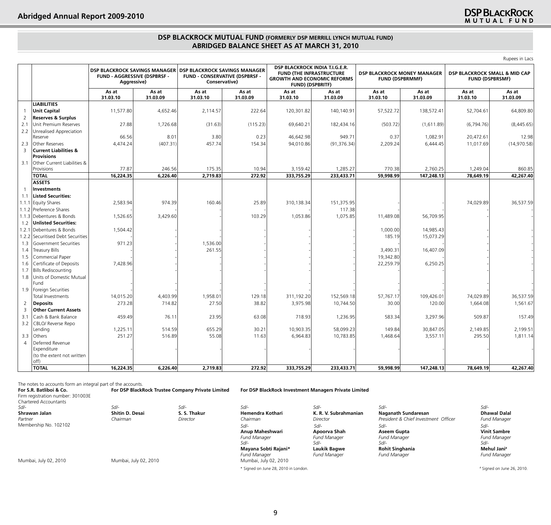## **DSP BLACKROCK**

Rupees in Lacs

## **DSP BLACKROCK MUTUAL FUND (FORMERLY DSP MERRILL LYNCH MUTUAL FUND) Abridged Balance Sheet as at March 31, 2010**

|                |                                                       | <b>DSP BLACKROCK SAVINGS MANAGER</b><br>FUND - AGGRESSIVE (DSPBRSF -<br>Aggressive) |                   | <b>DSP BLACKROCK SAVINGS MANAGER</b><br><b>FUND - CONSERVATIVE (DSPBRSF -</b><br>Conservative) |                   | DSP BLACKROCK INDIA T.I.G.E.R.<br><b>FUND (THE INFRASTRUCTURE</b><br><b>GROWTH AND ECONOMIC REFORMS</b><br><b>FUND) (DSPBRITF)</b> |                   |                   | <b>DSP BLACKROCK MONEY MANAGER</b><br><b>FUND (DSPBRMMF)</b> | DSP BLACKROCK SMALL & MID CAP<br><b>FUND (DSPBRSMF)</b> |                   |
|----------------|-------------------------------------------------------|-------------------------------------------------------------------------------------|-------------------|------------------------------------------------------------------------------------------------|-------------------|------------------------------------------------------------------------------------------------------------------------------------|-------------------|-------------------|--------------------------------------------------------------|---------------------------------------------------------|-------------------|
|                |                                                       | As at<br>31.03.10                                                                   | As at<br>31.03.09 | As at<br>31.03.10                                                                              | As at<br>31.03.09 | As at<br>31.03.10                                                                                                                  | As at<br>31.03.09 | As at<br>31.03.10 | As at<br>31.03.09                                            | As at<br>31.03.10                                       | As at<br>31.03.09 |
|                | <b>LIABILITIES</b>                                    |                                                                                     |                   |                                                                                                |                   |                                                                                                                                    |                   |                   |                                                              |                                                         |                   |
| $\overline{1}$ | <b>Unit Capital</b>                                   | 11,577.80                                                                           | 4,652.46          | 2,114.57                                                                                       | 222.64            | 120,301.82                                                                                                                         | 140,140.91        | 57,522.72         | 138,572.41                                                   | 52,704.61                                               | 64,809.80         |
| 2              | <b>Reserves &amp; Surplus</b>                         |                                                                                     |                   |                                                                                                |                   |                                                                                                                                    |                   |                   |                                                              |                                                         |                   |
| 2.1            | Unit Premium Reserves                                 | 27.88                                                                               | 1,726.68          | (31.63)                                                                                        | (115.23)          | 69,640.21                                                                                                                          | 182,434.16        | (503.72)          | (1,611.89)                                                   | (6,794.76)                                              | (8,445.65)        |
| 2.2            | Unrealised Appreciation                               |                                                                                     |                   |                                                                                                |                   |                                                                                                                                    |                   |                   |                                                              |                                                         |                   |
|                | Reserve                                               | 66.56                                                                               | 8.01              | 3.80                                                                                           | 0.23              | 46,642.98                                                                                                                          | 949.71            | 0.37              | 1,082.91                                                     | 20,472.61                                               | 12.98             |
| 2.3            | <b>Other Reserves</b>                                 | 4,474.24                                                                            | (407.31)          | 457.74                                                                                         | 154.34            | 94,010.86                                                                                                                          | (91, 376.34)      | 2,209.24          | 6,444.45                                                     | 11,017.69                                               | (14, 970.58)      |
| $\overline{3}$ | <b>Current Liabilities &amp;</b><br><b>Provisions</b> |                                                                                     |                   |                                                                                                |                   |                                                                                                                                    |                   |                   |                                                              |                                                         |                   |
| 3.1            | Other Current Liabilities &                           |                                                                                     |                   |                                                                                                |                   |                                                                                                                                    |                   |                   |                                                              |                                                         |                   |
|                | Provisions                                            | 77.87                                                                               | 246.56            | 175.35                                                                                         | 10.94             | 3,159.42                                                                                                                           | 1,285.27          | 770.38            | 2,760.25                                                     | 1,249.04                                                | 860.85            |
|                | <b>TOTAL</b>                                          | 16,224.35                                                                           | 6,226.40          | 2,719.83                                                                                       | 272.92            | 333,755.29                                                                                                                         | 233,433.71        | 59,998.99         | 147,248.13                                                   | 78,649.19                                               | 42,267.40         |
|                | <b>ASSETS</b>                                         |                                                                                     |                   |                                                                                                |                   |                                                                                                                                    |                   |                   |                                                              |                                                         |                   |
|                | <b>Investments</b>                                    |                                                                                     |                   |                                                                                                |                   |                                                                                                                                    |                   |                   |                                                              |                                                         |                   |
| 1.1            | <b>Listed Securities:</b>                             |                                                                                     |                   |                                                                                                |                   |                                                                                                                                    |                   |                   |                                                              |                                                         |                   |
|                | 1.1.1 Equity Shares                                   | 2,583.94                                                                            | 974.39            | 160.46                                                                                         | 25.89             | 310,138.34                                                                                                                         | 151,375.95        |                   |                                                              | 74,029.89                                               | 36,537.59         |
|                | 1.1.2 Preference Shares                               |                                                                                     |                   |                                                                                                |                   |                                                                                                                                    | 117.38            |                   |                                                              |                                                         |                   |
|                | 1.1.3 Debentures & Bonds                              | 1,526.65                                                                            | 3,429.60          |                                                                                                | 103.29            | 1,053.86                                                                                                                           | 1,075.85          | 11,489.08         | 56,709.95                                                    |                                                         |                   |
| 1.2            | Unlisted Securities:                                  |                                                                                     |                   |                                                                                                |                   |                                                                                                                                    |                   |                   |                                                              |                                                         |                   |
| 1.2.1          | Debentures & Bonds                                    | 1,504.42                                                                            |                   |                                                                                                |                   |                                                                                                                                    |                   | 1,000.00          | 14,985.43                                                    |                                                         |                   |
|                | 1.2.2 Securitised Debt Securities                     |                                                                                     |                   |                                                                                                |                   |                                                                                                                                    |                   | 185.19            | 15,073.29                                                    |                                                         |                   |
| 1.3            | Government Securities                                 | 971.23                                                                              |                   | 1,536.00                                                                                       |                   |                                                                                                                                    |                   |                   |                                                              |                                                         |                   |
| 1.4            | <b>Treasury Bills</b>                                 |                                                                                     |                   | 261.55                                                                                         |                   |                                                                                                                                    |                   | 3,490.31          | 16,407.09                                                    |                                                         |                   |
| 1.5            | Commercial Paper                                      |                                                                                     |                   |                                                                                                |                   |                                                                                                                                    |                   | 19,342.80         |                                                              |                                                         |                   |
| 1.6            | Certificate of Deposits                               | 7,428.96                                                                            |                   |                                                                                                |                   |                                                                                                                                    |                   | 22,259.79         | 6,250.25                                                     |                                                         |                   |
| 1.7            | <b>Bills Rediscounting</b>                            |                                                                                     |                   |                                                                                                |                   |                                                                                                                                    |                   |                   |                                                              |                                                         |                   |
| 1.8            | Units of Domestic Mutual                              |                                                                                     |                   |                                                                                                |                   |                                                                                                                                    |                   |                   |                                                              |                                                         |                   |
|                | Fund                                                  |                                                                                     |                   |                                                                                                |                   |                                                                                                                                    |                   |                   |                                                              |                                                         |                   |
| 1.9            | Foreign Securities                                    |                                                                                     |                   |                                                                                                |                   |                                                                                                                                    |                   |                   |                                                              |                                                         |                   |
|                | Total Investments                                     | 14,015.20                                                                           | 4,403.99          | 1,958.01                                                                                       | 129.18            | 311,192.20                                                                                                                         | 152,569.18        | 57,767.17         | 109,426.01                                                   | 74.029.89                                               | 36,537.59         |
| 2              | <b>Deposits</b>                                       | 273.28                                                                              | 714.82            | 27.50                                                                                          | 38.82             | 3,975.98                                                                                                                           | 10,744.50         | 30.00             | 120.00                                                       | 1,664.08                                                | 1,561.67          |
| $\overline{3}$ | <b>Other Current Assets</b>                           |                                                                                     |                   |                                                                                                |                   |                                                                                                                                    |                   |                   |                                                              |                                                         |                   |
| 3.1            | Cash & Bank Balance                                   | 459.49                                                                              | 76.11             | 23.95                                                                                          | 63.08             | 718.93                                                                                                                             | 1,236.95          | 583.34            | 3,297.96                                                     | 509.87                                                  | 157.49            |
| 3.2            | CBLO/ Reverse Repo                                    |                                                                                     |                   |                                                                                                |                   |                                                                                                                                    |                   |                   |                                                              |                                                         |                   |
|                | Lending                                               | 1,225.11                                                                            | 514.59            | 655.29                                                                                         | 30.21             | 10,903.35                                                                                                                          | 58,099.23         | 149.84            | 30,847.05                                                    | 2,149.85                                                | 2,199.51          |
| 3.3            | Others                                                | 251.27                                                                              | 516.89            | 55.08                                                                                          | 11.63             | 6,964.83                                                                                                                           | 10,783.85         | 1,468.64          | 3,557.11                                                     | 295.50                                                  | 1,811.14          |
| $\overline{4}$ | Deferred Revenue                                      |                                                                                     |                   |                                                                                                |                   |                                                                                                                                    |                   |                   |                                                              |                                                         |                   |
|                | Expenditure                                           |                                                                                     |                   |                                                                                                |                   |                                                                                                                                    |                   |                   |                                                              |                                                         |                   |
|                | (to the extent not written                            |                                                                                     |                   |                                                                                                |                   |                                                                                                                                    |                   |                   |                                                              |                                                         |                   |
|                | off)                                                  |                                                                                     |                   |                                                                                                |                   |                                                                                                                                    |                   |                   |                                                              |                                                         |                   |
|                | <b>TOTAL</b>                                          | 16,224.35                                                                           | 6,226.40          | 2,719.83                                                                                       | 272.92            | 333,755.29                                                                                                                         | 233,433.71        | 59,998.99         | 147,248.13                                                   | 78,649.19                                               | 42,267.40         |

The notes to accounts form an integral part of the accounts.<br>For S.R. Batliboi & Co. For DSP BlackRock Trustee Company Private Limited

**For S.R. Batliboi & Co. For DSP BlackRock Trustee Company Private Limited For DSP BlackRock Investment Managers Private Limited**

| .                                         |
|-------------------------------------------|
| Firm registration number: 301003E         |
| $\sim$ $\sim$ $\sim$ $\sim$ $\sim$ $\sim$ |

| Chartered Accountants<br>Sd/-<br>Shrawan Jalan<br>Partner | Sd/-<br>Shitin D. Desai<br>Chairman | Sd/-<br>S. S. Thakur<br>Director | Sd/-<br>Hemendra Kothari<br>Chairman                                                                                           | $S$ d/-<br>K. R. V. Subrahmanian<br>Director                                                 | Sd/-<br>Naganath Sundaresan<br>President & Chief Investment Officer                                 | Sd/-<br><b>Dhawal Dalal</b><br><b>Fund Manager</b>                                               |
|-----------------------------------------------------------|-------------------------------------|----------------------------------|--------------------------------------------------------------------------------------------------------------------------------|----------------------------------------------------------------------------------------------|-----------------------------------------------------------------------------------------------------|--------------------------------------------------------------------------------------------------|
| Membership No. 102102<br>Mumbai, July 02, 2010            | Mumbai, July 02, 2010               |                                  | Sd/-<br>Anup Maheshwari<br><b>Fund Manager</b><br>Sd/-<br>Mayana Sobti Rajani*<br><b>Fund Manager</b><br>Mumbai, July 02, 2010 | $Sd$ -<br>Apoorva Shah<br><b>Fund Manager</b><br>Sd/-<br>Laukik Bagwe<br><b>Fund Manager</b> | Sd/-<br>Aseem Gupta<br><b>Fund Manager</b><br>Sd/-<br><b>Rohit Singhania</b><br><b>Fund Manager</b> | Sd/-<br><b>Vinit Sambre</b><br><b>Fund Manager</b><br>Sd/-<br>Mehul Jani#<br><b>Fund Manager</b> |
|                                                           |                                     |                                  | * Signed on June 28, 2010 in London.                                                                                           |                                                                                              |                                                                                                     | # Signed on June 26, 2010.                                                                       |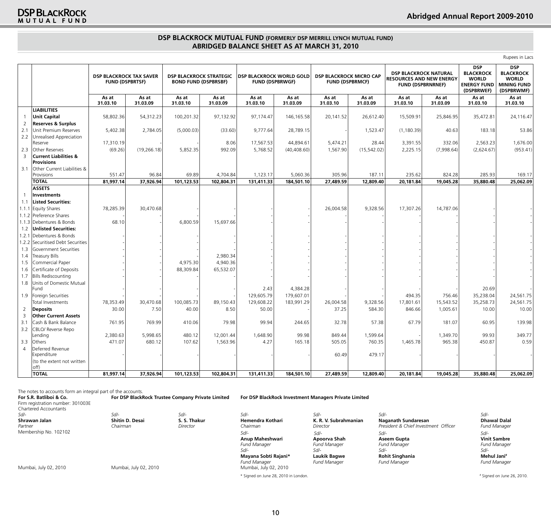## **DSP BLACKROCK MUTUAL FUND (FORMERLY DSP MERRILL LYNCH MUTUAL FUND) Abridged Balance Sheet as at March 31, 2010**

Rupees in Lacs

|                |                                                       | <b>DSP BLACKROCK TAX SAVER</b><br><b>FUND (DSPBRTSF)</b> |                   | <b>DSP BLACKROCK STRATEGIC</b><br><b>BOND FUND (DSPBRSBF)</b> |                   | <b>DSP BLACKROCK WORLD GOLD</b><br><b>FUND (DSPBRWGF)</b> |                        | <b>DSP BLACKROCK MICRO CAP</b><br><b>FUND (DSPBRMCF)</b> |                   | <b>DSP BLACKROCK NATURAL</b><br><b>RESOURCES AND NEW ENERGY</b><br><b>FUND (DSPBRNRNEF)</b> |                     | <b>DSP</b><br><b>BLACKROCK</b><br><b>WORLD</b><br><b>ENERGY FUND</b><br>(DSPBRWEF) | <b>DSP</b><br><b>BLACKROCK</b><br><b>WORLD</b><br><b>MINING FUND</b><br>(DSPBRWMF) |
|----------------|-------------------------------------------------------|----------------------------------------------------------|-------------------|---------------------------------------------------------------|-------------------|-----------------------------------------------------------|------------------------|----------------------------------------------------------|-------------------|---------------------------------------------------------------------------------------------|---------------------|------------------------------------------------------------------------------------|------------------------------------------------------------------------------------|
|                |                                                       | As at<br>31.03.10                                        | As at<br>31.03.09 | As at<br>31.03.10                                             | As at<br>31.03.09 | As at<br>31.03.10                                         | As at<br>31.03.09      | As at<br>31.03.10                                        | As at<br>31.03.09 | As at<br>31.03.10                                                                           | As at<br>31.03.09   | As at<br>31.03.10                                                                  | As at<br>31.03.10                                                                  |
|                | <b>LIABILITIES</b>                                    |                                                          |                   |                                                               |                   |                                                           |                        |                                                          |                   |                                                                                             |                     |                                                                                    |                                                                                    |
| 1              | <b>Unit Capital</b>                                   | 58,802.36                                                | 54,312.23         | 100,201.32                                                    | 97,132.92         | 97,174.47                                                 | 146,165.58             | 20,141.52                                                | 26,612.40         | 15,509.91                                                                                   | 25,846.95           | 35,472.81                                                                          | 24,116.47                                                                          |
| $\overline{2}$ | <b>Reserves &amp; Surplus</b>                         |                                                          |                   |                                                               |                   |                                                           |                        |                                                          |                   |                                                                                             |                     |                                                                                    |                                                                                    |
| 2.1            | Unit Premium Reserves                                 | 5,402.38                                                 | 2,784.05          | (5,000.03)                                                    | (33.60)           | 9,777.64                                                  | 28,789.15              |                                                          | 1,523.47          | (1, 180.39)                                                                                 | 40.63               | 183.18                                                                             | 53.86                                                                              |
| 2.2            | Unrealised Appreciation                               |                                                          |                   |                                                               |                   |                                                           |                        |                                                          |                   |                                                                                             |                     |                                                                                    |                                                                                    |
|                | Reserve                                               | 17,310.19                                                |                   |                                                               | 8.06              | 17,567.53                                                 | 44,894.61              | 5,474.21                                                 | 28.44             | 3,391.55                                                                                    | 332.06              | 2,563.23                                                                           | 1,676.00                                                                           |
| 2.3            | <b>Other Reserves</b>                                 | (69.26)                                                  | (19, 266.18)      | 5,852.35                                                      | 992.09            | 5,768.52                                                  | (40, 408.60)           | 1,567.90                                                 | (15, 542.02)      | 2,225.15                                                                                    | (7,998.64)          | (2,624.67)                                                                         | (953.41)                                                                           |
| 3              | <b>Current Liabilities &amp;</b><br><b>Provisions</b> |                                                          |                   |                                                               |                   |                                                           |                        |                                                          |                   |                                                                                             |                     |                                                                                    |                                                                                    |
| 3.1            | Other Current Liabilities &                           |                                                          |                   |                                                               |                   |                                                           |                        |                                                          |                   |                                                                                             |                     |                                                                                    |                                                                                    |
|                | Provisions                                            | 551.47                                                   | 96.84             | 69.89                                                         | 4,704.84          | 1,123.17                                                  | 5,060.36               | 305.96                                                   | 187.11            | 235.62                                                                                      | 824.28              | 285.93                                                                             | 169.17                                                                             |
|                | <b>TOTAL</b>                                          | 81,997.14                                                | 37,926.94         | 101,123.53                                                    | 102,804.31        | 131,411.33                                                | 184,501.10             | 27,489.59                                                | 12,809.40         | 20,181.84                                                                                   | 19,045.28           | 35,880.48                                                                          | 25,062.09                                                                          |
|                | <b>ASSETS</b>                                         |                                                          |                   |                                                               |                   |                                                           |                        |                                                          |                   |                                                                                             |                     |                                                                                    |                                                                                    |
| $\overline{1}$ | <b>Investments</b>                                    |                                                          |                   |                                                               |                   |                                                           |                        |                                                          |                   |                                                                                             |                     |                                                                                    |                                                                                    |
| 1.1            | <b>Listed Securities:</b>                             |                                                          |                   |                                                               |                   |                                                           |                        |                                                          |                   |                                                                                             |                     |                                                                                    |                                                                                    |
|                | 1.1.1 Equity Shares                                   | 78,285.39                                                | 30,470.68         |                                                               |                   |                                                           |                        | 26,004.58                                                | 9,328.56          | 17,307.26                                                                                   | 14,787.06           |                                                                                    |                                                                                    |
|                | 1.1.2 Preference Shares                               |                                                          |                   |                                                               |                   |                                                           |                        |                                                          |                   |                                                                                             |                     |                                                                                    |                                                                                    |
|                | 1.1.3 Debentures & Bonds                              | 68.10                                                    |                   | 6,800.59                                                      | 15,697.66         |                                                           |                        |                                                          |                   |                                                                                             |                     |                                                                                    |                                                                                    |
| 1.2            | <b>Unlisted Securities:</b>                           |                                                          |                   |                                                               |                   |                                                           |                        |                                                          |                   |                                                                                             |                     |                                                                                    |                                                                                    |
| 1.2.1          | Debentures & Bonds                                    |                                                          |                   |                                                               |                   |                                                           |                        |                                                          |                   |                                                                                             |                     |                                                                                    |                                                                                    |
|                | 1.2.2 Securitised Debt Securities                     |                                                          |                   |                                                               |                   |                                                           |                        |                                                          |                   |                                                                                             |                     |                                                                                    |                                                                                    |
| 1.3            | lGovernment Securities                                |                                                          |                   |                                                               |                   |                                                           |                        |                                                          |                   |                                                                                             |                     |                                                                                    |                                                                                    |
| 1.4            | <b>Treasury Bills</b>                                 |                                                          |                   |                                                               | 2,980.34          |                                                           |                        |                                                          |                   |                                                                                             |                     |                                                                                    |                                                                                    |
| 1.5            | Commercial Paper                                      |                                                          |                   | 4.975.30                                                      | 4,940.36          |                                                           |                        |                                                          |                   |                                                                                             |                     |                                                                                    |                                                                                    |
| 1.6            | Certificate of Deposits                               |                                                          |                   | 88,309.84                                                     | 65,532.07         |                                                           |                        |                                                          |                   |                                                                                             |                     |                                                                                    |                                                                                    |
| 1.7            | <b>Bills Rediscounting</b>                            |                                                          |                   |                                                               |                   |                                                           |                        |                                                          |                   |                                                                                             |                     |                                                                                    |                                                                                    |
| 1.8            | Units of Domestic Mutual                              |                                                          |                   |                                                               |                   |                                                           |                        |                                                          |                   |                                                                                             |                     |                                                                                    |                                                                                    |
|                | Fund                                                  |                                                          |                   |                                                               |                   | 2.43                                                      | 4,384.28<br>179,607.01 |                                                          |                   | 494.35                                                                                      |                     | 20.69                                                                              |                                                                                    |
| 1.9            | Foreign Securities                                    | 78,353.49                                                | 30,470.68         | 100,085.73                                                    | 89,150.43         | 129,605.79<br>129,608.22                                  | 183,991.29             | 26,004.58                                                | 9,328.56          | 17,801.61                                                                                   | 756.46<br>15,543.52 | 35,238.04<br>35,258.73                                                             | 24,561.75<br>24,561.75                                                             |
|                | Total Investments                                     | 30.00                                                    | 7.50              |                                                               | 8.50              | 50.00                                                     |                        | 37.25                                                    | 584.30            | 846.66                                                                                      |                     |                                                                                    | 10.00                                                                              |
| 2<br>3         | <b>Deposits</b><br><b>Other Current Assets</b>        |                                                          |                   | 40.00                                                         |                   |                                                           |                        |                                                          |                   |                                                                                             | 1,005.61            | 10.00                                                                              |                                                                                    |
| 3.1            | Cash & Bank Balance                                   | 761.95                                                   | 769.99            | 410.06                                                        | 79.98             | 99.94                                                     | 244.65                 | 32.78                                                    | 57.38             | 67.79                                                                                       | 181.07              | 60.95                                                                              | 139.98                                                                             |
| 3.2            | CBLO/ Reverse Repo                                    |                                                          |                   |                                                               |                   |                                                           |                        |                                                          |                   |                                                                                             |                     |                                                                                    |                                                                                    |
|                | Lendina                                               | 2,380.63                                                 | 5.998.65          | 480.12                                                        | 12,001.44         | 1,648.90                                                  | 99.98                  | 849.44                                                   | 1,599.64          |                                                                                             | 1,349.70            | 99.93                                                                              | 349.77                                                                             |
| 3.3            | Others                                                | 471.07                                                   | 680.12            | 107.62                                                        | 1,563.96          | 4.27                                                      | 165.18                 | 505.05                                                   | 760.35            | 1,465.78                                                                                    | 965.38              | 450.87                                                                             | 0.59                                                                               |
| $\overline{4}$ | Deferred Revenue                                      |                                                          |                   |                                                               |                   |                                                           |                        |                                                          |                   |                                                                                             |                     |                                                                                    |                                                                                    |
|                | Expenditure                                           |                                                          |                   |                                                               |                   |                                                           |                        | 60.49                                                    | 479.17            |                                                                                             |                     |                                                                                    |                                                                                    |
|                | (to the extent not written                            |                                                          |                   |                                                               |                   |                                                           |                        |                                                          |                   |                                                                                             |                     |                                                                                    |                                                                                    |
|                | off)                                                  |                                                          |                   |                                                               |                   |                                                           |                        |                                                          |                   |                                                                                             |                     |                                                                                    |                                                                                    |
|                | <b>TOTAL</b>                                          | 81,997.14                                                | 37,926.94         | 101,123.53                                                    | 102,804.31        | 131,411.33                                                | 184,501.10             | 27,489.59                                                | 12,809.40         | 20,181.84                                                                                   | 19,045.28           | 35,880.48                                                                          | 25,062.09                                                                          |

The notes to accounts form an integral part of the accounts.<br>For S.R. Batliboi & Co. For DSP BlackRock Trustee Company Private Limited **For S.R. Batliboi & Co. For DSP BlackRock Trustee Company Private Limited For DSP BlackRock Investment Managers Private Limited** Firm registration number: 301003E Chartered Accountants<br>Sd/-*Sd/- Sd/- Sd/- Sd/- Sd/- Sd/- Sd/-* **Shrawan Jalan Shitin D. Desai S. S. Thakur** Hemendra Kothari **K. R. V. Subrahmanian Naganath Sundaresan Dhawal Dalal<br>Partner President & Chief Investment Officer Fund Manager** *Partner* Membership No. 102102 *Chairman Director Chairman Director President & Chief Investment Officer Fund Manager* **Anup Maheshwari Apoorva Shah Aseem Gupta Vinit Sambre** *Fund Manager Fund Manager Fund Manager Fund Manager Sd/- Sd/- Sd/- Sd/-* **Mayana Sobti Rajani\* Laukik Bagwe Rohit Singhania Mehul Jani\* Mehul Jani\* Fund Manager** *Rund Manager* **Pund Manager** *Fund Manager Fund Manager Fund Manager Fund Manager*  Mumbai, July 02, 2010 Mumbai, July 02, 2010 Mumbai, July 02, 2010 # Signed on June 26, 2010. *Sd/- Sd/- Sd/- Sd/-*

\* Signed on June 28, 2010 in London. #

10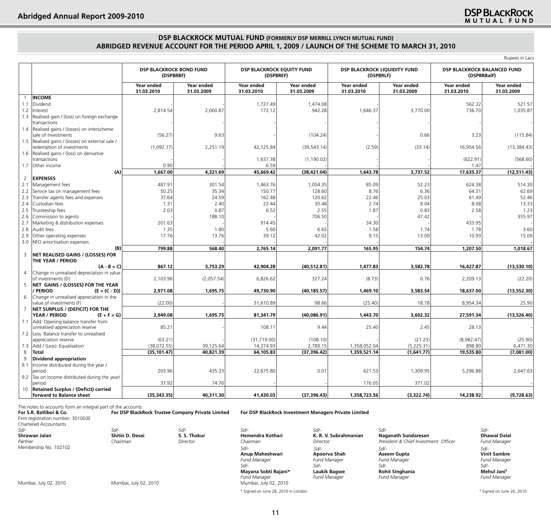# Signed on June 26, 2010.

## **DSP BLACKROCK MUTUAL FUND (FORMERLY DSP MERRILL LYNCH MUTUAL FUND) Abridged Revenue Account For The Period April 1, 2009 / Launch of the Scheme to March 31, 2010**

|                |                                                            | <b>DSP BLACKROCK BOND FUND</b><br>(DSPBRBF) |                          | DSP BLACKROCK EQUITY FUND<br>(DSPBREF) |                          | DSP BLACKROCK LIQUIDITY FUND<br>(DSPBRLF) |                          | DSP BLACKROCK BALANCED FUND<br>(DSPBRBalF) |                          |
|----------------|------------------------------------------------------------|---------------------------------------------|--------------------------|----------------------------------------|--------------------------|-------------------------------------------|--------------------------|--------------------------------------------|--------------------------|
|                |                                                            | Year ended<br>31.03.2010                    | Year ended<br>31.03.2009 | Year ended<br>31.03.2010               | Year ended<br>31.03.2009 | Year ended<br>31.03.2010                  | Year ended<br>31.03.2009 | Year ended<br>31.03.2010                   | Year ended<br>31.03.2009 |
|                | <b>INCOME</b>                                              |                                             |                          |                                        |                          |                                           |                          |                                            |                          |
| 1.1            | Dividend                                                   |                                             |                          | 1,727.49                               | 1,474.08                 |                                           |                          | 562.32                                     | 521.57                   |
| 1.2            | Interest                                                   | 2,814.54                                    | 2,060.87                 | 172.12                                 | 942.28                   | 1,646.37                                  | 3,770.00                 | 736.70                                     | 1,035.87                 |
| 1.3            | Realised gain / (loss) on foreign exchange<br>transactions |                                             |                          |                                        |                          |                                           |                          |                                            |                          |
| 1.4            | Realised gains / (losses) on interscheme                   |                                             |                          |                                        |                          |                                           |                          |                                            |                          |
|                | sale of investments                                        | (56.27)                                     | 9.63                     |                                        | (104.24)                 |                                           | 0.66                     | 3.23                                       | (115.84)                 |
| 1.5            | Realised gains / (losses) on external sale /               |                                             |                          |                                        |                          |                                           |                          |                                            |                          |
|                | redemption of investments                                  | (1,092.17)                                  | 2,251.19                 | 42,125.84                              | (39, 543.14)             | (2.59)                                    | (33.14)                  | 16,954.56                                  | (13, 384.43)             |
| 1.6            | Realised gains / (loss) on derivative                      |                                             |                          |                                        |                          |                                           |                          |                                            |                          |
|                | transactions                                               |                                             |                          | 1,637.38                               | (1, 190.02)              |                                           |                          | (622.91)                                   | (568.60)                 |
| 1.7            | Other income                                               | 0.90                                        |                          | 6.59                                   |                          |                                           |                          | 1.47                                       |                          |
|                | (A)                                                        | 1,667.00                                    | 4,321.69                 | 45,669.42                              | (38, 421.04)             | 1,643.78                                  | 3,737.52                 | 17,635.37                                  | (12,511.43)              |
| 2              | <b>EXPENSES</b>                                            |                                             |                          |                                        |                          |                                           |                          |                                            |                          |
| 2.1            | Management fees                                            | 487.91                                      | 301.54                   | 1,463.76                               | 1,054.35                 | 85.09                                     | 52.23                    | 624.38                                     | 514.30                   |
| 2.2            | Service tax on management fees                             | 50.25                                       | 35.34                    | 150.77                                 | 128.60                   | 8.76                                      | 6.36                     | 64.31                                      | 62.69                    |
| 2.3            | Transfer agents fees and expenses                          | 37.64                                       | 24.59                    | 162.48                                 | 120.62                   | 22.46                                     | 25.03                    | 61.49                                      | 52.46                    |
| 2.4            | Custodian fees                                             | 1.31                                        | 2.40                     | 22.44                                  | 30.48                    | 2.74                                      | 8.04                     | 8.08                                       | 13.33                    |
| 2.5            | Trusteeship fees                                           | 2.03                                        | 0.87                     | 6.52                                   | 2.55                     | 1.87                                      | 0.83                     | 2.58                                       | 1.23                     |
| 2.6            | Commission to agents                                       |                                             | 188.10                   |                                        | 706.50                   |                                           | 47.42                    |                                            | 355.97                   |
| 2.7            | Marketing & distribution expenses                          | 201.63                                      |                          | 914.45                                 |                          | 34.30                                     |                          | 433.95                                     |                          |
| 2.8            | Audit fees                                                 | 1.35                                        | 1.80                     | 5.60                                   | 6.65                     | 1.58                                      | 1.74                     | 1.78                                       | 3.60                     |
| 2.9            | Other operating expenses                                   | 17.76                                       | 13.76                    | 39.12                                  | 42.02                    | 9.15                                      | 13.09                    | 10.93                                      | 15.09                    |
| 3.0            |                                                            |                                             |                          |                                        |                          |                                           |                          |                                            |                          |
|                | NFO amortisation expenses<br>(B)                           | 799.88                                      | 568.40                   | 2,765.14                               | 2,091.77                 | 165.95                                    | 154.74                   | 1,207.50                                   | 1,018.67                 |
| 3              | NET REALISED GAINS / (LOSSES) FOR                          |                                             |                          |                                        |                          |                                           |                          |                                            |                          |
|                | THE YEAR / PERIOD                                          |                                             |                          |                                        |                          |                                           |                          |                                            |                          |
|                | $(A - B = C)$                                              | 867.12                                      | 3,753.29                 | 42,904.28                              | (40, 512.81)             | 1,477.83                                  | 3,582.78                 | 16,427.87                                  | (13,530.10)              |
| $\overline{4}$ | Change in unrealised depreciation in value                 |                                             |                          |                                        |                          |                                           |                          |                                            |                          |
|                | of investments (D)                                         | 2,103.96                                    | (2,057.54)               | 6,826.62                               | 327.24                   | (8.73)                                    | 0.76                     | 2,209.13                                   | (22.20)                  |
| 5              | NET GAINS / (LOSSES) FOR THE YEAR                          |                                             |                          |                                        |                          |                                           |                          |                                            |                          |
|                | $(E = (C - D))$<br><b>PERIOD</b>                           | 2,971.08                                    | 1,695.75                 | 49,730.90                              | (40, 185.57)             | 1,469.10                                  | 3,583.54                 | 18,637.00                                  | (13,552.30)              |
| 6              | Change in unrealised appreciation in the                   |                                             |                          |                                        |                          |                                           |                          |                                            |                          |
|                | value of investments (F)                                   | (22.00)                                     |                          | 31,610.89                              | 98.66                    | (25.40)                                   | 18.78                    | 8,954.34                                   | 25.90                    |
| $\overline{7}$ | NET SURPLUS / (DEFICIT) FOR THE                            |                                             |                          |                                        |                          |                                           |                          |                                            |                          |
|                | YEAR / PERIOD<br>$(E + F = G)$                             | 2,949.08                                    | 1,695.75                 | 81,341.79                              | (40,086.91)              | 1,443.70                                  | 3,602.32                 | 27,591.34                                  | (13,526.40)              |
| 7.1            | Add: Opening balance transfer from                         |                                             |                          |                                        |                          |                                           |                          |                                            |                          |
|                | unrealised appreciation reserve                            | 85.21                                       |                          | 108.11                                 | 9.44                     | 25.40                                     | 2.45                     | 28.13                                      |                          |
| 7.2            | Less: Balance transfer to unrealised                       |                                             |                          |                                        |                          |                                           |                          |                                            |                          |
|                | appreciation reserve                                       | (63.21)                                     |                          | (31,719.00)                            | (108.10)                 |                                           | (21.23)                  | (8,982.47)                                 | (25.90)                  |
| 7.3            | Add / (Less): Equalisation                                 | (38,072.55)                                 | 39,125.64                | 14,374.93                              | 2,789.15                 | 1,358,052.04                              | (5,225.31)               | 898.80                                     | 6,471.30                 |
| 8              | <b>Total</b>                                               | (35, 101.47)                                | 40,821.39                | 64,105.83                              | (37, 396.42)             | 1,359,521.14                              | (1,641.77)               | 19,535.80                                  | (7,081.00)               |
| 9              | Dividend appropriation                                     |                                             |                          |                                        |                          |                                           |                          |                                            |                          |
| 9.1            | Income distributed during the year /                       |                                             |                          |                                        |                          |                                           |                          |                                            |                          |
|                | period                                                     | 203.96                                      | 435.33                   | 22,675.80                              | 0.01                     | 621.53                                    | 1,309.95                 | 5,296.88                                   | 2,647.63                 |
| 9.2            | Tax on income distributed during the year/                 |                                             |                          |                                        |                          |                                           |                          |                                            |                          |
|                | period                                                     | 37.92                                       | 74.76                    |                                        |                          | 176.05                                    | 371.02                   |                                            |                          |
| 10             | <b>Retained Surplus / (Deficit) carried</b>                |                                             |                          |                                        |                          |                                           |                          |                                            |                          |
|                | forward to Balance sheet                                   | (35, 343.35)                                | 40,311.30                | 41,430.03                              | (37, 396.43)             | 1,358,723.56                              | (3,322.74)               | 14,238.92                                  | (9,728.63)               |

#### The notes to accounts form an integral part of the accounts.

| For S.R. Batliboi & Co.<br>Firm registration number: 301003E<br>Chartered Accountants |                                | For DSP BlackRock Trustee Company Private Limited |                                                                      | For DSP BlackRock Investment Managers Private Limited |                                                    |                                                               |
|---------------------------------------------------------------------------------------|--------------------------------|---------------------------------------------------|----------------------------------------------------------------------|-------------------------------------------------------|----------------------------------------------------|---------------------------------------------------------------|
| Sd/-<br>Shrawan Jalan                                                                 | Sd/-<br><b>Shitin D. Desai</b> | $Sd$ -<br>S. S. Thakur                            | Sd/-<br>Hemendra Kothari                                             | $Sd$ -<br>K. R. V. Subrahmanian                       | $Sd$ -<br>Naganath Sundaresan                      | Sd/-<br><b>Dhawal Dalal</b>                                   |
| Partner                                                                               | Chairman                       | Director                                          | Chairman                                                             | Director                                              | President & Chief Investment Officer               | <b>Fund Manager</b>                                           |
| Membership No. 102102                                                                 |                                |                                                   | Sd/-<br>Anup Maheshwari<br><b>Fund Manager</b><br>$Sd$ -             | $Sd$ -<br>Apoorva Shah<br><b>Fund Manager</b><br>Sd/- | Sd/-<br>Aseem Gupta<br><b>Fund Manager</b><br>Sd/- | Sd/-<br><b>Vinit Sambre</b><br><b>Fund Manager</b><br>$S$ d/- |
| Mumbai, July 02, 2010                                                                 | Mumbai, July 02, 2010          |                                                   | Mayana Sobti Rajani*<br><b>Fund Manager</b><br>Mumbai, July 02, 2010 | Laukik Bagwe<br><b>Fund Manager</b>                   | <b>Rohit Singhania</b><br><b>Fund Manager</b>      | Mehul Jani*<br><b>Fund Manager</b>                            |

\* Signed on June 28, 2010 in London.

Rupees in Lacs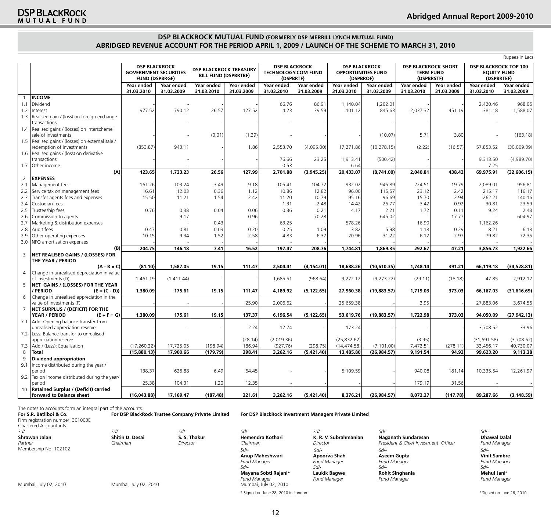# Signed on June 26, 2010.

## **DSP BLACKROCK MUTUAL FUND (FORMERLY DSP MERRILL LYNCH MUTUAL FUND) Abridged Revenue Account For The Period April 1, 2009 / Launch of the Scheme to March 31, 2010**

|                |                                                            |                          |                                                      |                          |                                                              |                                                                 | Rupees in Lacs           |                                                                |                          |                                                              |                          |                                                                  |                          |
|----------------|------------------------------------------------------------|--------------------------|------------------------------------------------------|--------------------------|--------------------------------------------------------------|-----------------------------------------------------------------|--------------------------|----------------------------------------------------------------|--------------------------|--------------------------------------------------------------|--------------------------|------------------------------------------------------------------|--------------------------|
|                |                                                            | <b>FUND (DSPBRGF)</b>    | <b>DSP BLACKROCK</b><br><b>GOVERNMENT SECURITIES</b> |                          | <b>DSP BLACKROCK TREASURY</b><br><b>BILL FUND (DSPBRTBF)</b> | <b>DSP BLACKROCK</b><br><b>TECHNOLOGY.COM FUND</b><br>(DSPBRTF) |                          | <b>DSP BLACKROCK</b><br><b>OPPORTUNITIES FUND</b><br>(DSPBROF) |                          | <b>DSP BLACKROCK SHORT</b><br><b>TERM FUND</b><br>(DSPBRSTF) |                          | <b>DSP BLACKROCK TOP 100</b><br><b>EOUITY FUND</b><br>(DSPBRTEF) |                          |
|                |                                                            | Year ended<br>31.03.2010 | Year ended<br>31.03.2009                             | Year ended<br>31.03.2010 | Year ended<br>31.03.2009                                     | Year ended<br>31.03.2010                                        | Year ended<br>31.03.2009 | Year ended<br>31.03.2010                                       | Year ended<br>31.03.2009 | Year ended<br>31.03.2010                                     | Year ended<br>31.03.2009 | Year ended<br>31.03.2010                                         | Year ended<br>31.03.2009 |
| $\overline{1}$ | <b>INCOME</b>                                              |                          |                                                      |                          |                                                              |                                                                 |                          |                                                                |                          |                                                              |                          |                                                                  |                          |
| 1.1            | Dividend                                                   |                          |                                                      |                          |                                                              | 66.76                                                           | 86.91                    | 1,140.04                                                       | 1,202.01                 |                                                              |                          | 2,420.46                                                         | 968.05                   |
| 1.2            | Interest                                                   | 977.52                   | 790.12                                               | 26.57                    | 127.52                                                       | 4.23                                                            | 39.59                    | 101.12                                                         | 845.63                   | 2,037.32                                                     | 451.19                   | 381.18                                                           | 1,588.07                 |
| 1.3            | Realised gain / (loss) on foreign exchange<br>transactions |                          |                                                      |                          |                                                              |                                                                 |                          |                                                                |                          |                                                              |                          |                                                                  |                          |
|                | 1.4   Realised gains / (losses) on interscheme             |                          |                                                      |                          |                                                              |                                                                 |                          |                                                                |                          |                                                              |                          |                                                                  |                          |
|                | sale of investments                                        |                          |                                                      | (0.01)                   | (1.39)                                                       |                                                                 |                          |                                                                | (10.07)                  | 5.71                                                         | 3.80                     |                                                                  | (163.18)                 |
|                | 1.5  Realised gains / (losses) on external sale /          |                          |                                                      |                          |                                                              |                                                                 |                          |                                                                |                          |                                                              |                          |                                                                  |                          |
|                | redemption of investments                                  | (853.87)                 | 943.11                                               |                          | 1.86                                                         | 2,553.70                                                        | (4,095.00)               | 17,271.86                                                      | (10, 278.15)             | (2.22)                                                       | (16.57)                  | 57,853.52                                                        | (30,009.39)              |
|                | 1.6 Realised gains / (loss) on derivative                  |                          |                                                      |                          |                                                              |                                                                 |                          |                                                                |                          |                                                              |                          |                                                                  |                          |
|                | transactions                                               |                          |                                                      |                          |                                                              | 76.66                                                           | 23.25                    | 1,913.41                                                       | (500.42)                 |                                                              |                          | 9,313.50                                                         | (4,989.70)               |
| 1.7            | Other income                                               |                          |                                                      |                          |                                                              | 0.53                                                            |                          | 6.64                                                           |                          |                                                              |                          | 7.25                                                             |                          |
|                | (A)                                                        | 123.65                   | 1,733.23                                             | 26.56                    | 127.99                                                       | 2,701.88                                                        | (3,945.25)               | 20,433.07                                                      | (8,741.00)               | 2,040.81                                                     | 438.42                   | 69,975.91                                                        | (32,606.15)              |
| 2              | <b>EXPENSES</b>                                            |                          |                                                      |                          |                                                              |                                                                 |                          |                                                                |                          |                                                              |                          |                                                                  |                          |
| 2.1            | Management fees                                            | 161.26                   | 103.24                                               | 3.49                     | 9.18                                                         | 105.41                                                          | 104.72                   | 932.02                                                         | 945.89                   | 224.51                                                       | 19.79                    | 2,089.01                                                         | 956.81                   |
| 2.2            |                                                            | 16.61                    | 12.03                                                | 0.36                     | 1.12                                                         | 10.86                                                           | 12.82                    | 96.00                                                          | 115.57                   | 23.12                                                        | 2.42                     | 215.17                                                           | 116.17                   |
|                | Service tax on management fees                             |                          |                                                      |                          |                                                              |                                                                 |                          |                                                                |                          |                                                              |                          |                                                                  |                          |
| 2.3            | Transfer agents fees and expenses                          | 15.50                    | 11.21                                                | 1.54                     | 2.42                                                         | 11.20                                                           | 10.79                    | 95.16                                                          | 96.69                    | 15.70                                                        | 2.94                     | 262.21                                                           | 140.16                   |
| 2.4            | Custodian fees                                             |                          |                                                      |                          |                                                              | 1.31                                                            | 2.48                     | 14.42                                                          | 26.77                    | 3.42                                                         | 0.92                     | 30.81                                                            | 23.59                    |
| 2.5            | Trusteeship fees                                           | 0.76                     | 0.38                                                 | 0.04                     | 0.06                                                         | 0.36                                                            | 0.21                     | 4.17                                                           | 2.21                     | 1.72                                                         | 0.11                     | 9.24                                                             | 2.43                     |
| 2.6            | Commission to agents                                       |                          | 9.17                                                 |                          | 0.96                                                         |                                                                 | 70.28                    |                                                                | 645.02                   |                                                              | 17.77                    |                                                                  | 604.97                   |
| 2.7            | Marketing & distribution expenses                          |                          |                                                      | 0.43                     |                                                              | 63.25                                                           |                          | 578.26                                                         |                          | 16.90                                                        |                          | 1,162.26                                                         |                          |
| 2.8            | Audit fees                                                 | 0.47                     | 0.81                                                 | 0.03                     | 0.20                                                         | 0.25                                                            | 1.09                     | 3.82                                                           | 5.98                     | 1.18                                                         | 0.29                     | 8.21                                                             | 6.18                     |
| 2.9            | Other operating expenses                                   | 10.15                    | 9.34                                                 | 1.52                     | 2.58                                                         | 4.83                                                            | 6.37                     | 20.96                                                          | 31.22                    | 6.12                                                         | 2.97                     | 79.82                                                            | 72.35                    |
|                | 3.0 NFO amortisation expenses                              |                          |                                                      |                          |                                                              |                                                                 |                          |                                                                |                          |                                                              |                          |                                                                  |                          |
|                | (B)                                                        | 204.75                   | 146.18                                               | 7.41                     | 16.52                                                        | 197.47                                                          | 208.76                   | 1,744.81                                                       | 1,869.35                 | 292.67                                                       | 47.21                    | 3,856.73                                                         | 1,922.66                 |
| $\mathsf 3$    | NET REALISED GAINS / (LOSSES) FOR                          |                          |                                                      |                          |                                                              |                                                                 |                          |                                                                |                          |                                                              |                          |                                                                  |                          |
|                | THE YEAR / PERIOD                                          |                          |                                                      |                          |                                                              |                                                                 |                          |                                                                |                          |                                                              |                          |                                                                  |                          |
|                | $(A - B = C)$                                              | (81.10)                  | 1,587.05                                             | 19.15                    | 111.47                                                       | 2,504.41                                                        | (4, 154.01)              | 18,688.26                                                      | (10,610.35)              | 1,748.14                                                     | 391.21                   | 66,119.18                                                        | (34, 528.81)             |
| $\overline{4}$ | Change in unrealised depreciation in value                 |                          |                                                      |                          |                                                              |                                                                 |                          |                                                                |                          |                                                              |                          |                                                                  |                          |
|                | of investments (D)                                         | 1,461.19                 | (1,411.44)                                           |                          |                                                              | 1,685.51                                                        | (968.64)                 | 9,272.12                                                       | (9,273.22)               | (29.11)                                                      | (18.18)                  | 47.85                                                            | 2,912.12                 |
| 5              | NET GAINS / (LOSSES) FOR THE YEAR                          |                          |                                                      |                          |                                                              |                                                                 |                          |                                                                |                          |                                                              |                          |                                                                  |                          |
|                | / PERIOD<br>$(E = (C - D))$                                | 1,380.09                 | 175.61                                               | 19.15                    | 111.47                                                       | 4,189.92                                                        | (5, 122.65)              | 27,960.38                                                      | (19,883.57)              | 1,719.03                                                     | 373.03                   | 66,167.03                                                        | (31,616.69)              |
| 6              | Change in unrealised appreciation in the                   |                          |                                                      |                          |                                                              |                                                                 |                          |                                                                |                          |                                                              |                          |                                                                  |                          |
|                | value of investments (F)                                   |                          |                                                      |                          | 25.90                                                        | 2,006.62                                                        |                          | 25,659.38                                                      |                          | 3.95                                                         |                          | 27,883.06                                                        | 3,674.56                 |
| $\overline{7}$ | NET SURPLUS / (DEFICIT) FOR THE                            |                          |                                                      |                          |                                                              |                                                                 |                          |                                                                |                          |                                                              |                          |                                                                  |                          |
|                | YEAR / PERIOD<br>$(E + F = G)$                             | 1,380.09                 | 175.61                                               | 19.15                    | 137.37                                                       | 6,196.54                                                        | (5, 122.65)              | 53,619.76                                                      | (19,883.57)              | 1,722.98                                                     | 373.03                   | 94,050.09                                                        | (27, 942.13)             |
| 7.1            | Add: Opening balance transfer from                         |                          |                                                      |                          |                                                              |                                                                 |                          |                                                                |                          |                                                              |                          |                                                                  |                          |
|                | unrealised appreciation reserve                            |                          |                                                      |                          | 2.24                                                         | 12.74                                                           |                          | 173.24                                                         |                          |                                                              |                          | 3,708.52                                                         | 33.96                    |
|                | 7.2 Less: Balance transfer to unrealised                   |                          |                                                      |                          |                                                              |                                                                 |                          |                                                                |                          |                                                              |                          |                                                                  |                          |
|                | appreciation reserve                                       |                          |                                                      |                          | (28.14)                                                      | (2,019.36)                                                      |                          | (25, 832.62)                                                   |                          | (3.95)                                                       |                          | (31, 591.58)                                                     | (3,708.52)               |
| 7.3            | Add / (Less): Equalisation                                 | (17, 260.22)             | 17,725.05                                            | (198.94)                 | 186.94                                                       | (927.76)                                                        | (298.75)                 | (14, 474.58)                                                   | (7, 101.00)              | 7,472.51                                                     | (278.11)                 | 33,456.17                                                        | 40,730.07                |
| 8              | Total                                                      | (15,880.13)              | 17,900.66                                            | (179.79)                 | 298.41                                                       | 3,262.16                                                        | (5,421.40)               | 13,485.80                                                      | (26,984.57)              | 9,191.54                                                     | 94.92                    | 99,623.20                                                        | 9,113.38                 |
| 9              | Dividend appropriation                                     |                          |                                                      |                          |                                                              |                                                                 |                          |                                                                |                          |                                                              |                          |                                                                  |                          |
| 9.1            | Income distributed during the year /                       |                          |                                                      |                          |                                                              |                                                                 |                          |                                                                |                          |                                                              |                          |                                                                  |                          |
|                | period                                                     | 138.37                   | 626.88                                               | 6.49                     | 64.45                                                        |                                                                 |                          | 5,109.59                                                       |                          | 940.08                                                       | 181.14                   | 10,335.54                                                        | 12,261.97                |
|                | 9.2 Tax on income distributed during the year/             |                          |                                                      |                          |                                                              |                                                                 |                          |                                                                |                          |                                                              |                          |                                                                  |                          |
|                | period                                                     | 25.38                    | 104.31                                               | 1.20                     | 12.35                                                        |                                                                 |                          |                                                                |                          | 179.19                                                       | 31.56                    |                                                                  |                          |
| 10             | <b>Retained Surplus / (Deficit) carried</b>                |                          |                                                      |                          |                                                              |                                                                 |                          |                                                                |                          |                                                              |                          |                                                                  |                          |
|                | forward to Balance sheet                                   | (16,043.88)              | 17,169.47                                            | (187.48)                 | 221.61                                                       | 3,262.16                                                        | (5,421.40)               | 8,376.21                                                       | (26, 984.57)             | 8,072.27                                                     | (117.78)                 | 89,287.66                                                        | (3, 148.59)              |

The notes to accounts form an integral part of the accounts.

| For S.R. Batliboi & Co.<br>Firm registration number: 301003E<br>Chartered Accountants |                       | For DSP BlackRock Trustee Company Private Limited |                       | For DSP BlackRock Investment Managers Private Limited |                                      |                     |
|---------------------------------------------------------------------------------------|-----------------------|---------------------------------------------------|-----------------------|-------------------------------------------------------|--------------------------------------|---------------------|
| Sd/-                                                                                  | $Sd$ -                | Sd/-                                              | $Sd$ -                | $Sd$ -                                                | Sd/-                                 | $Sd$ -              |
| Shrawan Jalan                                                                         | Shitin D. Desai       | S. S. Thakur                                      | Hemendra Kothari      | K. R. V. Subrahmanian                                 | Naganath Sundaresan                  | <b>Dhawal Dalal</b> |
| Partner                                                                               | Chairman              | Director                                          | Chairman              | Director                                              | President & Chief Investment Officer | <b>Fund Manager</b> |
| Membership No. 102102                                                                 |                       |                                                   | Sd/-                  | Sd/-                                                  | $Sd$ -                               | Sd/-                |
|                                                                                       |                       |                                                   | Anup Maheshwari       | Apoorva Shah                                          | Aseem Gupta                          | <b>Vinit Sambre</b> |
|                                                                                       |                       |                                                   | <b>Fund Manager</b>   | <b>Fund Manager</b>                                   | <b>Fund Manager</b>                  | <b>Fund Manager</b> |
|                                                                                       |                       |                                                   | Sd/-                  | Sd/-                                                  | Sd/-                                 | $S$ d/-             |
|                                                                                       |                       |                                                   | Mayana Sobti Rajani*  | Laukik Bagwe                                          | <b>Rohit Singhania</b>               | Mehul Jani#         |
|                                                                                       |                       |                                                   | <b>Fund Manager</b>   | <b>Fund Manager</b>                                   | <b>Fund Manager</b>                  | <b>Fund Manager</b> |
| Mumbai, July 02, 2010                                                                 | Mumbai, July 02, 2010 |                                                   | Mumbai, July 02, 2010 |                                                       |                                      |                     |

\* Signed on June 28, 2010 in London. #

12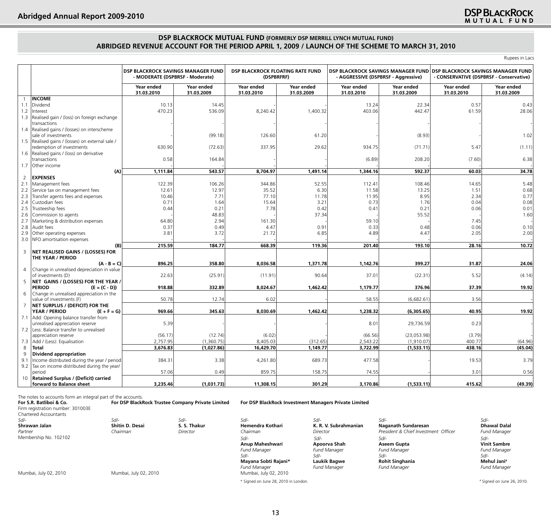## **DSP BLACKROCK MUTUAL FUND (FORMERLY DSP MERRILL LYNCH MUTUAL FUND) Abridged Revenue Account For The Period April 1, 2009 / Launch of the Scheme to March 31, 2010**

Rupees in Lacs

|                          |                                                                  | - MODERATE (DSPBRSF - Moderate) | <b>DSP BLACKROCK SAVINGS MANAGER FUND</b> | DSP BLACKROCK FLOATING RATE FUND<br>(DSPBRFRF) |                          | - AGGRESSIVE (DSPBRSF - Aggressive) |                          | DSP BLACKROCK SAVINGS MANAGER FUND DSP BLACKROCK SAVINGS MANAGER FUND<br>- CONSERVATIVE (DSPBRSF - Conservative) |                          |
|--------------------------|------------------------------------------------------------------|---------------------------------|-------------------------------------------|------------------------------------------------|--------------------------|-------------------------------------|--------------------------|------------------------------------------------------------------------------------------------------------------|--------------------------|
|                          |                                                                  | Year ended<br>31.03.2010        | Year ended<br>31.03.2009                  | Year ended<br>31.03.2010                       | Year ended<br>31.03.2009 | Year ended<br>31.03.2010            | Year ended<br>31.03.2009 | Year ended<br>31.03.2010                                                                                         | Year ended<br>31.03.2009 |
| $\overline{1}$           | <b>INCOME</b>                                                    |                                 |                                           |                                                |                          |                                     |                          |                                                                                                                  |                          |
| 1.1                      | Dividend                                                         | 10.13                           | 14.45                                     |                                                |                          | 13.24                               | 22.34                    | 0.57                                                                                                             | 0.43                     |
| 1.2                      | Interest                                                         | 470.23                          | 536.09                                    | 8,240.42                                       | 1,400.32                 | 403.06                              | 442.47                   | 61.59                                                                                                            | 28.06                    |
| 1.3                      | Realised gain / (loss) on foreign exchange                       |                                 |                                           |                                                |                          |                                     |                          |                                                                                                                  |                          |
|                          | transactions                                                     |                                 |                                           |                                                |                          |                                     |                          |                                                                                                                  |                          |
| 1.4                      | Realised gains / (losses) on interscheme                         |                                 |                                           |                                                |                          |                                     |                          |                                                                                                                  |                          |
|                          | sale of investments                                              |                                 | (99.18)                                   | 126.60                                         | 61.20                    |                                     | (8.93)                   |                                                                                                                  | 1.02                     |
|                          | 1.5   Realised gains / (losses) on external sale /               |                                 |                                           |                                                |                          |                                     |                          |                                                                                                                  |                          |
|                          | redemption of investments                                        | 630.90                          | (72.63)                                   | 337.95                                         | 29.62                    | 934.75                              | (71.71)                  | 5.47                                                                                                             | (1.11)                   |
| 1.6                      | Realised gains / (loss) on derivative                            |                                 |                                           |                                                |                          |                                     |                          |                                                                                                                  |                          |
|                          | transactions                                                     | 0.58                            | 164.84                                    |                                                |                          | (6.89)                              | 208.20                   | (7.60)                                                                                                           | 6.38                     |
| 1.7                      | Other income                                                     |                                 |                                           |                                                |                          |                                     |                          |                                                                                                                  |                          |
|                          | (A)                                                              | 1,111.84                        | 543.57                                    | 8,704.97                                       | 1,491.14                 | 1,344.16                            | 592.37                   | 60.03                                                                                                            | 34.78                    |
| $\overline{2}$           | <b>EXPENSES</b>                                                  |                                 |                                           |                                                |                          |                                     |                          |                                                                                                                  |                          |
| 2.1                      | Management fees                                                  | 122.39                          | 106.26                                    | 344.86                                         | 52.55                    | 112.41                              | 108.46                   | 14.65                                                                                                            | 5.48                     |
| 2.2                      | Service tax on management fees                                   | 12.61                           | 12.97                                     | 35.52                                          | 6.30                     | 11.58                               | 13.25                    | 1.51                                                                                                             | 0.68                     |
| 2.3                      | Transfer agents fees and expenses                                | 10.46                           | 7.71                                      | 77.10                                          | 11.78                    | 11.95                               | 8.95                     | 2.34                                                                                                             | 0.77                     |
| 2.4                      | Custodian fees                                                   | 0.71                            | 1.64                                      | 15.64                                          | 3.21                     | 0.73                                | 1.76                     | 0.04                                                                                                             | 0.08                     |
| 2.5                      | Trusteeship fees                                                 | 0.44                            | 0.21                                      | 7.78                                           | 0.42                     | 0.41                                | 0.21                     | 0.06                                                                                                             | 0.01                     |
| 2.6                      | Commission to agents                                             |                                 | 48.83                                     |                                                | 37.34                    |                                     | 55.52                    |                                                                                                                  | 1.60                     |
| 2.7                      | Marketing & distribution expenses                                | 64.80                           | 2.94                                      | 161.30                                         |                          | 59.10                               |                          | 7.45                                                                                                             |                          |
| 2.8                      | Audit fees                                                       | 0.37                            | 0.49                                      | 4.47                                           | 0.91                     | 0.33                                | 0.48                     | 0.06                                                                                                             | 0.10                     |
| 2.9                      | Other operating expenses                                         | 3.81                            | 3.72                                      | 21.72                                          | 6.85                     | 4.89                                | 4.47                     | 2.05                                                                                                             | 2.00                     |
|                          | 3.0   NFO amortisation expenses                                  |                                 |                                           |                                                |                          |                                     |                          |                                                                                                                  |                          |
|                          | (B)                                                              | 215.59                          | 184.77                                    | 668.39                                         | 119.36                   | 201.40                              | 193.10                   | 28.16                                                                                                            | 10.72                    |
| 3                        | NET REALISED GAINS / (LOSSES) FOR                                |                                 |                                           |                                                |                          |                                     |                          |                                                                                                                  |                          |
|                          | THE YEAR / PERIOD                                                |                                 |                                           |                                                |                          |                                     |                          |                                                                                                                  |                          |
|                          | $(A - B = C)$                                                    | 896.25                          | 358.80                                    | 8,036.58                                       | 1,371.78                 | 1,142.76                            | 399.27                   | 31.87                                                                                                            | 24.06                    |
| $\overline{4}$           | Change in unrealised depreciation in value                       |                                 |                                           |                                                |                          |                                     |                          |                                                                                                                  |                          |
|                          | of investments (D)                                               | 22.63                           | (25.91)                                   | (11.91)                                        | 90.64                    | 37.01                               | (22.31)                  | 5.52                                                                                                             | (4.14)                   |
| 5                        | NET GAINS / (LOSSES) FOR THE YEAR /                              |                                 |                                           |                                                |                          |                                     |                          |                                                                                                                  |                          |
|                          | <b>PERIOD</b><br>$(E = (C - D))$                                 | 918.88                          | 332.89                                    | 8,024.67                                       | 1,462.42                 | 1,179.77                            | 376.96                   | 37.39                                                                                                            | 19.92                    |
| 6                        | Change in unrealised appreciation in the                         |                                 |                                           |                                                |                          |                                     |                          |                                                                                                                  |                          |
|                          | value of investments (F)                                         | 50.78                           | 12.74                                     | 6.02                                           |                          | 58.55                               | (6,682.61)               | 3.56                                                                                                             |                          |
| $\overline{7}$           | NET SURPLUS / (DEFICIT) FOR THE                                  |                                 |                                           |                                                |                          |                                     |                          |                                                                                                                  |                          |
|                          | YEAR / PERIOD<br>$(E + F = G)$                                   | 969.66                          | 345.63                                    | 8,030.69                                       | 1,462.42                 | 1,238.32                            | (6,305.65)               | 40.95                                                                                                            | 19.92                    |
| 7.1                      | Add: Opening balance transfer from                               |                                 |                                           |                                                |                          |                                     |                          |                                                                                                                  |                          |
|                          | unrealised appreciation reserve                                  | 5.39                            |                                           |                                                |                          | 8.01                                | 29,736.59                | 0.23                                                                                                             |                          |
|                          | 7.2 Less: Balance transfer to unrealised<br>appreciation reserve | (56.17)                         | (12.74)                                   | (6.02)                                         |                          | (66.56)                             | (23,053.98)              | (3.79)                                                                                                           |                          |
|                          |                                                                  |                                 |                                           |                                                |                          |                                     |                          |                                                                                                                  |                          |
| 7.3<br>8<br><b>Total</b> | Add / (Less): Equalisation                                       | 2,757.95                        | (1,360.75)                                | 8,405.03                                       | (312.65)<br>1,149.77     | 2,543.22                            | (1,910.07)               | 400.77<br>438.16                                                                                                 | (64.96)                  |
| 9                        |                                                                  | 3,676.83                        | (1,027.86)                                | 16,429.70                                      |                          | 3,722.99                            | (1,533.11)               |                                                                                                                  | (45.04)                  |
| 9.1                      | Dividend appropriation                                           |                                 |                                           |                                                | 689.73                   |                                     |                          |                                                                                                                  | 3.79                     |
|                          | Income distributed during the year / period                      | 384.31                          | 3.38                                      | 4,261.80                                       |                          | 477.58                              |                          | 19.53                                                                                                            |                          |
| 9.2<br>period            | Tax on income distributed during the year/                       | 57.06                           | 0.49                                      | 859.75                                         | 158.75                   | 74.55                               |                          | 3.01                                                                                                             | 0.56                     |
| 10                       | <b>Retained Surplus / (Deficit) carried</b>                      |                                 |                                           |                                                |                          |                                     |                          |                                                                                                                  |                          |
|                          | forward to Balance sheet                                         | 3,235.46                        | (1,031.73)                                | 11,308.15                                      | 301.29                   | 3,170.86                            | (1,533.11)               | 415.62                                                                                                           | (49.39)                  |

The notes to accounts form an integral part of the accounts.<br> **For S.R. Batliboi & Co. For DSP BlackRock Trustee Company Private Limited For S.R. Batliboi & Co. For DSP BlackRock Trustee Company Private Limited For DSP BlackRock Investment Managers Private Limited** Firm registration number: 301003E Chartered Accountants<br>Sd/-*Sd/- Sd/- Sd/- Sd/- Sd/- Sd/- Sd/-* **Shrawan Jalan Shitin D. Desai S. S. Thakur Hemendra Kothari K. R. V. Subrahmanian Naganath Sundaresan Dhawal Dalal** *Partner* Membership No. 102102 *Chairman Director Chairman Director President & Chief Investment Officer Fund Manager* **Anup Maheshwari Apoorva Shah Aseem Gupta Vinit Sambre** *Fund Manager Fund Manager Fund Manager Fund Manager Sd/- Sd/- Sd/- Sd/-* **Mayana Sobti Rajani\* Laukik Bagwe Rohit Singhania Mehul Jani#** *Fund Manager Fund Manager Fund Manager Fund Manager*  Mumbai, July 02, 2010 Mumbai, July 02, 2010 Mumbai, July 02, 2010 *Sd/- Sd/- Sd/- Sd/-*

\* Signed on June 28, 2010 in London. #

# Signed on June 26, 2010.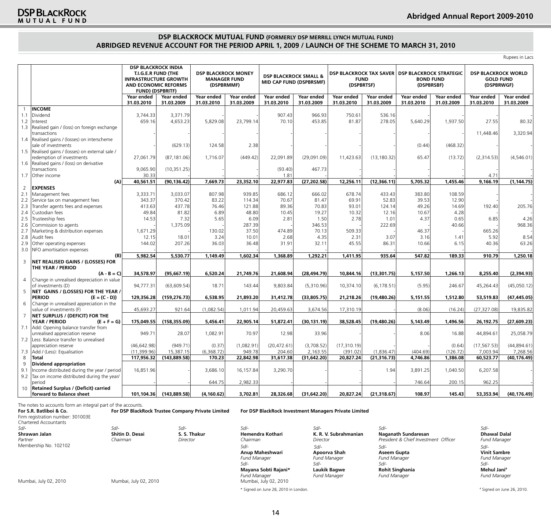## **DSP BLACKROCK MUTUAL FUND (FORMERLY DSP MERRILL LYNCH MUTUAL FUND) Abridged Revenue Account For The Period April 1, 2009 / Launch of the Scheme to March 31, 2010**

Rupees in Lacs

|                |                                                                         | <b>DSP BLACKROCK INDIA</b><br>T.I.G.E.R FUND (THE<br><b>INFRASTRUCTURE GROWTH</b><br>AND ECONOMIC REFORMS<br><b>FUND) (DSPBRITF)</b> |                          | <b>DSP BLACKROCK MONEY</b><br><b>MANAGER FUND</b><br>(DSPBRMMF) |                          | <b>DSP BLACKROCK SMALL &amp;</b><br>MID CAP FUND (DSPBRSMF) |                          | <b>DSP BLACKROCK TAX SAVER</b><br><b>FUND</b><br>(DSPBRTSF) |                          | <b>DSP BLACKROCK STRATEGIC</b><br><b>BOND FUND</b><br>(DSPBRSBF) |                          | <b>DSP BLACKROCK WORLD</b><br><b>GOLD FUND</b><br>(DSPBRWGF) |                          |
|----------------|-------------------------------------------------------------------------|--------------------------------------------------------------------------------------------------------------------------------------|--------------------------|-----------------------------------------------------------------|--------------------------|-------------------------------------------------------------|--------------------------|-------------------------------------------------------------|--------------------------|------------------------------------------------------------------|--------------------------|--------------------------------------------------------------|--------------------------|
|                |                                                                         | Year ended<br>31.03.2010                                                                                                             | Year ended<br>31.03.2009 | Year ended<br>31.03.2010                                        | Year ended<br>31.03.2009 | Year ended<br>31.03.2010                                    | Year ended<br>31.03.2009 | Year ended<br>31.03.2010                                    | Year ended<br>31.03.2009 | Year ended<br>31.03.2010                                         | Year ended<br>31.03.2009 | Year ended<br>31.03.2010                                     | Year ended<br>31.03.2009 |
|                | <b>INCOME</b>                                                           |                                                                                                                                      |                          |                                                                 |                          |                                                             |                          |                                                             |                          |                                                                  |                          |                                                              |                          |
| 1.1            | Dividend                                                                | 3.744.33                                                                                                                             | 3,371.79                 |                                                                 |                          | 907.43                                                      | 966.93                   | 750.61                                                      | 536.16                   |                                                                  |                          |                                                              |                          |
| 1.2            | Interest                                                                | 659.16                                                                                                                               | 4,653.23                 | 5,829.08                                                        | 23,799.14                | 70.10                                                       | 453.85                   | 81.87                                                       | 278.05                   | 5,640.29                                                         | 1,937.50                 | 27.55                                                        | 80.32                    |
| 1.3            | Realised gain / (loss) on foreign exchange<br>transactions              |                                                                                                                                      |                          |                                                                 |                          |                                                             |                          |                                                             |                          |                                                                  |                          | 11,448.46                                                    | 3,320.94                 |
| 1.4            | Realised gains / (losses) on interscheme<br>sale of investments         |                                                                                                                                      | (629.13)                 | 124.58                                                          | 2.38                     |                                                             |                          |                                                             |                          | (0.44)                                                           | (468.32)                 |                                                              |                          |
| 1.5            | Realised gains / (losses) on external sale /                            |                                                                                                                                      |                          |                                                                 |                          |                                                             |                          |                                                             |                          |                                                                  |                          |                                                              |                          |
|                | redemption of investments                                               | 27,061.79                                                                                                                            | (87, 181.06)             | 1,716.07                                                        | (449.42)                 | 22,091.89                                                   | (29,091.09)              | 11,423.63                                                   | (13, 180.32)             | 65.47                                                            | (13.72)                  | (2,314.53)                                                   | (4,546.01)               |
| 1.6            | Realised gains / (loss) on derivative                                   |                                                                                                                                      |                          |                                                                 |                          |                                                             |                          |                                                             |                          |                                                                  |                          |                                                              |                          |
|                | transactions                                                            | 9,065.90                                                                                                                             | (10, 351.25)             |                                                                 |                          | (93.40)                                                     | 467.73                   |                                                             |                          |                                                                  |                          |                                                              |                          |
| 1.7            | Other income                                                            | 30.33                                                                                                                                |                          |                                                                 |                          | 1.81                                                        |                          |                                                             |                          |                                                                  |                          | 4.71                                                         |                          |
|                | (A)                                                                     | 40,561.51                                                                                                                            | (90, 136.42)             | 7,669.73                                                        | 23,352.10                | 22,977.83                                                   | (27, 202.58)             | 12,256.11                                                   | (12, 366.11)             | 5,705.32                                                         | 1,455.46                 | 9,166.19                                                     | (1, 144.75)              |
| $\overline{2}$ | <b>EXPENSES</b>                                                         |                                                                                                                                      |                          |                                                                 |                          |                                                             |                          |                                                             |                          |                                                                  |                          |                                                              |                          |
| 2.1            | Management fees                                                         | 3,333.71                                                                                                                             | 3,033.07                 | 807.98                                                          | 939.85                   | 686.12                                                      | 666.02                   | 678.74                                                      | 433.43                   | 383.80                                                           | 108.59                   |                                                              |                          |
| 2.2            | Service tax on management fees                                          | 343.37                                                                                                                               | 370.42                   | 83.22                                                           | 114.34                   | 70.67                                                       | 81.47                    | 69.91                                                       | 52.83                    | 39.53                                                            | 12.90                    |                                                              |                          |
| 2.3            | Transfer agents fees and expenses                                       | 413.63                                                                                                                               | 437.78                   | 76.46                                                           | 121.88                   | 89.36                                                       | 70.83                    | 93.01                                                       | 124.14                   | 49.26                                                            | 14.69                    | 192.40                                                       | 205.76                   |
| 2.4            | Custodian fees                                                          | 49.84                                                                                                                                | 81.82                    | 6.89                                                            | 48.80                    | 10.45                                                       | 19.27                    | 10.32                                                       | 12.16                    | 10.67                                                            | 4.28                     |                                                              |                          |
| 2.5            | Trusteeship fees                                                        | 14.53                                                                                                                                | 7.32                     | 5.65                                                            | 6.09                     | 2.81                                                        | 1.50                     | 2.78                                                        | 1.01                     | 4.37                                                             | 0.65                     | 6.85                                                         | 4.26                     |
| 2.6            | Commission to agents                                                    |                                                                                                                                      | 1,375.09                 |                                                                 | 287.39                   |                                                             | 346.53                   |                                                             | 222.69                   |                                                                  | 40.66                    |                                                              | 968.36                   |
| 2.7            | Marketing & distribution expenses                                       | 1,671.29                                                                                                                             |                          | 130.02                                                          | 37.50                    | 474.89                                                      | 70.13                    | 509.33                                                      |                          | 46.37                                                            |                          | 665.26                                                       |                          |
| 2.8            | Audit fees                                                              | 12.15                                                                                                                                | 18.01                    | 3.24                                                            | 10.01                    | 2.68                                                        | 4.35                     | 2.31                                                        | 3.07                     | 3.16                                                             | 1.41                     | 5.92                                                         | 8.54                     |
| 2.9            | Other operating expenses                                                | 144.02                                                                                                                               | 207.26                   | 36.03                                                           | 36.48                    | 31.91                                                       | 32.11                    | 45.55                                                       | 86.31                    | 10.66                                                            | 6.15                     | 40.36                                                        | 63.26                    |
| 3.0            | NFO amortisation expenses                                               |                                                                                                                                      |                          |                                                                 |                          |                                                             |                          |                                                             |                          |                                                                  |                          |                                                              |                          |
|                | (B)                                                                     | 5,982.54                                                                                                                             | 5,530.77                 | 1,149.49                                                        | 1,602.34                 | 1,368.89                                                    | 1,292.21                 | 1,411.95                                                    | 935.64                   | 547.82                                                           | 189.33                   | 910.79                                                       | 1,250.18                 |
| $\overline{3}$ | NET REALISED GAINS / (LOSSES) FOR<br>THE YEAR / PERIOD                  |                                                                                                                                      |                          |                                                                 |                          |                                                             |                          |                                                             |                          |                                                                  |                          |                                                              |                          |
|                | $(A - B = C)$                                                           | 34,578.97                                                                                                                            | (95,667.19)              | 6,520.24                                                        | 21,749.76                | 21,608.94                                                   | (28, 494.79)             | 10,844.16                                                   | (13, 301.75)             | 5,157.50                                                         | 1,266.13                 | 8,255.40                                                     | (2,394.93)               |
| $\overline{4}$ | Change in unrealised depreciation in value<br>of investments (D)        | 94,777.31                                                                                                                            | (63, 609.54)             | 18.71                                                           | 143.44                   | 9,803.84                                                    | (5,310.96)               | 10,374.10                                                   | (6, 178.51)              | (5.95)                                                           | 246.67                   | 45,264.43                                                    |                          |
| 5              | NET GAINS / (LOSSES) FOR THE YEAR /                                     |                                                                                                                                      |                          |                                                                 |                          |                                                             |                          |                                                             |                          |                                                                  |                          |                                                              | (45,050.12)              |
|                | <b>PERIOD</b><br>$(E = (C - D))$                                        | 129,356.28                                                                                                                           | (159, 276.73)            | 6,538.95                                                        | 21,893.20                | 31,412.78                                                   | (33,805.75)              | 21,218.26                                                   | (19,480.26)              | 5,151.55                                                         | 1,512.80                 | 53,519.83                                                    | (47, 445.05)             |
| 6              | Change in unrealised appreciation in the<br>value of investments (F)    | 45,693.27                                                                                                                            | 921.64                   | (1,082.54)                                                      | 1,011.94                 | 20,459.63                                                   | 3,674.56                 | 17,310.19                                                   |                          | (8.06)                                                           | (16.24)                  | (27, 327.08)                                                 | 19,835.82                |
| $\overline{7}$ | NET SURPLUS / (DEFICIT) FOR THE                                         |                                                                                                                                      |                          |                                                                 |                          |                                                             |                          |                                                             |                          |                                                                  |                          |                                                              |                          |
|                | YEAR / PERIOD<br>$(E + F = G)$                                          | 175,049.55                                                                                                                           | (158, 355.09)            | 5,456.41                                                        | 22,905.14                | 51,872.41                                                   | (30, 131.19)             | 38,528.45                                                   | (19,480.26)              | 5,143.49                                                         | 1,496.56                 | 26,192.75                                                    | (27, 609.23)             |
| 7.1            | Add: Opening balance transfer from                                      |                                                                                                                                      |                          |                                                                 |                          |                                                             |                          |                                                             |                          |                                                                  |                          |                                                              |                          |
| 7.2            | unrealised appreciation reserve<br>Less: Balance transfer to unrealised | 949.71                                                                                                                               | 28.07                    | 1,082.91                                                        | 70.97                    | 12.98                                                       | 33.96                    |                                                             |                          | 8.06                                                             | 16.88                    | 44,894.61                                                    | 25,058.79                |
|                | appreciation reserve                                                    | (46, 642.98)                                                                                                                         | (949.71)                 | (0.37)                                                          | (1,082.91)               | (20, 472.61)                                                | (3,708.52)               | (17, 310.19)                                                |                          |                                                                  | (0.64)                   | (17, 567.53)                                                 | (44, 894.61)             |
| 7.3            | Add / (Less): Equalisation                                              | (11, 399.96)                                                                                                                         | 15,387.15                | (6,368.72)                                                      | 949.78                   | 204.60                                                      | 2,163.55                 | (391.02)                                                    | (1,836.47)               | (404.69)                                                         | (126.72)                 | 7,003.94                                                     | 7,268.56                 |
| 8              | Total                                                                   | 117,956.32                                                                                                                           | (143,889.58)             | 170.23                                                          | 22,842.98                | 31,617.38                                                   | (31, 642.20)             | 20,827.24                                                   | (21, 316.73)             | 4,746.86                                                         | 1,386.08                 | 60,523.77                                                    | (40, 176.49)             |
| 9              | <b>Dividend appropriation</b>                                           |                                                                                                                                      |                          |                                                                 |                          |                                                             |                          |                                                             |                          |                                                                  |                          |                                                              |                          |
| 9.1            | Income distributed during the year / period                             | 16,851.96                                                                                                                            |                          | 3,686.10                                                        | 16,157.84                | 3,290.70                                                    |                          |                                                             | 1.94                     | 3,891.25                                                         | 1,040.50                 | 6,207.58                                                     |                          |
| 9.2            | Tax on income distributed during the year/                              |                                                                                                                                      |                          |                                                                 |                          |                                                             |                          |                                                             |                          |                                                                  |                          |                                                              |                          |
|                | period                                                                  |                                                                                                                                      |                          | 644.75                                                          | 2,982.33                 |                                                             |                          |                                                             |                          | 746.64                                                           | 200.15                   | 962.25                                                       |                          |
| 10             | <b>Retained Surplus / (Deficit) carried</b><br>forward to Balance sheet |                                                                                                                                      | 101,104.36 (143,889.58)  | (4, 160.62)                                                     | 3,702.81                 | 28,326.68                                                   | (31, 642.20)             | 20,827.24                                                   | (21, 318.67)             | 108.97                                                           | 145.43                   | 53,353.94                                                    | (40, 176.49)             |

The notes to accounts form an integral part of the accounts.<br> **For S.R. Batliboi & Co. For DSP BlackRock Trustee Company Private Limited** Firm registration number: 301003E

Chartered Accountants *Sd/- Sd/- Sd/- Sd/- Sd/- Sd/- Sd/-* **Shrawan Jalan Shitin D. Desai S. S. Thakur Hemendra Kothari K. R. V. Subrahmanian Naganath Sundaresan Dhawal Dalal** *Partner* Membership No. 102102 *Chairman Director Chairman Director President & Chief Investment Officer Fund Manager* **Anup Maheshwari Apoorva Shah Aseem Gupta Vinit Sambre** *Fund Manager Fund Manager Fund Manager Fund Manager Sd/- Sd/- Sd/- Sd/-* **Mayana Sobti Rajani\* Laukik Bagwe Rohit Singhania Mehul Jani#** *Fund Manager Fund Manager Fund Manager Fund Manager*  Mumbai, July 02, 2010 Mumbai, July 02, 2010 Mumbai, July 02, 2010 # Signed on June 26, 2010. *Sd/- Sd/- Sd/- Sd/-*

**For S.R. Batliboi & Co. For DSP BlackRock Trustee Company Private Limited For DSP BlackRock Investment Managers Private Limited**

\* Signed on June 28, 2010 in London. #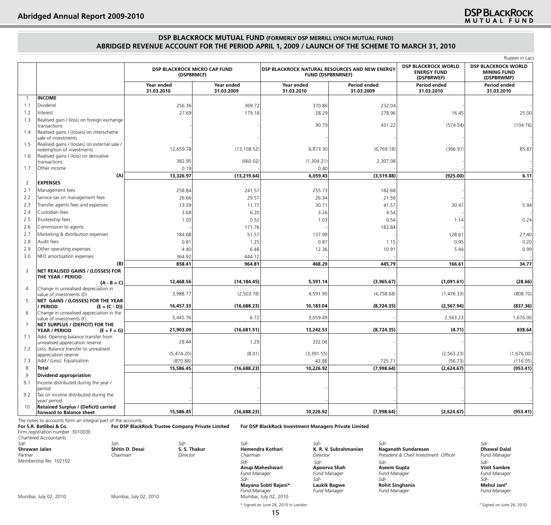## **DSP BLACKROCK MUTUAL FUND (FORMERLY DSP MERRILL LYNCH MUTUAL FUND) Abridged Revenue Account For The Period April 1, 2009 / Launch of the Scheme to March 31, 2010**

|                |                                                                         |                                            |                          |                                                                            |                            |                                                                | Rupees in Lacs                                                 |
|----------------|-------------------------------------------------------------------------|--------------------------------------------|--------------------------|----------------------------------------------------------------------------|----------------------------|----------------------------------------------------------------|----------------------------------------------------------------|
|                |                                                                         | DSP BLACKROCK MICRO CAP FUND<br>(DSPBRMCF) |                          | DSP BLACKROCK NATURAL RESOURCES AND NEW ENERGY<br><b>FUND (DSPBRNRNEF)</b> |                            | <b>DSP BLACKROCK WORLD</b><br><b>ENERGY FUND</b><br>(DSPBRWEF) | <b>DSP BLACKROCK WORLD</b><br><b>MINING FUND</b><br>(DSPBRWMF) |
|                |                                                                         | Year ended<br>31.03.2010                   | Year ended<br>31.03.2009 | Year ended<br>31.03.2010                                                   | Period ended<br>31.03.2009 | Period ended<br>31.03.2010                                     | Period ended<br>31.03.2010                                     |
| $\mathbf{1}$   | <b>INCOME</b>                                                           |                                            |                          |                                                                            |                            |                                                                |                                                                |
| 1.1            | Dividend                                                                | 256.36                                     | 369.72                   | 370.86                                                                     | 232.04                     |                                                                |                                                                |
| 1.2            | Interest                                                                | 27.69                                      | 179.18                   | 28.29                                                                      | 278.96                     | 16.45                                                          | 25.00                                                          |
| 1.3            | Realised gain / (loss) on foreign exchange<br>transactions              |                                            |                          | 90.79                                                                      | 431.22                     | (574.54)                                                       | (104.76)                                                       |
| 1.4            | Realised gains / (losses) on interscheme                                |                                            |                          |                                                                            |                            |                                                                |                                                                |
|                | sale of investments                                                     |                                            |                          |                                                                            |                            |                                                                |                                                                |
| 1.5            | Realised gains / (losses) on external sale /                            | 12,659.78                                  | (13, 108.52)             | 6,873.30                                                                   | (6,769.18)                 | (366.91)                                                       | 85.87                                                          |
| 1.6            | redemption of investments<br>Realised gains / (loss) on derivative      |                                            |                          |                                                                            |                            |                                                                |                                                                |
|                | transactions                                                            | 382.95                                     | (660.02)                 | (1,304.21)                                                                 | 2,307.08                   |                                                                |                                                                |
| 1.7            | Other income                                                            | 0.19                                       |                          | 0.40                                                                       |                            |                                                                |                                                                |
|                | (A)                                                                     | 13,326.97                                  | (13, 219.64)             | 6,059.43                                                                   | (3,519.88)                 | (925.00)                                                       | 6.11                                                           |
| 2              | <b>EXPENSES</b>                                                         |                                            |                          |                                                                            |                            |                                                                |                                                                |
| 2.1            | Management fees                                                         | 258.84                                     | 241.57                   | 255.73                                                                     | 182.68                     |                                                                |                                                                |
| 2.2            | Service tax on management fees                                          | 26.66                                      | 29.57                    | 26.34                                                                      | 21.56                      |                                                                |                                                                |
| 2.3            | Transfer agents fees and expenses                                       | 13.39                                      | 11.77                    | 30.71                                                                      | 41.57                      | 30.47                                                          | 5.94                                                           |
| 2.4            | Custodian fees                                                          | 3.68                                       | 6.20                     | 3.26                                                                       | 4.54                       |                                                                |                                                                |
| 2.5            | Trusteeship fees                                                        | 1.03                                       | 0.52                     | 1.03                                                                       | 0.54                       | 1.14                                                           | 0.24                                                           |
| 2.6            | Commission to agents                                                    |                                            | 171.76                   |                                                                            | 182.84                     |                                                                |                                                                |
| 2.7            | Marketing & distribution expenses                                       | 184.68                                     | 51.57                    | 137.99                                                                     |                            | 128.61                                                         | 27.40                                                          |
| 2.8            | Audit fees                                                              | 0.81                                       | 1.25                     | 0.87                                                                       | 1.15                       | 0.95                                                           | 0.20                                                           |
| 2.9            | Other operating expenses                                                | 4.40                                       | 6.48                     | 12.36                                                                      | 10.91                      | 5.44                                                           | 0.99                                                           |
| 3.0            | NFO amortisation expenses                                               | 364.92                                     | 444.12                   |                                                                            |                            |                                                                |                                                                |
|                | (B)                                                                     | 858.41                                     | 964.81                   | 468.29                                                                     | 445.79                     | 166.61                                                         | 34.77                                                          |
| 3              | NET REALISED GAINS / (LOSSES) FOR                                       |                                            |                          |                                                                            |                            |                                                                |                                                                |
|                | THE YEAR / PERIOD<br>$(A - B = C)$                                      | 12,468.56                                  | (14, 184.45)             | 5,591.14                                                                   | (3,965.67)                 | (1,091.61)                                                     | (28.66)                                                        |
| $\overline{4}$ | Change in unrealised depreciation in                                    |                                            |                          |                                                                            |                            |                                                                |                                                                |
|                | value of investments (D)                                                | 3,988.77                                   | (2,503.78)               | 4,591.90                                                                   | (4,758.68)                 | (1,476.33)                                                     | (808.70)                                                       |
| 5              | NET GAINS / (LOSSES) FOR THE YEAR<br><b>PERIOD</b><br>$(E = (C - D))$   | 16,457.33                                  | (16,688.23)              | 10,183.04                                                                  | (8,724.35)                 | (2,567.94)                                                     | (837.36)                                                       |
| 6              | Change in unrealised appreciation in the                                |                                            |                          |                                                                            |                            |                                                                |                                                                |
|                | value of investments (F)                                                | 5,445.76                                   | 6.72                     | 3,059.49                                                                   |                            | 2,563.23                                                       | 1,676.00                                                       |
| 7              | NET SURPLUS / (DEFICIT) FOR THE<br>YEAR / PERIOD<br>$(E + F = G)$       | 21,903.09                                  | (16,681.51)              | 13,242.53                                                                  | (8,724.35)                 | (4.71)                                                         | 838.64                                                         |
| 7.1            | Add: Opening balance transfer from                                      |                                            |                          |                                                                            |                            |                                                                |                                                                |
|                | unrealised appreciation reserve                                         | 28.44                                      | 1.29                     | 332.06                                                                     |                            |                                                                |                                                                |
| 7.2            | Less: Balance transfer to unrealised<br>appreciation reserve            | (5,474.20)                                 | (8.01)                   | (3,391.55)                                                                 |                            | (2, 563.23)                                                    | (1,676.00)                                                     |
| 7.3            | Add / (Less): Equalisation                                              | (870.88)                                   |                          | 43.88                                                                      | 725.71                     | (56.73)                                                        | (116.05)                                                       |
| 8              | Total                                                                   | 15,586.45                                  | (16,688.23)              | 10,226.92                                                                  | (7,998.64)                 | (2,624.67)                                                     | (953.41)                                                       |
| 9              | Dividend appropriation                                                  |                                            |                          |                                                                            |                            |                                                                |                                                                |
| 9.1            | Income distributed during the year /                                    |                                            |                          |                                                                            |                            |                                                                |                                                                |
|                | period                                                                  |                                            |                          |                                                                            |                            |                                                                |                                                                |
| 9.2            | Tax on income distributed during the<br>year/ period                    |                                            |                          |                                                                            |                            |                                                                |                                                                |
| 10             | <b>Retained Surplus / (Deficit) carried</b><br>forward to Balance sheet | 15,586.45                                  | (16,688.23)              | 10,226.92                                                                  | (7,998.64)                 | (2,624.67)                                                     | (953.41)                                                       |

The notes to accounts form an integral part of the accounts.<br> **For S.R. Batliboi & Co. For DSP BlackRock Trustee Company Private Limited For S.R. Batliboi & Co. For DSP BlackRock Trustee Company Private Limited For DSP BlackRock Investment Managers Private Limited** Firm registration number: 301003E Chartered Accountants<br>Sd/-*Sd/- Sd/- Sd/- Sd/- Sd/- Sd/- Sd/-* **Shrawan Jalan Shitin D. Desai S. S. Thakur** Hemendra Kothari **K. R. V. Subrahmanian Naganath Sundaresan** Dhawal Dalal<br>Partner Partner *Chairman* Director Chairman Chairman Chairman Director Director President & Chief *Partner* Membership No. 102102

*Fund Manager Fund Manager Fund Manager Fund Manager* 

*Chairman Director Chairman Director President & Chief Investment Officer Fund Manager* **Anup Maheshwari Apoorva Shah Aseem Gupta Vinit Sambre** *Fund Manager Fund Manager Fund Manager Fund Manager Sd/- Sd/- Sd/- Sd/-* **Mayana Sobti Rajani\* Laukik Bagwe Rohit Singhania Mehul Jani#** *Sd/- Sd/- Sd/- Sd/-*

\* Signed on June 28, 2010 in London. #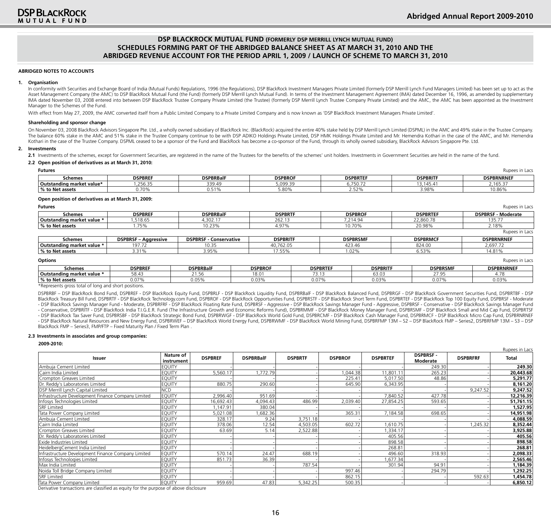#### **ABRIDGED NOTES TO ACCOUNTS**

#### **1. Organisation**

In conformity with Securities and Exchange Board of India (Mutual Funds) Regulations, 1996 (the Regulations), DSP BlackRock Investment Managers Private Limited (formerly DSP Merrill Lynch Fund Managers Limited) has been se Asset Management Company (the AMC) to DSP BlackRock Mutual Fund (the Fund) (formerly DSP Merrill Lynch Mutual Fund). In terms of the Investment Management Agreement (IMA) dated December 16, 1996, as amended by supplementar IMA dated November 03, 2008 entered into between DSP BlackRock Trustee Company Private Limited (the Trustee) (formerly DSP Merrill Lynch Trustee Company Private Limited) and the AMC, the AMC has been appointed as the Inves Manager to the Schemes of the Fund.

With effect from May 27, 2009, the AMC converted itself from a Public Limited Company to a Private Limited Company and is now known as 'DSP BlackRock Investment Managers Private Limited'.

#### **Shareholding and sponsor change**

On November 03, 2008 BlackRock Advisors Singapore Pte. Ltd., a wholly owned subsidiary of BlackRock Inc. (BlackRock) acquired the entire 40% stake held by DSP Merrill Lynch Limited (DSPML) in the AMC and 49% stake in the T The balance 60% stake in the AMC and 51% stake in the Trustee Company continue to be with DSP ADIKO Holdings Private Limited, DSP HMK Holdings Private Limited and Mr. Hemendra Kothari in the case of the AMC, and Mr. Hemend Kothari in the case of the Trustee Company. DSPML ceased to be a sponsor of the Fund and BlackRock has become a co-sponsor of the Fund, through its wholly owned subsidiary, BlackRock Advisors Singapore Pte. Ltd.

#### **2. Investments**

2.1 Investments of the schemes, except for Government Securities, are registered in the name of the Trustees for the benefits of the schemes' unit holders. Investments in Government Securities are held in the name of the f

#### **2.2 Open position of derivatives as at March 31, 2010:**

| <b>Futures</b>            | dunees<br>III LdC. |                  |                |                        |                    |                   |  |  |  |  |  |  |
|---------------------------|--------------------|------------------|----------------|------------------------|--------------------|-------------------|--|--|--|--|--|--|
| Schemes                   | <b>DSPBREF</b>     | <b>DSPBRBalF</b> | <b>DSPBROF</b> | <b>DSPBRTEF</b>        | <b>DSPBRITE</b>    | <b>DSPBRNRNEF</b> |  |  |  |  |  |  |
| Outstanding market value* | 256.35             | 339.49           | 5,099.39       | <i><b>6.750.72</b></i> | $3.145.4^{\circ}$  | 165.37            |  |  |  |  |  |  |
| 6 to Net assets           | 0.70%              | $-104$<br>.      | 5.80%          | 2.52%                  | 2 Q.Q.O<br>J.JU 70 | 10.86%            |  |  |  |  |  |  |
|                           |                    |                  |                |                        |                    |                   |  |  |  |  |  |  |

#### **Open position of derivatives as at March 31, 2009:**

| <b>Futures</b>             |                             |                               |                 |                 |                 |                 | Rupees in Lacs            |
|----------------------------|-----------------------------|-------------------------------|-----------------|-----------------|-----------------|-----------------|---------------------------|
| Schemes                    | <b>DSPBREF</b>              | <b>DSPBRBalF</b>              | <b>DSPBRTF</b>  |                 | <b>DSPBROF</b>  | <b>DSPBRTEF</b> | <b>DSPBRSF - Moderate</b> |
| Outstanding market value * | ,518.65                     | 4,302.17                      | 262.13          |                 | 7,214.94        | 22,860.78       | 135.77                    |
| % to Net assets            | .75%                        | 10.23%                        | 4.97%           |                 | 10.70%          | 20.98%          | 2.18%                     |
|                            |                             |                               |                 |                 |                 |                 | Rupees in Lacs            |
| Schemes                    | <b>DSPBRSF - Aggressive</b> | <b>DSPBRSF - Conservative</b> | <b>DSPBRITF</b> |                 | <b>DSPBRSMF</b> | <b>DSPBRMCF</b> | <b>DSPBRNRNEF</b>         |
| Outstanding market value * | 197.72                      | 10.35                         | 40.762.05       |                 | 423.46          | 824.00          | 2.697.72                  |
| % to Net assets            | 3.31%                       | 3.95%                         | 17.55%          |                 | 1.02%           | 6.53%           | 14.81%                    |
| <b>Options</b>             |                             |                               |                 |                 |                 |                 | Rupees in Lacs            |
| Schemes                    | <b>DSPBREF</b>              | <b>DSPBRBalF</b>              | <b>DSPBROF</b>  | <b>DSPBRTEF</b> | <b>DSPBRITF</b> | <b>DSPBRSMF</b> | <b>DSPBRNRNEF</b>         |
| Outstanding market value * | 58.43                       | 21.56                         | 18.01           | 73.13           | 63.03           | 27.95           | 4.78                      |

\*Represents gross total of long and short positions.

DSPBRBF – DSP BlackRock Bond Fund, DSPBREF - DSP BlackRock Equity Fund, DSPBRLF - DSP BlackRock Liquidity Fund, DSPBRBalF - DSP BlackRock Balanced Fund, DSPBRGF - DSP BlackRock Government Securities Fund, DSPBRTBF - DSP BlackRock Treasury Bill Fund, DSPBRTF - DSP BlackRock Technology.com Fund, DSPBROF - DSP BlackRock Opportunities Fund, DSPBRSTF - DSP BlackRock Short Term Fund, DSPBRTEF - DSP BlackRock Top 100 Equity Fund, DSPBRSF - Moder - DSP BlackRock Savings Manager Fund - Moderate, DSPBRFRF - DSP BlackRock Floating Rate Fund, DSPBRSF - Aggressive - DSP BlackRock Savings Manager Fund - Aggressive, DSPBRSF - Conservative - DSP BlackRock Savings Manager F - Conservative, DSPBRITF - DSP BlackRock India T.I.G.E.R. Fund (The Infrastructure Growth and Economic Reforms Fund), DSPBRMMF - DSP BlackRock Money Manager Fund, DSPBRSMF - DSP BlackRock Small and Mid Cap Fund, DSPBRTSF - DSP BlackRock Tax Saver Fund, DSPBRSBF - DSP BlackRock Strategic Bond Fund, DSPBRWGF - DSP BlackRock World Gold Fund, DSPBRCMF - DSP BlackRock Cash Manager Fund, DSPBRMCF - DSP BlackRock Micro Cap Fund, DSPBRNRNEF - DSP BlackRock Natural Resources and New Energy Fund, DSPBRWEF – DSP BlackRock World Energy Fund, DSPBRKOck World Mining Fund, DSPBRFMP 13M - S2 – DSP BlackRock FMP – Series2, DSPBRFMP 13M – S3 – DSP BlackRock FMP – Series3, FMP/FTP – Fixed Maturity Plan / Fixed Term Plan .

**% to Net assets** 0.07% 0.05% 0.03% 0.07% 0.03% 0.07% 0.03%

#### **2.3 Investments in associates and group companies:**

**2009-2010:**

|                                                                                                                                               |                         |                |                  |                |                |                 |                            |                 | Rupees in Lacs |
|-----------------------------------------------------------------------------------------------------------------------------------------------|-------------------------|----------------|------------------|----------------|----------------|-----------------|----------------------------|-----------------|----------------|
| Issuer                                                                                                                                        | Nature of<br>instrument | <b>DSPBREF</b> | <b>DSPBRBalF</b> | <b>DSPBRTF</b> | <b>DSPBROF</b> | <b>DSPBRTEF</b> | <b>DSPBRSF</b><br>Moderate | <b>DSPBRFRF</b> | Total          |
| Ambuja Cement Limited                                                                                                                         | <b>EQUITY</b>           |                |                  |                |                |                 | 249.30                     |                 | 249.30         |
| Cairn India Limited                                                                                                                           | <b>EQUITY</b>           | 5,560.17       | 1,772.79         |                | 1,044.38       | 11,801.1        | 265.23                     |                 | 20,443.68      |
| Crompton Greaves Limited                                                                                                                      | <b>EQUITY</b>           |                |                  |                | 225.41         | 5,017.50        | 48.86                      |                 | 5,291.77       |
| IDr. Reddy's Laboratories Limited                                                                                                             | <b>EQUITY</b>           | 880.75         | 290.60           |                | 645.90         | 6,343.95        |                            |                 | 8,161.20       |
| DSP Merrill Lynch Capital Limited                                                                                                             | <b>NCD</b>              |                |                  |                |                |                 |                            | 9,247.52        | 9,247.52       |
| Infrastructure Development Finance Company Limited                                                                                            | <b>EQUITY</b>           | 2,996.40       | 951.69           |                |                | 7.840.52        | 427.78                     |                 | 12,216.39      |
| Infosys Technologies Limited                                                                                                                  | <b>EQUITY</b>           | 16,692.43      | 4,094.43         | 486.99         | 2,039.40       | 27,854.25       | 593.65                     |                 | 51,761.15      |
| <b>SRF</b> Limited                                                                                                                            | <b>EQUITY</b>           | ,147.91        | 380.04           |                |                |                 |                            |                 | 1,527.95       |
| Tata Power Company Limited                                                                                                                    | <b>EQUITY</b>           | 5,021.08       | ,682.36          |                | 365.31         | 7,184.58        | 698.65                     |                 | 14,951.98      |
| Ambuja Cement Limited                                                                                                                         | <b>EQUITY</b>           | 328.17         | 9.24             | 3.751.18       |                |                 |                            |                 | 4,088.59       |
| lCairn India Limited                                                                                                                          | <b>EQUITY</b>           | 378.06         | 12.54            | 4,503.05       | 602.72         | .610.75         |                            | 1,245.32        | 8,352.44       |
| Crompton Greaves Limited                                                                                                                      | <b>EQUITY</b>           | 63.69          | 5.14             | 2,522.88       |                | ,334.17         |                            |                 | 3,925.88       |
| Dr. Reddy's Laboratories Limited                                                                                                              | <b>EQUITY</b>           |                |                  |                |                | 405.56          |                            |                 | 405.56         |
| Exide Industries Limited                                                                                                                      | <b>EQUITY</b>           |                |                  |                |                | 898.58          |                            |                 | 898.58         |
| HeidelbergCement India Limited                                                                                                                | <b>EQUITY</b>           |                |                  |                |                | 268.81          |                            |                 | 268.81         |
| Infrastructure Development Finance Company Limited                                                                                            | <b>EQUITY</b>           | 570.14         | 24.47            | 688.19         |                | 496.60          | 318.93                     |                 | 2,098.33       |
| Infosys Technologies Limited                                                                                                                  | <b>EQUITY</b>           | 851.73         | 36.39            |                |                | ,677.34         |                            |                 | 2,565.46       |
| Max India Limited                                                                                                                             | <b>EQUITY</b>           |                |                  | 787.54         |                | 301.94          | 94.91                      |                 | 1,184.39       |
| Noida Toll Bridge Company Limited                                                                                                             | <b>EQUITY</b>           |                |                  |                | 997.46         |                 | 294.79                     |                 | 1,292.25       |
| <b>SRF</b> Limited                                                                                                                            | <b>EQUITY</b>           |                |                  |                | 862.15         |                 |                            | 592.63          | 1,454.78       |
| Tata Power Company Limited<br>the contract of the contract of the contract of the contract of the contract of the contract of the contract of | <b>EQUITY</b><br>.      | 959.69         | 47.83            | 5,342.25       | 500.35         |                 |                            |                 | 6,850.12       |

Derivative transactions are classified as equity for the purpose of above disclosure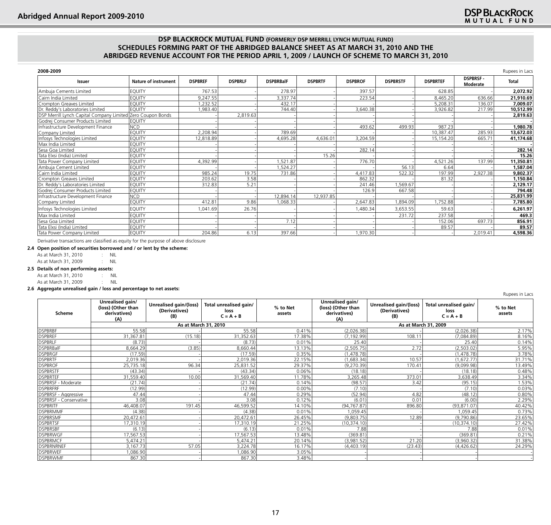| 2008-2009                                                   |                             |                |                |                  |                |                |                 |                 |                             | Rupees in Lacs |
|-------------------------------------------------------------|-----------------------------|----------------|----------------|------------------|----------------|----------------|-----------------|-----------------|-----------------------------|----------------|
| <b>Issuer</b>                                               | <b>Nature of instrument</b> | <b>DSPBREF</b> | <b>DSPBRLF</b> | <b>DSPBRBalF</b> | <b>DSPBRTF</b> | <b>DSPBROF</b> | <b>DSPBRSTF</b> | <b>DSPBRTEF</b> | <b>DSPBRSF-</b><br>Moderate | Total          |
| Ambuja Cements Limited                                      | <b>EQUITY</b>               | 767.53         |                | 278.97           |                | 397.57         |                 | 628.85          |                             | 2,072.92       |
| Cairn India Limited                                         | <b>EOUITY</b>               | 9,247.55       |                | 3,337.74         |                | 223.54         |                 | 8.465.20        | 636.66                      | 21,910.69      |
| Crompton Greaves Limited                                    | <b>EQUITY</b>               | ,232.52        |                | 432.17           |                |                |                 | 5,208.31        | 136.07                      | 7,009.07       |
| Dr. Reddy's Laboratories Limited                            | <b>EQUITY</b>               | 983.40         |                | 744.40           |                | 3,640.38       |                 | 3,926.82        | 217.99                      | 10,512.99      |
| DSP Merrill Lynch Capital Company Limited Zero Coupon Bonds |                             |                | 2.819.63       |                  |                |                |                 |                 |                             | 2,819.63       |
| Godrej Consumer Products Limited                            | <b>EQUITY</b>               |                |                |                  |                |                |                 |                 |                             |                |
| Infrastructure Development Finance                          | <b>NCD</b>                  |                |                |                  |                | 493.62         | 499.93          | 987.23          |                             | 1,980.78       |
| Company Limited                                             | <b>EQUITY</b>               | 2,208.94       |                | 789.69           |                |                |                 | 10,387.47       | 285.93                      | 13,672.03      |
| Infosys Technologies Limited                                | <b>EQUITY</b>               | 12,818.89      |                | 4,695.28         | 4,636.01       | 3,204.59       |                 | 15,154.20       | 665.71                      | 41,174.68      |
| Max India Limited                                           | <b>EQUITY</b>               |                |                |                  |                |                |                 |                 |                             |                |
| Sesa Goa Limited                                            | <b>EQUITY</b>               |                |                |                  |                | 282.14         |                 |                 |                             | 282.14         |
| Tata Elxsi (India) Limited                                  | EQUITY                      |                |                |                  | 15.26          |                |                 |                 |                             | 15.26          |
| Tata Power Company Limited                                  | EQUITY                      | 4,392.99       |                | ,521.87          |                | 776.70         |                 | 4,521.26        | 137.99                      | 11,350.81      |
| Ambuja Cement Limited                                       | <b>EQUITY</b>               |                |                | ,524.27          |                |                | 56.13           | 6.64            |                             | 1,587.04       |
| Cairn India Limited                                         | <b>EQUITY</b>               | 985.24         | 19.75          | 731.86           |                | 4,417.83       | 522.32          | 197.99          | 2,927.38                    | 9,802.37       |
| Crompton Greaves Limited                                    | <b>EQUITY</b>               | 203.62         | 3.58           |                  |                | 862.32         |                 | 81.32           |                             | 1,150.84       |
| Dr. Reddy's Laboratories Limited                            | <b>EQUITY</b>               | 312.83         | 5.21           |                  |                | 241.46         | ,569.67         |                 |                             | 2,129.17       |
| Godrej Consumer Products Limited                            | <b>EQUITY</b>               |                |                |                  |                | 126.9          | 667.58          |                 |                             | 794.48         |
| Infrastructure Development Finance                          | <b>NCD</b>                  |                |                | 12,894.14        | 12,937.85      |                |                 |                 |                             | 25,831.99      |
| Company Limited                                             | <b>EQUITY</b>               | 412.81         | 9.86           | 1,068.33         |                | 2,647.83       | 1,894.09        | 1,752.88        |                             | 7,785.80       |
| Infosys Technologies Limited                                | <b>EQUITY</b>               | 1.041.69       | 26.76          |                  |                | A80.34         | 3,653.55        | 59.63           |                             | 6,261.97       |
| Max India Limited                                           | <b>EQUITY</b>               |                |                |                  |                |                | 231.72          | 237.58          |                             | 469.3          |
| Sesa Goa Limited                                            | <b>EQUITY</b>               |                |                | 7.12             |                |                |                 | 152.06          | 697.73                      | 856.91         |
| Tata Elxsi (India) Limited                                  | <b>EQUITY</b>               |                |                |                  |                |                |                 | 89.57           |                             | 89.57          |
| Tata Power Company Limited                                  | <b>EQUITY</b>               | 204.86         | 6.13           | 397.66           |                | 1,970.30       |                 |                 | 2,019.41                    | 4,598.36       |

Derivative transactions are classified as equity for the purpose of above disclosure

|  |                | 2.4 Open position of securities borrowed and / or lent by the scheme: |
|--|----------------|-----------------------------------------------------------------------|
|  | $\overline{a}$ |                                                                       |

As at March 31, 2010 : NIL As at March 31, 2009 : NIL

## **2.5 Details of non performing assets:**

As at March 31, 2010 : NIL As at March 31, 2009 : NIL

#### **2.6 Aggregate unrealised gain / loss and percentage to net assets:**

|                        |                                                               |                                                |                                               |                    |                                                               |                                                |                                               | <b>INQUES III LUCS</b> |  |
|------------------------|---------------------------------------------------------------|------------------------------------------------|-----------------------------------------------|--------------------|---------------------------------------------------------------|------------------------------------------------|-----------------------------------------------|------------------------|--|
| Scheme                 | Unrealised gain/<br>(loss) (Other than<br>derivatives)<br>(A) | Unrealised gain/(loss)<br>(Derivatives)<br>(B) | Total unrealised gain/<br>loss<br>$C = A + B$ | % to Net<br>assets | Unrealised gain/<br>(loss) (Other than<br>derivatives)<br>(A) | Unrealised gain/(loss)<br>(Derivatives)<br>(B) | Total unrealised gain/<br>loss<br>$C = A + B$ | % to Net<br>assets     |  |
|                        |                                                               |                                                | As at March 31, 2010                          |                    |                                                               | As at March 31, 2009                           |                                               |                        |  |
| <b>DSPBRBF</b>         | 55.58                                                         |                                                | 55.58                                         | 0.41%              | (2,026.38)                                                    |                                                | (2,026.38)                                    | 2.17%                  |  |
| <b>DSPBREF</b>         | 31,367.81                                                     | (15.18)                                        | 31,352.63                                     | 17.38%             | (7.192.99)                                                    | 108.11                                         | (7,084.89)                                    | 8.16%                  |  |
| <b>DSPBRLF</b>         | (8.73)                                                        |                                                | (8.73)                                        | 0.01%              | 25.40                                                         |                                                | 25.40                                         | 0.14%                  |  |
| <b>DSPBRBalF</b>       | 8,664.29                                                      | (3.85)                                         | 8,660.44                                      | 13.13%             | (2,505.75)                                                    | 2.72                                           | (2,503.02)                                    | 5.95%                  |  |
| <b>DSPBRGF</b>         | (17.59)                                                       |                                                | (17.59)                                       | 0.35%              | (1, 478.78)                                                   |                                                | (1,478.78)                                    | 3.78%                  |  |
| <b>DSPBRTF</b>         | 2,019.36                                                      |                                                | 2,019.36                                      | 22.15%             | (1,683.34)                                                    | 10.57                                          | (1,672.77)                                    | 31.71%                 |  |
| <b>DSPBROF</b>         | 25,735.18                                                     | 96.34                                          | 25,831.52                                     | 29.37%             | (9, 270.39)                                                   | 170.41                                         | (9,099.98)                                    | 13.49%                 |  |
| <b>DSPBRSTF</b>        | (43.34)                                                       |                                                | (43.34)                                       | 0.06%              | (18.18)                                                       |                                                | (18.18)                                       | 0.48%                  |  |
| <b>DSPBRTEF</b>        | 31,559.40                                                     | 10.00                                          | 31,569.40                                     | 11.78%             | 3,265.48                                                      | 373.01                                         | 3,638.49                                      | 3.34%                  |  |
| DSPBRSF - Moderate     | (21.74)                                                       |                                                | (21.74)                                       | 0.14%              | (98.57)                                                       | 3.42                                           | (95.15)                                       | 1.53%                  |  |
| <b>DSPBRFRF</b>        | (12.99)                                                       |                                                | (12.99)                                       | 0.00%              | (7.10)                                                        |                                                | (7.10)                                        | 0.03%                  |  |
| DSPBRSF - Aggressive   | 47.44                                                         |                                                | 47.44                                         | 0.29%              | (52.94)                                                       | 4.82                                           | (48.12)                                       | 0.80%                  |  |
| DSPBRSF - Conservative | 3.08                                                          |                                                | 3.08                                          | 0.12%              | (6.01)                                                        | 0.01                                           | (6.00)                                        | 2.29%                  |  |
| <b>DSPBRITF</b>        | 46,408.07                                                     | 191.45                                         | 46,599.52                                     | 14.10%             | (94, 767.87)                                                  | 896.80                                         | (93, 871.07)                                  | 40.42%                 |  |
| <b>DSPBRMMF</b>        | (4.38)                                                        |                                                | (4.38)                                        | 0.01%              | 1,059.45                                                      |                                                | 059.45 ا                                      | 0.73%                  |  |
| <b>DSPBRSMF</b>        | 20,472.61                                                     |                                                | 20,472.61                                     | 26.45%             | (9,803.75)                                                    | 12.89                                          | (9,790.86)                                    | 23.65%                 |  |
| <b>DSPBRTSF</b>        | 17,310.19                                                     |                                                | 17,310.19                                     | 21.25%             | (10, 374.10)                                                  |                                                | (10, 374.10)                                  | 27.42%                 |  |
| <b>DSPBRSBF</b>        | (6.13)                                                        |                                                | (6.13)                                        | 0.01%              | 7.88                                                          |                                                | 7.88                                          | 0.01%                  |  |
| <b>DSPBRWGF</b>        | 17,567.53                                                     |                                                | 17,567.53                                     | 13.48%             | (369.81)                                                      |                                                | (369.81)                                      | 0.21%                  |  |
| <b>DSPBRMCF</b>        | 5.474.21                                                      |                                                | 5,474.21                                      | 20.14%             | (3,981.52)                                                    | 21.20                                          | (3,960.32)                                    | 31.38%                 |  |
| <b>DSPBRNRNEF</b>      | 3,167.73                                                      | 57.05                                          | 3,224.78                                      | 16.17%             | (4,403.19)                                                    | (23.43)                                        | (4,426.62)                                    | 24.29%                 |  |
| <b>DSPBRWEF</b>        | 086.90                                                        |                                                | 1,086.90                                      | 3.05%              |                                                               |                                                |                                               |                        |  |
| <b>DSPBRWMF</b>        | 867.30                                                        |                                                | 867.30                                        | 3.48%              |                                                               |                                                |                                               |                        |  |

Rupees in Lacs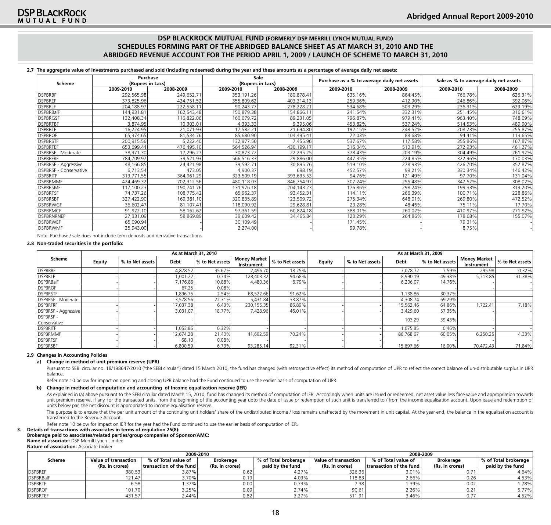**2.7 The aggregate value of investments purchased and sold (including redeemed) during the year and these amounts as a percentage of average daily net assets:**

|                        | Purchase         |            | Sale       |                  | Purchase as a % to average daily net assets |           | Sale as % to average daily net assets |           |
|------------------------|------------------|------------|------------|------------------|---------------------------------------------|-----------|---------------------------------------|-----------|
| Scheme                 | (Rupees in Lacs) |            |            | (Rupees in Lacs) |                                             |           |                                       |           |
|                        | 2009-2010        | 2008-2009  | 2009-2010  | 2008-2009        | 2009-2010                                   | 2008-2009 | 2009-2010                             | 2008-2009 |
| DSPBRBF                | 292,565.98       | 249.652.71 | 353,191.26 | 180,878.41       | 635.16%                                     | 864.45%   | 766.78%                               | 626.31%   |
| <b>DSPBREF</b>         | 373,825.96       | 424,751.52 | 355,809.62 | 403.314.13       | 259.36%                                     | 412.90%   | 246.86%                               | 392.06%   |
| <b>DSPBRLF</b>         | 204,188.97       | 222,558.11 | 90,243.77  | 278,228.21       | 534.68%                                     | 503.29%   | 236.31%                               | 629.19%   |
| <b>DSPBRBalF</b>       | 144,931.81       | 162,543.48 | 150,879.38 | 154,866.11       | 241.54%                                     | 332.31%   | 251.45%                               | 316.61%   |
| DSPBRGSF               | 132,408.34       | 116,822.06 | 160.079.72 | 89,231.05        | 796.87%                                     | 979.41%   | 963.40%                               | 748.09%   |
| <b>DSPBRTBF</b>        | 3,874.95         | 10,303.01  | 4,393.33   | 9,395.06         | 453.82%                                     | 537.24%   | 514.53%                               | 489.90%   |
| <b>DSPBRTF</b>         | 16,224.95        | 21,071.93  | 17,582.21  | 21,694.80        | 192.15%                                     | 248.52%   | 208.23%                               | 255.87%   |
| <b>DSPBROF</b>         | 65,374.65        | 81,534.76  | 85,680.90  | 104,495.41       | 72.03%                                      | 88.68%    | 94.41%                                | 113.65%   |
| <b>DSPBRSTF</b>        | 200,915.56       | 5,222.40   | 132,977.50 | 7,455.96         | 537.67%                                     | 117.58%   | 355.86%                               | 167.87%   |
| <b>DSPBRTEF</b>        | 653,699.44       | 476,495.10 | 564,526.94 | 430.199.17       | 316.04%                                     | 510.91%   | 272.93%                               | 461.27%   |
| DSPBRSF - Moderate     | 38,371.30        | 17,296.27  | 30,873.72  | 22,295.25        | 378.43%                                     | 203.19%   | 304.49%                               | 261.92%   |
| <b>IDSPBRFRF</b>       | 784,709.97       | 39,521.93  | 566,516.33 | 29,886.00        | 447.35%                                     | 224.85%   | 322.96%                               | 170.03%   |
| DSPBRSF - Aggressive   | 48,166.85        | 24,421.98  | 39,592.71  | 30,895.76        | 519.10%                                     | 278.93%   | 426.70%                               | 352.87%   |
| DSPBRSF - Conservative | 6,713.54         | 473.05     | 4,900.37   | 698.19           | 452.57%                                     | 99.21%    | 330.34%                               | 146.42%   |
| DSPBRITF               | 313,771.55       | 364,961.29 | 323,509.19 | 393.635.53       | 94.76%                                      | 121.49%   | 97.70%                                | 131.04%   |
| <b>DSPBRMMF</b>        | 424,469.32       | 702,312.56 | 480,118.03 | 846,754.97       | 307.24%                                     | 255.48%   | 347.52%                               | 308.02%   |
| DSPBRSMF               | 117,100.23       | 190,741.76 | 131,976.18 | 204, 143. 23     | 176.86%                                     | 298.24%   | 199.33%                               | 319.20%   |
| <b>DSPBRTSF</b>        | 74,737.26        | 108,775.42 | 65.962.37  | 93,452.31        | 114.11%                                     | 266.39%   | 100.71%                               | 228.86%   |
| <b>DSPBRSBF</b>        | 327,422.90       | 169,381.10 | 320,835.89 | 123,509.72       | 275.34%                                     | 648.01%   | 269.80%                               | 472.52%   |
| <b>DSPBRWGF</b>        | 36,602.47        | 81,107.41  | 118,090.92 | 29,628.81        | 23.28%                                      | 48.46%    | 75.11%                                | 17.70%    |
| <b>DSPBRMCF</b>        | 91,922.10        | 58,162.62  | 97,361.59  | 60,824.18        | 388.01%                                     | 260.02%   | 410.97%                               | 271.92%   |
| <b>DSPBRNRNEF</b>      | 27,331.09        | 58,869.89  | 39,609.42  | 34,465.84        | 123.29%                                     | 264.86%   | 178.68%                               | 155.07%   |
| DSPBRWEF               | 65,090.94        |            | 30,109.49  |                  | 171.45%                                     |           | 79.31%                                |           |
| <b>DSPBRWMF</b>        | 25,943.00        |            | 2,274.00   |                  | 99.78%                                      |           | 8.75%                                 |           |

Note: Purchase / sale does not include term deposits and derivative transactions

#### **2.8 Non-traded securities in the portfolio:**

|                                 |               | As at March 31, 2010 |           |                 |                                   |                 |        | As at March 31, 2009 |           |                 |                                   |                 |
|---------------------------------|---------------|----------------------|-----------|-----------------|-----------------------------------|-----------------|--------|----------------------|-----------|-----------------|-----------------------------------|-----------------|
| Scheme                          | <b>Equity</b> | % to Net assets      | Debt      | % to Net assets | <b>Money Market</b><br>Instrument | % to Net assets | Equity | % to Net assets      | Debt      | % to Net assets | <b>Money Market</b><br>Instrument | % to Net assets |
| <b>DSPBRBF</b>                  |               |                      | 4,878.52  | 35.67%          | 2,496.70                          | 18.25%          |        |                      | 7,078.72  | 7.59%           | 295.98                            | 0.32%           |
| <b>DSPBRLF</b>                  |               |                      | 1,001.22  | 0.74%           | 128,403.32                        | 94.68%          |        |                      | 8.990.19  | 49.38%          | 5.713.85                          | 31.38%          |
| <b>DSPBRBalF</b>                |               |                      | 7,176.86  | 10.88%          | 4,480.36                          | 6.79%           |        |                      | 6,206.07  | 14.76%          |                                   |                 |
| <b>DSPBROF</b>                  |               |                      | 67.25     | 0.08%           |                                   |                 |        |                      |           |                 |                                   |                 |
| <b>DSPBRSTF</b>                 |               |                      | ,896.75   | 2.54%           | 68,522.66                         | 91.62%          |        |                      | ,138.86   | 30.37%          |                                   |                 |
| DSPBRSF - Moderate              |               |                      | 3,578.56  | 22.31%          | 5,431.84                          | 33.87%          |        |                      | 4,308.74  | 69.29%          |                                   |                 |
| <b>DSPBRFRF</b>                 |               |                      | 17,037.38 | 6.43%           | 230,155.35                        | 86.89%          |        |                      | 15,562.46 | 64.86%          | 1.722.41                          | 7.18%           |
| DSPBRSF - Aggressive            |               |                      | 3,031.07  | 18.77%          | 7,428.96                          | 46.01%          |        |                      | 3,429.60  | 57.35%          |                                   |                 |
| <b>DSPBRSF-</b><br>Conservative |               |                      |           |                 |                                   |                 |        |                      | 103.29    | 39.43%          |                                   |                 |
| <b>DSPBRITF</b>                 |               |                      | 1,053.86  | 0.32%           |                                   |                 |        |                      | 1,075.85  | 0.46%           |                                   |                 |
| <b>DSPBRMMF</b>                 |               |                      | 12.674.28 | 21.40%          | 41.602.59                         | 70.24%          |        |                      | 86.768.67 | 60.05%          | 6.250.25                          | 4.33%           |
| <b>DSPBRTSF</b>                 |               |                      | 68.10     | 0.08%           |                                   |                 |        |                      |           |                 |                                   |                 |
| <b>DSPBRSBF</b>                 |               |                      | 6,800.59  | 6.73%           | 93.285.14                         | 92.31%          |        |                      | 15.697.66 | 16.00%          | 70.472.43                         | 71.84%          |

#### **2.9 Changes in Accounting Policies**

#### **a) Change in method of unit premium reserve (UPR)**

Pursuant to SEBI circular no. 18/198647/2010 ('the SEBI circular') dated 15 March 2010, the fund has changed (with retrospective effect) its method of computation of UPR to reflect the correct balance of un-distributable s balance.

Refer note 10 below for impact on opening and closing UPR balance had the Fund continued to use the earlier basis of computation of UPR.

#### **b) Change in method of computation and accounting of Income equalization reserve (IER)**

As explained in (a) above pursuant to the SEBI circular dated March 15, 2010, fund has changed its method of computation of IER. Accordingly when units are issued or redeemed, net asset value less face value and appropriat unit premium reserve, if any, for the transacted units, from the beginning of the accounting year upto the date of issue or redemption of such unit is transferred to / from the income equalisation account. Upon issue and r units below par, the net discount is appropriated to income equalisation reserve.

The purpose is to ensure that the per unit amount of the continuing unit holders' share of the undistributed income / loss remains unaffected by the movement in unit capital. At the year end, the balance in the equalisatio transferred to the Revenue Account.

Refer note 10 below for impact on IER for the year had the Fund continued to use the earlier basis of computation of IER.

**3. Details of transactions with associates in terms of regulation 25(8):**

#### **Brokerage paid to associates/related parties/group companies of Sponsor/AMC:**

**Name of associate:** DSP Merrill Lynch Limited

| <b>Nature of association:</b> Associate broker |
|------------------------------------------------|
|------------------------------------------------|

|                  |                      | 2009-2010                       |                  |                      | 2008-2009            |                         |                  |                      |
|------------------|----------------------|---------------------------------|------------------|----------------------|----------------------|-------------------------|------------------|----------------------|
| Scheme           | Value of transaction | % of Total value of             | <b>Brokerage</b> | % of Total brokerage | Value of transaction | % of Total value of     | <b>Brokerage</b> | % of Total brokerage |
|                  | (Rs. in crores)      | $ $ transaction of the fund $ $ | (Rs. in crores)  | paid by the fund     | (Rs. in crores)      | transaction of the fund | (Rs. in crores)  | paid by the fund     |
| <b>DSPBREF</b>   | 380.53               | 3.87%                           | 0.62             | 4.27%                | 326.36               | 3.01%                   |                  | 4.64%                |
| <b>DSPBRBalF</b> | 121.47               | $3.70\%$                        | 0.19             | 4.03%                | 118.83               | 2.66%                   | 0.26             | 4.53%                |
| <b>DSPBRTF</b>   | 6.58                 | .37%                            | 0.00             | 0.73%                | 7.38                 | .39%                    | 0.02             | 1.78%                |
| <b>DSPBROF</b>   | 101.70               | 3.25%                           | 0.09             | 2.74%                | 90.61                | 2.26%                   | 0.21             | 5.77%                |
| <b>DSPBRTEF</b>  | 431.57               | 2.44%                           | 0.82             | 3.27%                | 511.91               | 3.46%                   |                  | 4.52%                |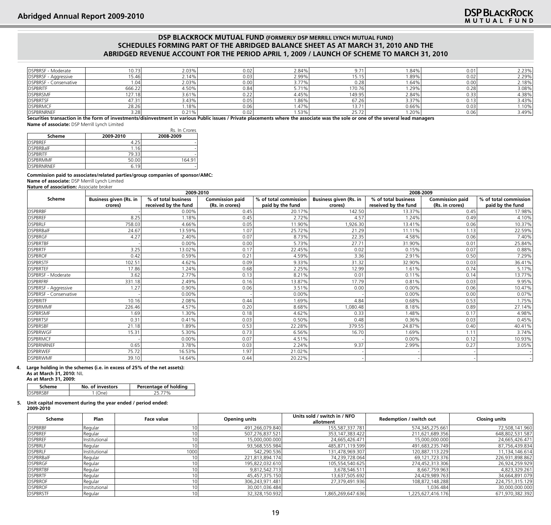| DSPBRSF - Moderate     | 0.73   | 2.03% | 0.02 | 2.84%        | $9.7^{\circ}$                      | .84%  | 0.01 | 2.23% |
|------------------------|--------|-------|------|--------------|------------------------------------|-------|------|-------|
| DSPBRSF - Aggressive   | 15.46  | 2.14% | 0.03 | 2.99%        | 15.15                              | .89%  | 0.02 | 2.29% |
| DSPBRSF - Conservative | 1.04   | 2.03% | 0.00 | 3.77%        | 0.28                               | .64%  | 0.00 | 2.18% |
| <b>DSPBRITF</b>        | 666.22 | 4.50% | 0.84 | 571%<br>3.11 | 170.76                             | .29%  | 0.28 | 3.08% |
| <b>DSPBRSMF</b>        | 127.18 | 3.61% | 0.22 | 4.45%        | 149.95                             | 2.84% | 0.33 | 4.38% |
| <b>DSPBRTSF</b>        | 47.31  | 3.43% | 0.05 | 1.86%        | 67.26                              | 3.37% | 13   | 3.43% |
| <b>DSPBRMCF</b>        | 28.26  | .18%  | 0.06 | 1.47%        | 13.71                              | 0.66% | 0.03 | 1.10% |
| <b>DSPBRNRNEF</b>      | 3.28   | 0.21% | 0.02 | 1.53%        | $\mathbf{a} = \mathbf{a}$<br>25.72 | .20%  | 0.06 | 3.49% |

**Securities transaction in the form of investments/disinvestment in various Public issues / Private placements where the associate was the sole or one of the several lead managers Name of associate:** DSP Merrill Lynch Limited

|                  |           | Rs. In Crores |
|------------------|-----------|---------------|
| <b>Scheme</b>    | 2009-2010 | 2008-2009     |
| <b>DSPBREF</b>   | 4.25      |               |
| <b>DSPBRBalF</b> | 1.16      |               |
| <b>IDSPBRITE</b> | 79.33     |               |
| <b>DSPBRMMF</b>  | 50.00     | 164.91        |

**Commission paid to associates/related parties/group companies of sponsor/AMC:**

**Name of associate:** DSP Merrill Lynch Limited

DSPBRNRNEF 6.19

**Nature of association:** Associate broker

|                               |                               | 2009-2010            |                        |                       | 2008-2009                     |                      |                        |                       |  |
|-------------------------------|-------------------------------|----------------------|------------------------|-----------------------|-------------------------------|----------------------|------------------------|-----------------------|--|
| <b>Scheme</b>                 | <b>Business given (Rs. in</b> | % of total business  | <b>Commission paid</b> | % of total commission | <b>Business given (Rs. in</b> | % of total business  | <b>Commission paid</b> | % of total commission |  |
|                               | crores)                       | received by the fund | (Rs. in crores)        | paid by the fund      | crores)                       | reseived by the fund | (Rs. in crores)        | paid by the fund      |  |
| <b>DSPBRBF</b>                |                               | 0.00%                | 0.45                   | 20.17%                | 142.50                        | 13.37%               | 0.45                   | 17.98%                |  |
| <b>DSPBREF</b>                | 8.25                          | 1.18%                | 0.45                   | 2.72%                 | 4.57                          | 1.24%                | 0.49                   | 4.10%                 |  |
| <b>DSPBRLF</b>                | 758.03                        | 4.66%                | 0.05                   | 11.90%                | ,926.30                       | 13.41%               | 0.06                   | 10.37%                |  |
| <b>DSPBRBalF</b>              | 24.67                         | 13.59%               | 1.07                   | 25.72%                | 21.29                         | 11.11%               | 1.13                   | 22.59%                |  |
| <b>DSPBRGF</b>                | 4.27                          | 2.40%                | 0.07                   | 8.73%                 | 22.35                         | 4.58%                | 0.06                   | 7.40%                 |  |
| <b>DSPBRTBF</b>               |                               | 0.00%                | 0.00                   | 5.73%                 | 27.71                         | 31.90%               | 0.01                   | 25.84%                |  |
| <b>DSPBRTF</b>                | 3.25                          | 13.02%               | 0.17                   | 22.45%                | 0.02                          | 0.15%                | 0.07                   | 0.88%                 |  |
| <b>DSPBROF</b>                | 0.42                          | 0.59%                | 0.21                   | 4.59%                 | 3.36                          | 2.91%                | 0.50                   | 7.29%                 |  |
| <b>DSPBRSTF</b>               | 102.51                        | 4.62%                | 0.09                   | 9.33%                 | 31.32                         | 32.90%               | 0.03                   | 36.41%                |  |
| <b>DSPBRTEF</b>               | 17.86                         | 1.24%                | 0.68                   | 2.25%                 | 12.99                         | 1.61%                | 0.74                   | 5.17%                 |  |
| <b>DSPBRSF - Moderate</b>     | 3.62                          | 2.77%                | 0.13                   | 8.21%                 | 0.01                          | 0.11%                | 0.14                   | 13.77%                |  |
| <b>DSPBRFRF</b>               | 331.18                        | 2.49%                | 0.16                   | 13.87%                | 17.79                         | 0.81%                | 0.03                   | 9.95%                 |  |
| <b>DSPBRSF - Aggressive</b>   | 1.27                          | 0.90%                | 0.06                   | 3.51%                 | 0.00                          | 0.00%                | 0.06                   | 10.47%                |  |
| <b>DSPBRSF - Conservative</b> |                               | 0.00%                |                        | 0.00%                 |                               | 0.00%                | 0.00                   | 0.07%                 |  |
| <b>DSPBRITF</b>               | 10.16                         | 2.08%                | 0.44                   | 1.69%                 | 4.84                          | 0.68%                | 0.53                   | 1.75%                 |  |
| <b>DSPBRMMF</b>               | 226.46                        | 4.57%                | 0.20                   | 8.68%                 | ,080.48                       | 8.18%                | 0.89                   | 27.14%                |  |
| <b>DSPBRSMF</b>               | 1.69                          | 1.30%                | 0.18                   | 4.62%                 | 0.33                          | 1.48%                | 0.17                   | 4.98%                 |  |
| <b>DSPBRTSF</b>               | 0.31                          | 0.41%                | 0.03                   | 0.50%                 | 0.48                          | 0.36%                | 0.03                   | 0.45%                 |  |
| <b>DSPBRSBF</b>               | 21.18                         | 1.89%                | 0.53                   | 22.28%                | 379.55                        | 24.87%               | 0.40                   | 40.41%                |  |
| <b>DSPBRWGF</b>               | 15.31                         | 5.30%                | 0.73                   | 6.56%                 | 16.70                         | 1.69%                | 1.11                   | 3.74%                 |  |
| <b>DSPBRMCF</b>               |                               | 0.00%                | 0.07                   | 4.51%                 |                               | 0.00%                | 0.12                   | 10.93%                |  |
| <b>DSPBRNRNEF</b>             | 0.65                          | 3.78%                | 0.03                   | 2.24%                 | 9.37                          | 2.99%                | 0.27                   | 3.05%                 |  |
| <b>DSPBRWEF</b>               | 75.72                         | 16.53%               | 1.97                   | 21.02%                |                               |                      |                        |                       |  |
| <b>DSPBRWMF</b>               | 39.10                         | 14.64%               | 0.44                   | 20.22%                |                               |                      |                        |                       |  |

## **4. Large holding in the schemes (i.e. in excess of 25% of the net assets): As at March 31, 2010:** NIL **As at March 31, 2009:**

| Scheme   | No. of investors | Percentage of holding |
|----------|------------------|-----------------------|
| DSPBRSBF |                  |                       |

#### **5. Unit capital movement during the year ended / period ended:**

**2009-2010**

| Scheme           | Plan          | Face value | <b>Opening units</b> | Units sold / switch in / NFO<br>allotment | Redemption / switch out | <b>Closing units</b> |
|------------------|---------------|------------|----------------------|-------------------------------------------|-------------------------|----------------------|
| <b>DSPBRBF</b>   | Regular       |            | 491,266,079.840      | 155,587,337.781                           | 574,345,275.661         | 72,508,141.960       |
| <b>DSPBREF</b>   | Regular       |            | 507,276,837.521      | 353, 147, 383. 422                        | 211,621,689.356         | 648,802,531.587      |
| <b>DSPBREF</b>   | Institutional |            | 15,000,000.000       | 24,665,426.471                            | 15,000,000.000          | 24,665,426.471       |
| <b>DSPBRLF</b>   | Regular       |            | 93,568,555.984       | 485,871,119.599                           | 491,683,235.749         | 87,756,439.834       |
| <b>DSPBRLF</b>   | Institutional | 1000       | 542,290.536          | 131,478,969.307                           | 120,887,113.229         | 11,134,146.614       |
| <b>DSPBRBalF</b> | Regular       |            | 221,813,894.174      | 74,239,728.064                            | 69,121,723.376          | 226,931,898.862      |
| <b>DSPBRGF</b>   | Regular       |            | 195,822,032.610      | 105,554,540.625                           | 274,452,313.306         | 26,924,259.929       |
| <b>DSPBRTBF</b>  | Regular       |            | 9,812,542.713        | 3,678,546.511                             | 8,667,759.963           | 4,823,329.261        |
| <b>DSPBRTF</b>   | Regular       |            | 45,457,375.150       | 13,637,505.692                            | 24,429,989.763          | 34,664,891.079       |
| <b>DSPBROF</b>   | Regular       |            | 306,243,971.481      | 27,379,491.936                            | 108,872,148.288         | 224,751,315.129      |
| <b>DSPBROF</b>   | Institutional |            | 30,001,036.484       |                                           | 1,036.484               | 30,000,000.000       |
| <b>DSPBRSTF</b>  | Regular       |            | 32,328,150.932       | 1,865,269,647.636                         | 1,225,627,416.176       | 671,970,382.392      |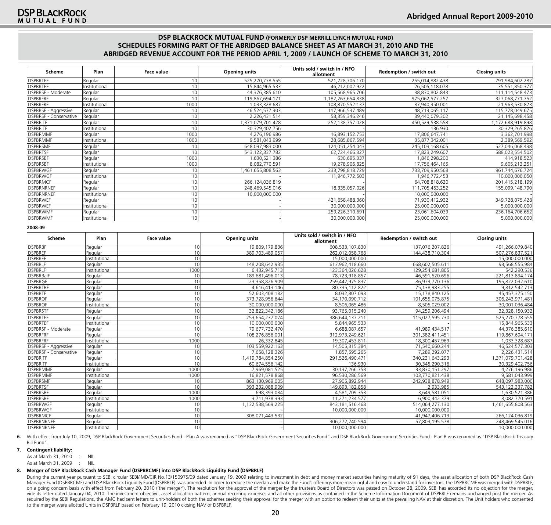| Scheme                 | Plan          | Face value      | <b>Opening units</b> | Units sold / switch in / NFO<br>allotment | Redemption / switch out | <b>Closing units</b> |
|------------------------|---------------|-----------------|----------------------|-------------------------------------------|-------------------------|----------------------|
| <b>DSPBRTEF</b>        | Regular       | 10 <sup>1</sup> | 525,270,778.555      | 521,728,706.170                           | 255,014,882.438         | 791,984,602.287      |
| <b>DSPBRTEF</b>        | Institutional | 10              | 15,844,965.533       | 46,212,002.922                            | 26,505,118.078          | 35,551,850.377       |
| DSPBRSF - Moderate     | Regular       | 10              | 44,376,385.610       | 105,568,965.706                           | 38,830,802.843          | 111,114,548.473      |
| <b>DSPBRFRF</b>        | Regular       | 10              | 119,867,694.171      | 1,182,263,654.838                         | 975,062,577.257         | 327,068,771.752      |
| <b>DSPBRFRF</b>        | Institutional | 1000            | 1,033,328.687        | 108,870,552.137                           | 87,940,350.001          | 21,963,530.823       |
| DSPBRSF - Aggressive   | Regular       |                 | 46,524,577.303       | 117,966,537.489                           | 48,713,065.117          | 115,778,049.675      |
| DSPBRSF - Conservative | Regular       | 10              | 2,226,431.514        | 58,359,346.246                            | 39,440,079.302          | 21,145,698.458       |
| <b>DSPBRITF</b>        | Regular       |                 | 1,371,079,701.428    | 252,138,757.028                           | 450,529,538.558         | ,172,688,919.898     |
| <b>DSPBRITF</b>        | Institutional |                 | 30,329,402.756       |                                           | 136.930                 | 30,329,265.826       |
| <b>DSPBRMMF</b>        | Regular       | 1000            | 4,276,196.986        | 16,893,152.753                            | 17,806,647.741          | 3,362,701.998        |
| <b>DSPBRMMF</b>        | Institutional | 1000            | 9,581,043.999        | 28,685,867.594                            | 35,877,342.001          | 2,389,569.592        |
| <b>DSPBRSMF</b>        | Regular       |                 | 648,097,983.000      | 124,051,254.043                           | 245,103,168.605         | 527,046,068.438      |
| <b>DSPBRTSF</b>        | Regular       |                 | 543, 122, 337. 782   | 62,724,466.327                            | 17,823,249.607          | 588,023,554.502      |
| <b>DSPBRSBF</b>        | Regular       | 1000            | ,630,521.386         | 630,695.337                               | 846,298.200             | 414,918.523          |
| <b>DSPBRSBF</b>        | Institutional | 1000            | 8,082,770.591        | 19,278,906.825                            | 17,756,464.165          | 9,605,213.251        |
| <b>DSPBRWGF</b>        | Regular       |                 | ,461,655,808.563     | 233,798,818.729                           | 733,709,950.568         | 961,744,676.724      |
| <b>DSPBRWGF</b>        | Institutional |                 |                      | 11,946,772.503                            | 1,946,772.453           | 10,000,000.050       |
| <b>DSPBRMCF</b>        | Regular       | 10              | 266,124,036.819      |                                           | 64,708,818.620          | 201,415,218.199      |
| DSPBRNRNEF             | Regular       | 10              | 248,469,545.016      | 18,335,057.026                            | 111,705,453.252         | 155,099,148.790      |
| DSPBRNRNEF             | Institutional | 10 <sub>1</sub> | 10,000,000.000       |                                           | 10,000,000.000          |                      |
| <b>DSPBRWEF</b>        | Regular       | 10              |                      | 421,658,488.360                           | 71,930,412.932          | 349,728,075.428      |
| <b>DSPBRWEF</b>        | Institutional | 10              |                      | 30,000,000.000                            | 25,000,000.000          | 5,000,000.000        |
| <b>DSPBRWMF</b>        | Regular       |                 |                      | 259,226,310.691                           | 23,061,604.039          | 236, 164, 706. 652   |
| <b>DSPBRWMF</b>        | Institutional |                 |                      | 30,000,000.000                            | 25,000,000.000          | 5,000,000.000        |

**2008-09**

| Scheme                         | Plan          | <b>Face value</b> | <b>Opening units</b> | Units sold / switch in / NFO<br>allotment | Redemption / switch out | <b>Closing units</b> |
|--------------------------------|---------------|-------------------|----------------------|-------------------------------------------|-------------------------|----------------------|
| <b>DSPBRBF</b>                 | Regular       | 10 <sup>1</sup>   | 19,809,179.836       | 608,533,107.830                           | 137,076,207.826         | 491,266,079.840      |
| <b>DSPBREF</b>                 | Regular       | 10 <sup>1</sup>   | 389,703,489.057      | 262,012,058.768                           | 144,438,710.304         | 507,276,837.521      |
| <b>DSPBREF</b>                 | Institutional | 10 <sup>1</sup>   |                      | 15,000,000.000                            |                         | 15,000,000.000       |
| <b>DSPBRLF</b>                 | Regular       | 10 <sup>1</sup>   | 148.208.642.935      | 613,962,418.660                           | 668,602,505.61          | 93,568,555.984       |
| <b>DSPBRLF</b>                 | Institutional | 1000              | 6,432,945.713        | 123,364,026.628                           | 129,254,681.805         | 542,290.536          |
| <b>DSPBRBalF</b>               | Regular       | 10 <sup>1</sup>   | 189.681.496.013      | 78,723,918.857                            | 46,591,520.696          | 221,813,894.174      |
| DSPBRGF                        | Regular       | 10 <sup>1</sup>   | 23.358,826.909       | 259,442,975.837                           | 86,979,770.136          | 195.822.032.610      |
| <b>DSPBRTBF</b>                | Regular       | 10 <sup>1</sup>   | 4,616,413.146        | 80,335,112.822                            | 75,138,983.255          | 9,812,542.713        |
| <b>DSPBRTF</b>                 | Regular       | 10 <sup>1</sup>   | 52,603,408.182       | 8,032,807.093                             | 15,178,840.125          | 45,457,375.150       |
| <b>DSPBROF</b>                 | Regular       | 10 <sup>1</sup>   | 373,728,956.644      | 34,170,090.712                            | 101,655,075.875         | 306,243,971.481      |
| <b>DSPBROF</b>                 | Institutional | 10 <sup>1</sup>   | 30.000.000.000       | 8,506,065.486                             | 8.505.029.002           | 30,001,036.484       |
| <b>DSPBRSTF</b>                | Regular       | 10                | 32,822,342.186       | 93,765,015.240                            | 94,259,206.494          | 32,328,150.932       |
| <b>DSPBRTEF</b>                | Regular       | 10 <sup>1</sup>   | 253,654,237.074      | 386,644,137.211                           | 115,027,595.730         | 525,270,778.555      |
| <b>DSPBRTEF</b>                | Institutional | 10 <sup>1</sup>   | 10,000,000.000       | 5,844,965.533                             |                         | 15,844,965.533       |
| <b>DSPBRSF - Moderate</b>      | Regular       | 10                | 79,677,732.470       | 6,688,087.657                             | 41,989,434.517          | 44,376,385.610       |
| <b>DSPBRFRF</b>                | Regular       | 10 <sup>1</sup>   | 108,276,856.001      | 312,973,249.621                           | 301,382,411.451         | 119,867,694.171      |
| <b>DSPBRFRF</b>                | Institutional | 1000              | 26,332.845           | 19,307,453.811                            | 18,300,457.969          | 1,033,328.687        |
| <b>DSPBRSF - Aggressive</b>    | Regular       | 10 <sup>1</sup>   | 103.559.922.163      | 14,505,315.384                            | 71,540,660.244          | 46,524,577.303       |
| <b>IDSPBRSF - Conservative</b> | Regular       | 10 <sup>1</sup>   | 7,658,128.326        | 1.857.595.265                             | 7,289,292.077           | 2.226.431.514        |
| <b>DSPBRITF</b>                | Regular       | 10 <sup>1</sup>   | 1,419,784,854.250    | 291,526,490.471                           | 340,231,643.293         | ,371,079,701.428     |
| <b>DSPBRITF</b>                | Institutional | 10 <sup>1</sup>   | 60,674,556.142       | 136.930                                   | 30,345,290.316          | 30,329,402.756       |
| <b>DSPBRMMF</b>                | Regular       | 1000              | 7.969.081.525        | 30, 137, 266. 758                         | 33,830,151.297          | 4,276,196.986        |
| <b>DSPBRMMF</b>                | Institutional | 1000              | 16,821,578.868       | 96,530,286.569                            | 103,770,821.438         | 9,581,043.999        |
| <b>DSPBRSMF</b>                | Regular       | 10                | 863.130.969.005      | 27,905,892.944                            | 242.938.878.949         | 648,097,983.000      |
| <b>DSPBRTSF</b>                | Regular       | 10 <sup>1</sup>   | 393.232.088.909      | 149,893,182.858                           | 2.933.985               | 543.122.337.782      |
| <b>DSPBRSBF</b>                | Regular       | 1000              | 698,393.084          | 4,581,709.353                             | 3,649,581.051           | 1,630,521.386        |
| <b>DSPBRSBF</b>                | Institutional | 1000              | 3.711.978.393        | 11,271,234.577                            | 6,900,442.379           | 8.082.770.591        |
| <b>DSPBRWGF</b>                | Regular       | 10                | 1,132,538,569.225    | 843, 181, 516. 468                        | 514,064,277.130         | 1,461,655,808.563    |
| <b>DSPBRWGF</b>                | Institutional | 10                |                      | 10,000,000.000                            | 10,000,000.000          |                      |
| <b>DSPBRMCF</b>                | Regular       | 10 <sup>1</sup>   | 308,071,443.532      |                                           | 41,947,406.713          | 266,124,036.819      |
| DSPBRNRNEF                     | Regular       | 10 <sup>1</sup>   |                      | 306,272,740.594                           | 57,803,195.578          | 248,469,545.016      |
| DSPBRNRNEF                     | Institutional | 10                |                      | 10,000,000.000                            |                         | 10,000,000.000       |

6. With effect from July 10, 2009, DSP BlackRock Government Securities Fund - Plan A was renamed as "DSP BlackRock Government Securities Fund" and DSP BlackRock Government Securities Fund - Plan B was renamed as "DSP Black Bill Fund".

#### **7. Contingent liability:**

As at March 31, 2010 : NIL

As at March 31, 2009 : NIL

#### **8. Merger of DSP BlackRock Cash Manager Fund (DSPBRCMF) into DSP BlackRock Liquidity Fund (DSPBRLF)**

During the current year pursuant to SEBI circular SEBI/IMD/CIR No.13/150975/09 dated January 19, 2009 relating to investment in debt and money market securities having maturity of 91 days, the asset allocation of both DSP Manager Fund (DSPBRCMF) and DSP BlackRock Liquidity Fund (DSPBRLF) was amended. In order to reduce the overlap and make the Fund's offerings more meaningful and easy to understand for investors, the DSPBRCMF was merged wit on a going concern basis with effect from February 20, 2010 ('the merger'). The resolution for the approval of the merger by the trustee's Board of Directors was passed on October 28, 2009. SEBI has accorded its no objecti vide its letter dated January 04, 2010. The investment objective, asset allocation pattern, annual recurring expenses and all other provisions as contained in the Scheme Information Document of DSPBRLF remains unchanged po required by the SEBI Regulations, the AMC had sent letters to unit-holders of both the schemes seeking their approval for the merger with an option to redeem their units at the prevailing NAV at their discretion. The Unit to the merger were allotted Units in DSPBRLF based on February 19, 2010 closing NAV of DSPBRLF.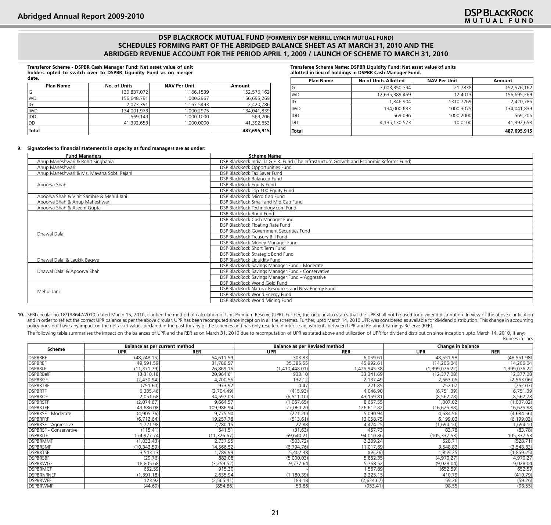**Transferor Scheme - DSPBR Cash Manager Fund: Net asset value of unit holders opted to switch over to DSPBR Liquidity Fund as on merger date.**

| <b>Plan Name</b> | No. of Units | <b>NAV Per Unit</b> | Amount      |  |  |
|------------------|--------------|---------------------|-------------|--|--|
| G                | 130,837.072  | 1,166.1539          | 152,576,162 |  |  |
| <b>IWD</b>       | 156.648.791  | 1,000.2967          | 156,695,269 |  |  |
| IG               | 2.073.391    | 1.167.5493          | 2,420,786   |  |  |
| <b>IWD</b>       | 134,001.973  | 1.000.2975          | 134,041,839 |  |  |
| <b>IDD</b>       | 569.149      | 1.000.1000          | 569,206     |  |  |
| Idd              | 41.392.653   | 1.000.0000          | 41,392,653  |  |  |
| Total            |              |                     | 487,695,915 |  |  |

**Transferee Scheme Name: DSPBR Liquidity Fund: Net asset value of units allotted in lieu of holdings in DSPBR Cash Manager Fund.**

| <b>No of Units Allotted</b> | <b>NAV Per Unit</b> | Amount      |
|-----------------------------|---------------------|-------------|
| 7,003,350.394               | 21.7838             | 152,576,162 |
| 12,635,389.459              | 12.4013             | 156,695,269 |
| 1.846.904                   | 1310.7269           | 2,420,786   |
| 134,000.633                 | 1000.3075           | 134,041,839 |
| 569.096                     | 1000.2000           | 569.206     |
| 4,135,130.573               | 10.0100             | 41,392,653  |
|                             |                     | 487,695,915 |
|                             |                     |             |

#### **9. Signatories to financial statements in capacity as fund managers are as under:**

| <b>Fund Managers</b>                      | <b>Scheme Name</b>                                                                        |
|-------------------------------------------|-------------------------------------------------------------------------------------------|
| Anup Maheshwari & Rohit Singhania         | DSP BlackRock India T.I.G.E.R. Fund (The Infrastructure Growth and Economic Reforms Fund) |
| Anup Maheshwari                           | DSP BlackRock Opportunities Fund                                                          |
| Anup Maheshwari & Ms. Mayana Sobti Rajani | DSP BlackRock Tax Saver Fund                                                              |
|                                           | DSP BlackRock Balanced Fund                                                               |
| Apoorva Shah                              | DSP BlackRock Equity Fund                                                                 |
|                                           | DSP BlackRock Top 100 Equity Fund                                                         |
| Apoorva Shah & Vinit Sambre & Mehul Jani  | DSP BlackRock Micro Cap Fund                                                              |
| Apoorva Shah & Anup Maheshwari            | DSP BlackRock Small and Mid Cap Fund                                                      |
| Apoorva Shah & Aseem Gupta                | DSP BlackRock Technology.com Fund                                                         |
|                                           | DSP BlackRock Bond Fund                                                                   |
|                                           | DSP BlackRock Cash Manager Fund                                                           |
|                                           | DSP BlackRock Floating Rate Fund                                                          |
| Dhawal Dalal                              | DSP BlackRock Government Securities Fund                                                  |
|                                           | DSP BlackRock Treasury Bill Fund                                                          |
|                                           | DSP BlackRock Money Manager Fund                                                          |
|                                           | DSP BlackRock Short Term Fund                                                             |
|                                           | DSP BlackRock Strategic Bond Fund                                                         |
| Dhawal Dalal & Laukik Bagwe               | DSP BlackRock Liquidity Fund                                                              |
|                                           | DSP BlackRock Savings Manager Fund - Moderate                                             |
| Dhawal Dalal & Apoorva Shah               | DSP BlackRock Savings Manager Fund - Conservative                                         |
|                                           | DSP BlackRock Savings Manager Fund - Aggressive                                           |
|                                           | DSP BlackRock World Gold Fund                                                             |
| Mehul Jani                                | DSP BlackRock Natural Resources and New Energy Fund                                       |
|                                           | DSP BlackRock World Energy Fund                                                           |
|                                           | DSP BlackRock World Mining Fund                                                           |

10. SEBI circular no.18/198647/2010, dated March 15, 2010, clarified the method of calculation of Unit Premium Reserve (UPR). Further, the circular also states that the UPR shall not be used for dividend distribution. In v and in order to reflect the correct UPR balance as per the above circular, UPR has been recomputed since inception in all the schemes. Further, upto March 14, 2010 UPR was considered as available for dividend distribution. policy does not have any impact on the net asset values declared in the past for any of the schemes and has only resulted in inter-se adjustments between UPR and Retained Earnings Reserve (RER).

The following table summarises the impact on the balances of UPR and the RER as on March 31, 2010 due to recomputation of UPR as stated above and utilization of UPR for dividend distribution since inception upto March 14, Rupees in Lacs

|                            | Balance as per current method |             | <b>Balance as per Revised method</b> |            | Change in balance |              |  |
|----------------------------|-------------------------------|-------------|--------------------------------------|------------|-------------------|--------------|--|
| Scheme                     | <b>UPR</b>                    | <b>RER</b>  | <b>UPR</b>                           | <b>RER</b> | UPR               | <b>RER</b>   |  |
| <b>DSPBRBF</b>             | (48, 248.15)                  | 54.611.59   | 303.83                               | 6,059.61   | 48,551.98         | (48, 551.98) |  |
| <b>DSPBREF</b>             | 49,591.59                     | 31,786.57   | 35,385.55                            | 45,992.61  | (14, 206.04)      | 14,206.04    |  |
| <b>DSPBRLF</b>             | (11, 371.79)                  | 26,869.16   | (1,410,448.01)                       | 425,945.38 | (1,399,076.22)    | ,399,076.22  |  |
| <b>DSPBRBalF</b>           | 13.310.18                     | 20,964.61   | 933.10                               | 33,341.69  | (12, 377.08)      | 12,377.08    |  |
| DSPBRGF                    | (2,430.94)                    | 4,700.55    | 132.12                               | 2,137.49   | 2,563.06          | (2,563.06)   |  |
| <b>DSPBRTBF</b>            | (751.60)                      | 973.92      | 0.47                                 | 221.85     | 752.07            | (752.07)     |  |
| <b>DSPBRTF</b>             | 6,335.46                      | (2,704.49)  | (415.93)                             | 4,046.90   | (6,751.39)        | 6,751.39     |  |
| <b>DSPBROF</b>             | 2,051.68                      | 34,597.03   | (6, 511.10)                          | 43,159.81  | (8, 562.78)       | 8,562.78     |  |
| <b>DSPBRSTF</b>            | (2.074.67)                    | 9.664.57    | (1.067.65)                           | 8,657.55   | 1.007.02          | (1,007.02)   |  |
| <b>DSPBRTEF</b>            | 43,686.08                     | 109,986.94  | 27,060.20                            | 126,612.82 | (16, 625.88)      | 16,625.88    |  |
| <b>IDSPBRSF - Moderate</b> | (4,905.76)                    | 9,775.50    | (221.20)                             | 5,090.94   | 4.684.56          | (4,684.56)   |  |
| <b>DSPBRFRF</b>            | (6,712.64)                    | 19,257.78   | (513.61)                             | 13,058.75  | 6,199.03          | (6, 199.03)  |  |
| DSPBRSF - Aggressive       | ,721.98                       | 2,780.15    | 27.88                                | 4,474.25   | (1,694.10)        | 1,694.10     |  |
| DSPBRSF - Conservative     | (115.41)                      | 541.51      | (31.63)                              | 457.73     | 83.78             | (83.78)      |  |
| <b>DSPBRITF</b>            | 174,977.74                    | (11,326.67) | 69,640.21                            | 94,010.86  | (105, 337.53)     | 105,337.53   |  |
| <b>DSPBRMMF</b>            | (1,032.43)                    | 2,737.95    | (503.72)                             | 2,209.24   | 528.71            | (528.71)     |  |
| <b>DSPBRSMF</b>            | (10, 343.59)                  | 14,566.52   | (6,794.76)                           | 11,017.69  | 3,548.83          | (3,548.83)   |  |
| <b>DSPBRTSF</b>            | 3,543.13                      | 1,789.99    | 5,402.38                             | (69.26)    | 1,859.25          | (1,859.25)   |  |
| <b>DSPBRSBF</b>            | (29.76)                       | 882.08      | (5,000.03)                           | 5,852.35   | (4,970.27)        | 4,970.27     |  |
| <b>DSPBRWGF</b>            | 18,805.68                     | (3,259.52)  | 9,777.64                             | 5,768.52   | (9,028.04)        | 9,028.04     |  |
| <b>DSPBRMCF</b>            | 652.59                        | 915.30      |                                      | 1,567.89   | (652.59)          | 652.59       |  |
| DSPBRNRNEF                 | (1,591.18)                    | 2,635.94    | (1, 180.39)                          | 2,225.15   | 410.79            | (410.79)     |  |
| <b>DSPBRWEF</b>            | 123.92                        | (2, 565.41) | 183.18                               | (2,624.67) | 59.26             | (59.26)      |  |
| <b>DSPBRWMF</b>            | (44.69)                       | (854.86)    | 53.86                                | (953.41)   | 98.55             | (98.55)      |  |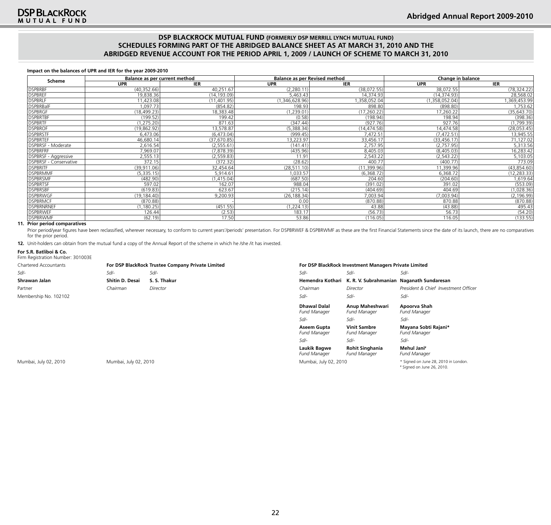#### **Impact on the balances of UPR and IER for the year 2009-2010**

|                               |              | Balance as per current method |                | <b>Balance as per Revised method</b> | Change in balance |              |  |
|-------------------------------|--------------|-------------------------------|----------------|--------------------------------------|-------------------|--------------|--|
| Scheme                        | <b>UPR</b>   | <b>IER</b>                    | <b>UPR</b>     | <b>IER</b>                           | <b>UPR</b>        | <b>IER</b>   |  |
| <b>DSPBRBF</b>                | (40, 352.66) | 40,251.67                     | (2, 280.11)    | (38,072.55)                          | 38,072.55         | (78, 324.22) |  |
| <b>DSPBREF</b>                | 19,838.36    | (14, 193.09)                  | 5,463.43       | 14,374.93                            | (14, 374.93)      | 28,568.02    |  |
| <b>DSPBRLF</b>                | 11,423.08    | (11,401.95)                   | (1,346,628.96) | 358,052.04                           | (1,358,052.04)    | 369,453.99   |  |
| <b>DSPBRBalF</b>              | 1,097.73     | (854.82)                      | 198.93         | 898.80                               | (898.80)          | 1,753.62     |  |
| <b>DSPBRGF</b>                | (18, 499.23) | 18,383.48                     | (1, 239.01)    | (17, 260.22)                         | 17,260.22         | (35, 643.70) |  |
| <b>DSPBRTBF</b>               | (199.52)     | 199.42                        | (0.58)         | (198.94)                             | 198.94            | (398.36)     |  |
| <b>DSPBRTF</b>                | (1, 275.20)  | 871.63                        | (347.44)       | (927.76)                             | 927.76            | (1,799.39)   |  |
| <b>DSPBROF</b>                | (19, 862.92) | 13,578.87                     | (5,388.34)     | (14, 474.58)                         | 14,474.58         | (28,053.45)  |  |
| <b>DSPBRSTF</b>               | 6,473.06     | (6,473.04)                    | (999.45)       | 7,472.51                             | (7, 472.51)       | 13,945.55    |  |
| <b>DSPBRTEF</b>               | 46,680.14    | (37, 670.85)                  | 13,223.97      | 33,456.17                            | (33, 456.17)      | 71,127.02    |  |
| DSPBRSF - Moderate            | 2,616.54     | (2, 555.61)                   | (141.41)       | 2,757.95                             | (2,757.95)        | 5,313.56     |  |
| DSPBRFRF                      | 7,969.07     | (7,878.39)                    | (435.96)       | 8,405.03                             | (8,405.03)        | 16,283.42    |  |
| DSPBRSF - Aggressive          | 2,555.13     | (2, 559.83)                   | 11.91          | 2,543.22                             | (2, 543.22)       | 5,103.05     |  |
| <b>DSPBRSF - Conservative</b> | 372.15       | (372.32)                      | (28.62)        | 400.77                               | (400.77)          | 773.09       |  |
| <b>DSPBRITF</b>               | (39, 911.06) | 32,454.64                     | (28, 511.10)   | (11, 399.96)                         | 11,399.96         | (43,854.60)  |  |
| <b>DSPBRMMF</b>               | (5, 335.15)  | 5,914.61                      | 1,033.57       | (6,368.72)                           | 6,368.72          | (12, 283.33) |  |
| <b>DSPBRSMF</b>               | (482.90)     | (1,415.04)                    | (687.50)       | 204.60                               | (204.60)          | .619.64      |  |
| <b>DSPBRTSF</b>               | 597.02       | 162.07                        | 988.04         | (391.02)                             | 391.02            | (553.09)     |  |
| DSPBRSBF                      | (619.83)     | 623.67                        | (215.14)       | (404.69)                             | 404.69            | (1,028.36)   |  |
| <b>DSPBRWGF</b>               | (19.184.40)  | 9,200.93                      | (26, 188.34)   | 7,003.94                             | (7,003.94)        | (2, 196.99)  |  |
| <b>DSPBRMCF</b>               | (870.88)     |                               | 0.00           | (870.88)                             | 870.88            | (870.88)     |  |
| <b>DSPBRNRNEF</b>             | (1, 180.25)  | (451.55)                      | (1, 224.13)    | 43.88                                | (43.88)           | 495.43       |  |
| <b>DSPBRWEF</b>               | 126.44       | (2.53)                        | 183.17         | (56.73)                              | 56.73             | (54.20)      |  |
| <b>DSPBRWMF</b>               | (62.19)      | 17.50                         | 53.86          | (116.05)                             | 116.05            | (133.55)     |  |

#### **11. Prior period comparatives**

Prior period/year figures have been reclassified, wherever necessary, to conform to current years'/periods' presentation. For DSPBRWEF & DSPBRWMF as these are the first Financial Statements since the date of its launch, th for the prior period.

**12.** Unit-holders can obtain from the mutual fund a copy of the Annual Report of the scheme in which he /she /it has invested.

#### **For S.R. Batliboi & Co.**

Firm Registration Number: 301003E

| <b>Chartered Accountants</b><br>For DSP BlackRock Trustee Company Private Limited |                        |              | For DSP BlackRock Investment Managers Private Limited |                                               |                                                                    |  |  |  |
|-----------------------------------------------------------------------------------|------------------------|--------------|-------------------------------------------------------|-----------------------------------------------|--------------------------------------------------------------------|--|--|--|
| $S$ d/-                                                                           | Sd/-                   | Sd/-         | Sd/-                                                  | $S$ d/-                                       | Sd/-                                                               |  |  |  |
| Shrawan Jalan                                                                     | <b>Shitin D. Desai</b> | S. S. Thakur | Hemendra Kothari                                      |                                               | K. R. V. Subrahmanian Naganath Sundaresan                          |  |  |  |
| Partner                                                                           | Chairman               | Director     | Chairman                                              | Director                                      | President & Chief Investment Officer                               |  |  |  |
| Membership No. 102102                                                             |                        |              | Sd/-                                                  | $Sd$ -                                        | $Sd$ -                                                             |  |  |  |
|                                                                                   |                        |              | <b>Dhawal Dalal</b><br><b>Fund Manager</b>            | Anup Maheshwari<br><b>Fund Manager</b>        | Apoorva Shah<br><b>Fund Manager</b>                                |  |  |  |
|                                                                                   |                        |              | Sd/-                                                  | Sd/-                                          | $Sd$ -                                                             |  |  |  |
|                                                                                   |                        |              | Aseem Gupta<br><b>Fund Manager</b>                    | <b>Vinit Sambre</b><br><b>Fund Manager</b>    | Mayana Sobti Rajani*<br><b>Fund Manager</b>                        |  |  |  |
|                                                                                   |                        |              | $Sd$ -                                                | $Sd$ -                                        | $Sd$ -                                                             |  |  |  |
|                                                                                   |                        |              | Laukik Bagwe<br><b>Fund Manager</b>                   | <b>Rohit Singhania</b><br><b>Fund Manager</b> | Mehul Jani#<br><b>Fund Manager</b>                                 |  |  |  |
| Mumbai, July 02, 2010                                                             | Mumbai, July 02, 2010  |              | Mumbai, July 02, 2010                                 |                                               | * Signed on June 28, 2010 in London.<br># Signed on June 26, 2010. |  |  |  |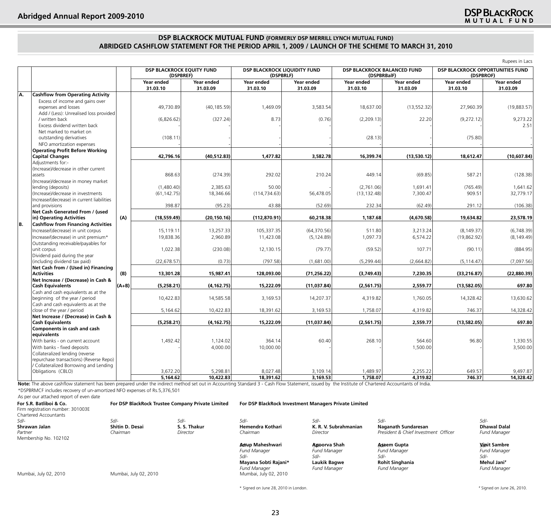## **DSP BLACKROCK MUTUAL FUND (FORMERLY DSP MERRILL LYNCH MUTUAL FUND) ABRIDGED CASHFLOW STATEMENT FOR THE PERIOD APRIL 1, 2009 / LAUNCH OF THE SCHEME TO MARCH 31, 2010**

|     |                                                                                                              |         |                                        |                        |                        |                                                  |                                                   | Rupees in Lacs         |                        |                                         |  |
|-----|--------------------------------------------------------------------------------------------------------------|---------|----------------------------------------|------------------------|------------------------|--------------------------------------------------|---------------------------------------------------|------------------------|------------------------|-----------------------------------------|--|
|     |                                                                                                              |         | DSP BLACKROCK EQUITY FUND<br>(DSPBREF) |                        |                        | <b>DSP BLACKROCK LIQUIDITY FUND</b><br>(DSPBRLF) | <b>DSP BLACKROCK BALANCED FUND</b><br>(DSPBRBalF) |                        | (DSPBROF)              | <b>DSP BLACKROCK OPPORTUNITIES FUND</b> |  |
|     |                                                                                                              |         | Year ended<br>31.03.10                 | Year ended<br>31.03.09 | Year ended<br>31.03.10 | Year ended<br>31.03.09                           | Year ended<br>31.03.10                            | Year ended<br>31.03.09 | Year ended<br>31.03.10 | Year ended<br>31.03.09                  |  |
| İA. | <b>Cashflow from Operating Activity</b>                                                                      |         |                                        |                        |                        |                                                  |                                                   |                        |                        |                                         |  |
|     | Excess of income and gains over<br>expenses and losses                                                       |         | 49,730.89                              | (40, 185.59)           | 1,469.09               | 3,583.54                                         | 18,637.00                                         | (13, 552.32)           | 27,960.39              | (19,883.57)                             |  |
|     | Add / (Less): Unrealised loss provided<br>/ written back<br>Excess dividend written back                     |         | (6,826.62)                             | (327.24)               | 8.73                   | (0.76)                                           | (2,209.13)                                        | 22.20                  | (9,272.12)             | 9.273.22<br>2.51                        |  |
|     | Net marked to market on<br>outstanding derivatives                                                           |         | (108.11)                               |                        |                        |                                                  | (28.13)                                           |                        | (75.80)                |                                         |  |
|     | NFO amortization expenses                                                                                    |         |                                        |                        |                        |                                                  |                                                   |                        |                        |                                         |  |
|     | <b>Operating Profit Before Working</b><br><b>Capital Changes</b>                                             |         | 42,796.16                              | (40, 512.83)           | 1,477.82               | 3,582.78                                         | 16,399.74                                         | (13,530.12)            | 18,612.47              | (10,607.84)                             |  |
|     | Adjustments for:-                                                                                            |         |                                        |                        |                        |                                                  |                                                   |                        |                        |                                         |  |
|     | (Increase)/decrease in other current<br>assets<br>(Increase)/decrease in money market                        |         | 868.63                                 | (274.39)               | 292.02                 | 210.24                                           | 449.14                                            | (69.85)                | 587.21                 | (128.38)                                |  |
|     | lending (deposits)<br>(Increase)/decrease in investments                                                     |         | (1,480.40)<br>(61, 142.75)             | 2,385.63<br>18,346.66  | 50.00<br>(114, 734.63) | 56,478.05                                        | (2,761.06)<br>(13, 132.48)                        | 1,691.41<br>7,300.47   | (765.49)<br>909.51     | 1,641.62<br>32,779.17                   |  |
|     | Increase/(decrease) in current liabilities<br>and provisions                                                 |         | 398.87                                 | (95.23)                | 43.88                  | (52.69)                                          | 232.34                                            | (62.49)                | 291.12                 | (106.38)                                |  |
|     | Net Cash Generated From / (used<br>in) Operating Activities                                                  | (A)     | (18, 559.49)                           | (20, 150.16)           | (112, 870.91)          | 60,218.38                                        | 1,187.68                                          | (4,670.58)             | 19,634.82              | 23,578.19                               |  |
| IB. | <b>Cashflow from Financing Activities</b>                                                                    |         |                                        |                        |                        |                                                  |                                                   |                        |                        |                                         |  |
|     | Increase/(decrease) in unit corpus                                                                           |         | 15.119.11                              | 13,257.33              | 105,337.35             | (64, 370.56)                                     | 511.80                                            | 3,213.24               | (8, 149.37)            | (6,748.39)                              |  |
|     | Increase/(decrease) in unit premium*                                                                         |         | 19,838.36                              | 2,960.89               | 11,423.08              | (5, 124.89)                                      | 1,097.73                                          | 6,574.22               | (19,862.92)            | (8, 149.49)                             |  |
|     | Outstanding receivable/payables for<br>unit corpus                                                           |         | 1,022.38                               | (230.08)               | 12,130.15              | (79.77)                                          | (59.52)                                           | 107.71                 | (90.11)                | (884.95)                                |  |
|     | Dividend paid during the year<br>(including dividend tax paid)                                               |         | (22, 678.57)                           | (0.73)                 | (797.58)               | (1,681.00)                                       | (5, 299.44)                                       | (2,664.82)             | (5, 114.47)            | (7,097.56)                              |  |
|     | Net Cash from / (Used in) Financing<br><b>Activities</b>                                                     | (B)     | 13,301.28                              | 15,987.41              | 128,093.00             | (71, 256.22)                                     | (3,749.43)                                        | 7,230.35               | (33, 216.87)           | (22,880.39)                             |  |
|     | Net Increase / (Decrease) in Cash &<br><b>Cash Equivalents</b>                                               | $(A+B)$ | (5,258.21)                             | (4, 162.75)            | 15,222.09              | (11,037.84)                                      | (2,561.75)                                        | 2,559.77               | (13,582.05)            | 697.80                                  |  |
|     | Cash and cash equivalents as at the<br>beginning of the year / period<br>Cash and cash equivalents as at the |         | 10,422.83                              | 14,585.58              | 3,169.53               | 14,207.37                                        | 4,319.82                                          | 1,760.05               | 14,328.42              | 13,630.62                               |  |
|     | close of the year / period                                                                                   |         | 5,164.62                               | 10,422.83              | 18,391.62              | 3,169.53                                         | 1,758.07                                          | 4,319.82               | 746.37                 | 14,328.42                               |  |
|     | Net Increase / (Decrease) in Cash &<br><b>Cash Equivalents</b>                                               |         | (5,258.21)                             | (4, 162.75)            | 15,222.09              | (11,037.84)                                      | (2,561.75)                                        | 2,559.77               | (13,582.05)            | 697.80                                  |  |
|     | Components in cash and cash<br>equivalents                                                                   |         |                                        |                        |                        |                                                  |                                                   |                        |                        |                                         |  |
|     | With banks - on current account                                                                              |         | 1,492.42                               | 1,124.02               | 364.14                 | 60.40                                            | 268.10                                            | 564.60                 | 96.80                  | 1,330.55                                |  |
|     | With banks - fixed deposits<br>Collateralized lending (reverse<br>repurchase transactions) (Reverse Repo)    |         |                                        | 4,000.00               | 10,000.00              |                                                  |                                                   | 1,500.00               |                        | 3,500.00                                |  |
|     | / Collateralized Borrowing and Lending<br>Obligations (CBLO)                                                 |         | 3,672.20                               | 5,298.81               | 8,027.48               | 3,109.14                                         | 1,489.97                                          | 2,255.22               | 649.57                 | 9,497.87                                |  |
|     |                                                                                                              |         | 5,164.62                               | 10,422.83              | 18,391.62              | 3,169.53                                         | 1,758.07                                          | 4,319.82               | 746.37                 | 14,328.42                               |  |
|     | $-1$ $-1$                                                                                                    |         |                                        |                        |                        |                                                  |                                                   |                        |                        |                                         |  |

Note: The above cashflow statement has been prepared under the indirect method set out in Accounting Standard 3 - Cash Flow Statement, issued by the Institute of Chartered Accountants of India. \*DSPBRMCF includes recovery of un-amortized NFO expenses of Rs.5,376,501

As per our attached report of even date

| For S.R. Batliboi & Co.<br>Firm registration number: 301003E<br>Chartered Accountants |                                     | For DSP BlackRock Trustee Company Private Limited | For DSP BlackRock Investment Managers Private Limited                                                                  |                                                                                    |                                                                                             |                                                                                     |  |  |
|---------------------------------------------------------------------------------------|-------------------------------------|---------------------------------------------------|------------------------------------------------------------------------------------------------------------------------|------------------------------------------------------------------------------------|---------------------------------------------------------------------------------------------|-------------------------------------------------------------------------------------|--|--|
| Sd/-<br>Shrawan Jalan<br>Partner<br>Membership No. 102102                             | Sd/-<br>Shitin D. Desai<br>Chairman | $Sd$ -<br>S. S. Thakur<br>Director                | $Sd$ -<br>Hemendra Kothari<br>Chairman                                                                                 | Sd/-<br>K. R. V. Subrahmanian<br>Director                                          | Sd/-<br>Naganath Sundaresan<br>President & Chief Investment Officer                         | $Sd$ -<br><b>Dhawal Dalal</b><br><b>Fund Manager</b>                                |  |  |
| Mumbai, July 02, 2010                                                                 | Mumbai, July 02, 2010               |                                                   | Awup Maheshwari<br><b>Fund Manager</b><br>Sd/-<br>Mayana Sobti Rajani*<br><b>Fund Manager</b><br>Mumbai, July 02, 2010 | Anoorva Shah<br><b>Fund Manager</b><br>Sd/-<br>Laukik Bagwe<br><b>Fund Manager</b> | Aseem Gupta<br><b>Fund Manager</b><br>Sd/-<br><b>Rohit Singhania</b><br><b>Fund Manager</b> | Vonit Sambre<br><b>Fund Manager</b><br>$Sd$ -<br>Mehul Jani#<br><b>Fund Manager</b> |  |  |

\* Signed on June 28, 2010 in London.

# Signed on June 26, 2010.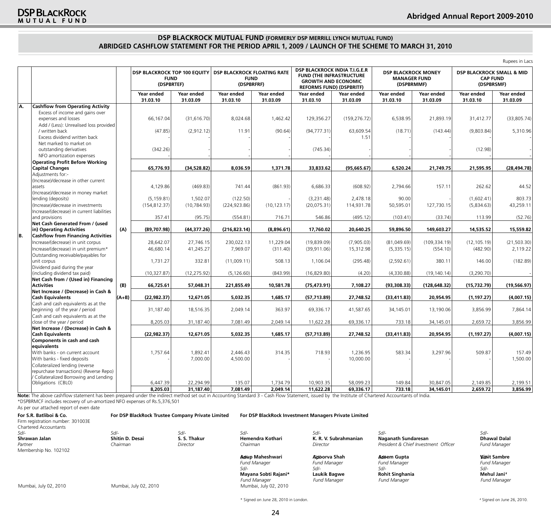## **DSP BLACKROCK MUTUAL FUND (FORMERLY DSP MERRILL LYNCH MUTUAL FUND) ABRIDGED CASHFLOW STATEMENT FOR THE PERIOD APRIL 1, 2009 / LAUNCH OF THE SCHEME TO MARCH 31, 2010**

|     |                                                                                 |         |                                                                  |                        |                                                                 |                        |                                                                                                                                   |                        |                                                                 |                        |                                                                       | Rupees in Lacs         |
|-----|---------------------------------------------------------------------------------|---------|------------------------------------------------------------------|------------------------|-----------------------------------------------------------------|------------------------|-----------------------------------------------------------------------------------------------------------------------------------|------------------------|-----------------------------------------------------------------|------------------------|-----------------------------------------------------------------------|------------------------|
|     |                                                                                 |         | <b>DSP BLACKROCK TOP 100 EQUITY</b><br><b>FUND</b><br>(DSPBRTEF) |                        | <b>DSP BLACKROCK FLOATING RATE</b><br><b>FUND</b><br>(DSPBRFRF) |                        | DSP BLACKROCK INDIA T.I.G.E.R<br><b>FUND (THE INFRASTRUCTURE</b><br><b>GROWTH AND ECONOMIC</b><br><b>REFORMS FUND) (DSPBRITF)</b> |                        | <b>DSP BLACKROCK MONEY</b><br><b>MANAGER FUND</b><br>(DSPBRMMF) |                        | <b>DSP BLACKROCK SMALL &amp; MID</b><br><b>CAP FUND</b><br>(DSPBRSMF) |                        |
|     |                                                                                 |         | Year ended<br>31.03.10                                           | Year ended<br>31.03.09 | Year ended<br>31.03.10                                          | Year ended<br>31.03.09 | Year ended<br>31.03.10                                                                                                            | Year ended<br>31.03.09 | Year ended<br>31.03.10                                          | Year ended<br>31.03.09 | Year ended<br>31.03.10                                                | Year ended<br>31.03.09 |
| İA. | <b>Cashflow from Operating Activity</b>                                         |         |                                                                  |                        |                                                                 |                        |                                                                                                                                   |                        |                                                                 |                        |                                                                       |                        |
|     | Excess of income and gains over                                                 |         |                                                                  |                        |                                                                 |                        |                                                                                                                                   |                        |                                                                 |                        |                                                                       |                        |
|     | expenses and losses                                                             |         | 66,167.04                                                        | (31, 616.70)           | 8,024.68                                                        | 1,462.42               | 129,356.27                                                                                                                        | (159, 276.72)          | 6,538.95                                                        | 21,893.19              | 31,412.77                                                             | (33,805.74)            |
|     | Add / (Less): Unrealised loss provided<br>/ written back                        |         | (47.85)                                                          | (2, 912.12)            | 11.91                                                           | (90.64)                | (94, 777.31)                                                                                                                      | 63,609.54              | (18.71)                                                         | (143.44)               | (9,803.84)                                                            | 5,310.96               |
|     | Excess dividend written back                                                    |         |                                                                  |                        |                                                                 |                        |                                                                                                                                   | 1.51                   |                                                                 |                        |                                                                       |                        |
|     | Net marked to market on                                                         |         |                                                                  |                        |                                                                 |                        |                                                                                                                                   |                        |                                                                 |                        |                                                                       |                        |
|     | outstanding derivatives                                                         |         | (342.26)                                                         |                        |                                                                 |                        | (745.34)                                                                                                                          |                        |                                                                 |                        | (12.98)                                                               |                        |
|     | NFO amortization expenses                                                       |         |                                                                  |                        |                                                                 |                        |                                                                                                                                   |                        |                                                                 |                        |                                                                       |                        |
|     | <b>Operating Profit Before Working</b>                                          |         |                                                                  |                        |                                                                 |                        |                                                                                                                                   |                        |                                                                 |                        |                                                                       |                        |
|     | <b>Capital Changes</b>                                                          |         | 65,776.93                                                        | (34, 528.82)           | 8,036.59                                                        | 1,371.78               | 33,833.62                                                                                                                         | (95,665.67)            | 6,520.24                                                        | 21,749.75              | 21,595.95                                                             | (28, 494.78)           |
|     | Adjustments for:-<br>(Increase)/decrease in other current                       |         |                                                                  |                        |                                                                 |                        |                                                                                                                                   |                        |                                                                 |                        |                                                                       |                        |
|     | assets                                                                          |         | 4,129.86                                                         | (469.83)               | 741.44                                                          | (861.93)               | 6,686.33                                                                                                                          | (608.92)               | 2,794.66                                                        | 157.11                 | 262.62                                                                | 44.52                  |
|     | (Increase)/decrease in money market                                             |         |                                                                  |                        |                                                                 |                        |                                                                                                                                   |                        |                                                                 |                        |                                                                       |                        |
|     | lending (deposits)                                                              |         | (5, 159.81)                                                      | 1,502.07               | (122.50)                                                        |                        | (3,231.48)                                                                                                                        | 2,478.18               | 90.00                                                           |                        | (1,602.41)                                                            | 803.73                 |
|     | (Increase)/decrease in investments                                              |         | (154, 812.37)                                                    | (10, 784.93)           | (224, 923.86)                                                   | (10, 123.17)           | (20,075.31)                                                                                                                       | 114,931.78             | 50,595.01                                                       | 127,730.15             | (5,834.63)                                                            | 43,259.11              |
|     | Increase/(decrease) in current liabilities                                      |         |                                                                  |                        |                                                                 |                        |                                                                                                                                   |                        |                                                                 |                        |                                                                       |                        |
|     | and provisions<br>Net Cash Generated From / (used                               |         | 357.41                                                           | (95.75)                | (554.81)                                                        | 716.71                 | 546.86                                                                                                                            | (495.12)               | (103.41)                                                        | (33.74)                | 113.99                                                                | (52.76)                |
|     | in) Operating Activities                                                        | (A)     | (89,707.98)                                                      | (44, 377.26)           | (216, 823.14)                                                   | (8,896.61)             | 17,760.02                                                                                                                         | 20,640.25              | 59,896.50                                                       | 149,603.27             | 14,535.52                                                             | 15,559.82              |
| IB. | <b>Cashflow from Financing Activities</b>                                       |         |                                                                  |                        |                                                                 |                        |                                                                                                                                   |                        |                                                                 |                        |                                                                       |                        |
|     | Increase/(decrease) in unit corpus                                              |         | 28,642.07                                                        | 27,746.15              | 230,022.13                                                      | 11,229.04              | (19,839.09)                                                                                                                       | (7,905.03)             | (81,049.69)                                                     | (109, 334.19)          | (12, 105.19)                                                          | (21, 503.30)           |
|     | Increase/(decrease) in unit premium*                                            |         | 46,680.14                                                        | 41,245.27              | 7,969.07                                                        | (311.40)               | (39, 911.06)                                                                                                                      | 15,312.98              | (5,335.15)                                                      | (554.10)               | (482.90)                                                              | 2,119.22               |
|     | Outstanding receivable/payables for                                             |         |                                                                  |                        |                                                                 |                        |                                                                                                                                   |                        |                                                                 |                        |                                                                       |                        |
|     | unit corpus                                                                     |         | 1,731.27                                                         | 332.81                 | (11,009.11)                                                     | 508.13                 | 1,106.04                                                                                                                          | (295.48)               | (2,592.61)                                                      | 380.11                 | 146.00                                                                | (182.89)               |
|     | Dividend paid during the year<br>(including dividend tax paid)                  |         | (10, 327.87)                                                     | (12, 275.92)           | (5, 126.60)                                                     | (843.99)               | (16, 829.80)                                                                                                                      | (4.20)                 | (4,330.88)                                                      | (19, 140.14)           | (3,290.70)                                                            |                        |
|     | Net Cash from / (Used in) Financing                                             |         |                                                                  |                        |                                                                 |                        |                                                                                                                                   |                        |                                                                 |                        |                                                                       |                        |
|     | <b>Activities</b>                                                               | (B)     | 66,725.61                                                        | 57.048.31              | 221,855.49                                                      | 10,581.78              | (75, 473.91)                                                                                                                      | 7,108.27               | (93,308.33)                                                     | (128, 648.32)          | (15, 732.79)                                                          | (19, 566.97)           |
|     | Net Increase / (Decrease) in Cash &                                             |         |                                                                  |                        |                                                                 |                        |                                                                                                                                   |                        |                                                                 |                        |                                                                       |                        |
|     | <b>Cash Equivalents</b>                                                         | $(A+B)$ | (22, 982.37)                                                     | 12,671.05              | 5,032.35                                                        | 1,685.17               | (57, 713.89)                                                                                                                      | 27,748.52              | (33, 411.83)                                                    | 20,954.95              | (1, 197.27)                                                           | (4,007.15)             |
|     | Cash and cash equivalents as at the<br>beginning of the year / period           |         | 31,187.40                                                        | 18,516.35              | 2,049.14                                                        | 363.97                 | 69,336.17                                                                                                                         | 41,587.65              | 34,145.01                                                       | 13,190.06              | 3,856.99                                                              | 7,864.14               |
|     | Cash and cash equivalents as at the                                             |         |                                                                  |                        |                                                                 |                        |                                                                                                                                   |                        |                                                                 |                        |                                                                       |                        |
|     | close of the year / period                                                      |         | 8,205.03                                                         | 31,187.40              | 7,081.49                                                        | 2,049.14               | 11,622.28                                                                                                                         | 69,336.17              | 733.18                                                          | 34,145.01              | 2,659.72                                                              | 3,856.99               |
|     | Net Increase / (Decrease) in Cash &<br><b>Cash Equivalents</b>                  |         | (22, 982.37)                                                     | 12,671.05              | 5,032.35                                                        | 1,685.17               | (57, 713.89)                                                                                                                      | 27,748.52              | (33, 411.83)                                                    | 20,954.95              | (1, 197.27)                                                           | (4,007.15)             |
|     | <b>Components in cash and cash</b>                                              |         |                                                                  |                        |                                                                 |                        |                                                                                                                                   |                        |                                                                 |                        |                                                                       |                        |
|     | equivalents                                                                     |         |                                                                  |                        |                                                                 |                        |                                                                                                                                   |                        |                                                                 |                        |                                                                       |                        |
|     | With banks - on current account                                                 |         | 1,757.64                                                         | 1,892.41               | 2,446.43                                                        | 314.35                 | 718.93                                                                                                                            | 1,236.95               | 583.34                                                          | 3,297.96               | 509.87                                                                | 157.49                 |
|     | With banks - fixed deposits                                                     |         |                                                                  | 7,000.00               | 4,500.00                                                        |                        |                                                                                                                                   | 10,000.00              |                                                                 |                        |                                                                       | 1,500.00               |
|     | Collateralized lending (reverse                                                 |         |                                                                  |                        |                                                                 |                        |                                                                                                                                   |                        |                                                                 |                        |                                                                       |                        |
|     | repurchase transactions) (Reverse Repo)<br>Collateralized Borrowing and Lending |         |                                                                  |                        |                                                                 |                        |                                                                                                                                   |                        |                                                                 |                        |                                                                       |                        |
|     | Obligations (CBLO)                                                              |         | 6,447.39                                                         | 22,294.99              | 135.07                                                          | 1,734.79               | 10,903.35                                                                                                                         | 58,099.23              | 149.84                                                          | 30,847.05              | 2,149.85                                                              | 2,199.51               |
|     |                                                                                 |         | 8,205.03                                                         | 31,187.40              | 7,081.49                                                        | 2,049.14               | 11,622.28                                                                                                                         | 69,336.17              | 733.18                                                          | 34,145.01              | 2,659.72                                                              | 3,856.99               |

Note: The above cashflow statement has been prepared under the indirect method set out in Accounting Standard 3 - Cash Flow Statement, issued by the Institute of Chartered Accountants of India. \*DSPBRMCF includes recovery of un-amortized NFO expenses of Rs.5,376,501

As per our attached report of even date

| For S.R. Batliboi & Co.<br>Firm registration number: 301003E<br>Chartered Accountants | For DSP BlackRock Trustee Company Private Limited |              | For DSP BlackRock Investment Managers Private Limited |                       |                                      |                     |  |
|---------------------------------------------------------------------------------------|---------------------------------------------------|--------------|-------------------------------------------------------|-----------------------|--------------------------------------|---------------------|--|
| Sd/-                                                                                  | Sd/-                                              | $Sd$ -       | $Sd$ -                                                | $Sd$ -                | $Sd$ -                               | Sd/-                |  |
| Shrawan Jalan                                                                         | Shitin D. Desai                                   | S. S. Thakur | Hemendra Kothari                                      | K. R. V. Subrahmanian | Naganath Sundaresan                  | <b>Dhawal Dalal</b> |  |
| Partner                                                                               | Chairman                                          | Director     | Chairman                                              | Director              | President & Chief Investment Officer | <b>Fund Manager</b> |  |
| Membership No. 102102                                                                 |                                                   |              |                                                       |                       |                                      |                     |  |
|                                                                                       |                                                   |              | Amup Maheshwari                                       | Adoorva Shah          | Adeem Gupta                          | <b>Vinit Sambre</b> |  |
|                                                                                       |                                                   |              | <b>Fund Manager</b>                                   | <b>Fund Manager</b>   | <b>Fund Manager</b>                  | <b>Fund Manager</b> |  |
|                                                                                       |                                                   |              | Sd/-                                                  | Sd/-                  | $S$ d/-                              | $S$ d/-             |  |
|                                                                                       |                                                   |              | Mayana Sobti Rajani*                                  | Laukik Bagwe          | <b>Rohit Singhania</b>               | Mehul Jani#         |  |
|                                                                                       |                                                   |              | <b>Fund Manager</b>                                   | <b>Fund Manager</b>   | <b>Fund Manager</b>                  | <b>Fund Manager</b> |  |
| Mumbai, July 02, 2010                                                                 | Mumbai, July 02, 2010                             |              | Mumbai, July 02, 2010                                 |                       |                                      |                     |  |

24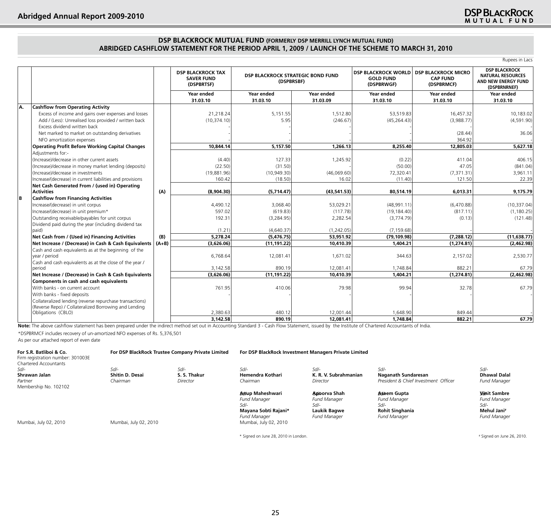## **DSP BLACKROCK MUTUAL FUND (FORMERLY DSP MERRILL LYNCH MUTUAL FUND) ABRIDGED CASHFLOW STATEMENT FOR THE PERIOD APRIL 1, 2009 / LAUNCH OF THE SCHEME TO MARCH 31, 2010**

|     |                                                                                                        |         |                                                             |                                                 |                        |                                                              |                                                             | Rupees in Lacs                                                                          |
|-----|--------------------------------------------------------------------------------------------------------|---------|-------------------------------------------------------------|-------------------------------------------------|------------------------|--------------------------------------------------------------|-------------------------------------------------------------|-----------------------------------------------------------------------------------------|
|     |                                                                                                        |         | <b>DSP BLACKROCK TAX</b><br><b>SAVER FUND</b><br>(DSPBRTSF) | DSP BLACKROCK STRATEGIC BOND FUND<br>(DSPBRSBF) |                        | <b>DSP BLACKROCK WORLD</b><br><b>GOLD FUND</b><br>(DSPBRWGF) | <b>DSP BLACKROCK MICRO</b><br><b>CAP FUND</b><br>(DSPBRMCF) | <b>DSP BLACKROCK</b><br><b>NATURAL RESOURCES</b><br>AND NEW ENERGY FUND<br>(DSPBRNRNEF) |
|     |                                                                                                        |         | Year ended<br>31.03.10                                      | Year ended<br>31.03.10                          | Year ended<br>31.03.09 | Year ended<br>31.03.10                                       | Year ended<br>31.03.10                                      | Year ended<br>31.03.10                                                                  |
| IA. | <b>Cashflow from Operating Activity</b>                                                                |         |                                                             |                                                 |                        |                                                              |                                                             |                                                                                         |
|     | Excess of income and gains over expenses and losses                                                    |         | 21,218.24                                                   | 5,151.55                                        | 1,512.80               | 53,519.83                                                    | 16,457.32                                                   | 10,183.02                                                                               |
|     | Add / (Less): Unrealised loss provided / written back                                                  |         | (10, 374.10)                                                | 5.95                                            | (246.67)               | (45, 264.43)                                                 | (3,988.77)                                                  | (4,591.90)                                                                              |
|     | Excess dividend written back                                                                           |         |                                                             |                                                 |                        |                                                              |                                                             |                                                                                         |
|     | Net marked to market on outstanding derivatives                                                        |         |                                                             |                                                 |                        |                                                              | (28.44)                                                     | 36.06                                                                                   |
|     | NFO amortization expenses                                                                              |         |                                                             |                                                 |                        |                                                              | 364.92                                                      |                                                                                         |
|     | <b>Operating Profit Before Working Capital Changes</b>                                                 |         | 10,844.14                                                   | 5,157.50                                        | 1,266.13               | 8,255.40                                                     | 12,805.03                                                   | 5,627.18                                                                                |
|     | Adiustments for:-                                                                                      |         |                                                             |                                                 |                        |                                                              |                                                             |                                                                                         |
|     | (Increase)/decrease in other current assets                                                            |         | (4.40)                                                      | 127.33                                          | 1,245.92               | (0.22)                                                       | 411.04                                                      | 406.15                                                                                  |
|     | (Increase)/decrease in money market lending (deposits)                                                 |         | (22.50)                                                     | (31.50)                                         |                        | (50.00)                                                      | 47.05                                                       | (841.04)                                                                                |
|     | (Increase)/decrease in investments                                                                     |         | (19,881.96)                                                 | (10,949.30)                                     | (46,069.60)            | 72,320.41                                                    | (7, 371.31)                                                 | 3,961.11                                                                                |
|     | Increase/(decrease) in current liabilities and provisions                                              |         | 160.42                                                      | (18.50)                                         | 16.02                  | (11.40)                                                      | 121.50                                                      | 22.39                                                                                   |
|     | Net Cash Generated From / (used in) Operating                                                          |         |                                                             |                                                 |                        |                                                              |                                                             |                                                                                         |
|     | Activities                                                                                             | (A)     | (8,904.30)                                                  | (5,714.47)                                      | (43,541.53)            | 80,514.19                                                    | 6,013.31                                                    | 9,175.79                                                                                |
| lв  | <b>Cashflow from Financing Activities</b>                                                              |         |                                                             |                                                 |                        |                                                              |                                                             |                                                                                         |
|     | Increase/(decrease) in unit corpus                                                                     |         | 4,490.12                                                    | 3,068.40                                        | 53,029.21              | (48,991.11)                                                  | (6,470.88)                                                  | (10, 337.04)                                                                            |
|     | Increase/(decrease) in unit premium*                                                                   |         | 597.02                                                      | (619.83)                                        | (117.78)               | (19, 184.40)                                                 | (817.11)                                                    | (1, 180.25)                                                                             |
|     | Outstanding receivable/payables for unit corpus                                                        |         | 192.31                                                      | (3,284.95)                                      | 2,282.54               | (3,774.79)                                                   | (0.13)                                                      | (121.48)                                                                                |
|     | Dividend paid during the year (including dividend tax                                                  |         | (1.21)                                                      | (4,640.37)                                      | (1,242.05)             | (7, 159.68)                                                  |                                                             |                                                                                         |
|     | (baid                                                                                                  | (B)     | 5,278.24                                                    | (5,476.75)                                      | 53,951.92              | (79, 109.98)                                                 | (7, 288.12)                                                 | (11, 638.77)                                                                            |
|     | Net Cash from / (Used in) Financing Activities<br>Net Increase / (Decrease) in Cash & Cash Equivalents | $(A+B)$ | (3,626.06)                                                  | (11, 191.22)                                    | 10,410.39              | 1,404.21                                                     | (1,274.81)                                                  | (2,462.98)                                                                              |
|     | Cash and cash equivalents as at the beginning of the                                                   |         |                                                             |                                                 |                        |                                                              |                                                             |                                                                                         |
|     | year / period                                                                                          |         | 6,768.64                                                    | 12,081.41                                       | 1,671.02               | 344.63                                                       | 2,157.02                                                    | 2,530.77                                                                                |
|     | Cash and cash equivalents as at the close of the year /<br>lperiod                                     |         | 3,142.58                                                    | 890.19                                          | 12,081.41              | 1.748.84                                                     | 882.21                                                      | 67.79                                                                                   |
|     | Net Increase / (Decrease) in Cash & Cash Equivalents                                                   |         | (3,626.06)                                                  | (11, 191.22)                                    | 10,410.39              | 1,404.21                                                     | (1,274.81)                                                  | (2,462.98)                                                                              |
|     | Components in cash and cash equivalents                                                                |         |                                                             |                                                 |                        |                                                              |                                                             |                                                                                         |
|     | With banks - on current account                                                                        |         | 761.95                                                      | 410.06                                          | 79.98                  | 99.94                                                        | 32.78                                                       | 67.79                                                                                   |
|     | With banks - fixed deposits                                                                            |         |                                                             |                                                 |                        |                                                              |                                                             |                                                                                         |
|     | Collateralized lending (reverse repurchase transactions)                                               |         |                                                             |                                                 |                        |                                                              |                                                             |                                                                                         |
|     | (Reverse Repo) / Collateralized Borrowing and Lending                                                  |         |                                                             |                                                 |                        |                                                              |                                                             |                                                                                         |
|     | Obligations (CBLO)                                                                                     |         | 2,380.63                                                    | 480.12                                          | 12,001.44              | 1,648.90                                                     | 849.44                                                      |                                                                                         |
|     |                                                                                                        |         | 3,142.58                                                    | 890.19                                          | 12.081.41              | 1,748.84                                                     | 882.21                                                      | 67.79                                                                                   |

Note: The above cashflow statement has been prepared under the indirect method set out in Accounting Standard 3 - Cash Flow Statement, issued by the Institute of Chartered Accountants of India.

\*DSPBRMCF includes recovery of un-amortized NFO expenses of Rs. 5,376,501

As per our attached report of even date

| For S.R. Batliboi & Co.<br>Firm registration number: 301003E<br>Chartered Accountants |                        | For DSP BlackRock Trustee Company Private Limited |                                                                          | For DSP BlackRock Investment Managers Private Limited         |                                                                      |                                                                   |  |
|---------------------------------------------------------------------------------------|------------------------|---------------------------------------------------|--------------------------------------------------------------------------|---------------------------------------------------------------|----------------------------------------------------------------------|-------------------------------------------------------------------|--|
| Sd/-                                                                                  | Sd/-                   | $Sd$ -                                            | $Sd$ -                                                                   | Sd/-                                                          | Sd/-                                                                 | Sd/-                                                              |  |
| Shrawan Jalan                                                                         | <b>Shitin D. Desai</b> | S. S. Thakur                                      | Hemendra Kothari                                                         | K. R. V. Subrahmanian                                         | Naganath Sundaresan                                                  | <b>Dhawal Dalal</b>                                               |  |
| Partner<br>Membership No. 102102                                                      | Chairman               | Director                                          | Chairman                                                                 | Director                                                      | President & Chief Investment Officer                                 | <b>Fund Manager</b>                                               |  |
|                                                                                       |                        |                                                   | Anup Maheshwari<br><b>Fund Manager</b><br>$Sd$ -<br>Mayana Sobti Rajani* | Anoorva Shah<br><b>Fund Manager</b><br>$Sd$ -<br>Laukik Bagwe | Aseem Gupta<br><b>Fund Manager</b><br>Sd/-<br><b>Rohit Singhania</b> | <b>Vonit Sambre</b><br><b>Fund Manager</b><br>Sd/-<br>Mehul Jani# |  |
| Mumbai, July 02, 2010                                                                 | Mumbai, July 02, 2010  |                                                   | <b>Fund Manager</b><br>Mumbai, July 02, 2010                             | <b>Fund Manager</b>                                           | <b>Fund Manager</b>                                                  | <b>Fund Manager</b>                                               |  |

\* Signed on June 28, 2010 in London.

# Signed on June 26, 2010.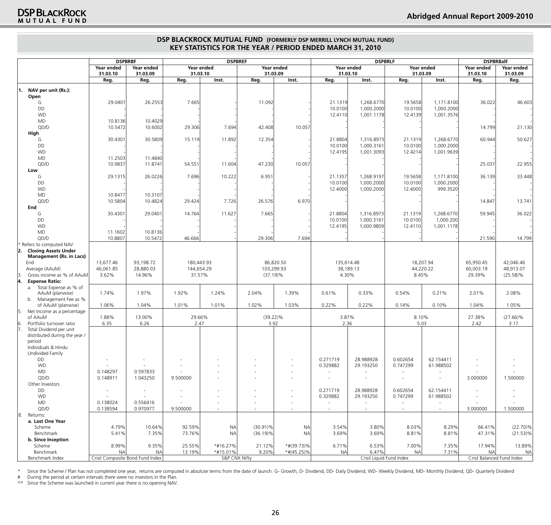|     |                                              | <b>DSPBRBF</b>                   |                          | <b>DSPBREF</b>           |               |             |                          |                          | <b>DSPBRLF</b>                                       |                    | <b>DSPBRBalF</b>         |                            |                                      |
|-----|----------------------------------------------|----------------------------------|--------------------------|--------------------------|---------------|-------------|--------------------------|--------------------------|------------------------------------------------------|--------------------|--------------------------|----------------------------|--------------------------------------|
|     |                                              | Year ended<br>31.03.10           | Year ended<br>31.03.09   | 31.03.10                 | Year ended    | 31.03.09    | Year ended               |                          | Year ended<br>31.03.10                               |                    | Year ended<br>31.03.09   | Year ended<br>31.03.10     | Year ended<br>31.03.09               |
|     |                                              | Reg.                             | Reg.                     | Reg.                     | Inst.         | Reg.        | Inst.                    | Reg.                     | Inst.                                                | Reg.               | Inst.                    | Reg.                       | Reg.                                 |
| 11. | NAV per unit (Rs.):<br>Open                  |                                  |                          |                          |               |             |                          |                          |                                                      |                    |                          |                            |                                      |
|     | G                                            | 29.0401                          | 26.2553                  | 7.665                    |               | 11.092      |                          | 21.1319                  | 1,268.6770                                           | 19.5658            | 1.171.8100               | 36.022                     | 46.603                               |
|     | DD                                           |                                  |                          |                          |               |             |                          | 10.0100                  | 1,000.2000                                           | 10.0100            | 1,000.2000               |                            |                                      |
|     | <b>WD</b>                                    |                                  |                          |                          |               |             |                          | 12.4110                  | 1,001.1178                                           | 12.4139            | 1,001.3576               |                            |                                      |
|     | MD                                           | 10.8136                          | 10.4029                  |                          |               |             |                          |                          |                                                      |                    |                          |                            |                                      |
|     | QD/D                                         | 10.5472                          | 10.6002                  | 29.306                   | 7.694         | 42.408      | 10.057                   |                          |                                                      |                    |                          | 14.799                     | 21.130                               |
|     | High<br>G                                    | 30.4301                          | 30.5809                  | 15.119                   | 11.892        | 12.354      |                          | 21.8804                  | 1,316.8973                                           | 21.1319            | 1,268.6770               | 60.944                     | 50.627                               |
|     | DD                                           |                                  |                          |                          |               |             |                          | 10.0100                  | 1,000.3161                                           | 10.0100            | 1,000.2000               |                            |                                      |
|     | <b>WD</b>                                    |                                  |                          |                          |               |             |                          | 12.4195                  | 1,001.3093                                           | 12.4214            | 1,001.9639               |                            |                                      |
|     | MD                                           | 11.2503                          | 11.4840                  |                          |               |             |                          |                          |                                                      |                    |                          |                            |                                      |
|     | QD/D                                         | 10.9837                          | 11.8741                  | 54.551                   | 11.604        | 47.230      | 10.057                   |                          |                                                      |                    |                          | 25.037                     | 22.955                               |
|     | Low                                          |                                  |                          |                          |               |             |                          |                          |                                                      |                    |                          |                            |                                      |
|     | G<br>DD                                      | 29.1315                          | 26.0226                  | 7.696                    | 10.222        | 6.951       |                          | 21.1357<br>10.0100       | 1,268.9197<br>1,000.2000                             | 19.5658            | 1,171.8100<br>1,000.2000 | 36.139                     | 33.448                               |
|     | <b>WD</b>                                    |                                  |                          |                          |               |             |                          | 12.4000                  | 1,000.2000                                           | 10.0100<br>12.4000 | 999.3520                 |                            |                                      |
|     | MD                                           | 10.8477                          | 10.3107                  |                          |               |             |                          |                          |                                                      |                    |                          |                            |                                      |
|     | QD/D                                         | 10.5804                          | 10.4824                  | 29.424                   | 7.726         | 26.576      | 6.970                    |                          |                                                      |                    |                          | 14.847                     | 13.741                               |
|     | End                                          |                                  |                          |                          |               |             |                          |                          |                                                      |                    |                          |                            |                                      |
|     | G                                            | 30.4301                          | 29.0401                  | 14.764                   | 11.627        | 7.665       |                          | 21.8804                  | 1,316.8973                                           | 21.1319            | 1,268.6770               | 59.945                     | 36.022                               |
|     | DD<br><b>WD</b>                              |                                  |                          |                          |               |             |                          | 10.0100                  | 1,000.3161                                           | 10.0100            | 1,000.200                |                            |                                      |
|     | <b>MD</b>                                    | 11.1602                          | 10.8136                  |                          |               |             |                          | 12.4195                  | 1,000.9809                                           | 12.4110            | 1,001.1178               |                            |                                      |
|     | QD/D                                         | 10.8807                          | 10.5472                  | 46.666                   |               | 29.306      | 7.694                    |                          |                                                      |                    |                          | 21.590                     | 14.799                               |
|     | Refers to computed NAV                       |                                  |                          |                          |               |             |                          |                          |                                                      |                    |                          |                            |                                      |
| 2.  | <b>Closing Assets Under</b>                  |                                  |                          |                          |               |             |                          |                          |                                                      |                    |                          |                            |                                      |
|     | <b>Management (Rs. in Lacs)</b>              |                                  |                          |                          |               |             |                          |                          |                                                      |                    |                          |                            |                                      |
|     | End<br>Average (AAuM)                        | 13,677.46<br>46,061.85           | 93,198.72<br>28,880.03   | 180,443.93<br>144,654.29 |               |             | 86,820.50<br>103,299.93  | 135,614.48               | 38,189.13                                            |                    | 18,207.94<br>44,220.22   | 65,950.45                  | 42,046.46<br>48,913.07               |
| 13. | Gross income as % of AAuM                    | 3.62%                            | 14.96%                   | 31.57%                   |               | $(37.19)\%$ |                          | 4.30%                    |                                                      |                    | 8.45%                    | 60,003.19<br>29.39%        | $(25.58)\%$                          |
| 4.  | <b>Expense Ratio:</b>                        |                                  |                          |                          |               |             |                          |                          |                                                      |                    |                          |                            |                                      |
|     | a. Total Expense as % of                     |                                  |                          |                          |               |             |                          |                          |                                                      |                    |                          |                            |                                      |
|     | AAuM (planwise)                              | 1.74%                            | 1.97%                    | 1.92%                    | 1.24%         | 2.04%       | 1.39%                    | 0.61%                    | 0.33%                                                | 0.54%              | 0.21%                    | 2.01%                      | 2.08%                                |
|     | b. Management Fee as %<br>of AAuM (planwise) | 1.06%                            | 1.04%                    | 1.01%                    | 1.01%         | 1.02%       | 1.03%                    | 0.22%                    | 0.22%                                                | 0.14%              | 0.10%                    | 1.04%                      | 1.05%                                |
| 15. | Net Income as a percentage                   |                                  |                          |                          |               |             |                          |                          |                                                      |                    |                          |                            |                                      |
|     | of AAuM                                      | 1.88%                            | 13.00%                   | 29.66%                   |               | $(39.22)\%$ |                          | 3.87%                    |                                                      |                    | 8.10%                    | 27.38%                     | $(27.66)\%$                          |
| 16. | Portfolio turnover ratio                     | 6.35                             | 6.26                     | 2.47                     |               | 3.92        |                          | 2.36                     |                                                      |                    | 5.03                     | 2.42                       | 3.17                                 |
| 17. | Total Dividend per unit                      |                                  |                          |                          |               |             |                          |                          |                                                      |                    |                          |                            |                                      |
|     | distributed during the year /<br>period      |                                  |                          |                          |               |             |                          |                          |                                                      |                    |                          |                            |                                      |
|     | Individuals & Hindu                          |                                  |                          |                          |               |             |                          |                          |                                                      |                    |                          |                            |                                      |
|     | Undivided Family                             |                                  |                          |                          |               |             |                          |                          |                                                      |                    |                          |                            |                                      |
|     | DD                                           |                                  |                          |                          |               |             |                          | 0.271719                 | 28.988928                                            | 0.602654           | 62.154411                |                            |                                      |
|     | <b>WD</b>                                    |                                  |                          |                          |               |             |                          | 0.329882                 | 29.193250                                            | 0.747299           | 61.988502                |                            |                                      |
|     | MD<br>QD/D                                   | 0.148297<br>0.148911             | 0.597833<br>1.043250     | 9.500000                 |               |             |                          | $\overline{\phantom{a}}$ | $\overline{\phantom{a}}$<br>$\overline{\phantom{a}}$ |                    | $\sim$<br>$\sim$         | 3.000000                   | $\overline{\phantom{a}}$<br>1.500000 |
|     | Other Investors                              |                                  |                          |                          |               |             |                          |                          |                                                      |                    |                          |                            |                                      |
|     | DD                                           | $\overline{\phantom{a}}$         | $\overline{\phantom{a}}$ |                          |               |             | $\overline{\phantom{m}}$ | 0.271719                 | 28.988928                                            | 0.602654           | 62.154411                | $\overline{\phantom{a}}$   |                                      |
|     | <b>WD</b>                                    |                                  |                          |                          |               |             | $\overline{\phantom{m}}$ | 0.329882                 | 29.193250                                            | 0.747299           | 61.988502                |                            |                                      |
|     | MD                                           | 0.138024                         | 0.556416                 | $\overline{\phantom{a}}$ |               |             | $\overline{\phantom{a}}$ | $\sim$                   | $\overline{\phantom{a}}$                             | $\sim$             | $\overline{\phantom{a}}$ |                            |                                      |
|     | QD/D                                         | 0.138594                         | 0.970977                 | 9.500000                 |               |             | $\overline{\phantom{a}}$ | $\sim$                   | $\sim$                                               | $\sim$             | $\sim$                   | 3.000000                   | 1.500000                             |
| 8.  | Returns:<br>a. Last One Year                 |                                  |                          |                          |               |             |                          |                          |                                                      |                    |                          |                            |                                      |
|     | Scheme                                       | 4.79%                            | 10.64%                   | 92.59%                   | <b>NA</b>     | $(30.91)\%$ | <b>NA</b>                | 3.54%                    | 3.80%                                                | 8.03%              | 8.29%                    | 66.41%                     | $(22.70)\%$                          |
|     | Benchmark                                    | 5.41%                            | 7.35%                    | 73.76%                   | <b>NA</b>     | $(36.19)\%$ | <b>NA</b>                | 3.69%                    | 3.69%                                                | 8.81%              | 8.81%                    | 47.31%                     | $(21.53)\%$                          |
|     | b. Since Inception                           |                                  |                          |                          |               |             |                          |                          |                                                      |                    |                          |                            |                                      |
|     | Scheme                                       | 8.99%                            | 9.35%                    | 25.55%                   | *#16.27%      | 21.12%      | $*$ #(39.73)%            | 6.71%                    | 6.53%                                                | 7.00%              | 7.35%                    | 17.94%                     | 13.89%                               |
|     | Benchmark<br>Benchmark Index                 | <b>NA</b>                        | <b>NA</b>                | 13.19%                   | *#15.01%      | 9.20%       | $*#(45.25)\%$            | <b>NA</b>                | 6.47%                                                | <b>NA</b>          | 7.31%                    | <b>NA</b>                  | <b>NA</b>                            |
|     |                                              | Crisil Composite Bond Fund Index |                          |                          | S&P CNX Nifty |             |                          |                          | Crisil Liquid Fund Index                             |                    |                          | Crisil Balanced Fund Index |                                      |

\* Since the Scheme / Plan has not completed one year, returns are computed in absolute terms from the date of launch. G- Growth, D- Dividend, DD- Daily Dividend, WD- Weekly Dividend, MD- Monthly Dividend, QD- Quarterly Div

# During the period at certain intervals there were no investors in the Plan.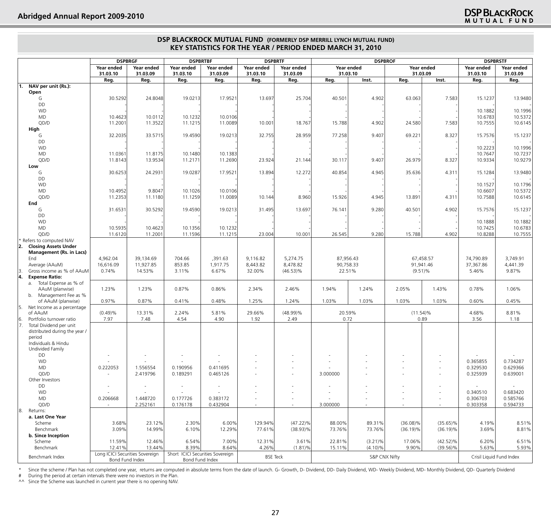| Year ended<br>Year ended<br>Year ended<br>Year ended<br>Year ended<br>Year ended<br>Year ended<br>Year ended<br>Year ended<br>Year ended<br>31.03.09<br>31.03.09<br>31.03.10<br>31.03.09<br>31.03.10<br>31.03.09<br>31.03.10<br>31.03.10<br>31.03.09<br>31.03.10<br>Reg.<br>Reg.<br>Reg.<br>Inst.<br>Reg.<br>Reg.<br>Reg.<br>Reg.<br>Reg.<br>Inst.<br>Reg.<br>Reg.<br>NAV per unit (Rs.):<br>1.<br>Open<br>30.5292<br>17.9521<br>25.704<br>40.501<br>4.902<br>7.583<br>G<br>24.8048<br>19.0213<br>13.697<br>63.063<br>15.1237<br>13.9480<br>DD<br><b>WD</b><br>10.1882<br>10.1996<br><b>MD</b><br>10.0106<br>10.6783<br>10.5372<br>10.4623<br>10.0112<br>10.1232<br>QD/D<br>11.3522<br>11.0089<br>18.767<br>15.788<br>4.902<br>24.580<br>7.583<br>10.6145<br>11.2001<br>11.1215<br>10.001<br>10.7555<br>High<br>33.5715<br>19.4590<br>19.0213<br>32.755<br>28.959<br>77.258<br>9.407<br>69.221<br>8.327<br>15.1237<br>G<br>32.2035<br>15.7576<br>DD<br><b>WD</b><br>10.1996<br>10.2223<br>MD<br>10.7237<br>11.0361<br>11.8175<br>10.1480<br>10.1383<br>10.7647<br>QD/D<br>10.9279<br>11.8143<br>13.9534<br>11.2171<br>11.2690<br>23.924<br>21.144<br>30.117<br>9.407<br>26.979<br>8.327<br>10.9334<br>Low<br>12.272<br>40.854<br>13.9480<br>30.6253<br>24.2931<br>19.0287<br>17.9521<br>13.894<br>4.945<br>35.636<br>4.311<br>G<br>15.1284<br>DD<br><b>WD</b><br>10.1796<br>10.1527<br>MD<br>9.8047<br>10.1026<br>10.0106<br>10.6607<br>10.5372<br>10.4952<br>QD/D<br>8.960<br>15.926<br>11.2353<br>11.1259<br>11.0089<br>13.891<br>4.311<br>10.7588<br>10.6145<br>11.1180<br>10.144<br>4.945<br>End<br>76.141<br>40.501<br>4.902<br>15.1237<br>G<br>31.6531<br>30.5292<br>19.4590<br>19.0213<br>31.495<br>13.697<br>9.280<br>15.7576<br>DD<br><b>WD</b><br>10.1882<br>10.1888<br>10.5935<br>10.7425<br>10.6783<br>MD<br>10.4623<br>10.1356<br>10.1232<br>QD/D<br>11.1215<br>26.545<br>15.788<br>4.902<br>10.7555<br>11.6120<br>11.2001<br>11.1596<br>23.004<br>10.001<br>9.280<br>10.8288<br>Refers to computed NAV<br><b>Closing Assets Under</b><br>12.<br><b>Management (Rs. in Lacs)</b><br>5,274.75<br>87,956.43<br>3,749.91<br>End<br>4,962.04<br>39,134.69<br>704.66<br>,391.63<br>9,116.82<br>67,458.57<br>74,790.89<br>Average (AAuM)<br>16,616.09<br>11,927.85<br>853.85<br>1,917.75<br>8,443.82<br>8,478.82<br>90,758.33<br>91,941.46<br>37,367.86<br>4,441.39<br>0.74%<br>6.67%<br>9.87%<br>Gross income as % of AAuM<br>14.53%<br>3.11%<br>32.00%<br>$(46.53)\%$<br>22.51%<br>$(9.51)\%$<br>5.46%<br><b>Expense Ratio:</b><br>a. Total Expense as % of<br>AAuM (planwise)<br>1.23%<br>1.23%<br>0.87%<br>0.86%<br>2.34%<br>2.46%<br>1.94%<br>1.24%<br>2.05%<br>1.43%<br>0.78%<br>1.06%<br>b. Management Fee as %<br>0.97%<br>0.87%<br>0.41%<br>0.48%<br>1.25%<br>1.24%<br>1.03%<br>1.03%<br>1.03%<br>0.45%<br>of AAuM (planwise)<br>1.03%<br>0.60%<br>Net Income as a percentage<br>5.81%<br>20.59%<br>8.81%<br>of AAuM<br>(0.49)%<br>13.31%<br>2.24%<br>29.66%<br>$(48.99)\%$<br>$(11.54)\%$<br>4.68%<br>Portfolio turnover ratio<br>4.90<br>7.97<br>7.48<br>4.54<br>1.92<br>2.49<br>0.72<br>0.89<br>3.56<br>1.18<br>Total Dividend per unit<br>distributed during the year /<br>period<br>Individuals & Hindu<br>Undivided Family<br>DD<br><b>WD</b><br>0.365855<br>0.734287<br>MD<br>0.222053<br>1.556554<br>0.190956<br>0.411695<br>0.329530<br>0.629366<br>QD/D<br>2.419796<br>0.189291<br>3.000000<br>0.325939<br>0.639001<br>0.465126<br>$\sim$<br>Other Investors<br>DD<br>$\sim$<br>٠<br>$\sim$<br><b>WD</b><br>0.683420<br>0.340510<br>MD<br>0.585766<br>0.206668<br>1.448720<br>0.177726<br>0.383172<br>0.306703<br>٠<br>٠<br>$\overline{\phantom{a}}$<br>0.594733<br>QD/D<br>2.252161<br>0.176178<br>0.432904<br>3.000000<br>0.303358<br>$\sim$<br>$\overline{\phantom{a}}$<br>Returns:<br>a. Last One Year<br>$(47.22)\%$<br>Scheme<br>3.68%<br>23.12%<br>2.30%<br>6.00%<br>129.94%<br>88.00%<br>89.31%<br>$(36.08)\%$<br>$(35.65)\%$<br>4.19%<br>8.51%<br>Benchmark<br>3.09%<br>14.99%<br>12.29%<br>$(38.93)\%$<br>73.76%<br>$(36.19)\%$<br>$(36.19)\%$<br>8.81%<br>6.10%<br>77.61%<br>73.76%<br>3.69%<br>b. Since Inception<br>Scheme<br>11.59%<br>12.46%<br>6.54%<br>7.00%<br>12.31%<br>3.61%<br>22.81%<br>$(3.21)\%$<br>17.06%<br>$(42.52)\%$<br>6.20%<br>6.51%<br>Benchmark<br>8.39%<br>8.64%<br>9.90%<br>12.41%<br>13.44%<br>4.26%<br>$(1.81)\%$<br>15.11%<br>$(4.10)\%$<br>$(39.56)\%$<br>5.63%<br>5.93%<br>Long ICICI Securities Sovereign<br>Short ICICI Securities Sovereign<br>Benchmark Index<br><b>BSE Teck</b><br>S&P CNX Nifty<br>Crisil Liquid Fund Index |     | <b>DSPBRGF</b> |  | <b>DSPBRTBF</b> |  | <b>DSPBRTF</b> |  | <b>DSPBROF</b> |  | <b>DSPBRSTF</b> |  |  |
|-----------------------------------------------------------------------------------------------------------------------------------------------------------------------------------------------------------------------------------------------------------------------------------------------------------------------------------------------------------------------------------------------------------------------------------------------------------------------------------------------------------------------------------------------------------------------------------------------------------------------------------------------------------------------------------------------------------------------------------------------------------------------------------------------------------------------------------------------------------------------------------------------------------------------------------------------------------------------------------------------------------------------------------------------------------------------------------------------------------------------------------------------------------------------------------------------------------------------------------------------------------------------------------------------------------------------------------------------------------------------------------------------------------------------------------------------------------------------------------------------------------------------------------------------------------------------------------------------------------------------------------------------------------------------------------------------------------------------------------------------------------------------------------------------------------------------------------------------------------------------------------------------------------------------------------------------------------------------------------------------------------------------------------------------------------------------------------------------------------------------------------------------------------------------------------------------------------------------------------------------------------------------------------------------------------------------------------------------------------------------------------------------------------------------------------------------------------------------------------------------------------------------------------------------------------------------------------------------------------------------------------------------------------------------------------------------------------------------------------------------------------------------------------------------------------------------------------------------------------------------------------------------------------------------------------------------------------------------------------------------------------------------------------------------------------------------------------------------------------------------------------------------------------------------------------------------------------------------------------------------------------------------------------------------------------------------------------------------------------------------------------------------------------------------------------------------------------------------------------------------------------------------------------------------------------------------------------------------------------------------------------------------------------------------------------------------------------------------------------------------------------------------------------------------------------------------------------------------------------------------------------------------------------------------------------------------------------------------------------------------------------------------------------------------------------------------------------------------------------------------------------------------------------------------------------------------------------------------------------------------------------------------------------------------------------------------------------------------------------------------------------------------------------------------------------------------------------------------------------------------------------------------------------------------------------------------------------------------------|-----|----------------|--|-----------------|--|----------------|--|----------------|--|-----------------|--|--|
|                                                                                                                                                                                                                                                                                                                                                                                                                                                                                                                                                                                                                                                                                                                                                                                                                                                                                                                                                                                                                                                                                                                                                                                                                                                                                                                                                                                                                                                                                                                                                                                                                                                                                                                                                                                                                                                                                                                                                                                                                                                                                                                                                                                                                                                                                                                                                                                                                                                                                                                                                                                                                                                                                                                                                                                                                                                                                                                                                                                                                                                                                                                                                                                                                                                                                                                                                                                                                                                                                                                                                                                                                                                                                                                                                                                                                                                                                                                                                                                                                                                                                                                                                                                                                                                                                                                                                                                                                                                                                                                                                                                                     |     |                |  |                 |  |                |  |                |  |                 |  |  |
|                                                                                                                                                                                                                                                                                                                                                                                                                                                                                                                                                                                                                                                                                                                                                                                                                                                                                                                                                                                                                                                                                                                                                                                                                                                                                                                                                                                                                                                                                                                                                                                                                                                                                                                                                                                                                                                                                                                                                                                                                                                                                                                                                                                                                                                                                                                                                                                                                                                                                                                                                                                                                                                                                                                                                                                                                                                                                                                                                                                                                                                                                                                                                                                                                                                                                                                                                                                                                                                                                                                                                                                                                                                                                                                                                                                                                                                                                                                                                                                                                                                                                                                                                                                                                                                                                                                                                                                                                                                                                                                                                                                                     |     |                |  |                 |  |                |  |                |  |                 |  |  |
|                                                                                                                                                                                                                                                                                                                                                                                                                                                                                                                                                                                                                                                                                                                                                                                                                                                                                                                                                                                                                                                                                                                                                                                                                                                                                                                                                                                                                                                                                                                                                                                                                                                                                                                                                                                                                                                                                                                                                                                                                                                                                                                                                                                                                                                                                                                                                                                                                                                                                                                                                                                                                                                                                                                                                                                                                                                                                                                                                                                                                                                                                                                                                                                                                                                                                                                                                                                                                                                                                                                                                                                                                                                                                                                                                                                                                                                                                                                                                                                                                                                                                                                                                                                                                                                                                                                                                                                                                                                                                                                                                                                                     |     |                |  |                 |  |                |  |                |  |                 |  |  |
|                                                                                                                                                                                                                                                                                                                                                                                                                                                                                                                                                                                                                                                                                                                                                                                                                                                                                                                                                                                                                                                                                                                                                                                                                                                                                                                                                                                                                                                                                                                                                                                                                                                                                                                                                                                                                                                                                                                                                                                                                                                                                                                                                                                                                                                                                                                                                                                                                                                                                                                                                                                                                                                                                                                                                                                                                                                                                                                                                                                                                                                                                                                                                                                                                                                                                                                                                                                                                                                                                                                                                                                                                                                                                                                                                                                                                                                                                                                                                                                                                                                                                                                                                                                                                                                                                                                                                                                                                                                                                                                                                                                                     |     |                |  |                 |  |                |  |                |  |                 |  |  |
|                                                                                                                                                                                                                                                                                                                                                                                                                                                                                                                                                                                                                                                                                                                                                                                                                                                                                                                                                                                                                                                                                                                                                                                                                                                                                                                                                                                                                                                                                                                                                                                                                                                                                                                                                                                                                                                                                                                                                                                                                                                                                                                                                                                                                                                                                                                                                                                                                                                                                                                                                                                                                                                                                                                                                                                                                                                                                                                                                                                                                                                                                                                                                                                                                                                                                                                                                                                                                                                                                                                                                                                                                                                                                                                                                                                                                                                                                                                                                                                                                                                                                                                                                                                                                                                                                                                                                                                                                                                                                                                                                                                                     |     |                |  |                 |  |                |  |                |  |                 |  |  |
|                                                                                                                                                                                                                                                                                                                                                                                                                                                                                                                                                                                                                                                                                                                                                                                                                                                                                                                                                                                                                                                                                                                                                                                                                                                                                                                                                                                                                                                                                                                                                                                                                                                                                                                                                                                                                                                                                                                                                                                                                                                                                                                                                                                                                                                                                                                                                                                                                                                                                                                                                                                                                                                                                                                                                                                                                                                                                                                                                                                                                                                                                                                                                                                                                                                                                                                                                                                                                                                                                                                                                                                                                                                                                                                                                                                                                                                                                                                                                                                                                                                                                                                                                                                                                                                                                                                                                                                                                                                                                                                                                                                                     |     |                |  |                 |  |                |  |                |  |                 |  |  |
|                                                                                                                                                                                                                                                                                                                                                                                                                                                                                                                                                                                                                                                                                                                                                                                                                                                                                                                                                                                                                                                                                                                                                                                                                                                                                                                                                                                                                                                                                                                                                                                                                                                                                                                                                                                                                                                                                                                                                                                                                                                                                                                                                                                                                                                                                                                                                                                                                                                                                                                                                                                                                                                                                                                                                                                                                                                                                                                                                                                                                                                                                                                                                                                                                                                                                                                                                                                                                                                                                                                                                                                                                                                                                                                                                                                                                                                                                                                                                                                                                                                                                                                                                                                                                                                                                                                                                                                                                                                                                                                                                                                                     |     |                |  |                 |  |                |  |                |  |                 |  |  |
|                                                                                                                                                                                                                                                                                                                                                                                                                                                                                                                                                                                                                                                                                                                                                                                                                                                                                                                                                                                                                                                                                                                                                                                                                                                                                                                                                                                                                                                                                                                                                                                                                                                                                                                                                                                                                                                                                                                                                                                                                                                                                                                                                                                                                                                                                                                                                                                                                                                                                                                                                                                                                                                                                                                                                                                                                                                                                                                                                                                                                                                                                                                                                                                                                                                                                                                                                                                                                                                                                                                                                                                                                                                                                                                                                                                                                                                                                                                                                                                                                                                                                                                                                                                                                                                                                                                                                                                                                                                                                                                                                                                                     |     |                |  |                 |  |                |  |                |  |                 |  |  |
|                                                                                                                                                                                                                                                                                                                                                                                                                                                                                                                                                                                                                                                                                                                                                                                                                                                                                                                                                                                                                                                                                                                                                                                                                                                                                                                                                                                                                                                                                                                                                                                                                                                                                                                                                                                                                                                                                                                                                                                                                                                                                                                                                                                                                                                                                                                                                                                                                                                                                                                                                                                                                                                                                                                                                                                                                                                                                                                                                                                                                                                                                                                                                                                                                                                                                                                                                                                                                                                                                                                                                                                                                                                                                                                                                                                                                                                                                                                                                                                                                                                                                                                                                                                                                                                                                                                                                                                                                                                                                                                                                                                                     |     |                |  |                 |  |                |  |                |  |                 |  |  |
|                                                                                                                                                                                                                                                                                                                                                                                                                                                                                                                                                                                                                                                                                                                                                                                                                                                                                                                                                                                                                                                                                                                                                                                                                                                                                                                                                                                                                                                                                                                                                                                                                                                                                                                                                                                                                                                                                                                                                                                                                                                                                                                                                                                                                                                                                                                                                                                                                                                                                                                                                                                                                                                                                                                                                                                                                                                                                                                                                                                                                                                                                                                                                                                                                                                                                                                                                                                                                                                                                                                                                                                                                                                                                                                                                                                                                                                                                                                                                                                                                                                                                                                                                                                                                                                                                                                                                                                                                                                                                                                                                                                                     |     |                |  |                 |  |                |  |                |  |                 |  |  |
|                                                                                                                                                                                                                                                                                                                                                                                                                                                                                                                                                                                                                                                                                                                                                                                                                                                                                                                                                                                                                                                                                                                                                                                                                                                                                                                                                                                                                                                                                                                                                                                                                                                                                                                                                                                                                                                                                                                                                                                                                                                                                                                                                                                                                                                                                                                                                                                                                                                                                                                                                                                                                                                                                                                                                                                                                                                                                                                                                                                                                                                                                                                                                                                                                                                                                                                                                                                                                                                                                                                                                                                                                                                                                                                                                                                                                                                                                                                                                                                                                                                                                                                                                                                                                                                                                                                                                                                                                                                                                                                                                                                                     |     |                |  |                 |  |                |  |                |  |                 |  |  |
|                                                                                                                                                                                                                                                                                                                                                                                                                                                                                                                                                                                                                                                                                                                                                                                                                                                                                                                                                                                                                                                                                                                                                                                                                                                                                                                                                                                                                                                                                                                                                                                                                                                                                                                                                                                                                                                                                                                                                                                                                                                                                                                                                                                                                                                                                                                                                                                                                                                                                                                                                                                                                                                                                                                                                                                                                                                                                                                                                                                                                                                                                                                                                                                                                                                                                                                                                                                                                                                                                                                                                                                                                                                                                                                                                                                                                                                                                                                                                                                                                                                                                                                                                                                                                                                                                                                                                                                                                                                                                                                                                                                                     |     |                |  |                 |  |                |  |                |  |                 |  |  |
|                                                                                                                                                                                                                                                                                                                                                                                                                                                                                                                                                                                                                                                                                                                                                                                                                                                                                                                                                                                                                                                                                                                                                                                                                                                                                                                                                                                                                                                                                                                                                                                                                                                                                                                                                                                                                                                                                                                                                                                                                                                                                                                                                                                                                                                                                                                                                                                                                                                                                                                                                                                                                                                                                                                                                                                                                                                                                                                                                                                                                                                                                                                                                                                                                                                                                                                                                                                                                                                                                                                                                                                                                                                                                                                                                                                                                                                                                                                                                                                                                                                                                                                                                                                                                                                                                                                                                                                                                                                                                                                                                                                                     |     |                |  |                 |  |                |  |                |  |                 |  |  |
|                                                                                                                                                                                                                                                                                                                                                                                                                                                                                                                                                                                                                                                                                                                                                                                                                                                                                                                                                                                                                                                                                                                                                                                                                                                                                                                                                                                                                                                                                                                                                                                                                                                                                                                                                                                                                                                                                                                                                                                                                                                                                                                                                                                                                                                                                                                                                                                                                                                                                                                                                                                                                                                                                                                                                                                                                                                                                                                                                                                                                                                                                                                                                                                                                                                                                                                                                                                                                                                                                                                                                                                                                                                                                                                                                                                                                                                                                                                                                                                                                                                                                                                                                                                                                                                                                                                                                                                                                                                                                                                                                                                                     |     |                |  |                 |  |                |  |                |  |                 |  |  |
|                                                                                                                                                                                                                                                                                                                                                                                                                                                                                                                                                                                                                                                                                                                                                                                                                                                                                                                                                                                                                                                                                                                                                                                                                                                                                                                                                                                                                                                                                                                                                                                                                                                                                                                                                                                                                                                                                                                                                                                                                                                                                                                                                                                                                                                                                                                                                                                                                                                                                                                                                                                                                                                                                                                                                                                                                                                                                                                                                                                                                                                                                                                                                                                                                                                                                                                                                                                                                                                                                                                                                                                                                                                                                                                                                                                                                                                                                                                                                                                                                                                                                                                                                                                                                                                                                                                                                                                                                                                                                                                                                                                                     |     |                |  |                 |  |                |  |                |  |                 |  |  |
|                                                                                                                                                                                                                                                                                                                                                                                                                                                                                                                                                                                                                                                                                                                                                                                                                                                                                                                                                                                                                                                                                                                                                                                                                                                                                                                                                                                                                                                                                                                                                                                                                                                                                                                                                                                                                                                                                                                                                                                                                                                                                                                                                                                                                                                                                                                                                                                                                                                                                                                                                                                                                                                                                                                                                                                                                                                                                                                                                                                                                                                                                                                                                                                                                                                                                                                                                                                                                                                                                                                                                                                                                                                                                                                                                                                                                                                                                                                                                                                                                                                                                                                                                                                                                                                                                                                                                                                                                                                                                                                                                                                                     |     |                |  |                 |  |                |  |                |  |                 |  |  |
|                                                                                                                                                                                                                                                                                                                                                                                                                                                                                                                                                                                                                                                                                                                                                                                                                                                                                                                                                                                                                                                                                                                                                                                                                                                                                                                                                                                                                                                                                                                                                                                                                                                                                                                                                                                                                                                                                                                                                                                                                                                                                                                                                                                                                                                                                                                                                                                                                                                                                                                                                                                                                                                                                                                                                                                                                                                                                                                                                                                                                                                                                                                                                                                                                                                                                                                                                                                                                                                                                                                                                                                                                                                                                                                                                                                                                                                                                                                                                                                                                                                                                                                                                                                                                                                                                                                                                                                                                                                                                                                                                                                                     |     |                |  |                 |  |                |  |                |  |                 |  |  |
|                                                                                                                                                                                                                                                                                                                                                                                                                                                                                                                                                                                                                                                                                                                                                                                                                                                                                                                                                                                                                                                                                                                                                                                                                                                                                                                                                                                                                                                                                                                                                                                                                                                                                                                                                                                                                                                                                                                                                                                                                                                                                                                                                                                                                                                                                                                                                                                                                                                                                                                                                                                                                                                                                                                                                                                                                                                                                                                                                                                                                                                                                                                                                                                                                                                                                                                                                                                                                                                                                                                                                                                                                                                                                                                                                                                                                                                                                                                                                                                                                                                                                                                                                                                                                                                                                                                                                                                                                                                                                                                                                                                                     |     |                |  |                 |  |                |  |                |  |                 |  |  |
|                                                                                                                                                                                                                                                                                                                                                                                                                                                                                                                                                                                                                                                                                                                                                                                                                                                                                                                                                                                                                                                                                                                                                                                                                                                                                                                                                                                                                                                                                                                                                                                                                                                                                                                                                                                                                                                                                                                                                                                                                                                                                                                                                                                                                                                                                                                                                                                                                                                                                                                                                                                                                                                                                                                                                                                                                                                                                                                                                                                                                                                                                                                                                                                                                                                                                                                                                                                                                                                                                                                                                                                                                                                                                                                                                                                                                                                                                                                                                                                                                                                                                                                                                                                                                                                                                                                                                                                                                                                                                                                                                                                                     |     |                |  |                 |  |                |  |                |  |                 |  |  |
|                                                                                                                                                                                                                                                                                                                                                                                                                                                                                                                                                                                                                                                                                                                                                                                                                                                                                                                                                                                                                                                                                                                                                                                                                                                                                                                                                                                                                                                                                                                                                                                                                                                                                                                                                                                                                                                                                                                                                                                                                                                                                                                                                                                                                                                                                                                                                                                                                                                                                                                                                                                                                                                                                                                                                                                                                                                                                                                                                                                                                                                                                                                                                                                                                                                                                                                                                                                                                                                                                                                                                                                                                                                                                                                                                                                                                                                                                                                                                                                                                                                                                                                                                                                                                                                                                                                                                                                                                                                                                                                                                                                                     |     |                |  |                 |  |                |  |                |  |                 |  |  |
|                                                                                                                                                                                                                                                                                                                                                                                                                                                                                                                                                                                                                                                                                                                                                                                                                                                                                                                                                                                                                                                                                                                                                                                                                                                                                                                                                                                                                                                                                                                                                                                                                                                                                                                                                                                                                                                                                                                                                                                                                                                                                                                                                                                                                                                                                                                                                                                                                                                                                                                                                                                                                                                                                                                                                                                                                                                                                                                                                                                                                                                                                                                                                                                                                                                                                                                                                                                                                                                                                                                                                                                                                                                                                                                                                                                                                                                                                                                                                                                                                                                                                                                                                                                                                                                                                                                                                                                                                                                                                                                                                                                                     |     |                |  |                 |  |                |  |                |  |                 |  |  |
|                                                                                                                                                                                                                                                                                                                                                                                                                                                                                                                                                                                                                                                                                                                                                                                                                                                                                                                                                                                                                                                                                                                                                                                                                                                                                                                                                                                                                                                                                                                                                                                                                                                                                                                                                                                                                                                                                                                                                                                                                                                                                                                                                                                                                                                                                                                                                                                                                                                                                                                                                                                                                                                                                                                                                                                                                                                                                                                                                                                                                                                                                                                                                                                                                                                                                                                                                                                                                                                                                                                                                                                                                                                                                                                                                                                                                                                                                                                                                                                                                                                                                                                                                                                                                                                                                                                                                                                                                                                                                                                                                                                                     |     |                |  |                 |  |                |  |                |  |                 |  |  |
|                                                                                                                                                                                                                                                                                                                                                                                                                                                                                                                                                                                                                                                                                                                                                                                                                                                                                                                                                                                                                                                                                                                                                                                                                                                                                                                                                                                                                                                                                                                                                                                                                                                                                                                                                                                                                                                                                                                                                                                                                                                                                                                                                                                                                                                                                                                                                                                                                                                                                                                                                                                                                                                                                                                                                                                                                                                                                                                                                                                                                                                                                                                                                                                                                                                                                                                                                                                                                                                                                                                                                                                                                                                                                                                                                                                                                                                                                                                                                                                                                                                                                                                                                                                                                                                                                                                                                                                                                                                                                                                                                                                                     |     |                |  |                 |  |                |  |                |  |                 |  |  |
|                                                                                                                                                                                                                                                                                                                                                                                                                                                                                                                                                                                                                                                                                                                                                                                                                                                                                                                                                                                                                                                                                                                                                                                                                                                                                                                                                                                                                                                                                                                                                                                                                                                                                                                                                                                                                                                                                                                                                                                                                                                                                                                                                                                                                                                                                                                                                                                                                                                                                                                                                                                                                                                                                                                                                                                                                                                                                                                                                                                                                                                                                                                                                                                                                                                                                                                                                                                                                                                                                                                                                                                                                                                                                                                                                                                                                                                                                                                                                                                                                                                                                                                                                                                                                                                                                                                                                                                                                                                                                                                                                                                                     |     |                |  |                 |  |                |  |                |  |                 |  |  |
|                                                                                                                                                                                                                                                                                                                                                                                                                                                                                                                                                                                                                                                                                                                                                                                                                                                                                                                                                                                                                                                                                                                                                                                                                                                                                                                                                                                                                                                                                                                                                                                                                                                                                                                                                                                                                                                                                                                                                                                                                                                                                                                                                                                                                                                                                                                                                                                                                                                                                                                                                                                                                                                                                                                                                                                                                                                                                                                                                                                                                                                                                                                                                                                                                                                                                                                                                                                                                                                                                                                                                                                                                                                                                                                                                                                                                                                                                                                                                                                                                                                                                                                                                                                                                                                                                                                                                                                                                                                                                                                                                                                                     |     |                |  |                 |  |                |  |                |  |                 |  |  |
|                                                                                                                                                                                                                                                                                                                                                                                                                                                                                                                                                                                                                                                                                                                                                                                                                                                                                                                                                                                                                                                                                                                                                                                                                                                                                                                                                                                                                                                                                                                                                                                                                                                                                                                                                                                                                                                                                                                                                                                                                                                                                                                                                                                                                                                                                                                                                                                                                                                                                                                                                                                                                                                                                                                                                                                                                                                                                                                                                                                                                                                                                                                                                                                                                                                                                                                                                                                                                                                                                                                                                                                                                                                                                                                                                                                                                                                                                                                                                                                                                                                                                                                                                                                                                                                                                                                                                                                                                                                                                                                                                                                                     |     |                |  |                 |  |                |  |                |  |                 |  |  |
|                                                                                                                                                                                                                                                                                                                                                                                                                                                                                                                                                                                                                                                                                                                                                                                                                                                                                                                                                                                                                                                                                                                                                                                                                                                                                                                                                                                                                                                                                                                                                                                                                                                                                                                                                                                                                                                                                                                                                                                                                                                                                                                                                                                                                                                                                                                                                                                                                                                                                                                                                                                                                                                                                                                                                                                                                                                                                                                                                                                                                                                                                                                                                                                                                                                                                                                                                                                                                                                                                                                                                                                                                                                                                                                                                                                                                                                                                                                                                                                                                                                                                                                                                                                                                                                                                                                                                                                                                                                                                                                                                                                                     |     |                |  |                 |  |                |  |                |  |                 |  |  |
|                                                                                                                                                                                                                                                                                                                                                                                                                                                                                                                                                                                                                                                                                                                                                                                                                                                                                                                                                                                                                                                                                                                                                                                                                                                                                                                                                                                                                                                                                                                                                                                                                                                                                                                                                                                                                                                                                                                                                                                                                                                                                                                                                                                                                                                                                                                                                                                                                                                                                                                                                                                                                                                                                                                                                                                                                                                                                                                                                                                                                                                                                                                                                                                                                                                                                                                                                                                                                                                                                                                                                                                                                                                                                                                                                                                                                                                                                                                                                                                                                                                                                                                                                                                                                                                                                                                                                                                                                                                                                                                                                                                                     |     |                |  |                 |  |                |  |                |  |                 |  |  |
|                                                                                                                                                                                                                                                                                                                                                                                                                                                                                                                                                                                                                                                                                                                                                                                                                                                                                                                                                                                                                                                                                                                                                                                                                                                                                                                                                                                                                                                                                                                                                                                                                                                                                                                                                                                                                                                                                                                                                                                                                                                                                                                                                                                                                                                                                                                                                                                                                                                                                                                                                                                                                                                                                                                                                                                                                                                                                                                                                                                                                                                                                                                                                                                                                                                                                                                                                                                                                                                                                                                                                                                                                                                                                                                                                                                                                                                                                                                                                                                                                                                                                                                                                                                                                                                                                                                                                                                                                                                                                                                                                                                                     |     |                |  |                 |  |                |  |                |  |                 |  |  |
|                                                                                                                                                                                                                                                                                                                                                                                                                                                                                                                                                                                                                                                                                                                                                                                                                                                                                                                                                                                                                                                                                                                                                                                                                                                                                                                                                                                                                                                                                                                                                                                                                                                                                                                                                                                                                                                                                                                                                                                                                                                                                                                                                                                                                                                                                                                                                                                                                                                                                                                                                                                                                                                                                                                                                                                                                                                                                                                                                                                                                                                                                                                                                                                                                                                                                                                                                                                                                                                                                                                                                                                                                                                                                                                                                                                                                                                                                                                                                                                                                                                                                                                                                                                                                                                                                                                                                                                                                                                                                                                                                                                                     | 13. |                |  |                 |  |                |  |                |  |                 |  |  |
|                                                                                                                                                                                                                                                                                                                                                                                                                                                                                                                                                                                                                                                                                                                                                                                                                                                                                                                                                                                                                                                                                                                                                                                                                                                                                                                                                                                                                                                                                                                                                                                                                                                                                                                                                                                                                                                                                                                                                                                                                                                                                                                                                                                                                                                                                                                                                                                                                                                                                                                                                                                                                                                                                                                                                                                                                                                                                                                                                                                                                                                                                                                                                                                                                                                                                                                                                                                                                                                                                                                                                                                                                                                                                                                                                                                                                                                                                                                                                                                                                                                                                                                                                                                                                                                                                                                                                                                                                                                                                                                                                                                                     | 14. |                |  |                 |  |                |  |                |  |                 |  |  |
|                                                                                                                                                                                                                                                                                                                                                                                                                                                                                                                                                                                                                                                                                                                                                                                                                                                                                                                                                                                                                                                                                                                                                                                                                                                                                                                                                                                                                                                                                                                                                                                                                                                                                                                                                                                                                                                                                                                                                                                                                                                                                                                                                                                                                                                                                                                                                                                                                                                                                                                                                                                                                                                                                                                                                                                                                                                                                                                                                                                                                                                                                                                                                                                                                                                                                                                                                                                                                                                                                                                                                                                                                                                                                                                                                                                                                                                                                                                                                                                                                                                                                                                                                                                                                                                                                                                                                                                                                                                                                                                                                                                                     |     |                |  |                 |  |                |  |                |  |                 |  |  |
|                                                                                                                                                                                                                                                                                                                                                                                                                                                                                                                                                                                                                                                                                                                                                                                                                                                                                                                                                                                                                                                                                                                                                                                                                                                                                                                                                                                                                                                                                                                                                                                                                                                                                                                                                                                                                                                                                                                                                                                                                                                                                                                                                                                                                                                                                                                                                                                                                                                                                                                                                                                                                                                                                                                                                                                                                                                                                                                                                                                                                                                                                                                                                                                                                                                                                                                                                                                                                                                                                                                                                                                                                                                                                                                                                                                                                                                                                                                                                                                                                                                                                                                                                                                                                                                                                                                                                                                                                                                                                                                                                                                                     |     |                |  |                 |  |                |  |                |  |                 |  |  |
|                                                                                                                                                                                                                                                                                                                                                                                                                                                                                                                                                                                                                                                                                                                                                                                                                                                                                                                                                                                                                                                                                                                                                                                                                                                                                                                                                                                                                                                                                                                                                                                                                                                                                                                                                                                                                                                                                                                                                                                                                                                                                                                                                                                                                                                                                                                                                                                                                                                                                                                                                                                                                                                                                                                                                                                                                                                                                                                                                                                                                                                                                                                                                                                                                                                                                                                                                                                                                                                                                                                                                                                                                                                                                                                                                                                                                                                                                                                                                                                                                                                                                                                                                                                                                                                                                                                                                                                                                                                                                                                                                                                                     |     |                |  |                 |  |                |  |                |  |                 |  |  |
|                                                                                                                                                                                                                                                                                                                                                                                                                                                                                                                                                                                                                                                                                                                                                                                                                                                                                                                                                                                                                                                                                                                                                                                                                                                                                                                                                                                                                                                                                                                                                                                                                                                                                                                                                                                                                                                                                                                                                                                                                                                                                                                                                                                                                                                                                                                                                                                                                                                                                                                                                                                                                                                                                                                                                                                                                                                                                                                                                                                                                                                                                                                                                                                                                                                                                                                                                                                                                                                                                                                                                                                                                                                                                                                                                                                                                                                                                                                                                                                                                                                                                                                                                                                                                                                                                                                                                                                                                                                                                                                                                                                                     | 15. |                |  |                 |  |                |  |                |  |                 |  |  |
|                                                                                                                                                                                                                                                                                                                                                                                                                                                                                                                                                                                                                                                                                                                                                                                                                                                                                                                                                                                                                                                                                                                                                                                                                                                                                                                                                                                                                                                                                                                                                                                                                                                                                                                                                                                                                                                                                                                                                                                                                                                                                                                                                                                                                                                                                                                                                                                                                                                                                                                                                                                                                                                                                                                                                                                                                                                                                                                                                                                                                                                                                                                                                                                                                                                                                                                                                                                                                                                                                                                                                                                                                                                                                                                                                                                                                                                                                                                                                                                                                                                                                                                                                                                                                                                                                                                                                                                                                                                                                                                                                                                                     |     |                |  |                 |  |                |  |                |  |                 |  |  |
|                                                                                                                                                                                                                                                                                                                                                                                                                                                                                                                                                                                                                                                                                                                                                                                                                                                                                                                                                                                                                                                                                                                                                                                                                                                                                                                                                                                                                                                                                                                                                                                                                                                                                                                                                                                                                                                                                                                                                                                                                                                                                                                                                                                                                                                                                                                                                                                                                                                                                                                                                                                                                                                                                                                                                                                                                                                                                                                                                                                                                                                                                                                                                                                                                                                                                                                                                                                                                                                                                                                                                                                                                                                                                                                                                                                                                                                                                                                                                                                                                                                                                                                                                                                                                                                                                                                                                                                                                                                                                                                                                                                                     | 16. |                |  |                 |  |                |  |                |  |                 |  |  |
|                                                                                                                                                                                                                                                                                                                                                                                                                                                                                                                                                                                                                                                                                                                                                                                                                                                                                                                                                                                                                                                                                                                                                                                                                                                                                                                                                                                                                                                                                                                                                                                                                                                                                                                                                                                                                                                                                                                                                                                                                                                                                                                                                                                                                                                                                                                                                                                                                                                                                                                                                                                                                                                                                                                                                                                                                                                                                                                                                                                                                                                                                                                                                                                                                                                                                                                                                                                                                                                                                                                                                                                                                                                                                                                                                                                                                                                                                                                                                                                                                                                                                                                                                                                                                                                                                                                                                                                                                                                                                                                                                                                                     | 17. |                |  |                 |  |                |  |                |  |                 |  |  |
|                                                                                                                                                                                                                                                                                                                                                                                                                                                                                                                                                                                                                                                                                                                                                                                                                                                                                                                                                                                                                                                                                                                                                                                                                                                                                                                                                                                                                                                                                                                                                                                                                                                                                                                                                                                                                                                                                                                                                                                                                                                                                                                                                                                                                                                                                                                                                                                                                                                                                                                                                                                                                                                                                                                                                                                                                                                                                                                                                                                                                                                                                                                                                                                                                                                                                                                                                                                                                                                                                                                                                                                                                                                                                                                                                                                                                                                                                                                                                                                                                                                                                                                                                                                                                                                                                                                                                                                                                                                                                                                                                                                                     |     |                |  |                 |  |                |  |                |  |                 |  |  |
|                                                                                                                                                                                                                                                                                                                                                                                                                                                                                                                                                                                                                                                                                                                                                                                                                                                                                                                                                                                                                                                                                                                                                                                                                                                                                                                                                                                                                                                                                                                                                                                                                                                                                                                                                                                                                                                                                                                                                                                                                                                                                                                                                                                                                                                                                                                                                                                                                                                                                                                                                                                                                                                                                                                                                                                                                                                                                                                                                                                                                                                                                                                                                                                                                                                                                                                                                                                                                                                                                                                                                                                                                                                                                                                                                                                                                                                                                                                                                                                                                                                                                                                                                                                                                                                                                                                                                                                                                                                                                                                                                                                                     |     |                |  |                 |  |                |  |                |  |                 |  |  |
|                                                                                                                                                                                                                                                                                                                                                                                                                                                                                                                                                                                                                                                                                                                                                                                                                                                                                                                                                                                                                                                                                                                                                                                                                                                                                                                                                                                                                                                                                                                                                                                                                                                                                                                                                                                                                                                                                                                                                                                                                                                                                                                                                                                                                                                                                                                                                                                                                                                                                                                                                                                                                                                                                                                                                                                                                                                                                                                                                                                                                                                                                                                                                                                                                                                                                                                                                                                                                                                                                                                                                                                                                                                                                                                                                                                                                                                                                                                                                                                                                                                                                                                                                                                                                                                                                                                                                                                                                                                                                                                                                                                                     |     |                |  |                 |  |                |  |                |  |                 |  |  |
|                                                                                                                                                                                                                                                                                                                                                                                                                                                                                                                                                                                                                                                                                                                                                                                                                                                                                                                                                                                                                                                                                                                                                                                                                                                                                                                                                                                                                                                                                                                                                                                                                                                                                                                                                                                                                                                                                                                                                                                                                                                                                                                                                                                                                                                                                                                                                                                                                                                                                                                                                                                                                                                                                                                                                                                                                                                                                                                                                                                                                                                                                                                                                                                                                                                                                                                                                                                                                                                                                                                                                                                                                                                                                                                                                                                                                                                                                                                                                                                                                                                                                                                                                                                                                                                                                                                                                                                                                                                                                                                                                                                                     |     |                |  |                 |  |                |  |                |  |                 |  |  |
|                                                                                                                                                                                                                                                                                                                                                                                                                                                                                                                                                                                                                                                                                                                                                                                                                                                                                                                                                                                                                                                                                                                                                                                                                                                                                                                                                                                                                                                                                                                                                                                                                                                                                                                                                                                                                                                                                                                                                                                                                                                                                                                                                                                                                                                                                                                                                                                                                                                                                                                                                                                                                                                                                                                                                                                                                                                                                                                                                                                                                                                                                                                                                                                                                                                                                                                                                                                                                                                                                                                                                                                                                                                                                                                                                                                                                                                                                                                                                                                                                                                                                                                                                                                                                                                                                                                                                                                                                                                                                                                                                                                                     |     |                |  |                 |  |                |  |                |  |                 |  |  |
|                                                                                                                                                                                                                                                                                                                                                                                                                                                                                                                                                                                                                                                                                                                                                                                                                                                                                                                                                                                                                                                                                                                                                                                                                                                                                                                                                                                                                                                                                                                                                                                                                                                                                                                                                                                                                                                                                                                                                                                                                                                                                                                                                                                                                                                                                                                                                                                                                                                                                                                                                                                                                                                                                                                                                                                                                                                                                                                                                                                                                                                                                                                                                                                                                                                                                                                                                                                                                                                                                                                                                                                                                                                                                                                                                                                                                                                                                                                                                                                                                                                                                                                                                                                                                                                                                                                                                                                                                                                                                                                                                                                                     |     |                |  |                 |  |                |  |                |  |                 |  |  |
|                                                                                                                                                                                                                                                                                                                                                                                                                                                                                                                                                                                                                                                                                                                                                                                                                                                                                                                                                                                                                                                                                                                                                                                                                                                                                                                                                                                                                                                                                                                                                                                                                                                                                                                                                                                                                                                                                                                                                                                                                                                                                                                                                                                                                                                                                                                                                                                                                                                                                                                                                                                                                                                                                                                                                                                                                                                                                                                                                                                                                                                                                                                                                                                                                                                                                                                                                                                                                                                                                                                                                                                                                                                                                                                                                                                                                                                                                                                                                                                                                                                                                                                                                                                                                                                                                                                                                                                                                                                                                                                                                                                                     |     |                |  |                 |  |                |  |                |  |                 |  |  |
|                                                                                                                                                                                                                                                                                                                                                                                                                                                                                                                                                                                                                                                                                                                                                                                                                                                                                                                                                                                                                                                                                                                                                                                                                                                                                                                                                                                                                                                                                                                                                                                                                                                                                                                                                                                                                                                                                                                                                                                                                                                                                                                                                                                                                                                                                                                                                                                                                                                                                                                                                                                                                                                                                                                                                                                                                                                                                                                                                                                                                                                                                                                                                                                                                                                                                                                                                                                                                                                                                                                                                                                                                                                                                                                                                                                                                                                                                                                                                                                                                                                                                                                                                                                                                                                                                                                                                                                                                                                                                                                                                                                                     |     |                |  |                 |  |                |  |                |  |                 |  |  |
|                                                                                                                                                                                                                                                                                                                                                                                                                                                                                                                                                                                                                                                                                                                                                                                                                                                                                                                                                                                                                                                                                                                                                                                                                                                                                                                                                                                                                                                                                                                                                                                                                                                                                                                                                                                                                                                                                                                                                                                                                                                                                                                                                                                                                                                                                                                                                                                                                                                                                                                                                                                                                                                                                                                                                                                                                                                                                                                                                                                                                                                                                                                                                                                                                                                                                                                                                                                                                                                                                                                                                                                                                                                                                                                                                                                                                                                                                                                                                                                                                                                                                                                                                                                                                                                                                                                                                                                                                                                                                                                                                                                                     |     |                |  |                 |  |                |  |                |  |                 |  |  |
|                                                                                                                                                                                                                                                                                                                                                                                                                                                                                                                                                                                                                                                                                                                                                                                                                                                                                                                                                                                                                                                                                                                                                                                                                                                                                                                                                                                                                                                                                                                                                                                                                                                                                                                                                                                                                                                                                                                                                                                                                                                                                                                                                                                                                                                                                                                                                                                                                                                                                                                                                                                                                                                                                                                                                                                                                                                                                                                                                                                                                                                                                                                                                                                                                                                                                                                                                                                                                                                                                                                                                                                                                                                                                                                                                                                                                                                                                                                                                                                                                                                                                                                                                                                                                                                                                                                                                                                                                                                                                                                                                                                                     |     |                |  |                 |  |                |  |                |  |                 |  |  |
|                                                                                                                                                                                                                                                                                                                                                                                                                                                                                                                                                                                                                                                                                                                                                                                                                                                                                                                                                                                                                                                                                                                                                                                                                                                                                                                                                                                                                                                                                                                                                                                                                                                                                                                                                                                                                                                                                                                                                                                                                                                                                                                                                                                                                                                                                                                                                                                                                                                                                                                                                                                                                                                                                                                                                                                                                                                                                                                                                                                                                                                                                                                                                                                                                                                                                                                                                                                                                                                                                                                                                                                                                                                                                                                                                                                                                                                                                                                                                                                                                                                                                                                                                                                                                                                                                                                                                                                                                                                                                                                                                                                                     |     |                |  |                 |  |                |  |                |  |                 |  |  |
|                                                                                                                                                                                                                                                                                                                                                                                                                                                                                                                                                                                                                                                                                                                                                                                                                                                                                                                                                                                                                                                                                                                                                                                                                                                                                                                                                                                                                                                                                                                                                                                                                                                                                                                                                                                                                                                                                                                                                                                                                                                                                                                                                                                                                                                                                                                                                                                                                                                                                                                                                                                                                                                                                                                                                                                                                                                                                                                                                                                                                                                                                                                                                                                                                                                                                                                                                                                                                                                                                                                                                                                                                                                                                                                                                                                                                                                                                                                                                                                                                                                                                                                                                                                                                                                                                                                                                                                                                                                                                                                                                                                                     | 18. |                |  |                 |  |                |  |                |  |                 |  |  |
|                                                                                                                                                                                                                                                                                                                                                                                                                                                                                                                                                                                                                                                                                                                                                                                                                                                                                                                                                                                                                                                                                                                                                                                                                                                                                                                                                                                                                                                                                                                                                                                                                                                                                                                                                                                                                                                                                                                                                                                                                                                                                                                                                                                                                                                                                                                                                                                                                                                                                                                                                                                                                                                                                                                                                                                                                                                                                                                                                                                                                                                                                                                                                                                                                                                                                                                                                                                                                                                                                                                                                                                                                                                                                                                                                                                                                                                                                                                                                                                                                                                                                                                                                                                                                                                                                                                                                                                                                                                                                                                                                                                                     |     |                |  |                 |  |                |  |                |  |                 |  |  |
|                                                                                                                                                                                                                                                                                                                                                                                                                                                                                                                                                                                                                                                                                                                                                                                                                                                                                                                                                                                                                                                                                                                                                                                                                                                                                                                                                                                                                                                                                                                                                                                                                                                                                                                                                                                                                                                                                                                                                                                                                                                                                                                                                                                                                                                                                                                                                                                                                                                                                                                                                                                                                                                                                                                                                                                                                                                                                                                                                                                                                                                                                                                                                                                                                                                                                                                                                                                                                                                                                                                                                                                                                                                                                                                                                                                                                                                                                                                                                                                                                                                                                                                                                                                                                                                                                                                                                                                                                                                                                                                                                                                                     |     |                |  |                 |  |                |  |                |  |                 |  |  |
|                                                                                                                                                                                                                                                                                                                                                                                                                                                                                                                                                                                                                                                                                                                                                                                                                                                                                                                                                                                                                                                                                                                                                                                                                                                                                                                                                                                                                                                                                                                                                                                                                                                                                                                                                                                                                                                                                                                                                                                                                                                                                                                                                                                                                                                                                                                                                                                                                                                                                                                                                                                                                                                                                                                                                                                                                                                                                                                                                                                                                                                                                                                                                                                                                                                                                                                                                                                                                                                                                                                                                                                                                                                                                                                                                                                                                                                                                                                                                                                                                                                                                                                                                                                                                                                                                                                                                                                                                                                                                                                                                                                                     |     |                |  |                 |  |                |  |                |  |                 |  |  |
|                                                                                                                                                                                                                                                                                                                                                                                                                                                                                                                                                                                                                                                                                                                                                                                                                                                                                                                                                                                                                                                                                                                                                                                                                                                                                                                                                                                                                                                                                                                                                                                                                                                                                                                                                                                                                                                                                                                                                                                                                                                                                                                                                                                                                                                                                                                                                                                                                                                                                                                                                                                                                                                                                                                                                                                                                                                                                                                                                                                                                                                                                                                                                                                                                                                                                                                                                                                                                                                                                                                                                                                                                                                                                                                                                                                                                                                                                                                                                                                                                                                                                                                                                                                                                                                                                                                                                                                                                                                                                                                                                                                                     |     |                |  |                 |  |                |  |                |  |                 |  |  |
|                                                                                                                                                                                                                                                                                                                                                                                                                                                                                                                                                                                                                                                                                                                                                                                                                                                                                                                                                                                                                                                                                                                                                                                                                                                                                                                                                                                                                                                                                                                                                                                                                                                                                                                                                                                                                                                                                                                                                                                                                                                                                                                                                                                                                                                                                                                                                                                                                                                                                                                                                                                                                                                                                                                                                                                                                                                                                                                                                                                                                                                                                                                                                                                                                                                                                                                                                                                                                                                                                                                                                                                                                                                                                                                                                                                                                                                                                                                                                                                                                                                                                                                                                                                                                                                                                                                                                                                                                                                                                                                                                                                                     |     |                |  |                 |  |                |  |                |  |                 |  |  |
|                                                                                                                                                                                                                                                                                                                                                                                                                                                                                                                                                                                                                                                                                                                                                                                                                                                                                                                                                                                                                                                                                                                                                                                                                                                                                                                                                                                                                                                                                                                                                                                                                                                                                                                                                                                                                                                                                                                                                                                                                                                                                                                                                                                                                                                                                                                                                                                                                                                                                                                                                                                                                                                                                                                                                                                                                                                                                                                                                                                                                                                                                                                                                                                                                                                                                                                                                                                                                                                                                                                                                                                                                                                                                                                                                                                                                                                                                                                                                                                                                                                                                                                                                                                                                                                                                                                                                                                                                                                                                                                                                                                                     |     |                |  |                 |  |                |  |                |  |                 |  |  |
| Bond Fund Index<br>Bond Fund Index                                                                                                                                                                                                                                                                                                                                                                                                                                                                                                                                                                                                                                                                                                                                                                                                                                                                                                                                                                                                                                                                                                                                                                                                                                                                                                                                                                                                                                                                                                                                                                                                                                                                                                                                                                                                                                                                                                                                                                                                                                                                                                                                                                                                                                                                                                                                                                                                                                                                                                                                                                                                                                                                                                                                                                                                                                                                                                                                                                                                                                                                                                                                                                                                                                                                                                                                                                                                                                                                                                                                                                                                                                                                                                                                                                                                                                                                                                                                                                                                                                                                                                                                                                                                                                                                                                                                                                                                                                                                                                                                                                  |     |                |  |                 |  |                |  |                |  |                 |  |  |

\* Since the scheme / Plan has not completed one year, returns are computed in absolute terms from the date of launch. G- Growth, D- Dividend, DD- Daily Dividend, WD- Weekly Dividend, MD- Monthly Dividend, QD- Quarterly Div

# During the period at certain intervals there were no investors in the Plan.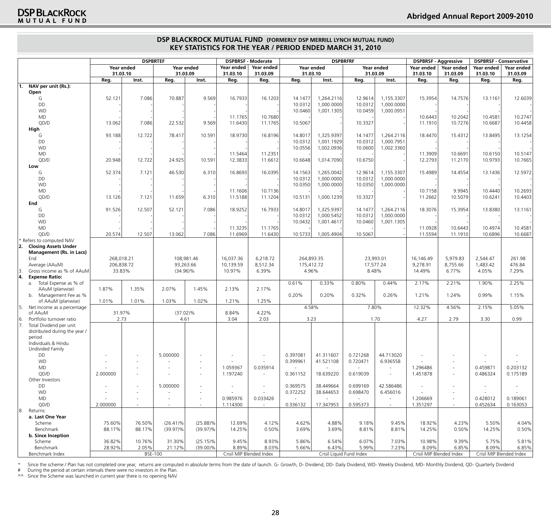|     |                                                                | <b>DSPBRTEF</b> |                |                          |                          | <b>DSPBRFRF</b><br><b>DSPBRSF - Moderate</b> |                        |            |                          | <b>DSPBRSF - Aggressive</b> |                          | <b>DSPBRSF - Conservative</b> |                          |                        |                          |
|-----|----------------------------------------------------------------|-----------------|----------------|--------------------------|--------------------------|----------------------------------------------|------------------------|------------|--------------------------|-----------------------------|--------------------------|-------------------------------|--------------------------|------------------------|--------------------------|
|     |                                                                | 31.03.10        | Year ended     | Year ended<br>31.03.09   |                          | Year ended<br>31.03.10                       | Year ended<br>31.03.09 | 31.03.10   | Year ended               | 31.03.09                    | Year ended               | Year ended<br>31.03.10        | Year ended<br>31.03.09   | Year ended<br>31.03.10 | Year ended<br>31.03.09   |
|     |                                                                | Reg.            | Inst.          | Reg.                     | Inst.                    | Reg.                                         | Reg.                   | Reg.       | Inst.                    | Reg.                        | Inst.                    | Reg.                          | Reg.                     | Reg.                   | Reg.                     |
| l1. | NAV per unit (Rs.):                                            |                 |                |                          |                          |                                              |                        |            |                          |                             |                          |                               |                          |                        |                          |
|     | Open                                                           |                 |                |                          |                          |                                              |                        |            |                          |                             |                          |                               |                          |                        |                          |
|     | G                                                              | 52.121          | 7.086          | 70.887                   | 9.569                    | 16.7933                                      | 16.1203                | 14.1477    | 1,264.2116               | 12.9614                     | 1,155.3307               | 15.3954                       | 14.7576                  | 13.1161                | 12.6039                  |
|     | DD                                                             |                 |                |                          |                          |                                              |                        | 10.0312    | 1,000.0000               | 10.0312                     | 1,000.0000               |                               |                          |                        |                          |
|     | <b>WD</b>                                                      |                 |                |                          |                          |                                              |                        | 10.0460    | 1,001.1305               | 10.0459                     | 1,000.0951               |                               |                          |                        |                          |
|     | <b>MD</b>                                                      |                 |                |                          |                          | 11.1765                                      | 10.7680                |            |                          |                             |                          | 10.6443                       | 10.2042                  | 10.4581                | 10.2747                  |
|     | QD/D                                                           | 13.062          | 7.086          | 22.532                   | 9.569                    | 11.6430                                      | 11.1765                | 10.5067    |                          | 10.3327                     |                          | 11.1910                       | 10.7276                  | 10.6687                | 10.4458                  |
|     | High<br>G                                                      | 93.188          | 12.722         | 78.417                   | 10.591                   | 18.9730                                      | 16.8196                | 14.8017    | 1,325.9397               | 14.1477                     | 1,264.2116               | 18.4470                       | 15.4312                  | 13.8495                | 13.1254                  |
|     | DD                                                             |                 |                |                          |                          |                                              |                        | 10.0312    | 1,001.1929               | 10.0312                     | 1,000.7951               |                               |                          |                        |                          |
|     | <b>WD</b>                                                      |                 |                |                          |                          |                                              |                        | 10.0556    | 1,002.0936               | 10.0600                     | 1,002.3360               |                               |                          |                        |                          |
|     | <b>MD</b>                                                      |                 |                |                          |                          | 11.5464                                      | 11.2351                |            |                          |                             |                          | 11.3909                       | 10.6691                  | 10.6150                | 10.5147                  |
|     | QD/D                                                           | 20.948          | 12.722         | 24.925                   | 10.591                   | 12.3833                                      | 11.6612                | 10.6648    | 1,014.7090               | 10.6750                     |                          | 12.2793                       | 11.2170                  | 10.9793                | 10.7665                  |
|     | Low                                                            |                 |                |                          |                          |                                              |                        |            |                          |                             |                          |                               |                          |                        |                          |
|     | G                                                              | 52.374          | 7.121          | 46.530                   | 6.310                    | 16.8693                                      | 16.0395                | 14.1563    | 1,265.0042               | 12.9614                     | 1,155.3307               | 15.4989                       | 14.4554                  | 13.1436                | 12.5972                  |
|     | DD                                                             |                 |                |                          |                          |                                              |                        | 10.0312    | 1,000.0000               | 10.0312                     | 1,000.0000               |                               |                          |                        |                          |
|     | <b>WD</b>                                                      |                 |                |                          |                          |                                              |                        | 10.0350    | 1,000.0000               | 10.0350                     | 1,000.0000               |                               |                          |                        |                          |
|     | <b>MD</b>                                                      |                 |                |                          |                          | 11.1606                                      | 10.7136                |            |                          |                             |                          | 10.7158                       | 9.9945                   | 10.4440                | 10.2693                  |
|     | QD/D                                                           | 13.126          | 7.121          | 11.659                   | 6.310                    | 11.5188                                      | 11.1204                | 10.5131    | 1,000.1239               | 10.3327                     |                          | 11.2662                       | 10.5079                  | 10.6241                | 10.4403                  |
|     | End                                                            |                 |                |                          |                          |                                              |                        |            |                          |                             |                          |                               |                          |                        |                          |
|     | G                                                              | 91.526          | 12.507         | 52.121                   | 7.086                    | 18.9252                                      | 16.7933                | 14.8017    | 1,325.9397               | 14.1477                     | 1,264.2116               | 18.3076                       | 15.3954                  | 13.8380                | 13.1161                  |
|     | DD                                                             |                 |                |                          |                          |                                              |                        | 10.0312    | 1.000.5452               | 10.0312                     | 1,000.0000               |                               |                          |                        |                          |
|     | <b>WD</b>                                                      |                 |                |                          |                          |                                              |                        | 10.0432    | 1,001.4617               | 10.0460                     | 1,001.1305               |                               |                          |                        |                          |
|     | <b>MD</b>                                                      |                 |                |                          |                          | 11.3235                                      | 11.1765                |            |                          |                             |                          | 11.0928                       | 10.6443                  | 10.4974                | 10.4581                  |
|     | QD/D                                                           | 20.574          | 12.507         | 13.062                   | 7.086                    | 11.6969                                      | 11.6430                | 10.5733    | 1,005.4904               | 10.5067                     |                          | 11.5594                       | 11.1910                  | 10.6896                | 10.6687                  |
|     | Refers to computed NAV                                         |                 |                |                          |                          |                                              |                        |            |                          |                             |                          |                               |                          |                        |                          |
| 12. | <b>Closing Assets Under</b><br><b>Management (Rs. in Lacs)</b> |                 |                |                          |                          |                                              |                        |            |                          |                             |                          |                               |                          |                        |                          |
|     | End                                                            | 268,018.21      |                |                          | 108,981.46               | 16,037.36                                    | 6,218.72               | 264,893.35 |                          |                             | 23,993.01                | 16,146.49                     | 5,979.83                 | 2,544.47               | 261.98                   |
|     | Average (AAuM)                                                 | 206,838.72      |                | 93,263.66                |                          | 10,139.59                                    | 8,512.34               | 175,412.72 |                          | 17,577.24                   |                          | 9,278.91                      | 8,755.66                 | 1,483.42               | 476.84                   |
| 3   | Gross income as % of AAuM                                      | 33.83%          |                | $(34.96)\%$              |                          | 10.97%                                       | 6.39%                  | 4.96%      |                          | 8.48%                       |                          | 14.49%                        | 6.77%                    | 4.05%                  | 7.29%                    |
| 14. | <b>Expense Ratio:</b>                                          |                 |                |                          |                          |                                              |                        |            |                          |                             |                          |                               |                          |                        |                          |
|     | a. Total Expense as % of                                       |                 |                |                          |                          |                                              |                        | 0.61%      | 0.33%                    | 0.80%                       | 0.44%                    | 2.17%                         | 2.21%                    | 1.90%                  | 2.25%                    |
|     | AAuM (planwise)                                                | 1.87%           | 1.35%          | 2.07%                    | 1.45%                    | 2.13%                                        | 2.17%                  |            |                          |                             |                          |                               |                          |                        |                          |
|     | Management Fee as %<br>b.                                      |                 |                |                          |                          |                                              |                        | 0.20%      | 0.20%                    | 0.32%                       | 0.26%                    | 1.21%                         | 1.24%                    | 0.99%                  | 1.15%                    |
|     | of AAuM (planwise)                                             | 1.01%           | 1.01%          | 1.03%                    | 1.02%                    | 1.21%                                        | 1.25%                  |            |                          |                             |                          |                               |                          |                        |                          |
| 15. | Net Income as a percentage                                     |                 |                |                          |                          |                                              |                        | 4.58%      |                          | 7.80%                       |                          | 12.32%                        | 4.56%                    | 2.15%                  | 5.05%                    |
|     | of AAuM                                                        | 31.97%          |                | $(37.02)\%$              |                          | 8.84%                                        | 4.22%                  |            |                          |                             |                          |                               |                          |                        |                          |
| 6.  | Portfolio turnover ratio                                       | 2.73            |                | 4.61                     |                          | 3.04                                         | 2.03                   | 3.23       |                          |                             | 1.70                     | 4.27                          | 2.79                     | 3.30                   | 0.99                     |
| 17. | Total Dividend per unit<br>distributed during the year /       |                 |                |                          |                          |                                              |                        |            |                          |                             |                          |                               |                          |                        |                          |
|     | period                                                         |                 |                |                          |                          |                                              |                        |            |                          |                             |                          |                               |                          |                        |                          |
|     | Individuals & Hindu                                            |                 |                |                          |                          |                                              |                        |            |                          |                             |                          |                               |                          |                        |                          |
|     | Undivided Family                                               |                 |                |                          |                          |                                              |                        |            |                          |                             |                          |                               |                          |                        |                          |
|     | DD                                                             |                 |                | 5.000000                 |                          |                                              |                        | 0.397081   | 41.311607                | 0.721268                    | 44.713020                |                               |                          |                        |                          |
|     | <b>WD</b>                                                      |                 |                |                          |                          |                                              |                        | 0.399961   | 41.521108                | 0.720471                    | 6.936558                 |                               |                          |                        |                          |
|     | MD.                                                            |                 |                | $\overline{\phantom{a}}$ |                          | 1.059367                                     | 0.035914               |            |                          |                             | $\sim$                   | 1.296486                      |                          | 0.459871               | 0.203132                 |
|     | QD/D                                                           | 2.000000        |                | $\overline{\phantom{a}}$ | $\overline{\phantom{a}}$ | 1.197240                                     |                        | 0.361152   | 18.639220                | 0.619039                    | $\overline{\phantom{a}}$ | 1.451878                      | $\overline{\phantom{a}}$ | 0.486324               | 0.175189                 |
|     | Other Investors                                                |                 |                |                          |                          |                                              |                        |            |                          |                             |                          |                               |                          |                        |                          |
|     | DD                                                             |                 |                | 5.000000                 |                          |                                              |                        | 0.369575   | 38.449664                | 0.699169                    | 42.586486                |                               |                          |                        | $\overline{\phantom{a}}$ |
|     | <b>WD</b>                                                      |                 |                |                          |                          |                                              |                        | 0.372252   | 38.644653                | 0.698470                    | 6.456016                 |                               |                          |                        |                          |
|     | MD                                                             | $\sim$          |                | $\overline{\phantom{a}}$ | $\overline{\phantom{a}}$ | 0.985976                                     | 0.033426               |            |                          |                             | $\sim$                   | 1.206669                      | $\sim$                   | 0.428012               | 0.189061                 |
|     | QD/D                                                           | 2.000000        |                | $\sim$                   | $\sim$                   | 1.114300                                     |                        | 0.336132   | 17.347953                | 0.595373                    | $\sim$                   | 1.351297                      | $\overline{\phantom{a}}$ | 0.452634               | 0.163053                 |
| 8.  | Returns:<br>a. Last One Year                                   |                 |                |                          |                          |                                              |                        |            |                          |                             |                          |                               |                          |                        |                          |
|     | Scheme                                                         | 75.60%          | 76.50%         | $(26.41)\%$              | $(25.88)\%$              | 12.69%                                       | 4.12%                  | 4.62%      | 4.88%                    | 9.18%                       | 9.45%                    | 18.92%                        | 4.23%                    | 5.50%                  | 4.04%                    |
|     | Benchmark                                                      | 88.17%          | 88.17%         | $(39.97)\%$              | $(39.97)\%$              | 14.25%                                       | 0.50%                  | 3.69%      | 3.69%                    | 8.81%                       | 8.81%                    | 14.25%                        | 0.50%                    | 14.25%                 | 0.50%                    |
|     | b. Since Inception                                             |                 |                |                          |                          |                                              |                        |            |                          |                             |                          |                               |                          |                        |                          |
|     | Scheme                                                         | 36.82%          | 10.76%         | 31.30%                   | $(25.15)\%$              | 9.45%                                        | 8.93%                  | 5.86%      | 6.54%                    | 6.07%                       | 7.03%                    | 10.98%                        | 9.39%                    | 5.75%                  | 5.81%                    |
|     | Benchmark                                                      | 28.92%          | 2.05%          | 21.12%                   | $(39.00)\%$              | 8.89%                                        | 8.03%                  | 5.66%      | 6.43%                    | 5.99%                       | 7.23%                    | 8.09%                         | 6.85%                    | 8.09%                  | 6.85%                    |
|     | Benchmark Index                                                |                 | <b>BSE-100</b> |                          |                          | Crisil MIP Blended Index                     |                        |            | Crisil Liquid Fund Index |                             |                          | Crisil MIP Blended Index      |                          |                        | Crisil MIP Blended Index |
|     |                                                                |                 |                |                          |                          |                                              |                        |            |                          |                             |                          |                               |                          |                        |                          |

\* Since the scheme / Plan has not completed one year, returns are computed in absolute terms from the date of launch. G- Growth, D- Dividend, DD- Daily Dividend, WD- Weekly Dividend, MD- Monthly Dividend, QD- Quarterly Div

# During the period at certain intervals there were no investors in the Plan.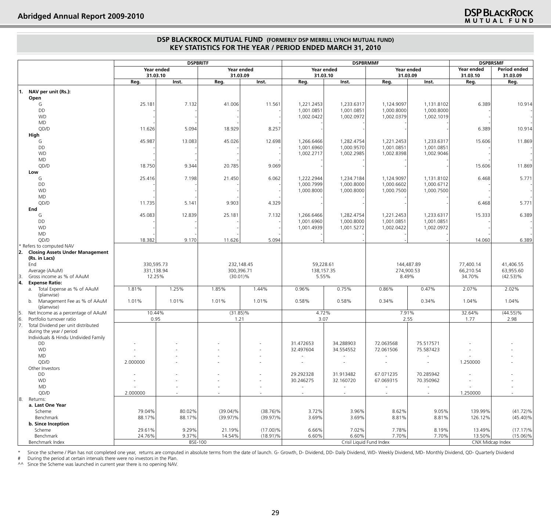|     |                                                         |            | <b>DSPBRITF</b> |             |                          |                 | <b>DSPBRMMF</b>          |                          | <b>DSPBRSMF</b> |                  |                          |
|-----|---------------------------------------------------------|------------|-----------------|-------------|--------------------------|-----------------|--------------------------|--------------------------|-----------------|------------------|--------------------------|
|     |                                                         |            | Year ended      | Year ended  |                          |                 | Year ended               |                          | Year ended      | Year ended       | Period ended             |
|     |                                                         | 31.03.10   |                 | 31.03.09    |                          | 31.03.10        |                          | 31.03.09                 |                 | 31.03.10         | 31.03.09                 |
|     |                                                         | Reg.       | Inst.           | Reg.        | Inst.                    | Reg.            | Inst.                    | Reg.                     | Inst.           | Reg.             | Reg.                     |
| 11. | NAV per unit (Rs.):                                     |            |                 |             |                          |                 |                          |                          |                 |                  |                          |
|     | Open                                                    |            |                 |             |                          |                 |                          |                          |                 |                  |                          |
|     | G                                                       | 25.181     | 7.132           | 41.006      | 11.561                   | 1,221.2453      | 1,233.6317               | 1,124.9097               | 1,131.8102      | 6.389            | 10.914                   |
|     | DD                                                      |            |                 |             |                          | 1,001.0851      | 1,001.0851               | 1,000.8000               | 1,000.8000      |                  |                          |
|     | <b>WD</b>                                               |            |                 |             |                          | 1,002.0422      | 1,002.0972               | 1,002.0379               | 1,002.1019      |                  |                          |
|     | <b>MD</b>                                               |            |                 |             |                          |                 |                          |                          |                 |                  |                          |
|     | QD/D                                                    | 11.626     | 5.094           | 18.929      | 8.257                    |                 |                          |                          |                 | 6.389            | 10.914                   |
|     | High                                                    |            |                 |             |                          |                 |                          |                          |                 |                  |                          |
|     | G                                                       | 45.987     | 13.083          | 45.026      | 12.698                   | 1,266.6466      | 1,282.4754               | 1,221.2453               | 1,233.6317      | 15.606           | 11.869                   |
|     | DD                                                      |            |                 |             |                          | 1,001.6960      | 1,000.9570               | 1.001.0851               | 1,001.0851      |                  |                          |
|     | <b>WD</b>                                               |            |                 |             |                          | 1,002.2717      | 1,002.2985               | 1,002.8398               | 1,002.9046      |                  |                          |
|     | <b>MD</b>                                               |            |                 |             |                          |                 |                          |                          |                 |                  |                          |
|     | QD/D                                                    | 18.750     | 9.344           | 20.785      | 9.069                    |                 |                          |                          |                 | 15.606           | 11.869                   |
|     | Low                                                     |            |                 |             |                          |                 |                          |                          |                 |                  |                          |
|     | G                                                       | 25.416     | 7.198           | 21.450      | 6.062                    | 1,222.2944      | 1,234.7184               | 1,124.9097               | 1,131.8102      | 6.468            | 5.771                    |
|     | DD                                                      |            |                 |             |                          | 1,000.7999      | 1,000.8000               | 1,000.6602               | 1,000.6712      |                  |                          |
|     | <b>WD</b>                                               |            |                 |             |                          | 1,000.8000      | 1,000.8000               | 1,000.7500               | 1,000.7500      |                  |                          |
|     | <b>MD</b>                                               |            |                 |             |                          |                 |                          |                          |                 |                  |                          |
|     | QD/D                                                    | 11.735     | 5.141           | 9.903       | 4.329                    |                 |                          |                          |                 | 6.468            | 5.771                    |
|     | End                                                     |            |                 |             |                          |                 |                          |                          |                 |                  |                          |
|     | G                                                       | 45.083     | 12.839          | 25.181      | 7.132                    | 1,266.6466      | 1,282.4754               | 1,221.2453               | 1,233.6317      | 15.333           | 6.389                    |
|     | DD                                                      |            |                 |             |                          | 1,001.6960      | 1,000.8000               | 1,001.0851               | 1,001.0851      |                  |                          |
|     | <b>WD</b>                                               |            |                 |             |                          | 1,001.4939      | 1,001.5272               | 1,002.0422               | 1,002.0972      |                  |                          |
|     | <b>MD</b>                                               |            |                 |             |                          |                 |                          |                          |                 |                  |                          |
|     | QD/D                                                    | 18.382     | 9.170           | 11.626      | 5.094                    |                 |                          |                          |                 | 14.060           | 6.389                    |
|     | Refers to computed NAV                                  |            |                 |             |                          |                 |                          |                          |                 |                  |                          |
| 2.  | <b>Closing Assets Under Management</b><br>(Rs. in Lacs) |            |                 |             |                          |                 |                          |                          |                 |                  |                          |
|     | End                                                     | 330,595.73 |                 | 232,148.45  |                          | 59,228.61       |                          |                          | 144,487.89      | 77,400.14        | 41,406.55                |
|     | Average (AAuM)                                          | 331,138.94 |                 | 300,396.71  |                          | 138, 157. 35    |                          | 274,900.53               |                 | 66,210.54        | 63,955.60                |
| 13. | Gross income as % of AAuM                               | 12.25%     |                 | $(30.01)\%$ |                          | 5.55%           |                          | 8.49%                    |                 | 34.70%           | $(42.53)\%$              |
| 4.  | <b>Expense Ratio:</b>                                   |            |                 |             |                          |                 |                          |                          |                 |                  |                          |
|     | a. Total Expense as % of AAuM                           | 1.81%      | 1.25%           | 1.85%       | 1.44%                    | 0.96%           | 0.75%                    | 0.86%                    | 0.47%           | 2.07%            | 2.02%                    |
|     | (planwise)                                              |            |                 |             |                          |                 |                          |                          |                 |                  |                          |
|     | b. Management Fee as % of AAuM                          | 1.01%      | 1.01%           | 1.01%       | 1.01%                    | 0.58%           | 0.58%                    | 0.34%                    | 0.34%           | 1.04%            | 1.04%                    |
|     | (planwise)                                              |            |                 |             |                          |                 |                          |                          |                 |                  |                          |
|     | Net Income as a percentage of AAuM                      | 10.44%     |                 | $(31.85)\%$ |                          | 4.72%           |                          | 7.91%                    |                 | 32.64%           | $(44.55)\%$              |
| 6.  | Portfolio turnover ratio                                | 0.95       |                 | 1.21        |                          | 3.07            |                          | 2.55                     |                 | 1.77             | 2.98                     |
|     | Total Dividend per unit distributed                     |            |                 |             |                          |                 |                          |                          |                 |                  |                          |
|     | during the year / period                                |            |                 |             |                          |                 |                          |                          |                 |                  |                          |
|     | Individuals & Hindu Undivided Family                    |            |                 |             |                          |                 |                          |                          |                 |                  |                          |
|     | DD<br><b>WD</b>                                         |            |                 |             |                          | 31.472653       | 34.288903<br>34.554552   | 72.063568<br>72.061506   | 75.517571       |                  |                          |
|     | <b>MD</b>                                               |            |                 |             |                          | 32.497604<br>÷, |                          |                          | 75.587423       |                  |                          |
|     | QD/D                                                    | 2.000000   |                 |             |                          | $\sim$          | $\sim$                   |                          | ٠               | 1.250000         |                          |
|     | Other Investors                                         |            |                 |             |                          |                 |                          |                          |                 |                  |                          |
|     | DD                                                      |            |                 |             |                          | 29.292328       | 31.913482                | 67.071235                | 70.285942       |                  |                          |
|     | <b>WD</b>                                               |            |                 |             |                          | 30.246275       | 32.160720                | 67.069315                | 70.350962       |                  |                          |
|     | MD                                                      |            |                 |             |                          | ÷               | $\sim$                   | ٠                        |                 |                  |                          |
|     | QD/D                                                    | 2.000000   |                 |             | $\overline{\phantom{a}}$ | $\sim$          | $\sim$                   | $\overline{\phantom{a}}$ | $\sim$          | 1.250000         | $\overline{\phantom{a}}$ |
| 8.  | Returns:                                                |            |                 |             |                          |                 |                          |                          |                 |                  |                          |
|     | a. Last One Year                                        |            |                 |             |                          |                 |                          |                          |                 |                  |                          |
|     | Scheme                                                  | 79.04%     | 80.02%          | $(39.04)\%$ | $(38.76)\%$              | 3.72%           | 3.96%                    | 8.62%                    | 9.05%           | 139.99%          | $(41.72)\%$              |
|     | Benchmark                                               | 88.17%     | 88.17%          | $(39.97)\%$ | $(39.97)\%$              | 3.69%           | 3.69%                    | 8.81%                    | 8.81%           | 126.12%          | $(45.40)\%$              |
|     | b. Since Inception                                      |            |                 |             |                          |                 |                          |                          |                 |                  |                          |
|     | Scheme                                                  | 29.61%     | 9.29%           | 21.19%      | $(17.00)\%$              | 6.66%           | 7.02%                    | 7.78%                    | 8.19%           | 13.49%           | $(17.17)\%$              |
|     | Benchmark                                               | 24.76%     | 9.37%           | 14.54%      | $(18.91)\%$              | 6.60%           | 6.60%                    | 7.70%                    | 7.70%           | 13.50%           | $(15.06)\%$              |
|     | Benchmark Index                                         |            | <b>BSE-100</b>  |             |                          |                 | Crisil Liquid Fund Index |                          |                 | CNX Midcap Index |                          |

\* Since the scheme / Plan has not completed one year, returns are computed in absolute terms from the date of launch. G- Growth, D- Dividend, DD- Daily Dividend, WD- Weekly Dividend, MD- Monthly Dividend, QD- Quarterly Div

# During the period at certain intervals there were no investors in the Plan.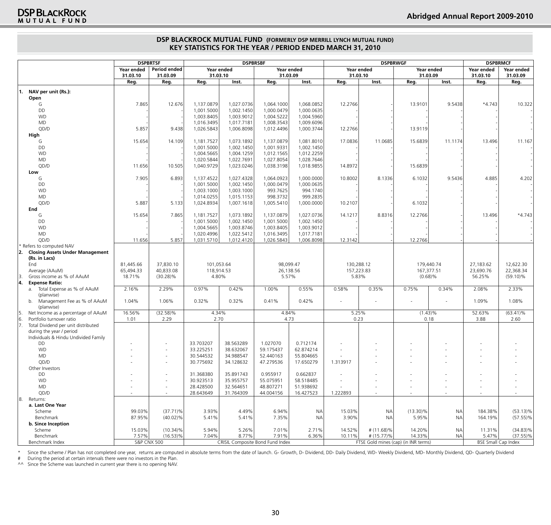|     |                                              |                        | <b>DSPBRTSF</b>          | <b>DSPBRSBF</b>          |                                  |                          |                          | <b>DSPBRWGF</b>     | <b>DSPBRMCF</b> |                                      |            |                            |                          |
|-----|----------------------------------------------|------------------------|--------------------------|--------------------------|----------------------------------|--------------------------|--------------------------|---------------------|-----------------|--------------------------------------|------------|----------------------------|--------------------------|
|     |                                              | Year ended<br>31.03.10 | Period ended<br>31.03.09 | 31.03.10                 | Year ended                       | 31.03.09                 | Year ended               | 31.03.10            | Year ended      | 31.03.09                             | Year ended | Year ended<br>31.03.10     | Year ended<br>31.03.09   |
|     |                                              | Reg.                   | Reg.                     | Reg.                     | Inst.                            | Reg.                     | Inst.                    | Reg.                | Inst.           | Reg.                                 | Inst.      | Reg.                       | Reg.                     |
| 11. | NAV per unit (Rs.):                          |                        |                          |                          |                                  |                          |                          |                     |                 |                                      |            |                            |                          |
|     | Open                                         |                        |                          |                          |                                  |                          |                          |                     |                 |                                      |            |                            |                          |
|     | G                                            | 7.865                  | 12.676                   | 1,137.0879               | 1,027.0736                       | 1,064.1000               | 1,068.0852               | 12.2766             |                 | 13.9101                              | 9.5438     | $*4.743$                   | 10.322                   |
|     | DD                                           |                        |                          | 1,001.5000               | 1,002.1450                       | 1,000.0479               | 1,000.0635               |                     |                 |                                      |            |                            |                          |
|     | <b>WD</b>                                    |                        |                          | 1,003.8405               | 1,003.9012                       | 1,004.5222               | 1,004.5960               |                     |                 |                                      |            |                            |                          |
|     | MD                                           |                        |                          | 1,016.3495               | 1,017.7181                       | 1,008.3543               | 1,009.6096               |                     |                 |                                      |            |                            |                          |
|     | QD/D                                         | 5.857                  | 9.438                    | 1,026.5843               | 1,006.8098                       | 1,012.4496               | 1,000.3744               | 12.2766             |                 | 13.9119                              |            |                            |                          |
|     | High                                         |                        |                          |                          |                                  |                          |                          |                     |                 |                                      |            |                            |                          |
|     | G<br>DD                                      | 15.654                 | 14.109                   | 1,181.7527<br>1,001.5000 | 1,073.1892                       | 1,137.0879               | 1,081.8010               | 17.0836             | 11.0685         | 15.6839                              | 11.1174    | 13.496                     | 11.167                   |
|     | <b>WD</b>                                    |                        |                          | 1,004.5665               | 1,002.1450<br>1,004.1259         | 1,001.9331<br>1,012.1565 | 1,002.1450<br>1,012.2259 |                     |                 |                                      |            |                            |                          |
|     | MD                                           |                        |                          | 1,020.5844               | 1,022.7691                       | 1,027.8054               | 1,028.7646               |                     |                 |                                      |            |                            |                          |
|     | QD/D                                         | 11.656                 | 10.505                   | 1,040.9729               | 1,023.0246                       | 1,038.3198               | 1,018.9855               | 14.8972             |                 | 15.6839                              |            |                            |                          |
|     | Low                                          |                        |                          |                          |                                  |                          |                          |                     |                 |                                      |            |                            |                          |
|     | G                                            | 7.905                  | 6.893                    | 1,137.4522               | 1,027.4328                       | 1,064.0923               | 1,000.0000               | 10.8002             | 8.1336          | 6.1032                               | 9.5436     | 4.885                      | 4.202                    |
|     | DD                                           |                        |                          | 1,001.5000               | 1,002.1450                       | 1,000.0479               | 1,000.0635               |                     |                 |                                      |            |                            |                          |
|     | <b>WD</b>                                    |                        |                          | 1,003.1000               | 1,003.1000                       | 993.7625                 | 994.1740                 |                     |                 |                                      |            |                            |                          |
|     | MD                                           |                        |                          | 1,014.0255               | 1,015.1153                       | 998.3732                 | 999.2835                 |                     |                 |                                      |            |                            |                          |
|     | QD/D                                         | 5.887                  | 5.133                    | 1,024.8934               | 1,007.1618                       | 1,005.5410               | 1,000.0000               | 10.2107             |                 | 6.1032                               |            |                            |                          |
|     | End                                          |                        |                          |                          |                                  |                          |                          |                     |                 |                                      |            |                            |                          |
|     | G                                            | 15.654                 | 7.865                    | 1,181.7527               | 1,073.1892                       | 1,137.0879               | 1,027.0736               | 14.1217             | 8.8316          | 12.2766                              |            | 13.496                     | $*4.743$                 |
|     | DD                                           |                        |                          | 1,001.5000               | 1,002.1450                       | 1,001.5000               | 1,002.1450               |                     |                 |                                      |            |                            |                          |
|     | <b>WD</b>                                    |                        |                          | 1,004.5665               | 1.003.8746                       | 1,003.8405               | 1,003.9012               |                     |                 |                                      |            |                            |                          |
|     | MD                                           |                        |                          | 1,020.4996               | 1,022.5412                       | 1,016.3495               | 1,017.7181               |                     |                 |                                      |            |                            |                          |
|     | QD/D                                         | 11.656                 | 5.857                    | 1,031.5710               | 1,012.4120                       | 1,026.5843               | 1,006.8098               | 12.3142             |                 | 12.2766                              |            |                            |                          |
|     | * Refers to computed NAV                     |                        |                          |                          |                                  |                          |                          |                     |                 |                                      |            |                            |                          |
| 12. | <b>Closing Assets Under Management</b>       |                        |                          |                          |                                  |                          |                          |                     |                 |                                      |            |                            |                          |
|     | (Rs. in Lacs)                                |                        |                          |                          |                                  |                          |                          |                     |                 |                                      |            |                            |                          |
|     | End                                          | 81,445.66              | 37,830.10                | 101,053.64               |                                  | 98,099.47                |                          | 130,288.12          |                 |                                      | 179,440.74 | 27,183.62                  | 12,622.30                |
| 13. | Average (AAuM)<br>Gross income as % of AAuM  | 65,494.33<br>18.71%    | 40,833.08<br>$(30.28)\%$ | 118,914.53<br>4.80%      |                                  | 5.57%                    | 26,138.56                | 157,223.83<br>5.83% |                 | $(0.68)$ %                           | 167,377.51 | 23,690.76<br>56.25%        | 22,368.34<br>$(59.10)\%$ |
| 14. | <b>Expense Ratio:</b>                        |                        |                          |                          |                                  |                          |                          |                     |                 |                                      |            |                            |                          |
|     | a. Total Expense as % of AAuM                | 2.16%                  | 2.29%                    | 0.97%                    | 0.42%                            | 1.00%                    | 0.55%                    | 0.58%               | 0.35%           | 0.75%                                | 0.34%      | 2.08%                      | 2.33%                    |
|     | (planwise)                                   |                        |                          |                          |                                  |                          |                          |                     |                 |                                      |            |                            |                          |
|     | b. Management Fee as % of AAuM<br>(planwise) | 1.04%                  | 1.06%                    | 0.32%                    | 0.32%                            | 0.41%                    | 0.42%                    |                     |                 |                                      |            | 1.09%                      | 1.08%                    |
| 15. | Net Income as a percentage of AAuM           | 16.56%                 | $(32.58)\%$              | 4.34%                    |                                  | 4.84%                    |                          | 5.25%               |                 | $(1.43)\%$                           |            | 52.63%                     | $(63.41)\%$              |
| 16. | Portfolio turnover ratio                     | 1.01                   | 2.29                     | 2.70                     |                                  | 4.73                     |                          | 0.23                |                 |                                      | 0.18       | 3.88                       | 2.60                     |
| 17. | Total Dividend per unit distributed          |                        |                          |                          |                                  |                          |                          |                     |                 |                                      |            |                            |                          |
|     | during the year / period                     |                        |                          |                          |                                  |                          |                          |                     |                 |                                      |            |                            |                          |
|     | Individuals & Hindu Undivided Family         |                        |                          |                          |                                  |                          |                          |                     |                 |                                      |            |                            |                          |
|     | DD                                           |                        |                          | 33.703207                | 38.563289                        | 1.027070                 | 0.712174                 |                     |                 |                                      |            |                            |                          |
|     | <b>WD</b>                                    |                        | $\sim$                   | 33.225251                | 38.632067                        | 59.175437                | 62.874214                | ÷,                  |                 |                                      |            |                            |                          |
|     | MD                                           |                        | $\overline{\phantom{a}}$ | 30.544532                | 34.988547                        | 52.440163                | 55.804665                |                     |                 |                                      |            |                            |                          |
|     | QD/D                                         |                        | $\sim$                   | 30.775692                | 34.128632                        | 47.279536                | 17.650279                | 1.313917            |                 |                                      |            |                            |                          |
|     | Other Investors<br>DD                        |                        | $\sim$                   | 31.368380                | 35.891743                        | 0.955917                 | 0.662837                 |                     |                 |                                      |            |                            |                          |
|     | <b>WD</b>                                    |                        | $\sim$                   | 30.923513                | 35.955757                        | 55.075951                | 58.518485                |                     |                 |                                      |            |                            |                          |
|     | MD                                           |                        | $\overline{\phantom{a}}$ | 28.428500                | 32.564651                        | 48.807271                | 51.938692                |                     |                 |                                      |            |                            |                          |
|     | QD/D                                         |                        | $\sim$                   | 28.643649                | 31.764309                        | 44.004156                | 16.427523                | 1.222893            | $\sim$          |                                      |            | $\sim$                     |                          |
| 18. | Returns:                                     |                        |                          |                          |                                  |                          |                          |                     |                 |                                      |            |                            |                          |
|     | a. Last One Year                             |                        |                          |                          |                                  |                          |                          |                     |                 |                                      |            |                            |                          |
|     | Scheme                                       | 99.03%                 | $(37.71)\%$              | 3.93%                    | 4.49%                            | 6.94%                    | <b>NA</b>                | 15.03%              | <b>NA</b>       | $(13.30)\%$                          | <b>NA</b>  | 184.38%                    | $(53.13)\%$              |
|     | Benchmark                                    | 87.95%                 | $(40.02)\%$              | 5.41%                    | 5.41%                            | 7.35%                    | <b>NA</b>                | 3.90%               | <b>NA</b>       | 5.95%                                | <b>NA</b>  | 164.19%                    | $(57.55)\%$              |
|     | b. Since Inception                           |                        |                          |                          |                                  |                          |                          |                     |                 |                                      |            |                            |                          |
|     | Scheme                                       | 15.03%                 | $(10.34)\%$              | 5.94%                    | 5.26%                            | 7.01%                    | 2.71%                    | 14.52%              | # (11.68)%      | 14.20%                               | <b>NA</b>  | 11.31%                     | $(34.83)\%$              |
|     | Benchmark                                    | 7.57%                  | $(16.53)\%$              | 7.04%                    | 8.77%                            | 7.91%                    | 6.36%                    | 10.11%              | # (15.77)%      | 14.33%                               | <b>NA</b>  | 5.47%                      | $(37.55)\%$              |
|     | Benchmark Index                              |                        | <b>S&amp;P CNX 500</b>   |                          | CRISIL Composite Bond Fund Index |                          |                          |                     |                 | FTSE Gold mines (cap) (in INR terms) |            | <b>BSE Small Cap Index</b> |                          |

\* Since the scheme / Plan has not completed one year, returns are computed in absolute terms from the date of launch. G- Growth, D- Dividend, DD- Daily Dividend, WD- Weekly Dividend, MD- Monthly Dividend, QD- Quarterly Div

# During the period at certain intervals there were no investors in the Plan.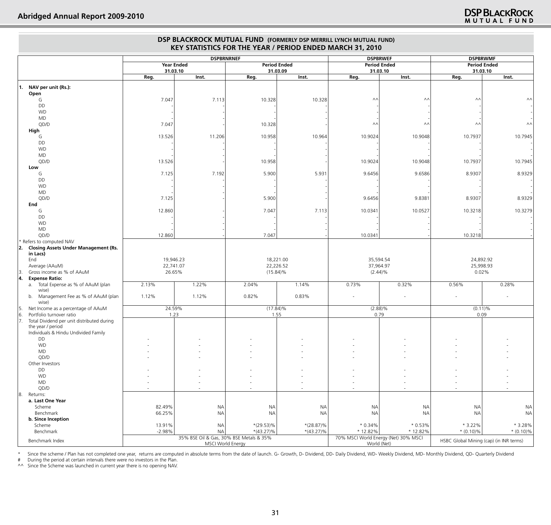|                                                                     |                   |                                               |                        |                        | DSP BLACKROCK MUTUAL FUND (FORMERLY DSP MERRILL LYNCH MUTUAL FUND)<br>KEY STATISTICS FOR THE YEAR / PERIOD ENDED MARCH 31, 2010 |                        |                                         |                        |
|---------------------------------------------------------------------|-------------------|-----------------------------------------------|------------------------|------------------------|---------------------------------------------------------------------------------------------------------------------------------|------------------------|-----------------------------------------|------------------------|
|                                                                     |                   | <b>DSPBRNRNEF</b>                             |                        |                        | <b>DSPBRWEF</b>                                                                                                                 |                        | <b>DSPBRWMF</b>                         |                        |
|                                                                     | <b>Year Ended</b> |                                               | <b>Period Ended</b>    |                        | <b>Period Ended</b>                                                                                                             |                        | <b>Period Ended</b>                     |                        |
|                                                                     | 31.03.10<br>Reg.  | Inst.                                         | 31.03.09<br>Reg.       | Inst.                  | 31.03.10<br>Reg.                                                                                                                | Inst.                  | 31.03.10<br>Reg.                        | Inst.                  |
| $\vert$ 1. NAV per unit (Rs.):                                      |                   |                                               |                        |                        |                                                                                                                                 |                        |                                         |                        |
| Open<br>G                                                           | 7.047             | 7.113                                         | 10.328                 | 10.328                 | $\wedge\wedge$                                                                                                                  | $\wedge\wedge$         | $\wedge\wedge$                          | ۸۸                     |
| DD                                                                  |                   |                                               |                        |                        |                                                                                                                                 |                        |                                         |                        |
| <b>WD</b>                                                           |                   |                                               |                        |                        |                                                                                                                                 |                        |                                         |                        |
| <b>MD</b><br>QD/D                                                   | 7.047             |                                               | 10.328                 |                        | ۸Λ                                                                                                                              | $\wedge\wedge$         | $\wedge\wedge$                          | $\wedge\wedge$         |
| High                                                                |                   |                                               |                        |                        |                                                                                                                                 |                        |                                         |                        |
| G                                                                   | 13.526            | 11.206                                        | 10.958                 | 10.964                 | 10.9024                                                                                                                         | 10.9048                | 10.7937                                 | 10.7945                |
| DD                                                                  |                   |                                               |                        |                        |                                                                                                                                 |                        |                                         |                        |
| <b>WD</b><br><b>MD</b>                                              |                   |                                               |                        |                        |                                                                                                                                 |                        |                                         |                        |
| QD/D                                                                | 13.526            |                                               | 10.958                 |                        | 10.9024                                                                                                                         | 10.9048                | 10.7937                                 | 10.7945                |
| Low                                                                 |                   |                                               |                        |                        |                                                                                                                                 |                        |                                         |                        |
| G<br>DD                                                             | 7.125             | 7.192                                         | 5.900                  | 5.931                  | 9.6456                                                                                                                          | 9.6586                 | 8.9307                                  | 8.9329                 |
| <b>WD</b>                                                           |                   |                                               |                        |                        |                                                                                                                                 |                        |                                         |                        |
| MD                                                                  |                   |                                               |                        |                        |                                                                                                                                 |                        |                                         |                        |
| QD/D                                                                | 7.125             |                                               | 5.900                  |                        | 9.6456                                                                                                                          | 9.8381                 | 8.9307                                  | 8.9329                 |
| End<br>G                                                            | 12.860            |                                               | 7.047                  | 7.113                  | 10.0341                                                                                                                         | 10.0527                | 10.3218                                 | 10.3279                |
| DD                                                                  |                   |                                               |                        |                        |                                                                                                                                 |                        |                                         |                        |
| <b>WD</b>                                                           |                   |                                               |                        |                        |                                                                                                                                 |                        |                                         |                        |
| MD<br>QD/D                                                          | 12.860            |                                               | 7.047                  |                        | 10.0341                                                                                                                         |                        | 10.3218                                 |                        |
| Refers to computed NAV                                              |                   |                                               |                        |                        |                                                                                                                                 |                        |                                         |                        |
| <b>Closing Assets Under Management (Rs.</b><br> 2.                  |                   |                                               |                        |                        |                                                                                                                                 |                        |                                         |                        |
| in Lacs)<br>End                                                     | 19,946.23         |                                               | 18,221.00              |                        | 35,594.54                                                                                                                       |                        | 24,892.92                               |                        |
| Average (AAuM)                                                      | 22,741.07         |                                               | 22,226.52              |                        | 37,964.97                                                                                                                       |                        | 25,998.93                               |                        |
| Gross income as % of AAuM<br> 3                                     | 26.65%            |                                               | $(15.84)\%$            |                        | $(2.44)\%$                                                                                                                      |                        | 0.02%                                   |                        |
| 14.<br><b>Expense Ratio:</b><br>a. Total Expense as % of AAuM (plan | 2.13%             | 1.22%                                         | 2.04%                  | 1.14%                  | 0.73%                                                                                                                           | 0.32%                  | 0.56%                                   | 0.28%                  |
| wise)                                                               |                   |                                               |                        |                        |                                                                                                                                 |                        |                                         |                        |
| Management Fee as % of AAuM (plan<br>b.                             | 1.12%             | 1.12%                                         | 0.82%                  | 0.83%                  | $\sim$                                                                                                                          |                        | $\overline{\phantom{a}}$                |                        |
| wise)<br>Net Income as a percentage of AAuM<br>15.                  | 24.59%            |                                               | $(17.84)\%$            |                        | $(2.88)\%$                                                                                                                      |                        | $(0.11)\%$                              |                        |
| Portfolio turnover ratio<br> 6.                                     | 1.23              |                                               | 1.55                   |                        | 0.79                                                                                                                            |                        | 0.09                                    |                        |
| Total Dividend per unit distributed during<br>17.                   |                   |                                               |                        |                        |                                                                                                                                 |                        |                                         |                        |
| the year / period<br>Individuals & Hindu Undivided Family           |                   |                                               |                        |                        |                                                                                                                                 |                        |                                         |                        |
| DD                                                                  |                   |                                               |                        |                        |                                                                                                                                 |                        |                                         |                        |
| WD                                                                  |                   |                                               |                        |                        |                                                                                                                                 |                        |                                         |                        |
| <b>MD</b><br>QD/D                                                   |                   |                                               |                        |                        |                                                                                                                                 |                        |                                         |                        |
| Other Investors                                                     |                   |                                               |                        |                        |                                                                                                                                 |                        |                                         |                        |
| DD                                                                  |                   |                                               |                        |                        |                                                                                                                                 |                        |                                         |                        |
| <b>WD</b>                                                           |                   |                                               |                        |                        |                                                                                                                                 |                        |                                         |                        |
| MD<br>QD/D                                                          |                   |                                               |                        |                        |                                                                                                                                 |                        |                                         |                        |
| 18.<br>Returns:                                                     |                   |                                               |                        |                        |                                                                                                                                 |                        |                                         |                        |
| a. Last One Year                                                    |                   |                                               |                        |                        |                                                                                                                                 |                        |                                         |                        |
| Scheme<br>Benchmark                                                 | 82.49%<br>66.25%  | <b>NA</b><br><b>NA</b>                        | <b>NA</b><br><b>NA</b> | <b>NA</b><br><b>NA</b> | <b>NA</b><br><b>NA</b>                                                                                                          | <b>NA</b><br><b>NA</b> | <b>NA</b><br><b>NA</b>                  | <b>NA</b><br><b>NA</b> |
| b. Since Inception                                                  |                   |                                               |                        |                        |                                                                                                                                 |                        |                                         |                        |
| Scheme                                                              | 13.91%            | <b>NA</b>                                     | $*(29.53)\%$           | $*(28.87)\%$           | $*0.34\%$                                                                                                                       | $*0.53\%$              | $*3.22\%$                               | * 3.28%                |
| Benchmark                                                           | $-2.98%$          | NA<br>35% BSE Oil & Gas, 30% BSE Metals & 35% | $*(43.27)\%$           | $*(43.27)\%$           | * 12.82%<br>70% MSCI World Energy (Net) 30% MSCI                                                                                | * 12.82%               | $*(0.10)\%$                             | $*(0.10)\%$            |
| Benchmark Index                                                     |                   | MSCI World Energy                             |                        |                        | World (Net)                                                                                                                     |                        | HSBC Global Mining (cap) (in INR terms) |                        |

Since the scheme / Plan has not completed one year, returns are computed in absolute terms from the date of launch. G- Growth, D- Dividend, DD- Daily Dividend, WD- Weekly Dividend, MD- Monthly Dividend, QD- Quarterly Divid

# During the period at certain intervals there were no investors in the Plan.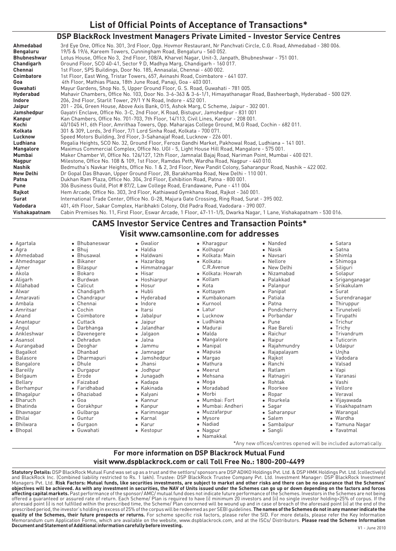## **DSP BlackRock Investment Managers Private Limited - Investor Service Centres**

| Ahmedabad          | 3rd Eye One, Office No. 301, 3rd Floor, Opp. Hovmor Restaurant, Nr Panchvati Circle, C.G. Road, Ahmedabad - 380 006. |
|--------------------|----------------------------------------------------------------------------------------------------------------------|
| Bengaluru          | 19/5 & 19/6, Kareem Towers, Cunningham Road, Bengaluru - 560 052.                                                    |
| <b>Bhubneshwar</b> | Lotus House, Office No 3, 2nd Floor, 108/A, Kharvel Nagar, Unit-3, Janpath, Bhubneshwar - 751 001.                   |
| Chandigarh         | Ground Floor, SCO 40-41, Sector 9 D, Madhya Marg, Chandigarh - 160 017.                                              |
| Chennai            | 1st Floor, SPS Buildings, Door No. 185, Annasalai, Chennai - 600 002.                                                |
| Coimbatore         | 1st Floor, East Wing, Tristar Towers, 657, Avinashi Road, Coimbatore - 641 037.                                      |
| Goa                | 4th Floor, Mathias Plaza, 18th June Road, Panaji, Goa - 403 001.                                                     |
| Guwahati           | Mayur Gardens, Shop No. 5, Upper Ground Floor, G. S. Road, Guwahati - 781 005.                                       |
| Hyderabad          | Mahavir Chambers, Office No. 103, Door No. 3-6-363 & 3-6-1/1, Himayathanagar Road, Basheerbagh, Hyderabad - 500 029. |
| Indore             | 206, 2nd Floor, Starlit Tower, 29/1 Y N Road, Indore - 452 001.                                                      |
| Jaipur             | 201 - 204, Green House, Above Axis Bank, 015, Ashok Marg, C Scheme, Jaipur - 302 001.                                |
| Jamshedpur         | Gayatri Enclave, Office No. 3-C, 2nd Floor, K Road, Bistupur, Jamshedpur - 831 001                                   |
| Kanpur             | Kan Chambers, Office No. 701-703, 7th Floor, 14/113, Civil Lines, Kanpur - 208 001.                                  |
| Kochi              | 40/1045 H1, 6th Floor, Amrithaa Towers, Opp. Maharajas College Ground, M.G Road, Cochin - 682 011.                   |
| Kolkata            | 301 & 309, Lords, 3rd Floor, 7/1 Lord Sinha Road, Kolkata - 700 071.                                                 |
| Lucknow            | Speed Motors Building, 3rd Floor, 3-Sahanajaf Road, Lucknow - 226 001.                                               |
| Ludhiana           | Regalia Heights, SCO No. 32, Ground Floor, Feroze Gandhi Market, Pakhowal Road, Ludhiana - 141 001.                  |
| <b>Mangalore</b>   | Maximus Commercial Complex, Office No. UGI - 5, Light House Hill Road, Mangalore - 575 001.                          |
| Mumbai             | Maker Chamber VI, Office No. 126/127, 12th Floor, Jamnalal Bajaj Road, Nariman Point, Mumbai - 400 021.              |
| Nagpur             | Milestone, Office No. 108 & 109, 1st Floor, Ramdas Peth, Wardha Road, Nagpur - 440 010.                              |
| Nashik             | Bedmutha's Navkar Heights, Office No. 1 & 2, 3rd Floor, New Pandit Colony, Saharanpur Road, Nashik - 422 002.        |
| New Delhi          | Dr Gopal Das Bhavan, Upper Ground Floor, 28, Barakhamba Road, New Delhi - 110 001.                                   |
| Patna              | Dukhan Ram Plaza, Office No. 304, 3rd Floor, Exhibition Road, Patna - 800 001.                                       |
| Pune               | 306 Business Guild, Plot #87/2, Law College Road, Erandawane, Pune - 411 004                                         |
| Rajkot             | Hem Arcade, Office No. 303, 3rd Floor, Kathiawad Gymkhana Road, Rajkot - 360 001.                                    |
| Surat              | International Trade Center, Office No. G-28, Majura Gate Crossing, Ring Road, Surat - 395 002.                       |
| Vadodara           | 401, 4th Floor, Sakar Complex, Haribhakti Colony, Old Padra Road, Vadodara - 390 007.                                |
| Vishakapatnam      | Cabin Premises No. 11, First Floor, Eswar Arcade, 1 Floor, 47-11-1/5, Dwarka Nagar, 1 Lane, Vishakapatnam - 530 016. |

**CAMS Investor Service Centres and Transaction Points\* Visit www.camsonline.com for addresses**

- Agartala<br>• Agra
- 
- Ahmedabad
- Ahmedabad<br>• Ahmednaga • Ahmednagar<br>• Ajmer
- 
- Ajmer<br>Akola
- Aligarh
- Aligarh<br>• Allahab
- Allahabad<br>• Alwar
- Alwar<br>• Amar
- Amaravati<br>• Ambala
- 
- Ambala<br>• Amritsa
- Amritsar<br>• Anand
- Anand<br>• Ananta
- Anantapur<br>• Angul
- Angul<br>• Ankle
- Ankleshwar<br>• Asansol
- Asansol<br>Aurangabad
- Bagalkot
- Balasore
- Balasore<br>• Bangalor
- Bangalore<br>• Bareilly
- Bareilly<br>• Belgaur
- Belgaum<br>• Bellary
- Bellary<br>Berhampur
- 
- Bhagalpur
- Bharuch
- Bhatinda
- Bhatinda<br>• Bhavnag • Bhavnagar<br>• Bhilai
- Bhilai<br>Bhilwara
- Bhilwara<br>• Bhopal
- 

Calicut<br>Chandigarh • Chandigarh<br>• Chandrapur • Chandrapur<br>• Chennai Chennai<br>Cochin • Cochin<br>• Coimba • Coimbatore<br>• Cuttack Cuttack<br>Darbhanna • Darbhanga<br>• Daveneger • Davenegere<br>• Dehradun Dehradun<br>Deoghar Dhanbad • Dhanbad<br>• Dharmap • Dharmapuri<br>• Dhule • Dhule<br>• Durga<sub>l</sub>

• Bhubaneswar<br>• Bhuj • Bhuj<br>• Bhus • Bhusawal<br>• Bikaner • Bikaner<br>• Bilaspuı • Bilaspur<br>• Bokaro • Bokaro<br>• Burdwa • Burdwan<br>• Calicut

- 
- Durgapur<br>• Erode
- Erode<br>Faizabad
- 
- Faridhabad
- Faridhabad<br>• Ghaziabad
- Ghaziabad<br>• Goa
- Goa<br>Gorakhpur
- Gorakhpur<br>• Gulbarga
- Gulbarga<br>• Guntur
- Guntur<br>Gurgaon
	- Gurgaon<br>• Guwahati
		-

**Document and Statement of Additional information carefully before investing.**

- Haldwani  $\bullet$  Hazaribag • Hazaribag<br>• Himmatna • Himmatnagar<br>• Hisar
- Hisar<br>• Hosh • Hoshiarpur<br>• Hosur
- Hosur<br>Hubli

• Gwalior<br>• Haldia

- 
- Hubli<br>• Hydei
- Hyderabad<br>• Indore
- Indore<br>Itarsi
- Jabalpur
- 
- Jaipur
- Jalandhar • Jalandhar<br>• Jalgaon
- 
- Jalgaon<br>• Jalna lJalna
- 
- Jamnagar • Jamnagar<br>• Jamshedp
	-
- Jamshedpur<br>• Jhansi
- lJhansi
- Jodhpur<br>• Junagad
- Junagadh<br>• Kadapa
- Kadapa<br>• Kakinad
- Kakinada<br>• Kalyani
- Kalyani<br>Kannur
- Kanpur
- Kanpur<br>• Karimn
- Karimnagar<br>• Karnal Karnal<br>Karur
- Karur<br>• Kestopur
	-

• Kharagpur<br>• Kolhapur • Kolhapur<br>• Kolkata: I • Kolkata: Main<br>• Kolkata: Kolkata:<br>C. R. Avenue C.R.Avenue<br>Kolkata: Ho •

• Nanded<br>• Nasik • Nasik<br>• Navsa Navsari<br>Nellore New Delhi Nizamahad Palakkad Palanpur Panipat Patiala  $\bullet$  Patna • Patna<br>• Pondi • Pondicherry<br>• Porbandar Porbandar<br>Pune • Rae Bareli • Rae Bareli<br>• Raichur • Raichur<br>• Raipur Raipur<br>Rajahmundry • Rajahmundry<br>• Rajapalayam • Rajapalayam<br>• Rajkot Rajkot<br>Ranchi Ratlam • Ratlam<br>• Ratnag • Ratnagiri<br>• Rohtak • Rohtak<br>• Roorke • Roorkee<br>• Ropar • Ropar<br>• Rourk • Rourkela<br>• Sagar • Sagar<br>• Sahar • Saharanpur<br>• Salem • Salem<br>• Sambalpur • Sambalpur<br>• Sangli

• Satara<br>• Satna Shimla  $\bullet$  Shimoga • Siliguri Solapur • Solapur<br>• Srigang • Sriganganagar<br>• Srikakulam • Srikakulam<br>• Surat Surat<br>Surer • Surendranagar<br>• Thiruppur • Thiruppur<br>• Tirunelvel • Tirunelveli<br>• Tirupathi • Tirupathi<br>• Trichur  $I$ Trichy • Trichy<br>• Trivan • Trivandrum<br>• Tuticorin Tuticorin<br>Udaipur Unjha • Unjha<br>• Vadoc • Vadodara<br>• Valsad Valsad<br>Vapi • Vapi<br>• Vara • Varanasi<br>• Vashi • Vashi<br>• Vello • Vellore<br>• Veraval Veraval<br>Vijayawada • Vijayawada<br>• Visakhapat • Visakhapatnam<br>• Warangal Warangal<br>Wardha • Wardha<br>• Yamuna • Yamuna Nagar<br>• Yavatmal Yavatmal

\*Any new offices/centres opened will be included automatically.

- Kolkata: Howrah<br>• Kollam
- Kollam<br>Kota
- Kottavam
- Kottayam<br>• Kumbako
- Kumbakonam<br>• Kurnool
- Kurnool<br>Latur
- Lucknow
- Lucknow<br>• Ludhiana
- Ludhiana<br>• Madurai
- Madurai<br>Malda
- Malda<br>• Manga
- Mangalore<br>• Manipal
- Manipal<br>Manusa
- Margao
- 
- Mathura

• Moradabad<br>• Morbi Morbi<br>Mumbai: Fort • Mumbai: Fort<br>• Mumbai: And • Mumbai: Andheri<br>• Muzzafarpur Muzzafarpur<br>Mysore Nadiad Nagpur • Nagpur<br>• Namakkal

V1 - June 2010

- Meerut • Meerut<br>• Mehsar
- Mehsana<br>• Moga
- Moga<br>• Mora

**Statutory Details:** DSP BlackRock Mutual Fund was set up as a trust and the settlors/ sponsors are DSP ADIKO Holdings Pvt. Ltd. & DSP HMK Holdings Pvt. Ltd. (collectively)<br>and BlackRock Inc. (Combined liability restricted Managers Pvt. Ltd. **Risk Factors: Mutual funds, like securities investments, are subject to market and other risks and there can be no assurance that the Schemes' objectives will be achieved. As with any investment in securities, the NAV of Units issued under the Schemes can go up or down depending on the factors and forces affecting capital markets.** Past performance of the sponsor/ AMC/ mutual fund does not indicate future performance of the Schemes. Investors in the Schemes are not being offered a guaranteed or assured rate of return. Each Scheme/ Plan is required to have (i) minimum 20 investors and (ii) no single investor holding>25% of corpus. If the<br>aforesaid point (i) is not fulfilled within the presc **quality of the Schemes, their future prospects or returns.** For scheme specific risk factors, please refer the SID. For more details, please refer the Key Information Memorandum cum Application Forms, which are available on the website, www.dspblackrock.com, and at the ISCs/ Distributors. **Please read the Scheme Information** 

For more information on DSP Blackrock Mutual Fund visit www.dspblackrock.com or call Toll Free No.: 1800-200-4499